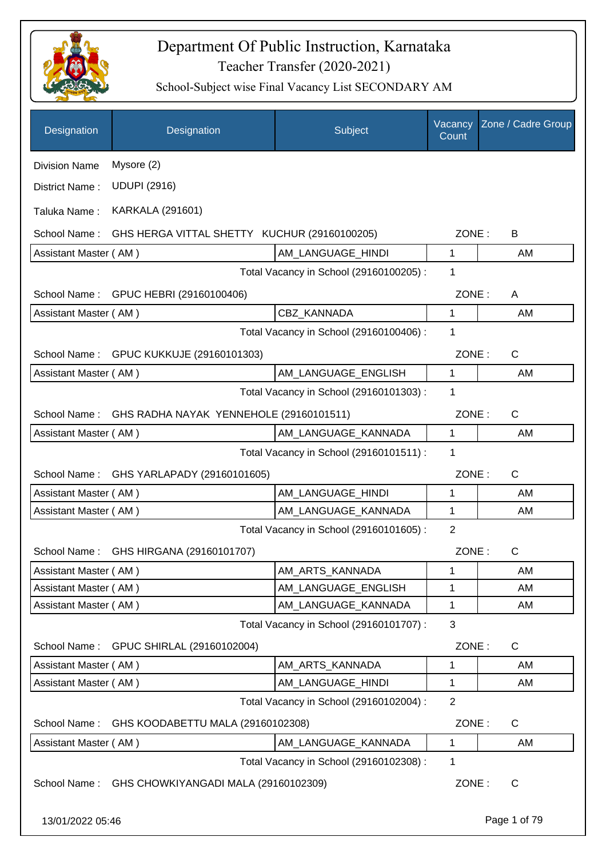

| Designation           | Designation                                  | Subject                                 | Vacancy<br>Count | Zone / Cadre Group |
|-----------------------|----------------------------------------------|-----------------------------------------|------------------|--------------------|
| <b>Division Name</b>  | Mysore (2)                                   |                                         |                  |                    |
| District Name:        | <b>UDUPI (2916)</b>                          |                                         |                  |                    |
| Taluka Name:          | <b>KARKALA (291601)</b>                      |                                         |                  |                    |
| School Name:          | GHS HERGA VITTAL SHETTY KUCHUR (29160100205) |                                         | ZONE:            | В                  |
| Assistant Master (AM) |                                              | AM_LANGUAGE_HINDI                       | 1                | AM                 |
|                       |                                              | Total Vacancy in School (29160100205) : | 1                |                    |
| School Name:          | GPUC HEBRI (29160100406)                     |                                         | ZONE:            | A                  |
| Assistant Master (AM) |                                              | <b>CBZ KANNADA</b>                      | $\mathbf{1}$     | AM                 |
|                       |                                              | Total Vacancy in School (29160100406) : | 1                |                    |
|                       | School Name: GPUC KUKKUJE (29160101303)      |                                         | ZONE:            | $\mathsf{C}$       |
| Assistant Master (AM) |                                              | AM_LANGUAGE_ENGLISH                     | 1                | AM                 |
|                       |                                              | Total Vacancy in School (29160101303) : | 1                |                    |
| School Name:          | GHS RADHA NAYAK YENNEHOLE (29160101511)      |                                         | ZONE:            | $\mathsf{C}$       |
| Assistant Master (AM) |                                              | AM_LANGUAGE_KANNADA                     | $\mathbf{1}$     | AM                 |
|                       |                                              | Total Vacancy in School (29160101511) : | 1                |                    |
| School Name:          | GHS YARLAPADY (29160101605)                  |                                         | ZONE:            | $\mathsf{C}$       |
| Assistant Master (AM) |                                              | AM_LANGUAGE_HINDI                       | 1                | AM                 |
| Assistant Master (AM) |                                              | AM_LANGUAGE_KANNADA                     | 1                | AM                 |
|                       |                                              | Total Vacancy in School (29160101605) : | $\overline{2}$   |                    |
| School Name:          | GHS HIRGANA (29160101707)                    |                                         | ZONE:            | $\mathsf C$        |
| Assistant Master (AM) |                                              | AM_ARTS_KANNADA                         | 1                | AM                 |
| Assistant Master (AM) |                                              | AM_LANGUAGE_ENGLISH                     | 1                | AM                 |
| Assistant Master (AM) |                                              | AM_LANGUAGE_KANNADA                     | 1                | AM                 |
|                       |                                              | Total Vacancy in School (29160101707) : | 3                |                    |
| School Name:          | GPUC SHIRLAL (29160102004)                   |                                         | ZONE:            | $\mathsf{C}$       |
| Assistant Master (AM) |                                              | AM_ARTS_KANNADA                         | 1                | AM                 |
| Assistant Master (AM) |                                              | AM LANGUAGE HINDI                       | 1                | AM                 |
|                       |                                              | Total Vacancy in School (29160102004) : | $\overline{2}$   |                    |
| School Name:          | GHS KOODABETTU MALA (29160102308)            |                                         | ZONE:            | C                  |
| Assistant Master (AM) |                                              | AM_LANGUAGE_KANNADA                     | 1                | AM                 |
|                       |                                              | Total Vacancy in School (29160102308) : | 1                |                    |
| School Name:          | GHS CHOWKIYANGADI MALA (29160102309)         |                                         | ZONE:            | $\mathsf C$        |
|                       |                                              |                                         |                  |                    |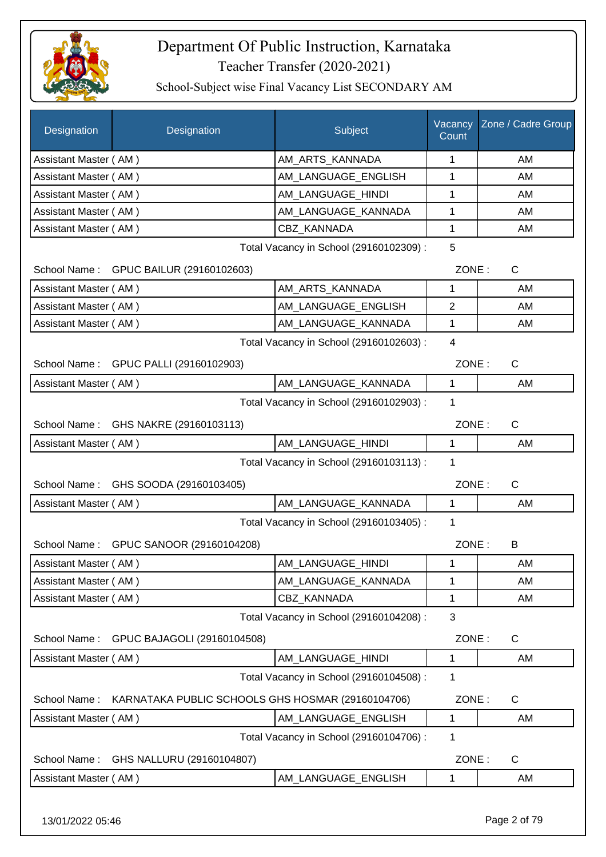

| Designation           | Designation                                       | Subject                                 | Vacancy<br>Count | Zone / Cadre Group |
|-----------------------|---------------------------------------------------|-----------------------------------------|------------------|--------------------|
| Assistant Master (AM) |                                                   | AM_ARTS_KANNADA                         | 1                | AM                 |
| Assistant Master (AM) |                                                   | AM_LANGUAGE_ENGLISH                     | 1                | AM                 |
| Assistant Master (AM) |                                                   | AM_LANGUAGE_HINDI                       | 1                | AM                 |
| Assistant Master (AM) |                                                   | AM_LANGUAGE_KANNADA                     | 1                | AM                 |
| Assistant Master (AM) |                                                   | CBZ_KANNADA                             | 1                | AM                 |
|                       |                                                   | Total Vacancy in School (29160102309) : | 5                |                    |
|                       | School Name: GPUC BAILUR (29160102603)            |                                         | ZONE:            | C                  |
| Assistant Master (AM) |                                                   | AM_ARTS_KANNADA                         | 1                | AM                 |
| Assistant Master (AM) |                                                   | AM_LANGUAGE_ENGLISH                     | $\overline{2}$   | AM                 |
| Assistant Master (AM) |                                                   | AM_LANGUAGE_KANNADA                     | 1                | AM                 |
|                       |                                                   | Total Vacancy in School (29160102603) : | $\overline{4}$   |                    |
|                       | School Name: GPUC PALLI (29160102903)             |                                         | ZONE:            | $\mathsf{C}$       |
| Assistant Master (AM) |                                                   | AM LANGUAGE KANNADA                     | $\mathbf{1}$     | AM                 |
|                       |                                                   | Total Vacancy in School (29160102903) : | 1                |                    |
|                       | School Name: GHS NAKRE (29160103113)              |                                         | ZONE:            | $\mathsf{C}$       |
| Assistant Master (AM) |                                                   | AM_LANGUAGE_HINDI                       | $\mathbf{1}$     | AM                 |
|                       |                                                   | Total Vacancy in School (29160103113) : | 1                |                    |
|                       | School Name: GHS SOODA (29160103405)              |                                         | ZONE:            | $\mathsf{C}$       |
| Assistant Master (AM) |                                                   | AM_LANGUAGE_KANNADA                     | $\mathbf{1}$     | AM                 |
|                       |                                                   | Total Vacancy in School (29160103405) : | 1                |                    |
|                       | School Name: GPUC SANOOR (29160104208)            |                                         | ZONE:            | B                  |
| Assistant Master (AM) |                                                   | AM_LANGUAGE_HINDI                       | 1                | AM                 |
| Assistant Master (AM) |                                                   | AM_LANGUAGE_KANNADA                     | $\mathbf 1$      | AM                 |
| Assistant Master (AM) |                                                   | CBZ_KANNADA                             | 1                | AM                 |
|                       |                                                   | Total Vacancy in School (29160104208) : | 3                |                    |
| School Name:          | GPUC BAJAGOLI (29160104508)                       |                                         | ZONE:            | C                  |
| Assistant Master (AM) |                                                   | AM LANGUAGE HINDI                       | 1                | AM                 |
|                       |                                                   | Total Vacancy in School (29160104508) : | 1                |                    |
| School Name:          | KARNATAKA PUBLIC SCHOOLS GHS HOSMAR (29160104706) |                                         | ZONE:            | C                  |
| Assistant Master (AM) |                                                   | AM_LANGUAGE_ENGLISH                     | 1                | AM                 |
|                       |                                                   | Total Vacancy in School (29160104706) : | 1                |                    |
| School Name:          | GHS NALLURU (29160104807)                         |                                         | ZONE:            | $\mathsf{C}$       |
| Assistant Master (AM) |                                                   | AM_LANGUAGE_ENGLISH                     | 1                | AM                 |
| 13/01/2022 05:46      |                                                   |                                         |                  | Page 2 of 79       |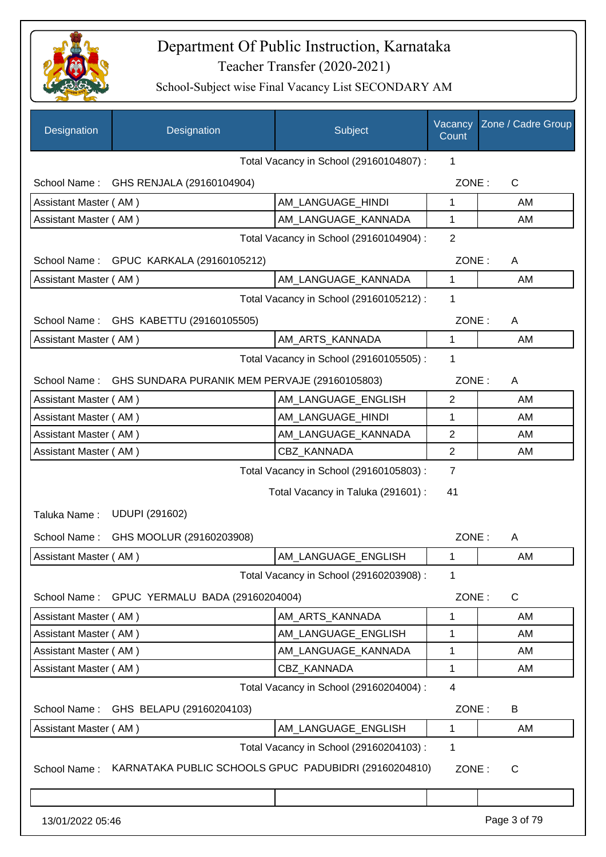

| Designation           | Designation                                           | Subject                                 | Vacancy<br>Count | Zone / Cadre Group |
|-----------------------|-------------------------------------------------------|-----------------------------------------|------------------|--------------------|
|                       |                                                       | Total Vacancy in School (29160104807) : | 1                |                    |
| School Name:          | GHS RENJALA (29160104904)                             |                                         | ZONE:            | $\mathsf{C}$       |
| Assistant Master (AM) |                                                       | AM_LANGUAGE_HINDI                       | 1                | AM                 |
| Assistant Master (AM) |                                                       | AM_LANGUAGE_KANNADA                     | 1                | AM                 |
|                       |                                                       | Total Vacancy in School (29160104904) : | $\overline{2}$   |                    |
|                       | School Name: GPUC KARKALA (29160105212)               |                                         | ZONE:            | A                  |
| Assistant Master (AM) |                                                       | AM_LANGUAGE_KANNADA                     | $\mathbf{1}$     | AM                 |
|                       |                                                       | Total Vacancy in School (29160105212) : | $\mathbf 1$      |                    |
|                       | School Name: GHS KABETTU (29160105505)                |                                         | ZONE:            | A                  |
| Assistant Master (AM) |                                                       | AM_ARTS_KANNADA                         | 1                | AM                 |
|                       |                                                       | Total Vacancy in School (29160105505) : | 1                |                    |
| School Name:          | GHS SUNDARA PURANIK MEM PERVAJE (29160105803)         |                                         | ZONE:            | A                  |
| Assistant Master (AM) |                                                       | AM_LANGUAGE_ENGLISH                     | $\overline{2}$   | AM                 |
| Assistant Master (AM) |                                                       | AM_LANGUAGE_HINDI                       | 1                | AM                 |
| Assistant Master (AM) |                                                       | AM_LANGUAGE_KANNADA                     | $\overline{2}$   | AM                 |
| Assistant Master (AM) |                                                       | CBZ_KANNADA                             | $\overline{2}$   | AM                 |
|                       |                                                       | Total Vacancy in School (29160105803) : | 7                |                    |
|                       |                                                       | Total Vacancy in Taluka (291601) :      | 41               |                    |
| Taluka Name:          | <b>UDUPI (291602)</b>                                 |                                         |                  |                    |
| School Name:          | GHS MOOLUR (29160203908)                              |                                         | ZONE:            |                    |
|                       |                                                       |                                         |                  | A                  |
| Assistant Master (AM) |                                                       | AM LANGUAGE ENGLISH                     | 1                | AM                 |
|                       |                                                       | Total Vacancy in School (29160203908) : | 1                |                    |
|                       | School Name: GPUC YERMALU BADA (29160204004)          |                                         | ZONE:            | $\mathsf{C}$       |
| Assistant Master (AM) |                                                       | AM_ARTS_KANNADA                         | 1                | AM                 |
| Assistant Master (AM) |                                                       | AM_LANGUAGE_ENGLISH                     | 1                | AM                 |
| Assistant Master (AM) |                                                       | AM LANGUAGE KANNADA                     | $\mathbf 1$      | AM                 |
| Assistant Master (AM) |                                                       | CBZ_KANNADA                             | $\mathbf 1$      | AM                 |
|                       |                                                       | Total Vacancy in School (29160204004) : | $\overline{4}$   |                    |
|                       | School Name: GHS BELAPU (29160204103)                 |                                         | ZONE:            | B                  |
| Assistant Master (AM) |                                                       | AM_LANGUAGE_ENGLISH                     | 1                | AM                 |
|                       |                                                       | Total Vacancy in School (29160204103) : | 1                |                    |
| School Name:          | KARNATAKA PUBLIC SCHOOLS GPUC PADUBIDRI (29160204810) |                                         | ZONE:            | C                  |
|                       |                                                       |                                         |                  |                    |
| 13/01/2022 05:46      |                                                       |                                         |                  | Page 3 of 79       |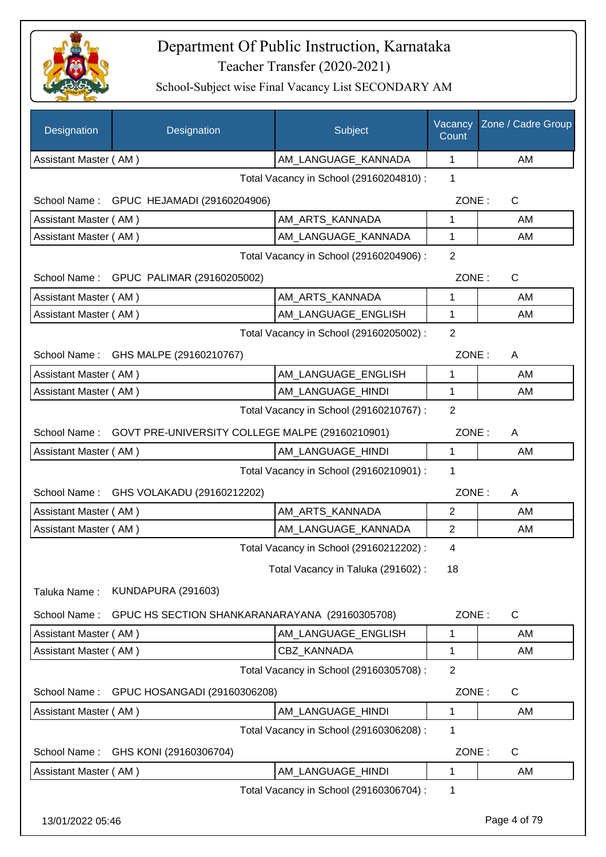

| Designation           | Designation                                     | Subject                                 | Vacancy<br>Count | Zone / Cadre Group |
|-----------------------|-------------------------------------------------|-----------------------------------------|------------------|--------------------|
| Assistant Master (AM) |                                                 | AM_LANGUAGE_KANNADA                     | 1                | AM                 |
|                       |                                                 | Total Vacancy in School (29160204810) : | 1                |                    |
|                       | School Name: GPUC HEJAMADI (29160204906)        |                                         | ZONE:            | C                  |
| Assistant Master (AM) |                                                 | AM_ARTS_KANNADA                         | 1                | AM                 |
| Assistant Master (AM) |                                                 | AM LANGUAGE KANNADA                     | 1                | AM                 |
|                       |                                                 | Total Vacancy in School (29160204906) : | $\overline{2}$   |                    |
|                       | School Name: GPUC PALIMAR (29160205002)         |                                         | ZONE:            | C                  |
| Assistant Master (AM) |                                                 | AM_ARTS_KANNADA                         | 1                | AM                 |
| Assistant Master (AM) |                                                 | AM_LANGUAGE_ENGLISH                     | 1                | AM                 |
|                       |                                                 | Total Vacancy in School (29160205002) : | $\overline{2}$   |                    |
|                       | School Name: GHS MALPE (29160210767)            |                                         | ZONE:            | A                  |
| Assistant Master (AM) |                                                 | AM_LANGUAGE_ENGLISH                     | 1                | AM                 |
| Assistant Master (AM) |                                                 | AM_LANGUAGE_HINDI                       | 1                | AM                 |
|                       |                                                 | Total Vacancy in School (29160210767) : | $\overline{2}$   |                    |
| School Name:          | GOVT PRE-UNIVERSITY COLLEGE MALPE (29160210901) |                                         | ZONE:            | A                  |
| Assistant Master (AM) |                                                 | AM_LANGUAGE_HINDI                       | 1                | AM                 |
|                       |                                                 | Total Vacancy in School (29160210901) : | 1                |                    |
| School Name:          | GHS VOLAKADU (29160212202)                      |                                         | ZONE:            | A                  |
| Assistant Master (AM) |                                                 | AM_ARTS_KANNADA                         | $\overline{2}$   | AM                 |
| Assistant Master (AM) |                                                 | AM_LANGUAGE_KANNADA                     | $\overline{2}$   | AM                 |
|                       |                                                 | Total Vacancy in School (29160212202) : | 4                |                    |
|                       |                                                 | Total Vacancy in Taluka (291602):       | 18               |                    |
| Taluka Name:          | KUNDAPURA (291603)                              |                                         |                  |                    |
| School Name:          | GPUC HS SECTION SHANKARANARAYANA (29160305708)  |                                         | ZONE:            | $\mathsf{C}$       |
| Assistant Master (AM) |                                                 | AM_LANGUAGE_ENGLISH                     | 1                | AM                 |
| Assistant Master (AM) |                                                 | CBZ_KANNADA                             | 1                | AM                 |
|                       |                                                 | Total Vacancy in School (29160305708) : | $\overline{2}$   |                    |
| School Name:          | GPUC HOSANGADI (29160306208)                    |                                         | ZONE:            | C                  |
| Assistant Master (AM) |                                                 | AM_LANGUAGE_HINDI                       | 1                | AM                 |
|                       |                                                 | Total Vacancy in School (29160306208) : | 1                |                    |
| School Name:          | GHS KONI (29160306704)                          |                                         | ZONE:            | C                  |
| Assistant Master (AM) |                                                 | AM_LANGUAGE_HINDI                       | 1                | AM                 |
|                       |                                                 | Total Vacancy in School (29160306704) : | 1                |                    |
| 13/01/2022 05:46      |                                                 |                                         |                  | Page 4 of 79       |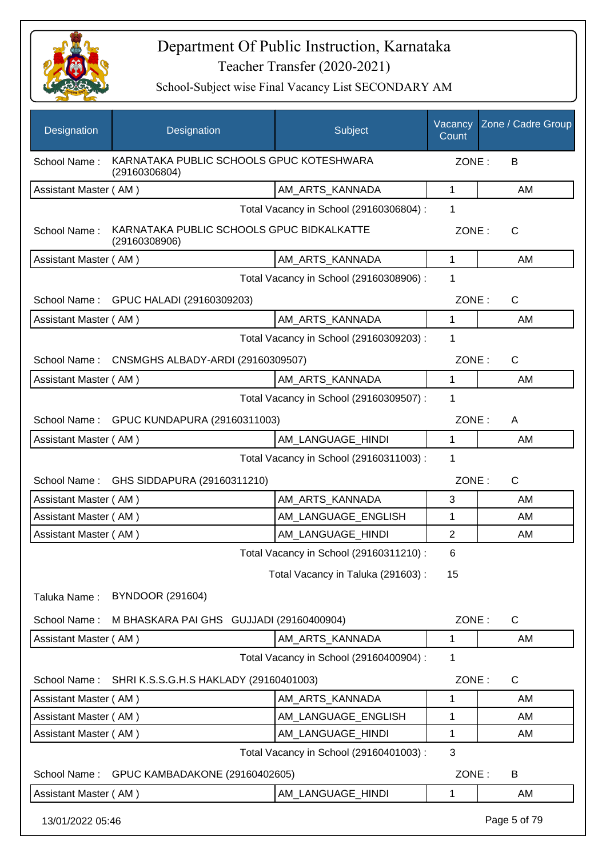

| Designation           | Designation                                                | Subject                                 | Vacancy<br>Count | Zone / Cadre Group |
|-----------------------|------------------------------------------------------------|-----------------------------------------|------------------|--------------------|
| School Name:          | KARNATAKA PUBLIC SCHOOLS GPUC KOTESHWARA<br>(29160306804)  |                                         | ZONE:            | B                  |
| Assistant Master (AM) |                                                            | AM_ARTS_KANNADA                         | 1                | AM                 |
|                       |                                                            | Total Vacancy in School (29160306804) : | 1                |                    |
| School Name:          | KARNATAKA PUBLIC SCHOOLS GPUC BIDKALKATTE<br>(29160308906) |                                         | ZONE:            | $\mathsf{C}$       |
| Assistant Master (AM) |                                                            | AM_ARTS_KANNADA                         | $\mathbf{1}$     | AM                 |
|                       |                                                            | Total Vacancy in School (29160308906) : | 1                |                    |
|                       | School Name: GPUC HALADI (29160309203)                     |                                         | ZONE:            | $\mathsf{C}$       |
| Assistant Master (AM) |                                                            | AM_ARTS_KANNADA                         | $\mathbf{1}$     | AM                 |
|                       |                                                            | Total Vacancy in School (29160309203) : | 1                |                    |
| School Name:          | CNSMGHS ALBADY-ARDI (29160309507)                          |                                         | ZONE:            | $\mathsf{C}$       |
| Assistant Master (AM) |                                                            | AM_ARTS_KANNADA                         | 1                | AM                 |
|                       |                                                            | Total Vacancy in School (29160309507) : | 1                |                    |
|                       | School Name: GPUC KUNDAPURA (29160311003)                  |                                         | ZONE:            | A                  |
| Assistant Master (AM) |                                                            | AM_LANGUAGE_HINDI                       | $\mathbf{1}$     | AM                 |
|                       |                                                            | Total Vacancy in School (29160311003) : | 1                |                    |
| School Name:          | GHS SIDDAPURA (29160311210)                                |                                         | ZONE:            | $\mathsf{C}$       |
| Assistant Master (AM) |                                                            | AM_ARTS_KANNADA                         | 3                | AM                 |
| Assistant Master (AM) |                                                            | AM LANGUAGE ENGLISH                     | 1                | AM                 |
| Assistant Master (AM) |                                                            | AM LANGUAGE HINDI                       | $\overline{2}$   | AM                 |
|                       |                                                            | Total Vacancy in School (29160311210) : | 6                |                    |
|                       |                                                            | Total Vacancy in Taluka (291603):       | 15               |                    |
| Taluka Name:          | <b>BYNDOOR (291604)</b>                                    |                                         |                  |                    |
| School Name:          | M BHASKARA PAI GHS GUJJADI (29160400904)                   |                                         | ZONE:            | $\mathsf{C}$       |
| Assistant Master (AM) |                                                            | AM ARTS KANNADA                         | 1                | AM                 |
|                       |                                                            | Total Vacancy in School (29160400904) : | 1                |                    |
| School Name:          | SHRI K.S.S.G.H.S HAKLADY (29160401003)                     |                                         | ZONE:            | $\mathsf{C}$       |
| Assistant Master (AM) |                                                            | AM ARTS KANNADA                         | 1                | AM                 |
| Assistant Master (AM) |                                                            | AM_LANGUAGE_ENGLISH                     | 1                | AM                 |
| Assistant Master (AM) |                                                            | AM_LANGUAGE_HINDI                       | 1                | AM                 |
|                       |                                                            | Total Vacancy in School (29160401003) : | 3                |                    |
| School Name:          | GPUC KAMBADAKONE (29160402605)                             |                                         | ZONE:            | B                  |
| Assistant Master (AM) |                                                            | AM_LANGUAGE_HINDI                       | 1                | AM                 |
| 13/01/2022 05:46      |                                                            |                                         |                  | Page 5 of 79       |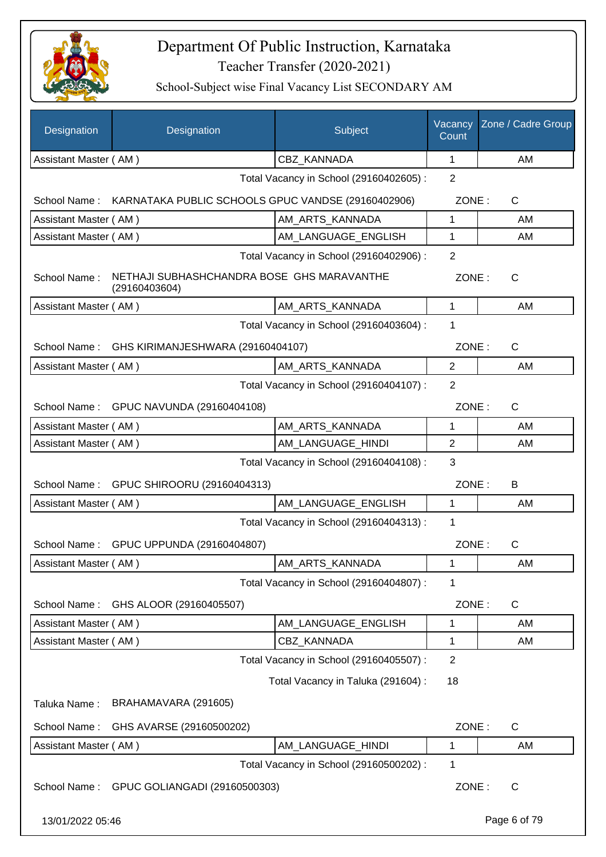

| Designation           | Designation                                                 | Subject                                 | Vacancy<br>Count | Zone / Cadre Group |
|-----------------------|-------------------------------------------------------------|-----------------------------------------|------------------|--------------------|
| Assistant Master (AM) |                                                             | CBZ_KANNADA                             | 1                | AM                 |
|                       |                                                             | Total Vacancy in School (29160402605) : | $\overline{2}$   |                    |
| School Name:          | KARNATAKA PUBLIC SCHOOLS GPUC VANDSE (29160402906)          |                                         | ZONE:            | C                  |
| Assistant Master (AM) |                                                             | AM ARTS KANNADA                         | 1                | AM                 |
| Assistant Master (AM) |                                                             | AM LANGUAGE ENGLISH                     | $\mathbf 1$      | AM                 |
|                       |                                                             | Total Vacancy in School (29160402906) : | 2                |                    |
| School Name:          | NETHAJI SUBHASHCHANDRA BOSE GHS MARAVANTHE<br>(29160403604) |                                         | ZONE:            | $\mathsf{C}$       |
| Assistant Master (AM) |                                                             | AM_ARTS_KANNADA                         | $\mathbf{1}$     | AM                 |
|                       |                                                             | Total Vacancy in School (29160403604) : | $\mathbf{1}$     |                    |
| School Name:          | GHS KIRIMANJESHWARA (29160404107)                           |                                         | ZONE:            | C                  |
| Assistant Master (AM) |                                                             | AM_ARTS_KANNADA                         | $\overline{2}$   | AM                 |
|                       |                                                             | Total Vacancy in School (29160404107) : | $\overline{2}$   |                    |
|                       | School Name: GPUC NAVUNDA (29160404108)                     |                                         | ZONE:            | $\mathsf{C}$       |
| Assistant Master (AM) |                                                             | AM_ARTS_KANNADA                         | $\mathbf 1$      | AM                 |
| Assistant Master (AM) |                                                             | AM_LANGUAGE_HINDI                       | $\overline{2}$   | AM                 |
|                       |                                                             | Total Vacancy in School (29160404108) : | 3                |                    |
|                       | School Name: GPUC SHIROORU (29160404313)                    |                                         | ZONE:            | B                  |
| Assistant Master (AM) |                                                             | AM_LANGUAGE_ENGLISH                     | $\mathbf{1}$     | AM                 |
|                       |                                                             | Total Vacancy in School (29160404313) : | $\mathbf 1$      |                    |
|                       | School Name: GPUC UPPUNDA (29160404807)                     |                                         | ZONE:            | $\mathsf{C}$       |
| Assistant Master (AM) |                                                             | AM_ARTS_KANNADA                         | 1                | AM                 |
|                       |                                                             | Total Vacancy in School (29160404807) : | 1                |                    |
| School Name:          | GHS ALOOR (29160405507)                                     |                                         | ZONE:            | C                  |
| Assistant Master (AM) |                                                             | AM_LANGUAGE_ENGLISH                     | 1                | AM                 |
| Assistant Master (AM) |                                                             | CBZ_KANNADA                             | 1                | AM                 |
|                       |                                                             | Total Vacancy in School (29160405507) : | $\overline{2}$   |                    |
|                       |                                                             | Total Vacancy in Taluka (291604) :      | 18               |                    |
| Taluka Name:          | BRAHAMAVARA (291605)                                        |                                         |                  |                    |
| School Name:          | GHS AVARSE (29160500202)                                    |                                         | ZONE:            | C                  |
| Assistant Master (AM) |                                                             | AM_LANGUAGE_HINDI                       | 1                | AM                 |
|                       |                                                             | Total Vacancy in School (29160500202) : | 1                |                    |
| School Name:          | GPUC GOLIANGADI (29160500303)                               |                                         | ZONE:            | C                  |
| 13/01/2022 05:46      |                                                             |                                         |                  | Page 6 of 79       |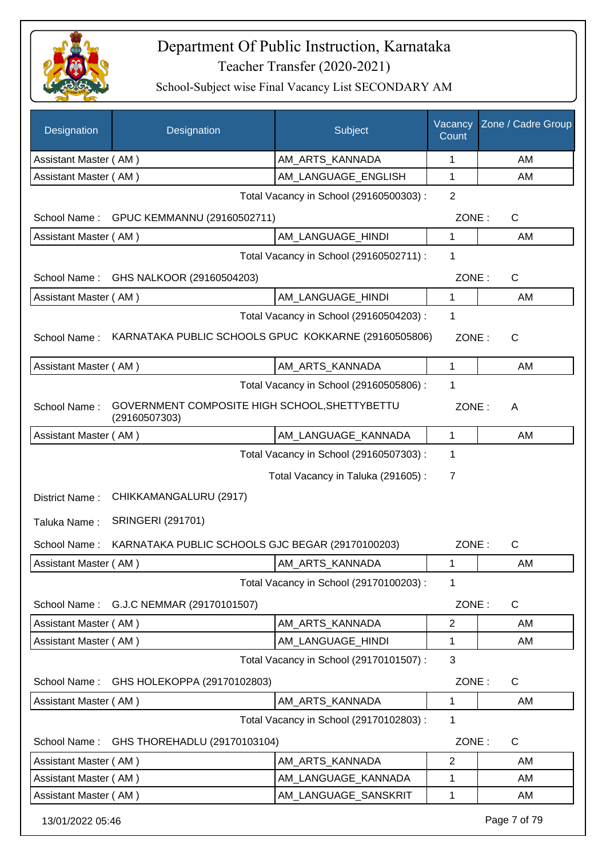

| <b>Designation</b>    | Designation                                                    | Subject                                 | Vacancy<br>Count | Zone / Cadre Group |
|-----------------------|----------------------------------------------------------------|-----------------------------------------|------------------|--------------------|
| Assistant Master (AM) |                                                                | AM_ARTS_KANNADA                         | 1                | AM                 |
| Assistant Master (AM) |                                                                | AM_LANGUAGE_ENGLISH                     | 1                | AM                 |
|                       |                                                                | Total Vacancy in School (29160500303) : | $\overline{2}$   |                    |
|                       | School Name: GPUC KEMMANNU (29160502711)                       |                                         | ZONE:            | C                  |
| Assistant Master (AM) |                                                                | AM_LANGUAGE_HINDI                       | 1                | AM                 |
|                       |                                                                | Total Vacancy in School (29160502711) : | 1                |                    |
| School Name:          | GHS NALKOOR (29160504203)                                      |                                         | ZONE:            | C                  |
| Assistant Master (AM) |                                                                | AM_LANGUAGE_HINDI                       | 1                | AM                 |
|                       |                                                                | Total Vacancy in School (29160504203) : | 1                |                    |
| School Name:          | KARNATAKA PUBLIC SCHOOLS GPUC KOKKARNE (29160505806)           |                                         | ZONE:            | C                  |
| Assistant Master (AM) |                                                                | AM ARTS KANNADA                         | 1                | AM                 |
|                       |                                                                | Total Vacancy in School (29160505806) : | 1                |                    |
| School Name:          | GOVERNMENT COMPOSITE HIGH SCHOOL, SHETTYBETTU<br>(29160507303) |                                         | ZONE:            | A                  |
| Assistant Master (AM) |                                                                | AM_LANGUAGE_KANNADA                     | 1                | AM                 |
|                       |                                                                | Total Vacancy in School (29160507303) : | 1                |                    |
|                       |                                                                | Total Vacancy in Taluka (291605):       | 7                |                    |
| District Name:        | CHIKKAMANGALURU (2917)                                         |                                         |                  |                    |
| Taluka Name:          | <b>SRINGERI (291701)</b>                                       |                                         |                  |                    |
| School Name:          | KARNATAKA PUBLIC SCHOOLS GJC BEGAR (29170100203)               |                                         | ZONE:            | C                  |
| Assistant Master (AM) |                                                                | AM_ARTS_KANNADA                         | 1                | AM                 |
|                       |                                                                | Total Vacancy in School (29170100203) : | 1                |                    |
| School Name:          | G.J.C NEMMAR (29170101507)                                     |                                         | ZONE:            | $\mathsf{C}$       |
| Assistant Master (AM) |                                                                | AM_ARTS_KANNADA                         | $\overline{c}$   | AM                 |
| Assistant Master (AM) |                                                                | AM_LANGUAGE_HINDI                       | 1                | AM                 |
|                       |                                                                | Total Vacancy in School (29170101507) : | 3                |                    |
| School Name:          | GHS HOLEKOPPA (29170102803)                                    |                                         | ZONE:            | C                  |
| Assistant Master (AM) |                                                                | AM_ARTS_KANNADA                         | 1                | AM                 |
|                       |                                                                | Total Vacancy in School (29170102803) : | 1                |                    |
| School Name:          | GHS THOREHADLU (29170103104)                                   |                                         | ZONE:            | C                  |
| Assistant Master (AM) |                                                                | AM_ARTS_KANNADA                         | $\overline{c}$   | AM                 |
| Assistant Master (AM) |                                                                | AM_LANGUAGE_KANNADA                     | 1                | AM                 |
| Assistant Master (AM) |                                                                | AM_LANGUAGE_SANSKRIT                    | 1                | AM                 |
| 13/01/2022 05:46      |                                                                |                                         |                  | Page 7 of 79       |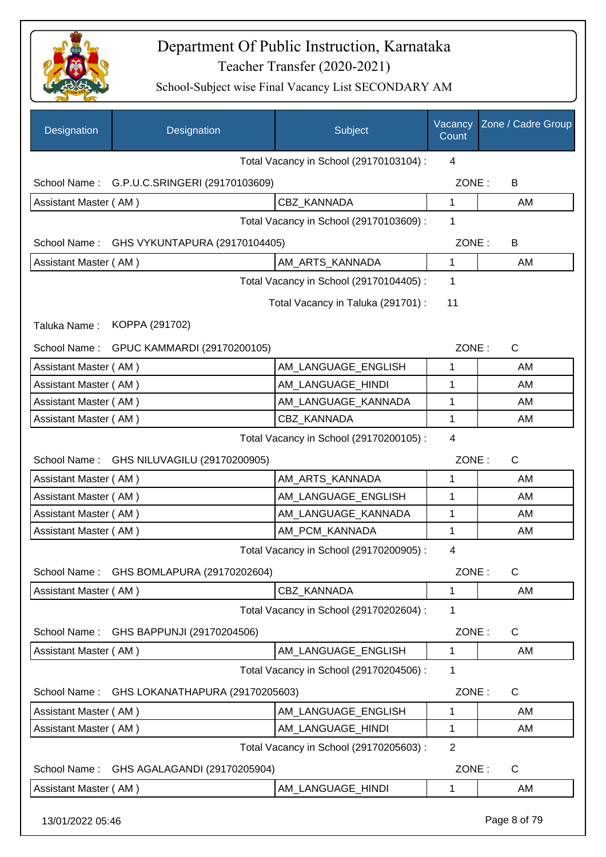

| Designation                             | Designation                                | Subject                                 | Vacancy<br>Count | Zone / Cadre Group |
|-----------------------------------------|--------------------------------------------|-----------------------------------------|------------------|--------------------|
|                                         |                                            | Total Vacancy in School (29170103104) : | 4                |                    |
| School Name:                            | G.P.U.C.SRINGERI (29170103609)             |                                         | ZONE:            | B                  |
| Assistant Master (AM)                   |                                            | CBZ KANNADA                             | 1                | AM                 |
|                                         |                                            | Total Vacancy in School (29170103609) : | 1                |                    |
|                                         | School Name: GHS VYKUNTAPURA (29170104405) |                                         | ZONE:            | B                  |
| Assistant Master (AM)                   |                                            | AM_ARTS_KANNADA                         | $\mathbf{1}$     | AM                 |
|                                         |                                            | Total Vacancy in School (29170104405) : | 1                |                    |
|                                         |                                            | Total Vacancy in Taluka (291701) :      | 11               |                    |
| Taluka Name:                            | KOPPA (291702)                             |                                         |                  |                    |
|                                         |                                            |                                         |                  |                    |
| School Name:                            | GPUC KAMMARDI (29170200105)                |                                         | ZONE:            | $\mathsf{C}$       |
| Assistant Master (AM)                   |                                            | AM_LANGUAGE_ENGLISH                     | 1                | AM                 |
| Assistant Master (AM)                   |                                            | AM_LANGUAGE_HINDI                       | 1                | AM                 |
| Assistant Master (AM)                   |                                            | AM_LANGUAGE_KANNADA                     | 1                | AM                 |
| Assistant Master (AM)                   |                                            | CBZ_KANNADA                             | $\mathbf{1}$     | AM                 |
| Total Vacancy in School (29170200105) : |                                            |                                         |                  |                    |
|                                         | School Name: GHS NILUVAGILU (29170200905)  |                                         | ZONE:            | $\mathsf{C}$       |
| Assistant Master (AM)                   |                                            | AM_ARTS_KANNADA                         | 1                | AM                 |
| Assistant Master (AM)                   |                                            | AM_LANGUAGE_ENGLISH                     | 1                | AM                 |
| Assistant Master (AM)                   |                                            | AM LANGUAGE KANNADA                     | 1                | AM                 |
| Assistant Master (AM)                   |                                            | AM_PCM_KANNADA                          | 1                | AM                 |
|                                         |                                            | Total Vacancy in School (29170200905) : | 4                |                    |
| School Name:                            | GHS BOMLAPURA (29170202604)                |                                         | ZONE:            | $\mathsf{C}$       |
| Assistant Master (AM)                   |                                            | CBZ_KANNADA                             | 1                | AM                 |
|                                         |                                            | Total Vacancy in School (29170202604) : | 1                |                    |
| School Name:                            | GHS BAPPUNJI (29170204506)                 |                                         | ZONE:            | C                  |
| Assistant Master (AM)                   |                                            | AM_LANGUAGE_ENGLISH                     | $\mathbf{1}$     | AM                 |
|                                         |                                            | Total Vacancy in School (29170204506) : | 1                |                    |
| School Name:                            | GHS LOKANATHAPURA (29170205603)            |                                         | ZONE:            | C                  |
| Assistant Master (AM)                   |                                            | AM_LANGUAGE_ENGLISH                     | 1                | AM                 |
| Assistant Master (AM)                   |                                            | AM_LANGUAGE_HINDI                       | 1                | AM                 |
|                                         |                                            | Total Vacancy in School (29170205603) : | $\overline{2}$   |                    |
| School Name:                            | GHS AGALAGANDI (29170205904)               |                                         | ZONE:            | C                  |
| Assistant Master (AM)                   |                                            | AM_LANGUAGE_HINDI                       | 1                | AM                 |
|                                         |                                            |                                         |                  |                    |
| 13/01/2022 05:46                        |                                            |                                         |                  | Page 8 of 79       |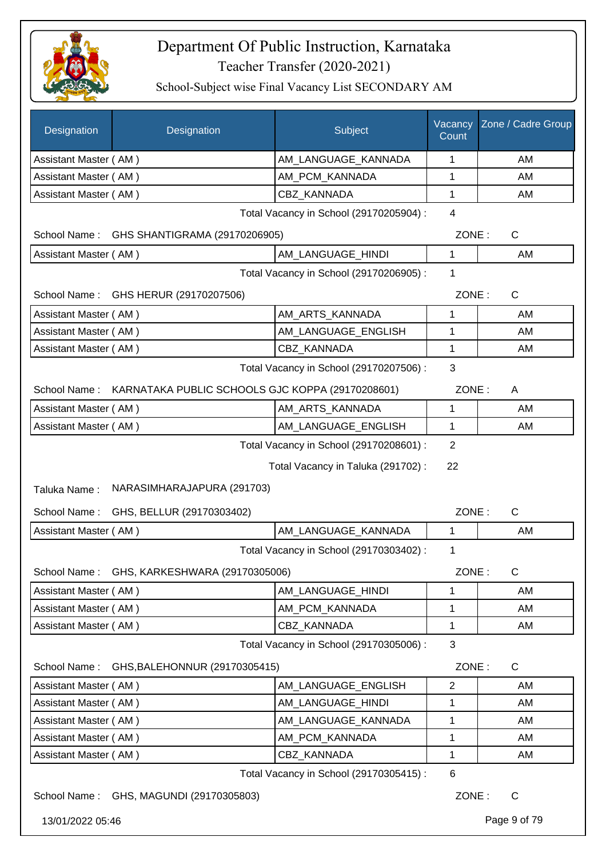

| Designation           | Designation                                      | Subject                                 | Vacancy<br>Count | Zone / Cadre Group |
|-----------------------|--------------------------------------------------|-----------------------------------------|------------------|--------------------|
| Assistant Master (AM) |                                                  | AM_LANGUAGE_KANNADA                     | 1                | AM                 |
| Assistant Master (AM) |                                                  | AM_PCM_KANNADA                          | 1                | AM                 |
| Assistant Master (AM) |                                                  | <b>CBZ KANNADA</b>                      | 1                | AM                 |
|                       |                                                  | Total Vacancy in School (29170205904) : | $\overline{4}$   |                    |
|                       | School Name: GHS SHANTIGRAMA (29170206905)       |                                         | ZONE:            | $\mathsf C$        |
| Assistant Master (AM) |                                                  | AM LANGUAGE HINDI                       | $\mathbf{1}$     | AM                 |
|                       |                                                  | Total Vacancy in School (29170206905) : | 1                |                    |
| School Name:          | GHS HERUR (29170207506)                          |                                         | ZONE:            | C                  |
| Assistant Master (AM) |                                                  | AM_ARTS_KANNADA                         | 1                | AM                 |
| Assistant Master (AM) |                                                  | AM_LANGUAGE_ENGLISH                     | 1                | AM                 |
| Assistant Master (AM) |                                                  | CBZ_KANNADA                             | 1                | AM                 |
|                       |                                                  | Total Vacancy in School (29170207506) : | 3                |                    |
| School Name:          | KARNATAKA PUBLIC SCHOOLS GJC KOPPA (29170208601) |                                         | ZONE:            | A                  |
| Assistant Master (AM) |                                                  | AM_ARTS_KANNADA                         | 1                | AM                 |
| Assistant Master (AM) |                                                  | AM_LANGUAGE_ENGLISH                     | 1                | AM                 |
|                       |                                                  | Total Vacancy in School (29170208601) : | $\overline{2}$   |                    |
|                       |                                                  | Total Vacancy in Taluka (291702):       | 22               |                    |
| Taluka Name:          | NARASIMHARAJAPURA (291703)                       |                                         |                  |                    |
| School Name:          | GHS, BELLUR (29170303402)                        |                                         | ZONE:            | C                  |
| Assistant Master (AM) |                                                  | AM_LANGUAGE_KANNADA                     | 1                | AM                 |
|                       |                                                  | Total Vacancy in School (29170303402) : | 1                |                    |
|                       | School Name: GHS, KARKESHWARA (29170305006)      |                                         | ZONE:            | $\mathsf C$        |
| Assistant Master (AM) |                                                  | AM_LANGUAGE_HINDI                       | 1                | AM                 |
| Assistant Master (AM) |                                                  | AM_PCM_KANNADA                          | 1                | AM                 |
| Assistant Master (AM) |                                                  | CBZ_KANNADA                             | 1                | AM                 |
|                       |                                                  | Total Vacancy in School (29170305006) : | 3                |                    |
| School Name:          | GHS, BALEHONNUR (29170305415)                    |                                         | ZONE:            | C                  |
| Assistant Master (AM) |                                                  | AM LANGUAGE ENGLISH                     | $\overline{2}$   | AM                 |
| Assistant Master (AM) |                                                  | AM_LANGUAGE_HINDI                       | 1                | AM                 |
| Assistant Master (AM) |                                                  | AM_LANGUAGE_KANNADA                     | 1                | AM                 |
| Assistant Master (AM) |                                                  | AM_PCM_KANNADA                          | 1                | AM                 |
| Assistant Master (AM) |                                                  | CBZ_KANNADA                             | 1                | AM                 |
|                       |                                                  | Total Vacancy in School (29170305415) : | $\,6$            |                    |
|                       | School Name: GHS, MAGUNDI (29170305803)          |                                         | ZONE:            | C                  |
| 13/01/2022 05:46      |                                                  |                                         |                  | Page 9 of 79       |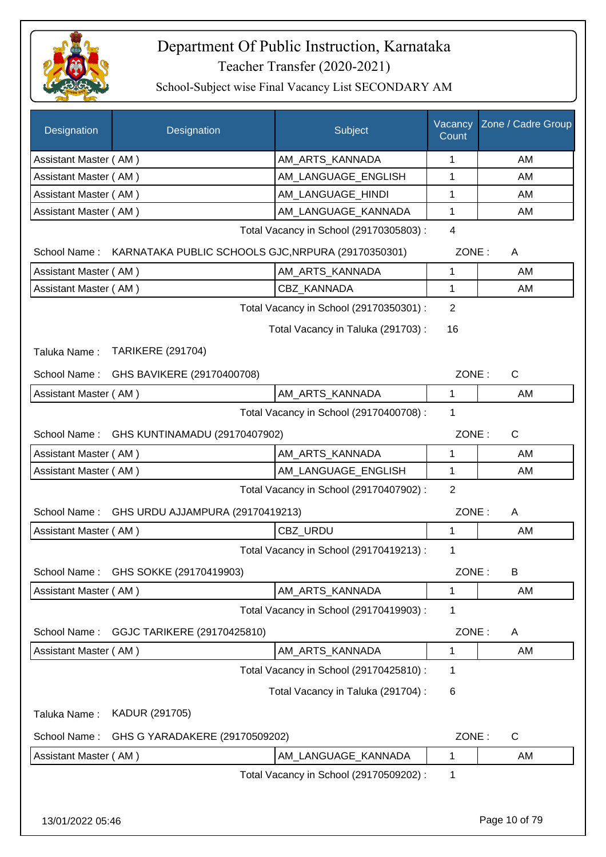

| Designation           | Designation                                                     | Subject                                 | Vacancy<br>Count | Zone / Cadre Group |
|-----------------------|-----------------------------------------------------------------|-----------------------------------------|------------------|--------------------|
| Assistant Master (AM) |                                                                 | AM_ARTS_KANNADA                         | 1                | AM                 |
| Assistant Master (AM) |                                                                 | AM_LANGUAGE_ENGLISH                     | 1                | AM                 |
| Assistant Master (AM) |                                                                 | AM LANGUAGE HINDI                       | 1                | AM                 |
| Assistant Master (AM) |                                                                 | AM LANGUAGE KANNADA                     | 1                | AM                 |
|                       |                                                                 | Total Vacancy in School (29170305803) : | $\overline{4}$   |                    |
|                       | School Name: KARNATAKA PUBLIC SCHOOLS GJC, NRPURA (29170350301) |                                         | ZONE:            | A                  |
| Assistant Master (AM) |                                                                 | AM_ARTS_KANNADA                         | 1                | AM                 |
| Assistant Master (AM) |                                                                 | CBZ_KANNADA                             | 1                | AM                 |
|                       |                                                                 | Total Vacancy in School (29170350301) : | $\overline{2}$   |                    |
|                       |                                                                 | Total Vacancy in Taluka (291703):       | 16               |                    |
| Taluka Name:          | <b>TARIKERE (291704)</b>                                        |                                         |                  |                    |
|                       | School Name: GHS BAVIKERE (29170400708)                         |                                         | ZONE:            | C                  |
| Assistant Master (AM) |                                                                 | AM_ARTS_KANNADA                         | 1                | AM                 |
|                       |                                                                 | Total Vacancy in School (29170400708) : | 1                |                    |
|                       | School Name: GHS KUNTINAMADU (29170407902)                      |                                         | ZONE:            | $\mathsf{C}$       |
| Assistant Master (AM) |                                                                 | AM_ARTS_KANNADA                         | 1                | AM                 |
| Assistant Master (AM) |                                                                 | AM_LANGUAGE_ENGLISH                     | 1                | AM                 |
|                       |                                                                 | Total Vacancy in School (29170407902) : | 2                |                    |
| School Name:          | GHS URDU AJJAMPURA (29170419213)                                |                                         | ZONE:            | A                  |
| Assistant Master (AM) |                                                                 | CBZ_URDU                                | 1                | AM                 |
|                       |                                                                 | Total Vacancy in School (29170419213) : | 1                |                    |
| School Name:          | GHS SOKKE (29170419903)                                         |                                         | ZONE:            | B                  |
| Assistant Master (AM) |                                                                 | AM_ARTS_KANNADA                         | 1                | AM                 |
|                       |                                                                 | Total Vacancy in School (29170419903) : | 1                |                    |
| School Name:          | GGJC TARIKERE (29170425810)                                     |                                         | ZONE:            | A                  |
| Assistant Master (AM) |                                                                 | AM_ARTS_KANNADA                         | 1                | AM                 |
|                       |                                                                 | Total Vacancy in School (29170425810) : | 1                |                    |
|                       |                                                                 | Total Vacancy in Taluka (291704) :      | 6                |                    |
| Taluka Name:          | KADUR (291705)                                                  |                                         |                  |                    |
| School Name:          | GHS G YARADAKERE (29170509202)                                  |                                         | ZONE:            | $\mathsf{C}$       |
| Assistant Master (AM) |                                                                 | AM_LANGUAGE_KANNADA                     | 1                | AM                 |
|                       |                                                                 | Total Vacancy in School (29170509202) : | 1                |                    |
|                       |                                                                 |                                         |                  |                    |
| 13/01/2022 05:46      |                                                                 |                                         |                  | Page 10 of 79      |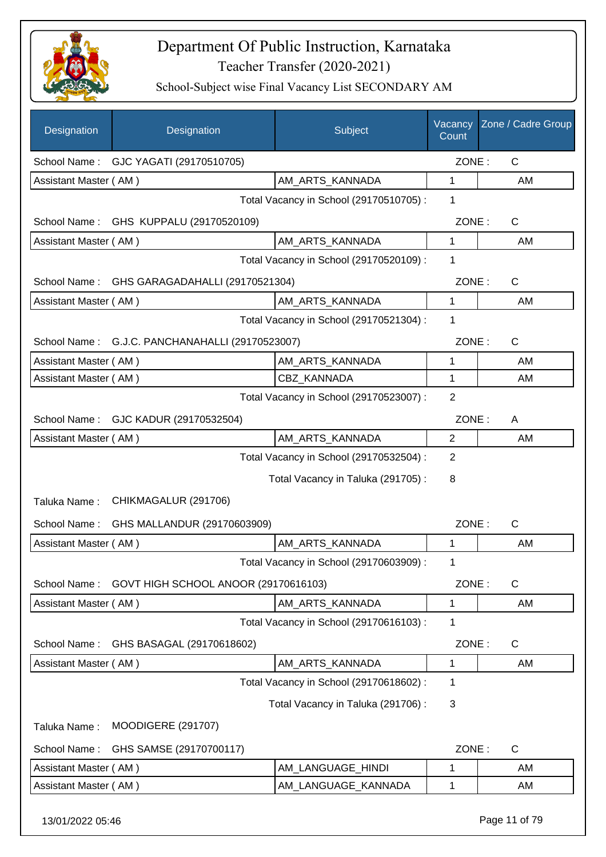

| Designation           | Designation                            | Subject                                 | Vacancy<br>Count | Zone / Cadre Group |
|-----------------------|----------------------------------------|-----------------------------------------|------------------|--------------------|
| School Name:          | GJC YAGATI (29170510705)               |                                         | ZONE:            | C                  |
| Assistant Master (AM) |                                        | AM_ARTS_KANNADA                         | 1                | AM                 |
|                       |                                        | Total Vacancy in School (29170510705) : | 1                |                    |
|                       | School Name: GHS KUPPALU (29170520109) |                                         | ZONE:            | C                  |
| Assistant Master (AM) |                                        | AM ARTS KANNADA                         | 1                | AM                 |
|                       |                                        | Total Vacancy in School (29170520109) : | 1                |                    |
| School Name:          | GHS GARAGADAHALLI (29170521304)        |                                         | ZONE:            | $\mathsf{C}$       |
| Assistant Master (AM) |                                        | AM_ARTS_KANNADA                         | 1                | AM                 |
|                       |                                        | Total Vacancy in School (29170521304) : | 1                |                    |
| School Name:          | G.J.C. PANCHANAHALLI (29170523007)     |                                         | ZONE:            | $\mathsf{C}$       |
| Assistant Master (AM) |                                        | AM ARTS KANNADA                         | 1                | AM                 |
| Assistant Master (AM) |                                        | <b>CBZ KANNADA</b>                      | $\mathbf{1}$     | AM                 |
|                       |                                        | Total Vacancy in School (29170523007) : | $\overline{2}$   |                    |
|                       | School Name: GJC KADUR (29170532504)   |                                         | ZONE:            | A                  |
| Assistant Master (AM) |                                        | AM_ARTS_KANNADA                         | 2                | AM                 |
|                       |                                        | Total Vacancy in School (29170532504) : | 2                |                    |
|                       |                                        | Total Vacancy in Taluka (291705):       | 8                |                    |
| Taluka Name:          | CHIKMAGALUR (291706)                   |                                         |                  |                    |
| School Name:          | GHS MALLANDUR (29170603909)            |                                         | ZONE:            | C                  |
| Assistant Master (AM) |                                        | AM_ARTS_KANNADA                         | 1                | AM                 |
|                       |                                        | Total Vacancy in School (29170603909) : | 1                |                    |
| School Name:          | GOVT HIGH SCHOOL ANOOR (29170616103)   |                                         | ZONE:            | C                  |
| Assistant Master (AM) |                                        | AM ARTS KANNADA                         | 1                | AM                 |
|                       |                                        | Total Vacancy in School (29170616103) : | 1                |                    |
| School Name:          | GHS BASAGAL (29170618602)              |                                         | ZONE:            | C                  |
| Assistant Master (AM) |                                        | AM_ARTS_KANNADA                         | $\mathbf 1$      | AM                 |
|                       |                                        | Total Vacancy in School (29170618602):  | 1                |                    |
|                       |                                        | Total Vacancy in Taluka (291706):       | 3                |                    |
| Taluka Name:          | <b>MOODIGERE (291707)</b>              |                                         |                  |                    |
| School Name:          | GHS SAMSE (29170700117)                |                                         | ZONE:            | C                  |
| Assistant Master (AM) |                                        | AM_LANGUAGE_HINDI                       | 1                | AM                 |
| Assistant Master (AM) |                                        | AM_LANGUAGE_KANNADA                     | 1                | AM                 |
| 13/01/2022 05:46      |                                        |                                         |                  | Page 11 of 79      |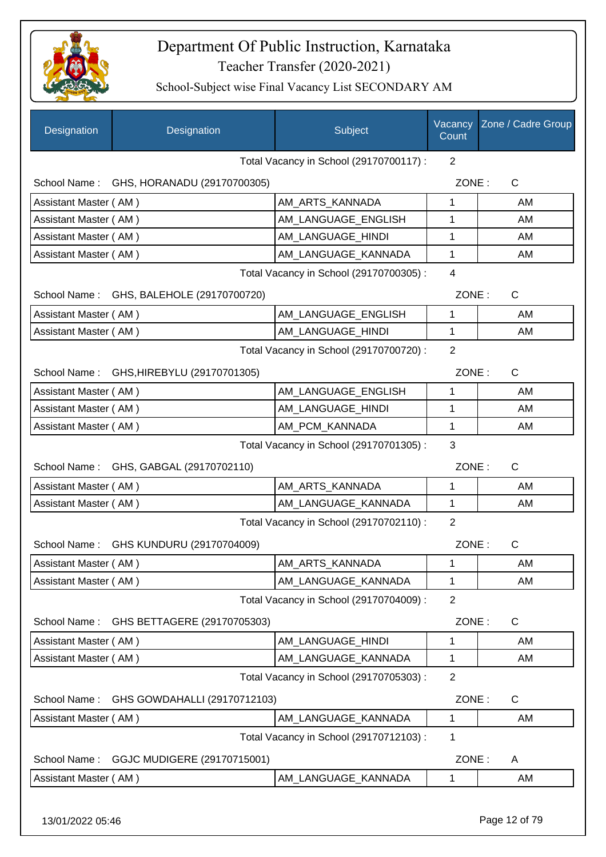

| <b>Designation</b>    | Designation                              | Subject                                 | Vacancy<br>Count | Zone / Cadre Group |
|-----------------------|------------------------------------------|-----------------------------------------|------------------|--------------------|
|                       |                                          | Total Vacancy in School (29170700117) : | 2                |                    |
|                       | School Name: GHS, HORANADU (29170700305) |                                         | ZONE:            | $\mathsf{C}$       |
| Assistant Master (AM) |                                          | AM_ARTS_KANNADA                         | 1                | AM                 |
| Assistant Master (AM) |                                          | AM_LANGUAGE_ENGLISH                     | 1                | AM                 |
| Assistant Master (AM) |                                          | AM_LANGUAGE_HINDI                       | 1                | AM                 |
| Assistant Master (AM) |                                          | AM_LANGUAGE_KANNADA                     | 1                | AM                 |
|                       |                                          | Total Vacancy in School (29170700305) : | $\overline{4}$   |                    |
|                       | School Name: GHS, BALEHOLE (29170700720) |                                         | ZONE:            | C                  |
| Assistant Master (AM) |                                          | AM LANGUAGE ENGLISH                     | 1                | AM                 |
| Assistant Master (AM) |                                          | AM_LANGUAGE_HINDI                       | 1                | AM                 |
|                       |                                          | Total Vacancy in School (29170700720) : | $\overline{2}$   |                    |
|                       | School Name: GHS, HIREBYLU (29170701305) |                                         | ZONE:            | $\mathsf{C}$       |
| Assistant Master (AM) |                                          | AM LANGUAGE ENGLISH                     | 1                | AM                 |
| Assistant Master (AM) |                                          | AM_LANGUAGE_HINDI                       | 1                | AM                 |
| Assistant Master (AM) |                                          | AM_PCM_KANNADA                          | 1                | AM                 |
|                       |                                          | Total Vacancy in School (29170701305) : | 3                |                    |
|                       | School Name: GHS, GABGAL (29170702110)   |                                         | ZONE:            | C                  |
| Assistant Master (AM) |                                          | AM_ARTS_KANNADA                         | 1                | AM                 |
| Assistant Master (AM) |                                          | AM_LANGUAGE_KANNADA                     | 1                | AM                 |
|                       |                                          | Total Vacancy in School (29170702110) : | 2                |                    |
| School Name:          | GHS KUNDURU (29170704009)                |                                         | ZONE:            | $\mathsf C$        |
| Assistant Master (AM) |                                          | AM_ARTS_KANNADA                         | 1                | AM                 |
| Assistant Master (AM) |                                          | AM_LANGUAGE_KANNADA                     | 1                | AM                 |
|                       |                                          | Total Vacancy in School (29170704009) : | $\overline{2}$   |                    |
| School Name:          | GHS BETTAGERE (29170705303)              |                                         | ZONE:            | $\mathsf{C}$       |
| Assistant Master (AM) |                                          | AM_LANGUAGE_HINDI                       | 1                | AM                 |
| Assistant Master (AM) |                                          | AM_LANGUAGE_KANNADA                     | 1                | AM                 |
|                       |                                          | Total Vacancy in School (29170705303) : | $\overline{2}$   |                    |
| School Name:          | GHS GOWDAHALLI (29170712103)             |                                         | ZONE:            | C                  |
| Assistant Master (AM) |                                          | AM_LANGUAGE_KANNADA                     | 1                | AM                 |
|                       |                                          | Total Vacancy in School (29170712103) : | 1                |                    |
| School Name:          | GGJC MUDIGERE (29170715001)              |                                         | ZONE:            | A                  |
| Assistant Master (AM) |                                          | AM_LANGUAGE_KANNADA                     | 1                | AM                 |
| 13/01/2022 05:46      |                                          |                                         |                  | Page 12 of 79      |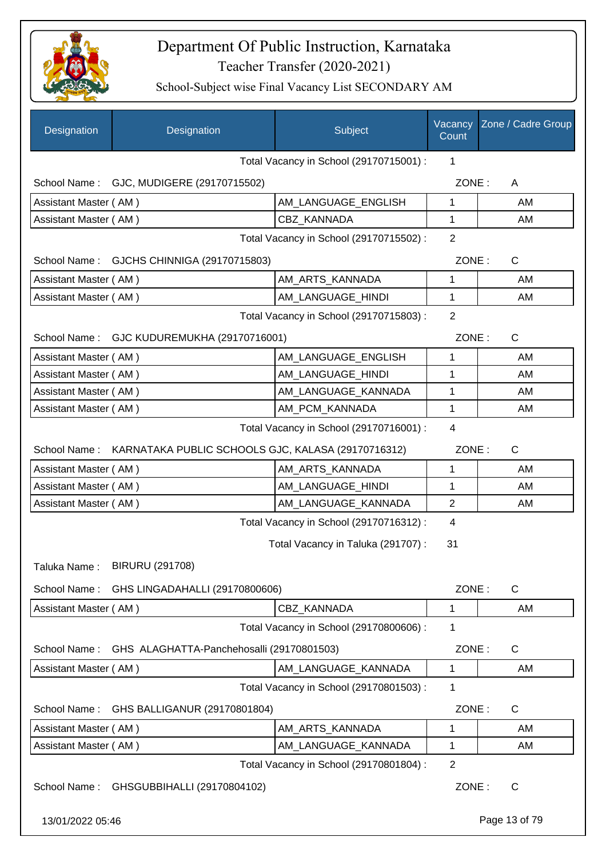

| Designation                                  | Designation                                                     | Subject                                 | Vacancy<br>Count | Zone / Cadre Group |
|----------------------------------------------|-----------------------------------------------------------------|-----------------------------------------|------------------|--------------------|
|                                              |                                                                 | Total Vacancy in School (29170715001) : | 1                |                    |
|                                              | School Name: GJC, MUDIGERE (29170715502)                        |                                         | ZONE:            | A                  |
| Assistant Master (AM)                        |                                                                 | AM_LANGUAGE_ENGLISH                     | 1                | AM                 |
| Assistant Master (AM)                        |                                                                 | <b>CBZ KANNADA</b>                      | 1                | AM                 |
|                                              |                                                                 | Total Vacancy in School (29170715502) : | $\overline{2}$   |                    |
|                                              | School Name: GJCHS CHINNIGA (29170715803)                       |                                         | ZONE:            | $\mathsf{C}$       |
| Assistant Master (AM)                        |                                                                 | AM_ARTS_KANNADA                         | 1                | AM                 |
| Assistant Master (AM)                        |                                                                 | AM_LANGUAGE_HINDI                       | 1                | AM                 |
|                                              |                                                                 | Total Vacancy in School (29170715803) : | $\overline{2}$   |                    |
|                                              | School Name: GJC KUDUREMUKHA (29170716001)                      |                                         | ZONE:            | $\mathsf{C}$       |
| Assistant Master (AM)                        |                                                                 | AM_LANGUAGE_ENGLISH                     | 1                | AM                 |
| Assistant Master (AM)                        |                                                                 | AM LANGUAGE HINDI                       | 1                | AM                 |
| Assistant Master (AM)                        |                                                                 | AM_LANGUAGE_KANNADA                     | 1                | AM                 |
| Assistant Master (AM)                        |                                                                 | AM_PCM_KANNADA                          | 1                | AM                 |
| Total Vacancy in School (29170716001) :<br>4 |                                                                 |                                         |                  |                    |
|                                              | School Name: KARNATAKA PUBLIC SCHOOLS GJC, KALASA (29170716312) |                                         | ZONE:            | $\mathsf{C}$       |
| Assistant Master (AM)                        |                                                                 | AM_ARTS_KANNADA                         | 1                | AM                 |
| Assistant Master (AM)                        |                                                                 | AM LANGUAGE HINDI                       | 1                | AM                 |
| Assistant Master (AM)                        |                                                                 | AM_LANGUAGE_KANNADA                     | $\overline{2}$   | AM                 |
|                                              |                                                                 | Total Vacancy in School (29170716312) : | 4                |                    |
|                                              |                                                                 | Total Vacancy in Taluka (291707) :      | 31               |                    |
| Taluka Name:                                 | <b>BIRURU (291708)</b>                                          |                                         |                  |                    |
|                                              |                                                                 |                                         |                  |                    |
| School Name:                                 | GHS LINGADAHALLI (29170800606)                                  |                                         | ZONE:            | $\mathsf{C}$       |
| Assistant Master (AM)                        |                                                                 | CBZ_KANNADA                             | $\mathbf 1$      | AM                 |
|                                              |                                                                 | Total Vacancy in School (29170800606) : | 1                |                    |
| School Name:                                 | GHS ALAGHATTA-Panchehosalli (29170801503)                       |                                         | ZONE:            | C                  |
| Assistant Master (AM)                        |                                                                 | AM_LANGUAGE_KANNADA                     | 1                | AM                 |
|                                              |                                                                 | Total Vacancy in School (29170801503) : | 1                |                    |
| School Name:                                 | GHS BALLIGANUR (29170801804)                                    |                                         | ZONE:            | $\mathsf{C}$       |
| Assistant Master (AM)                        |                                                                 | AM_ARTS_KANNADA                         | 1                | AM                 |
| Assistant Master (AM)                        |                                                                 | AM_LANGUAGE_KANNADA                     | $\mathbf 1$      | AM                 |
|                                              |                                                                 | Total Vacancy in School (29170801804) : | $\mathbf{2}$     |                    |
| School Name:                                 | GHSGUBBIHALLI (29170804102)                                     |                                         | ZONE:            | C                  |
| 13/01/2022 05:46                             |                                                                 |                                         |                  | Page 13 of 79      |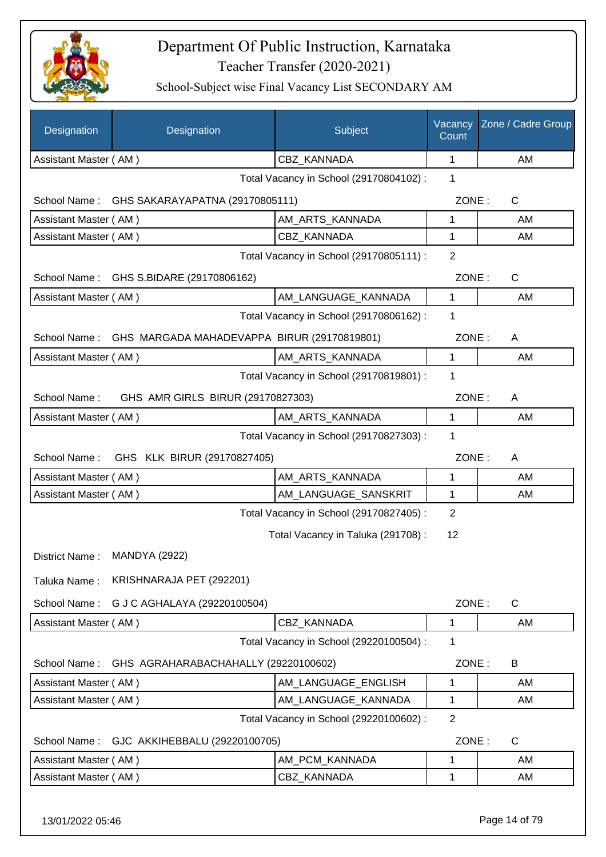

| Designation           | Designation                                              | Subject                                 | Vacancy<br>Count | Zone / Cadre Group |
|-----------------------|----------------------------------------------------------|-----------------------------------------|------------------|--------------------|
| Assistant Master (AM) |                                                          | CBZ_KANNADA                             | 1                | AM                 |
|                       |                                                          | Total Vacancy in School (29170804102) : | 1                |                    |
|                       | School Name: GHS SAKARAYAPATNA (29170805111)             |                                         | ZONE:            | $\mathsf{C}$       |
| Assistant Master (AM) |                                                          | AM ARTS KANNADA                         | 1                | AM                 |
| Assistant Master (AM) |                                                          | CBZ KANNADA                             | $\mathbf{1}$     | AM                 |
|                       |                                                          | Total Vacancy in School (29170805111) : | $\overline{2}$   |                    |
|                       | School Name: GHS S.BIDARE (29170806162)                  |                                         | ZONE:            | C                  |
| Assistant Master (AM) |                                                          | AM_LANGUAGE_KANNADA                     | $\mathbf{1}$     | AM                 |
|                       |                                                          | Total Vacancy in School (29170806162) : | 1                |                    |
|                       | School Name: GHS MARGADA MAHADEVAPPA BIRUR (29170819801) |                                         | ZONE:            | A                  |
| Assistant Master (AM) |                                                          | AM ARTS KANNADA                         | 1                | AM                 |
|                       |                                                          | Total Vacancy in School (29170819801) : | 1                |                    |
| School Name:          | GHS AMR GIRLS BIRUR (29170827303)                        |                                         | ZONE:            | A                  |
| Assistant Master (AM) |                                                          | AM_ARTS_KANNADA                         | 1                | AM                 |
|                       |                                                          | Total Vacancy in School (29170827303) : | 1                |                    |
| School Name:          | GHS KLK BIRUR (29170827405)                              |                                         | ZONE:            | A                  |
| Assistant Master (AM) |                                                          | AM_ARTS_KANNADA                         | 1                | AM                 |
| Assistant Master (AM) |                                                          | AM_LANGUAGE_SANSKRIT                    | 1                | AM                 |
|                       |                                                          | Total Vacancy in School (29170827405) : | 2                |                    |
|                       |                                                          | Total Vacancy in Taluka (291708):       | 12               |                    |
| District Name:        | <b>MANDYA (2922)</b>                                     |                                         |                  |                    |
| Taluka Name:          | KRISHNARAJA PET (292201)                                 |                                         |                  |                    |
| School Name:          | G J C AGHALAYA (29220100504)                             |                                         | ZONE:            | C                  |
| Assistant Master (AM) |                                                          | CBZ KANNADA                             | 1                | AM                 |
|                       |                                                          | Total Vacancy in School (29220100504) : | 1                |                    |
| School Name:          | GHS AGRAHARABACHAHALLY (29220100602)                     |                                         | ZONE:            | B                  |
| Assistant Master (AM) |                                                          | AM LANGUAGE ENGLISH                     | 1                | AM                 |
| Assistant Master (AM) |                                                          | AM_LANGUAGE_KANNADA                     | 1                | AM                 |
|                       |                                                          | Total Vacancy in School (29220100602) : | $\mathbf{2}$     |                    |
| School Name:          | GJC AKKIHEBBALU (29220100705)                            |                                         | ZONE:            | $\mathsf{C}$       |
| Assistant Master (AM) |                                                          | AM_PCM_KANNADA                          | 1                | AM                 |
| Assistant Master (AM) |                                                          | CBZ_KANNADA                             | 1                | AM                 |
|                       |                                                          |                                         |                  |                    |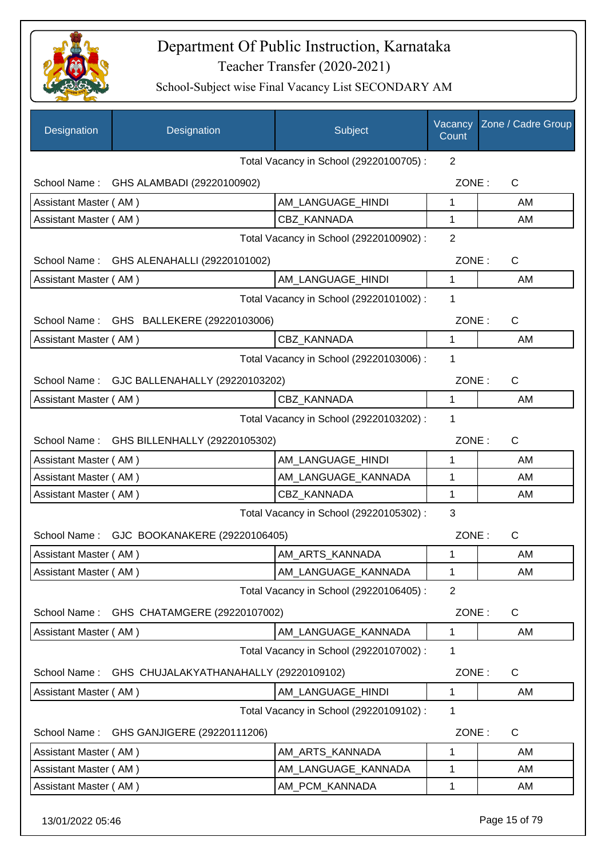

| $\overline{2}$<br>Total Vacancy in School (29220100705) :<br>ZONE:<br>C<br>School Name:<br>GHS ALAMBADI (29220100902)<br>AM_LANGUAGE_HINDI<br>Assistant Master (AM)<br>1<br>AM<br>CBZ KANNADA<br>1<br>AM<br>Assistant Master (AM)<br>$\overline{2}$<br>Total Vacancy in School (29220100902) :<br>School Name: GHS ALENAHALLI (29220101002)<br>ZONE:<br>C<br>AM_LANGUAGE_HINDI<br>Assistant Master (AM)<br>1<br>AM<br>Total Vacancy in School (29220101002) :<br>1<br>School Name: GHS BALLEKERE (29220103006)<br>ZONE:<br>C<br>CBZ_KANNADA<br>Assistant Master (AM)<br>1<br>AM<br>Total Vacancy in School (29220103006) :<br>1<br>ZONE:<br>School Name: GJC BALLENAHALLY (29220103202)<br>C<br>Assistant Master (AM)<br><b>CBZ KANNADA</b><br>1<br>AM<br>Total Vacancy in School (29220103202) :<br>1<br>ZONE:<br>C<br>School Name:<br>GHS BILLENHALLY (29220105302)<br>Assistant Master (AM)<br>AM_LANGUAGE_HINDI<br>1<br>AM<br>AM_LANGUAGE_KANNADA<br>Assistant Master (AM)<br>1<br>AM<br>CBZ KANNADA<br>Assistant Master (AM)<br>1<br>AM<br>3<br>Total Vacancy in School (29220105302) :<br>ZONE:<br>C<br>School Name: GJC BOOKANAKERE (29220106405)<br>AM_ARTS_KANNADA<br>Assistant Master (AM)<br>AM<br>1<br>Assistant Master (AM)<br>AM LANGUAGE KANNADA<br>1<br>AM<br>Total Vacancy in School (29220106405) :<br>$\overline{2}$<br>School Name:<br>GHS CHATAMGERE (29220107002)<br>ZONE:<br>C<br>AM_LANGUAGE_KANNADA<br>Assistant Master (AM)<br>AM<br>1<br>Total Vacancy in School (29220107002) :<br>1<br>GHS CHUJALAKYATHANAHALLY (29220109102)<br>ZONE:<br>C<br>School Name:<br>Assistant Master (AM)<br>AM_LANGUAGE_HINDI<br>1<br>AM<br>Total Vacancy in School (29220109102) :<br>1<br>School Name:<br>GHS GANJIGERE (29220111206)<br>ZONE:<br>$\mathsf{C}$<br>AM_ARTS_KANNADA<br>Assistant Master (AM)<br>1<br>AM<br>AM_LANGUAGE_KANNADA<br>Assistant Master (AM)<br>1<br>AM<br>AM_PCM_KANNADA<br>Assistant Master (AM)<br>1<br>AM | Designation | Designation | Subject | Vacancy<br>Count | Zone / Cadre Group |
|---------------------------------------------------------------------------------------------------------------------------------------------------------------------------------------------------------------------------------------------------------------------------------------------------------------------------------------------------------------------------------------------------------------------------------------------------------------------------------------------------------------------------------------------------------------------------------------------------------------------------------------------------------------------------------------------------------------------------------------------------------------------------------------------------------------------------------------------------------------------------------------------------------------------------------------------------------------------------------------------------------------------------------------------------------------------------------------------------------------------------------------------------------------------------------------------------------------------------------------------------------------------------------------------------------------------------------------------------------------------------------------------------------------------------------------------------------------------------------------------------------------------------------------------------------------------------------------------------------------------------------------------------------------------------------------------------------------------------------------------------------------------------------------------------------------------------------------------------------------------------------------------------------------------------------------------------|-------------|-------------|---------|------------------|--------------------|
|                                                                                                                                                                                                                                                                                                                                                                                                                                                                                                                                                                                                                                                                                                                                                                                                                                                                                                                                                                                                                                                                                                                                                                                                                                                                                                                                                                                                                                                                                                                                                                                                                                                                                                                                                                                                                                                                                                                                                   |             |             |         |                  |                    |
|                                                                                                                                                                                                                                                                                                                                                                                                                                                                                                                                                                                                                                                                                                                                                                                                                                                                                                                                                                                                                                                                                                                                                                                                                                                                                                                                                                                                                                                                                                                                                                                                                                                                                                                                                                                                                                                                                                                                                   |             |             |         |                  |                    |
|                                                                                                                                                                                                                                                                                                                                                                                                                                                                                                                                                                                                                                                                                                                                                                                                                                                                                                                                                                                                                                                                                                                                                                                                                                                                                                                                                                                                                                                                                                                                                                                                                                                                                                                                                                                                                                                                                                                                                   |             |             |         |                  |                    |
|                                                                                                                                                                                                                                                                                                                                                                                                                                                                                                                                                                                                                                                                                                                                                                                                                                                                                                                                                                                                                                                                                                                                                                                                                                                                                                                                                                                                                                                                                                                                                                                                                                                                                                                                                                                                                                                                                                                                                   |             |             |         |                  |                    |
|                                                                                                                                                                                                                                                                                                                                                                                                                                                                                                                                                                                                                                                                                                                                                                                                                                                                                                                                                                                                                                                                                                                                                                                                                                                                                                                                                                                                                                                                                                                                                                                                                                                                                                                                                                                                                                                                                                                                                   |             |             |         |                  |                    |
|                                                                                                                                                                                                                                                                                                                                                                                                                                                                                                                                                                                                                                                                                                                                                                                                                                                                                                                                                                                                                                                                                                                                                                                                                                                                                                                                                                                                                                                                                                                                                                                                                                                                                                                                                                                                                                                                                                                                                   |             |             |         |                  |                    |
|                                                                                                                                                                                                                                                                                                                                                                                                                                                                                                                                                                                                                                                                                                                                                                                                                                                                                                                                                                                                                                                                                                                                                                                                                                                                                                                                                                                                                                                                                                                                                                                                                                                                                                                                                                                                                                                                                                                                                   |             |             |         |                  |                    |
|                                                                                                                                                                                                                                                                                                                                                                                                                                                                                                                                                                                                                                                                                                                                                                                                                                                                                                                                                                                                                                                                                                                                                                                                                                                                                                                                                                                                                                                                                                                                                                                                                                                                                                                                                                                                                                                                                                                                                   |             |             |         |                  |                    |
|                                                                                                                                                                                                                                                                                                                                                                                                                                                                                                                                                                                                                                                                                                                                                                                                                                                                                                                                                                                                                                                                                                                                                                                                                                                                                                                                                                                                                                                                                                                                                                                                                                                                                                                                                                                                                                                                                                                                                   |             |             |         |                  |                    |
|                                                                                                                                                                                                                                                                                                                                                                                                                                                                                                                                                                                                                                                                                                                                                                                                                                                                                                                                                                                                                                                                                                                                                                                                                                                                                                                                                                                                                                                                                                                                                                                                                                                                                                                                                                                                                                                                                                                                                   |             |             |         |                  |                    |
|                                                                                                                                                                                                                                                                                                                                                                                                                                                                                                                                                                                                                                                                                                                                                                                                                                                                                                                                                                                                                                                                                                                                                                                                                                                                                                                                                                                                                                                                                                                                                                                                                                                                                                                                                                                                                                                                                                                                                   |             |             |         |                  |                    |
|                                                                                                                                                                                                                                                                                                                                                                                                                                                                                                                                                                                                                                                                                                                                                                                                                                                                                                                                                                                                                                                                                                                                                                                                                                                                                                                                                                                                                                                                                                                                                                                                                                                                                                                                                                                                                                                                                                                                                   |             |             |         |                  |                    |
|                                                                                                                                                                                                                                                                                                                                                                                                                                                                                                                                                                                                                                                                                                                                                                                                                                                                                                                                                                                                                                                                                                                                                                                                                                                                                                                                                                                                                                                                                                                                                                                                                                                                                                                                                                                                                                                                                                                                                   |             |             |         |                  |                    |
|                                                                                                                                                                                                                                                                                                                                                                                                                                                                                                                                                                                                                                                                                                                                                                                                                                                                                                                                                                                                                                                                                                                                                                                                                                                                                                                                                                                                                                                                                                                                                                                                                                                                                                                                                                                                                                                                                                                                                   |             |             |         |                  |                    |
|                                                                                                                                                                                                                                                                                                                                                                                                                                                                                                                                                                                                                                                                                                                                                                                                                                                                                                                                                                                                                                                                                                                                                                                                                                                                                                                                                                                                                                                                                                                                                                                                                                                                                                                                                                                                                                                                                                                                                   |             |             |         |                  |                    |
|                                                                                                                                                                                                                                                                                                                                                                                                                                                                                                                                                                                                                                                                                                                                                                                                                                                                                                                                                                                                                                                                                                                                                                                                                                                                                                                                                                                                                                                                                                                                                                                                                                                                                                                                                                                                                                                                                                                                                   |             |             |         |                  |                    |
|                                                                                                                                                                                                                                                                                                                                                                                                                                                                                                                                                                                                                                                                                                                                                                                                                                                                                                                                                                                                                                                                                                                                                                                                                                                                                                                                                                                                                                                                                                                                                                                                                                                                                                                                                                                                                                                                                                                                                   |             |             |         |                  |                    |
|                                                                                                                                                                                                                                                                                                                                                                                                                                                                                                                                                                                                                                                                                                                                                                                                                                                                                                                                                                                                                                                                                                                                                                                                                                                                                                                                                                                                                                                                                                                                                                                                                                                                                                                                                                                                                                                                                                                                                   |             |             |         |                  |                    |
|                                                                                                                                                                                                                                                                                                                                                                                                                                                                                                                                                                                                                                                                                                                                                                                                                                                                                                                                                                                                                                                                                                                                                                                                                                                                                                                                                                                                                                                                                                                                                                                                                                                                                                                                                                                                                                                                                                                                                   |             |             |         |                  |                    |
|                                                                                                                                                                                                                                                                                                                                                                                                                                                                                                                                                                                                                                                                                                                                                                                                                                                                                                                                                                                                                                                                                                                                                                                                                                                                                                                                                                                                                                                                                                                                                                                                                                                                                                                                                                                                                                                                                                                                                   |             |             |         |                  |                    |
|                                                                                                                                                                                                                                                                                                                                                                                                                                                                                                                                                                                                                                                                                                                                                                                                                                                                                                                                                                                                                                                                                                                                                                                                                                                                                                                                                                                                                                                                                                                                                                                                                                                                                                                                                                                                                                                                                                                                                   |             |             |         |                  |                    |
|                                                                                                                                                                                                                                                                                                                                                                                                                                                                                                                                                                                                                                                                                                                                                                                                                                                                                                                                                                                                                                                                                                                                                                                                                                                                                                                                                                                                                                                                                                                                                                                                                                                                                                                                                                                                                                                                                                                                                   |             |             |         |                  |                    |
|                                                                                                                                                                                                                                                                                                                                                                                                                                                                                                                                                                                                                                                                                                                                                                                                                                                                                                                                                                                                                                                                                                                                                                                                                                                                                                                                                                                                                                                                                                                                                                                                                                                                                                                                                                                                                                                                                                                                                   |             |             |         |                  |                    |
|                                                                                                                                                                                                                                                                                                                                                                                                                                                                                                                                                                                                                                                                                                                                                                                                                                                                                                                                                                                                                                                                                                                                                                                                                                                                                                                                                                                                                                                                                                                                                                                                                                                                                                                                                                                                                                                                                                                                                   |             |             |         |                  |                    |
|                                                                                                                                                                                                                                                                                                                                                                                                                                                                                                                                                                                                                                                                                                                                                                                                                                                                                                                                                                                                                                                                                                                                                                                                                                                                                                                                                                                                                                                                                                                                                                                                                                                                                                                                                                                                                                                                                                                                                   |             |             |         |                  |                    |
|                                                                                                                                                                                                                                                                                                                                                                                                                                                                                                                                                                                                                                                                                                                                                                                                                                                                                                                                                                                                                                                                                                                                                                                                                                                                                                                                                                                                                                                                                                                                                                                                                                                                                                                                                                                                                                                                                                                                                   |             |             |         |                  |                    |
|                                                                                                                                                                                                                                                                                                                                                                                                                                                                                                                                                                                                                                                                                                                                                                                                                                                                                                                                                                                                                                                                                                                                                                                                                                                                                                                                                                                                                                                                                                                                                                                                                                                                                                                                                                                                                                                                                                                                                   |             |             |         |                  |                    |
|                                                                                                                                                                                                                                                                                                                                                                                                                                                                                                                                                                                                                                                                                                                                                                                                                                                                                                                                                                                                                                                                                                                                                                                                                                                                                                                                                                                                                                                                                                                                                                                                                                                                                                                                                                                                                                                                                                                                                   |             |             |         |                  |                    |
|                                                                                                                                                                                                                                                                                                                                                                                                                                                                                                                                                                                                                                                                                                                                                                                                                                                                                                                                                                                                                                                                                                                                                                                                                                                                                                                                                                                                                                                                                                                                                                                                                                                                                                                                                                                                                                                                                                                                                   |             |             |         |                  |                    |
|                                                                                                                                                                                                                                                                                                                                                                                                                                                                                                                                                                                                                                                                                                                                                                                                                                                                                                                                                                                                                                                                                                                                                                                                                                                                                                                                                                                                                                                                                                                                                                                                                                                                                                                                                                                                                                                                                                                                                   |             |             |         |                  |                    |
|                                                                                                                                                                                                                                                                                                                                                                                                                                                                                                                                                                                                                                                                                                                                                                                                                                                                                                                                                                                                                                                                                                                                                                                                                                                                                                                                                                                                                                                                                                                                                                                                                                                                                                                                                                                                                                                                                                                                                   |             |             |         |                  |                    |
|                                                                                                                                                                                                                                                                                                                                                                                                                                                                                                                                                                                                                                                                                                                                                                                                                                                                                                                                                                                                                                                                                                                                                                                                                                                                                                                                                                                                                                                                                                                                                                                                                                                                                                                                                                                                                                                                                                                                                   |             |             |         |                  |                    |
|                                                                                                                                                                                                                                                                                                                                                                                                                                                                                                                                                                                                                                                                                                                                                                                                                                                                                                                                                                                                                                                                                                                                                                                                                                                                                                                                                                                                                                                                                                                                                                                                                                                                                                                                                                                                                                                                                                                                                   |             |             |         |                  |                    |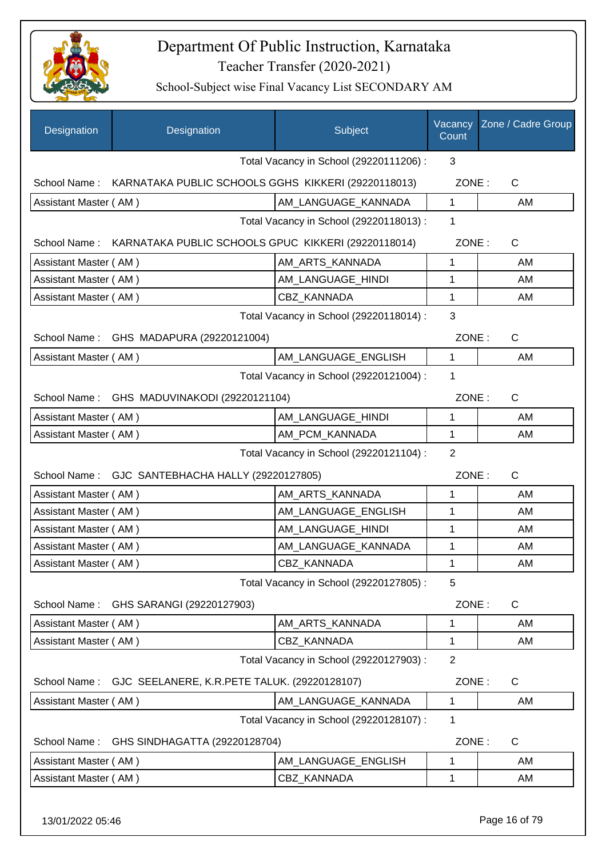

| Designation                                   | Designation                                                      | Subject                                 | Vacancy<br>Count | Zone / Cadre Group    |
|-----------------------------------------------|------------------------------------------------------------------|-----------------------------------------|------------------|-----------------------|
|                                               |                                                                  | Total Vacancy in School (29220111206) : | 3                |                       |
|                                               | School Name: KARNATAKA PUBLIC SCHOOLS GGHS KIKKERI (29220118013) |                                         | ZONE:            | C                     |
| Assistant Master (AM)                         |                                                                  | AM_LANGUAGE_KANNADA                     | 1                | AM                    |
|                                               |                                                                  | Total Vacancy in School (29220118013) : | 1                |                       |
|                                               | School Name: KARNATAKA PUBLIC SCHOOLS GPUC KIKKERI (29220118014) |                                         | ZONE:            | C                     |
| Assistant Master (AM)                         |                                                                  | AM_ARTS_KANNADA                         | 1                | AM                    |
| Assistant Master (AM)                         |                                                                  | AM_LANGUAGE_HINDI                       | 1                | AM                    |
| Assistant Master (AM)                         |                                                                  | <b>CBZ KANNADA</b>                      | 1                | AM                    |
|                                               |                                                                  | Total Vacancy in School (29220118014) : | 3                |                       |
|                                               | School Name: GHS MADAPURA (29220121004)                          |                                         |                  | ZONE:<br>$\mathsf{C}$ |
| Assistant Master (AM)                         |                                                                  | AM LANGUAGE ENGLISH                     | 1                | AM                    |
|                                               |                                                                  | Total Vacancy in School (29220121004) : | 1                |                       |
|                                               | School Name: GHS MADUVINAKODI (29220121104)                      |                                         | ZONE:            | $\mathsf{C}$          |
| Assistant Master (AM)                         |                                                                  | AM_LANGUAGE_HINDI                       | 1                | AM                    |
| Assistant Master (AM)                         |                                                                  | AM_PCM_KANNADA                          | 1                | AM                    |
| Total Vacancy in School (29220121104) :       |                                                                  |                                         | $\overline{2}$   |                       |
|                                               | School Name: GJC SANTEBHACHA HALLY (29220127805)                 |                                         | ZONE:            | $\mathsf C$           |
| Assistant Master (AM)                         |                                                                  | AM_ARTS_KANNADA                         | 1                | AM                    |
| Assistant Master (AM)                         |                                                                  | AM_LANGUAGE_ENGLISH                     | 1                | AM                    |
| Assistant Master (AM)                         |                                                                  | AM_LANGUAGE_HINDI                       | 1                | AM                    |
| Assistant Master (AM)                         |                                                                  | AM_LANGUAGE_KANNADA                     | 1                | AM                    |
| Assistant Master (AM)                         |                                                                  | CBZ_KANNADA                             | 1                | AM                    |
|                                               |                                                                  | Total Vacancy in School (29220127805) : | 5                |                       |
| School Name:                                  | GHS SARANGI (29220127903)                                        |                                         | ZONE:            | C                     |
| Assistant Master (AM)                         |                                                                  | AM ARTS KANNADA                         | 1                | AM                    |
| Assistant Master (AM)                         |                                                                  | CBZ_KANNADA                             | 1                | AM                    |
|                                               |                                                                  | Total Vacancy in School (29220127903) : | $\overline{2}$   |                       |
| School Name:                                  | GJC SEELANERE, K.R.PETE TALUK. (29220128107)                     |                                         | ZONE:            | C                     |
| Assistant Master (AM)                         |                                                                  | AM_LANGUAGE_KANNADA                     | 1                | AM                    |
|                                               |                                                                  | Total Vacancy in School (29220128107) : | 1                |                       |
| School Name:<br>GHS SINDHAGATTA (29220128704) |                                                                  |                                         | ZONE:            | C                     |
| Assistant Master (AM)                         |                                                                  | AM_LANGUAGE_ENGLISH                     | 1                | AM                    |
| Assistant Master (AM)                         |                                                                  | <b>CBZ KANNADA</b>                      | 1                | AM                    |
|                                               |                                                                  |                                         |                  |                       |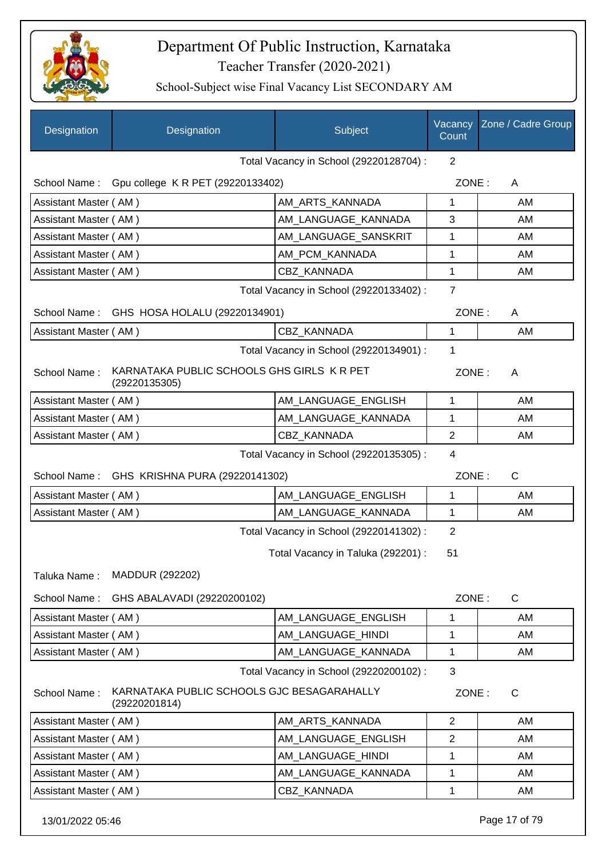

School-Subject wise Final Vacancy List SECONDARY AM

| Total Vacancy in School (29220128704) :<br>2<br>School Name:<br>Gpu college K R PET (29220133402)<br>ZONE:<br>A<br>Assistant Master (AM)<br>1<br>AM ARTS KANNADA<br>AM_LANGUAGE_KANNADA<br>3<br>Assistant Master (AM)<br>AM_LANGUAGE_SANSKRIT<br>1<br>Assistant Master (AM)<br>AM_PCM_KANNADA<br>1<br>Assistant Master (AM)<br>Assistant Master (AM)<br>CBZ_KANNADA<br>1<br>$\overline{7}$<br>Total Vacancy in School (29220133402) :<br>GHS HOSA HOLALU (29220134901)<br>ZONE:<br>School Name:<br>A<br>1<br>Assistant Master (AM)<br><b>CBZ KANNADA</b><br>1<br>Total Vacancy in School (29220134901) :<br>KARNATAKA PUBLIC SCHOOLS GHS GIRLS K R PET<br>School Name:<br>ZONE:<br>A<br>(29220135305) | AM<br>AM<br>AM<br>AM<br>AM<br>AM |
|-------------------------------------------------------------------------------------------------------------------------------------------------------------------------------------------------------------------------------------------------------------------------------------------------------------------------------------------------------------------------------------------------------------------------------------------------------------------------------------------------------------------------------------------------------------------------------------------------------------------------------------------------------------------------------------------------------|----------------------------------|
|                                                                                                                                                                                                                                                                                                                                                                                                                                                                                                                                                                                                                                                                                                       |                                  |
|                                                                                                                                                                                                                                                                                                                                                                                                                                                                                                                                                                                                                                                                                                       |                                  |
|                                                                                                                                                                                                                                                                                                                                                                                                                                                                                                                                                                                                                                                                                                       |                                  |
|                                                                                                                                                                                                                                                                                                                                                                                                                                                                                                                                                                                                                                                                                                       |                                  |
|                                                                                                                                                                                                                                                                                                                                                                                                                                                                                                                                                                                                                                                                                                       |                                  |
|                                                                                                                                                                                                                                                                                                                                                                                                                                                                                                                                                                                                                                                                                                       |                                  |
|                                                                                                                                                                                                                                                                                                                                                                                                                                                                                                                                                                                                                                                                                                       |                                  |
|                                                                                                                                                                                                                                                                                                                                                                                                                                                                                                                                                                                                                                                                                                       |                                  |
|                                                                                                                                                                                                                                                                                                                                                                                                                                                                                                                                                                                                                                                                                                       |                                  |
|                                                                                                                                                                                                                                                                                                                                                                                                                                                                                                                                                                                                                                                                                                       |                                  |
|                                                                                                                                                                                                                                                                                                                                                                                                                                                                                                                                                                                                                                                                                                       |                                  |
|                                                                                                                                                                                                                                                                                                                                                                                                                                                                                                                                                                                                                                                                                                       |                                  |
| Assistant Master (AM)<br>AM LANGUAGE ENGLISH<br>1                                                                                                                                                                                                                                                                                                                                                                                                                                                                                                                                                                                                                                                     | AM                               |
| Assistant Master (AM)<br>AM_LANGUAGE_KANNADA<br>1                                                                                                                                                                                                                                                                                                                                                                                                                                                                                                                                                                                                                                                     | AM                               |
| $\overline{2}$<br>Assistant Master (AM)<br><b>CBZ KANNADA</b>                                                                                                                                                                                                                                                                                                                                                                                                                                                                                                                                                                                                                                         | AM                               |
| Total Vacancy in School (29220135305) :<br>4                                                                                                                                                                                                                                                                                                                                                                                                                                                                                                                                                                                                                                                          |                                  |
| ZONE:<br>School Name:<br>GHS KRISHNA PURA (29220141302)<br>C                                                                                                                                                                                                                                                                                                                                                                                                                                                                                                                                                                                                                                          |                                  |
| AM LANGUAGE ENGLISH<br>1<br>Assistant Master (AM)                                                                                                                                                                                                                                                                                                                                                                                                                                                                                                                                                                                                                                                     | AM                               |
| AM_LANGUAGE_KANNADA<br>1<br>Assistant Master (AM)                                                                                                                                                                                                                                                                                                                                                                                                                                                                                                                                                                                                                                                     | AM                               |
| $\overline{2}$<br>Total Vacancy in School (29220141302) :                                                                                                                                                                                                                                                                                                                                                                                                                                                                                                                                                                                                                                             |                                  |
| 51<br>Total Vacancy in Taluka (292201) :                                                                                                                                                                                                                                                                                                                                                                                                                                                                                                                                                                                                                                                              |                                  |
| <b>MADDUR (292202)</b><br>Taluka Name:                                                                                                                                                                                                                                                                                                                                                                                                                                                                                                                                                                                                                                                                |                                  |
| School Name:<br>ZONE:<br>$\mathsf{C}$<br>GHS ABALAVADI (29220200102)                                                                                                                                                                                                                                                                                                                                                                                                                                                                                                                                                                                                                                  |                                  |
| AM LANGUAGE ENGLISH<br>Assistant Master (AM)<br>1                                                                                                                                                                                                                                                                                                                                                                                                                                                                                                                                                                                                                                                     | AM                               |
| AM_LANGUAGE_HINDI<br>1<br>Assistant Master (AM)                                                                                                                                                                                                                                                                                                                                                                                                                                                                                                                                                                                                                                                       | AM                               |
| AM_LANGUAGE_KANNADA<br>1<br>Assistant Master (AM)                                                                                                                                                                                                                                                                                                                                                                                                                                                                                                                                                                                                                                                     | AM                               |
| 3<br>Total Vacancy in School (29220200102) :                                                                                                                                                                                                                                                                                                                                                                                                                                                                                                                                                                                                                                                          |                                  |
| KARNATAKA PUBLIC SCHOOLS GJC BESAGARAHALLY<br>School Name:<br>ZONE:<br>C<br>(29220201814)                                                                                                                                                                                                                                                                                                                                                                                                                                                                                                                                                                                                             |                                  |
| Assistant Master (AM)<br>AM ARTS KANNADA<br>$\overline{2}$                                                                                                                                                                                                                                                                                                                                                                                                                                                                                                                                                                                                                                            | AM                               |
| AM_LANGUAGE_ENGLISH<br>2<br>Assistant Master (AM)                                                                                                                                                                                                                                                                                                                                                                                                                                                                                                                                                                                                                                                     | AM                               |
| AM_LANGUAGE_HINDI<br>1<br>Assistant Master (AM)                                                                                                                                                                                                                                                                                                                                                                                                                                                                                                                                                                                                                                                       | AM                               |
| AM_LANGUAGE_KANNADA<br>1<br>Assistant Master (AM)                                                                                                                                                                                                                                                                                                                                                                                                                                                                                                                                                                                                                                                     |                                  |
| Assistant Master (AM)<br>CBZ_KANNADA<br>1<br>AM                                                                                                                                                                                                                                                                                                                                                                                                                                                                                                                                                                                                                                                       | AM                               |

13/01/2022 05:46 Page 17 of 79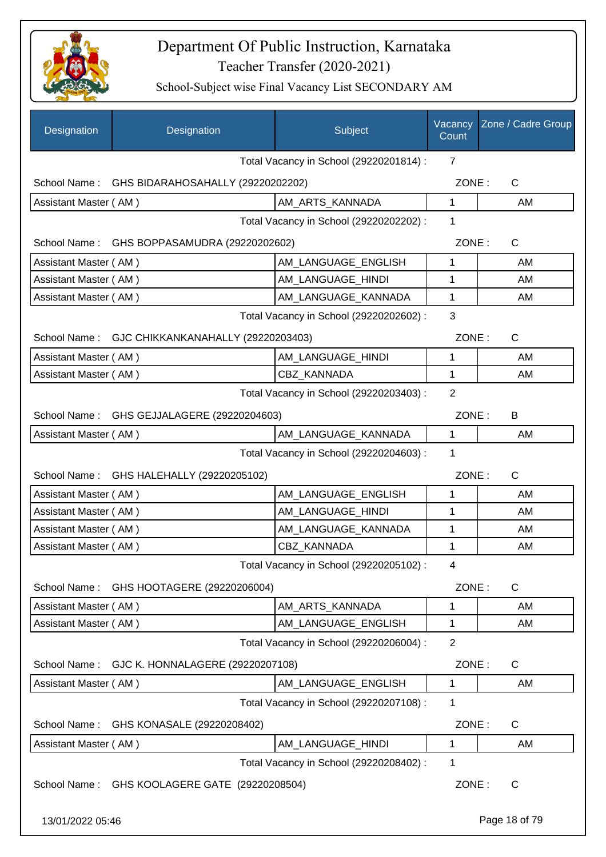

| <b>Designation</b>    | Designation                                     | Subject                                 | Vacancy<br>Count | Zone / Cadre Group |
|-----------------------|-------------------------------------------------|-----------------------------------------|------------------|--------------------|
|                       |                                                 | Total Vacancy in School (29220201814) : | $\overline{7}$   |                    |
|                       | School Name: GHS BIDARAHOSAHALLY (29220202202)  |                                         | ZONE:            | C                  |
| Assistant Master (AM) |                                                 | AM_ARTS_KANNADA                         | 1                | AM                 |
|                       |                                                 | Total Vacancy in School (29220202202) : | 1                |                    |
|                       | School Name: GHS BOPPASAMUDRA (29220202602)     |                                         | ZONE:            | $\mathsf{C}$       |
| Assistant Master (AM) |                                                 | AM LANGUAGE_ENGLISH                     | 1                | AM                 |
| Assistant Master (AM) |                                                 | AM LANGUAGE HINDI                       | 1                | AM                 |
| Assistant Master (AM) |                                                 | AM LANGUAGE KANNADA                     | 1                | AM                 |
|                       |                                                 | Total Vacancy in School (29220202602) : | 3                |                    |
|                       | School Name: GJC CHIKKANKANAHALLY (29220203403) |                                         | ZONE:            | C                  |
| Assistant Master (AM) |                                                 | AM_LANGUAGE_HINDI                       | 1                | AM                 |
| Assistant Master (AM) |                                                 | <b>CBZ KANNADA</b>                      | 1                | AM                 |
|                       |                                                 | Total Vacancy in School (29220203403) : | $\overline{2}$   |                    |
|                       | School Name: GHS GEJJALAGERE (29220204603)      |                                         | ZONE:            | B                  |
| Assistant Master (AM) |                                                 | AM LANGUAGE KANNADA                     | 1                | AM                 |
|                       |                                                 | Total Vacancy in School (29220204603) : | 1                |                    |
|                       | School Name: GHS HALEHALLY (29220205102)        |                                         | ZONE:            | $\mathsf{C}$       |
| Assistant Master (AM) |                                                 | AM_LANGUAGE_ENGLISH                     | 1                | AM                 |
| Assistant Master (AM) |                                                 | AM LANGUAGE HINDI                       | 1                | AM                 |
| Assistant Master (AM) |                                                 | AM_LANGUAGE_KANNADA                     | 1                | AM                 |
| Assistant Master (AM) |                                                 | CBZ_KANNADA                             | 1                | AM                 |
|                       |                                                 | Total Vacancy in School (29220205102) : | 4                |                    |
| School Name:          | GHS HOOTAGERE (29220206004)                     |                                         | ZONE:            | C                  |
| Assistant Master (AM) |                                                 | AM_ARTS_KANNADA                         | 1                | AM                 |
| Assistant Master (AM) |                                                 | AM_LANGUAGE_ENGLISH                     | 1                | AM                 |
|                       |                                                 | Total Vacancy in School (29220206004) : | $\overline{2}$   |                    |
| School Name:          | GJC K. HONNALAGERE (29220207108)                |                                         | ZONE:            | $\mathsf{C}$       |
| Assistant Master (AM) |                                                 | AM_LANGUAGE_ENGLISH                     | 1                | AM                 |
|                       |                                                 | Total Vacancy in School (29220207108) : | 1                |                    |
| School Name:          | GHS KONASALE (29220208402)                      |                                         | ZONE:            | $\mathsf{C}$       |
| Assistant Master (AM) |                                                 | AM_LANGUAGE_HINDI                       | 1                | AM                 |
|                       |                                                 | Total Vacancy in School (29220208402) : | 1                |                    |
| School Name:          | GHS KOOLAGERE GATE (29220208504)                |                                         | ZONE:            | $\mathsf{C}$       |
| 13/01/2022 05:46      |                                                 |                                         |                  | Page 18 of 79      |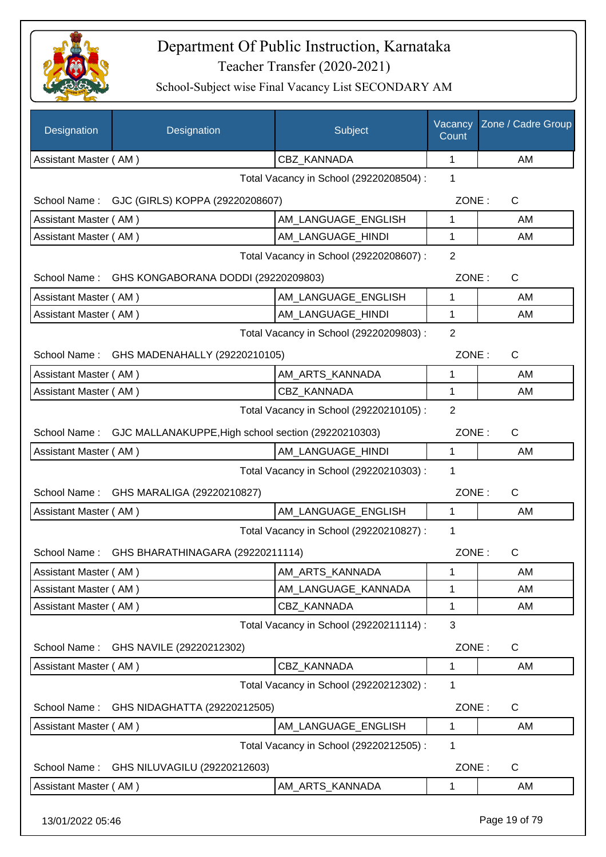

School-Subject wise Final Vacancy List SECONDARY AM

| Assistant Master (AM)<br><b>CBZ KANNADA</b><br>1<br>AM<br>1<br>Total Vacancy in School (29220208504) :<br>ZONE:<br>$\mathsf{C}$<br>School Name: GJC (GIRLS) KOPPA (29220208607)<br>AM_LANGUAGE_ENGLISH<br>1<br>Assistant Master (AM)<br>AM<br>Assistant Master (AM)<br>AM LANGUAGE HINDI<br>1<br>AM<br>$\overline{2}$<br>Total Vacancy in School (29220208607) :<br>GHS KONGABORANA DODDI (29220209803)<br>ZONE:<br>C<br>School Name:<br>Assistant Master (AM)<br>AM_LANGUAGE_ENGLISH<br>1<br>AM<br>Assistant Master (AM)<br>AM_LANGUAGE_HINDI<br>1<br>AM<br>$\overline{2}$<br>Total Vacancy in School (29220209803) :<br>ZONE:<br>C<br>School Name: GHS MADENAHALLY (29220210105)<br>Assistant Master (AM)<br>AM_ARTS_KANNADA<br>1<br>AM<br>$\mathbf{1}$<br><b>CBZ KANNADA</b><br>AM<br>Assistant Master (AM)<br>$\overline{2}$<br>Total Vacancy in School (29220210105) :<br>GJC MALLANAKUPPE, High school section (29220210303)<br>ZONE:<br>C<br>School Name:<br>AM_LANGUAGE_HINDI<br>1<br>Assistant Master (AM)<br>AM<br>Total Vacancy in School (29220210303) :<br>1<br>ZONE:<br>School Name:<br>GHS MARALIGA (29220210827)<br>C<br>Assistant Master (AM)<br>AM_LANGUAGE_ENGLISH<br>1<br>AM<br>1<br>Total Vacancy in School (29220210827) :<br>ZONE:<br>School Name: GHS BHARATHINAGARA (29220211114)<br>С<br>Assistant Master (AM)<br>AM_ARTS_KANNADA<br>1<br>AM<br>Assistant Master (AM)<br>AM_LANGUAGE_KANNADA<br>1<br>AM<br>Assistant Master (AM)<br>CBZ_KANNADA<br>AM<br>1<br>3<br>Total Vacancy in School (29220211114) :<br>ZONE:<br>School Name:<br>GHS NAVILE (29220212302)<br>$\mathsf{C}$<br>Assistant Master (AM)<br><b>CBZ KANNADA</b><br>AM<br>1<br>Total Vacancy in School (29220212302) :<br>1<br>ZONE:<br>$\mathsf{C}$<br>School Name:<br>GHS NIDAGHATTA (29220212505)<br>AM_LANGUAGE_ENGLISH<br>Assistant Master (AM)<br>1<br>AM<br>Total Vacancy in School (29220212505) :<br>1 | Designation | Designation | Subject | Vacancy<br>Count | Zone / Cadre Group |
|---------------------------------------------------------------------------------------------------------------------------------------------------------------------------------------------------------------------------------------------------------------------------------------------------------------------------------------------------------------------------------------------------------------------------------------------------------------------------------------------------------------------------------------------------------------------------------------------------------------------------------------------------------------------------------------------------------------------------------------------------------------------------------------------------------------------------------------------------------------------------------------------------------------------------------------------------------------------------------------------------------------------------------------------------------------------------------------------------------------------------------------------------------------------------------------------------------------------------------------------------------------------------------------------------------------------------------------------------------------------------------------------------------------------------------------------------------------------------------------------------------------------------------------------------------------------------------------------------------------------------------------------------------------------------------------------------------------------------------------------------------------------------------------------------------------------------------------------------------------------------------------------------------|-------------|-------------|---------|------------------|--------------------|
|                                                                                                                                                                                                                                                                                                                                                                                                                                                                                                                                                                                                                                                                                                                                                                                                                                                                                                                                                                                                                                                                                                                                                                                                                                                                                                                                                                                                                                                                                                                                                                                                                                                                                                                                                                                                                                                                                                         |             |             |         |                  |                    |
|                                                                                                                                                                                                                                                                                                                                                                                                                                                                                                                                                                                                                                                                                                                                                                                                                                                                                                                                                                                                                                                                                                                                                                                                                                                                                                                                                                                                                                                                                                                                                                                                                                                                                                                                                                                                                                                                                                         |             |             |         |                  |                    |
|                                                                                                                                                                                                                                                                                                                                                                                                                                                                                                                                                                                                                                                                                                                                                                                                                                                                                                                                                                                                                                                                                                                                                                                                                                                                                                                                                                                                                                                                                                                                                                                                                                                                                                                                                                                                                                                                                                         |             |             |         |                  |                    |
|                                                                                                                                                                                                                                                                                                                                                                                                                                                                                                                                                                                                                                                                                                                                                                                                                                                                                                                                                                                                                                                                                                                                                                                                                                                                                                                                                                                                                                                                                                                                                                                                                                                                                                                                                                                                                                                                                                         |             |             |         |                  |                    |
|                                                                                                                                                                                                                                                                                                                                                                                                                                                                                                                                                                                                                                                                                                                                                                                                                                                                                                                                                                                                                                                                                                                                                                                                                                                                                                                                                                                                                                                                                                                                                                                                                                                                                                                                                                                                                                                                                                         |             |             |         |                  |                    |
|                                                                                                                                                                                                                                                                                                                                                                                                                                                                                                                                                                                                                                                                                                                                                                                                                                                                                                                                                                                                                                                                                                                                                                                                                                                                                                                                                                                                                                                                                                                                                                                                                                                                                                                                                                                                                                                                                                         |             |             |         |                  |                    |
|                                                                                                                                                                                                                                                                                                                                                                                                                                                                                                                                                                                                                                                                                                                                                                                                                                                                                                                                                                                                                                                                                                                                                                                                                                                                                                                                                                                                                                                                                                                                                                                                                                                                                                                                                                                                                                                                                                         |             |             |         |                  |                    |
|                                                                                                                                                                                                                                                                                                                                                                                                                                                                                                                                                                                                                                                                                                                                                                                                                                                                                                                                                                                                                                                                                                                                                                                                                                                                                                                                                                                                                                                                                                                                                                                                                                                                                                                                                                                                                                                                                                         |             |             |         |                  |                    |
|                                                                                                                                                                                                                                                                                                                                                                                                                                                                                                                                                                                                                                                                                                                                                                                                                                                                                                                                                                                                                                                                                                                                                                                                                                                                                                                                                                                                                                                                                                                                                                                                                                                                                                                                                                                                                                                                                                         |             |             |         |                  |                    |
|                                                                                                                                                                                                                                                                                                                                                                                                                                                                                                                                                                                                                                                                                                                                                                                                                                                                                                                                                                                                                                                                                                                                                                                                                                                                                                                                                                                                                                                                                                                                                                                                                                                                                                                                                                                                                                                                                                         |             |             |         |                  |                    |
|                                                                                                                                                                                                                                                                                                                                                                                                                                                                                                                                                                                                                                                                                                                                                                                                                                                                                                                                                                                                                                                                                                                                                                                                                                                                                                                                                                                                                                                                                                                                                                                                                                                                                                                                                                                                                                                                                                         |             |             |         |                  |                    |
|                                                                                                                                                                                                                                                                                                                                                                                                                                                                                                                                                                                                                                                                                                                                                                                                                                                                                                                                                                                                                                                                                                                                                                                                                                                                                                                                                                                                                                                                                                                                                                                                                                                                                                                                                                                                                                                                                                         |             |             |         |                  |                    |
|                                                                                                                                                                                                                                                                                                                                                                                                                                                                                                                                                                                                                                                                                                                                                                                                                                                                                                                                                                                                                                                                                                                                                                                                                                                                                                                                                                                                                                                                                                                                                                                                                                                                                                                                                                                                                                                                                                         |             |             |         |                  |                    |
|                                                                                                                                                                                                                                                                                                                                                                                                                                                                                                                                                                                                                                                                                                                                                                                                                                                                                                                                                                                                                                                                                                                                                                                                                                                                                                                                                                                                                                                                                                                                                                                                                                                                                                                                                                                                                                                                                                         |             |             |         |                  |                    |
|                                                                                                                                                                                                                                                                                                                                                                                                                                                                                                                                                                                                                                                                                                                                                                                                                                                                                                                                                                                                                                                                                                                                                                                                                                                                                                                                                                                                                                                                                                                                                                                                                                                                                                                                                                                                                                                                                                         |             |             |         |                  |                    |
|                                                                                                                                                                                                                                                                                                                                                                                                                                                                                                                                                                                                                                                                                                                                                                                                                                                                                                                                                                                                                                                                                                                                                                                                                                                                                                                                                                                                                                                                                                                                                                                                                                                                                                                                                                                                                                                                                                         |             |             |         |                  |                    |
|                                                                                                                                                                                                                                                                                                                                                                                                                                                                                                                                                                                                                                                                                                                                                                                                                                                                                                                                                                                                                                                                                                                                                                                                                                                                                                                                                                                                                                                                                                                                                                                                                                                                                                                                                                                                                                                                                                         |             |             |         |                  |                    |
|                                                                                                                                                                                                                                                                                                                                                                                                                                                                                                                                                                                                                                                                                                                                                                                                                                                                                                                                                                                                                                                                                                                                                                                                                                                                                                                                                                                                                                                                                                                                                                                                                                                                                                                                                                                                                                                                                                         |             |             |         |                  |                    |
|                                                                                                                                                                                                                                                                                                                                                                                                                                                                                                                                                                                                                                                                                                                                                                                                                                                                                                                                                                                                                                                                                                                                                                                                                                                                                                                                                                                                                                                                                                                                                                                                                                                                                                                                                                                                                                                                                                         |             |             |         |                  |                    |
|                                                                                                                                                                                                                                                                                                                                                                                                                                                                                                                                                                                                                                                                                                                                                                                                                                                                                                                                                                                                                                                                                                                                                                                                                                                                                                                                                                                                                                                                                                                                                                                                                                                                                                                                                                                                                                                                                                         |             |             |         |                  |                    |
|                                                                                                                                                                                                                                                                                                                                                                                                                                                                                                                                                                                                                                                                                                                                                                                                                                                                                                                                                                                                                                                                                                                                                                                                                                                                                                                                                                                                                                                                                                                                                                                                                                                                                                                                                                                                                                                                                                         |             |             |         |                  |                    |
|                                                                                                                                                                                                                                                                                                                                                                                                                                                                                                                                                                                                                                                                                                                                                                                                                                                                                                                                                                                                                                                                                                                                                                                                                                                                                                                                                                                                                                                                                                                                                                                                                                                                                                                                                                                                                                                                                                         |             |             |         |                  |                    |
|                                                                                                                                                                                                                                                                                                                                                                                                                                                                                                                                                                                                                                                                                                                                                                                                                                                                                                                                                                                                                                                                                                                                                                                                                                                                                                                                                                                                                                                                                                                                                                                                                                                                                                                                                                                                                                                                                                         |             |             |         |                  |                    |
|                                                                                                                                                                                                                                                                                                                                                                                                                                                                                                                                                                                                                                                                                                                                                                                                                                                                                                                                                                                                                                                                                                                                                                                                                                                                                                                                                                                                                                                                                                                                                                                                                                                                                                                                                                                                                                                                                                         |             |             |         |                  |                    |
|                                                                                                                                                                                                                                                                                                                                                                                                                                                                                                                                                                                                                                                                                                                                                                                                                                                                                                                                                                                                                                                                                                                                                                                                                                                                                                                                                                                                                                                                                                                                                                                                                                                                                                                                                                                                                                                                                                         |             |             |         |                  |                    |
|                                                                                                                                                                                                                                                                                                                                                                                                                                                                                                                                                                                                                                                                                                                                                                                                                                                                                                                                                                                                                                                                                                                                                                                                                                                                                                                                                                                                                                                                                                                                                                                                                                                                                                                                                                                                                                                                                                         |             |             |         |                  |                    |
|                                                                                                                                                                                                                                                                                                                                                                                                                                                                                                                                                                                                                                                                                                                                                                                                                                                                                                                                                                                                                                                                                                                                                                                                                                                                                                                                                                                                                                                                                                                                                                                                                                                                                                                                                                                                                                                                                                         |             |             |         |                  |                    |
|                                                                                                                                                                                                                                                                                                                                                                                                                                                                                                                                                                                                                                                                                                                                                                                                                                                                                                                                                                                                                                                                                                                                                                                                                                                                                                                                                                                                                                                                                                                                                                                                                                                                                                                                                                                                                                                                                                         |             |             |         |                  |                    |
|                                                                                                                                                                                                                                                                                                                                                                                                                                                                                                                                                                                                                                                                                                                                                                                                                                                                                                                                                                                                                                                                                                                                                                                                                                                                                                                                                                                                                                                                                                                                                                                                                                                                                                                                                                                                                                                                                                         |             |             |         |                  |                    |
|                                                                                                                                                                                                                                                                                                                                                                                                                                                                                                                                                                                                                                                                                                                                                                                                                                                                                                                                                                                                                                                                                                                                                                                                                                                                                                                                                                                                                                                                                                                                                                                                                                                                                                                                                                                                                                                                                                         |             |             |         |                  |                    |
|                                                                                                                                                                                                                                                                                                                                                                                                                                                                                                                                                                                                                                                                                                                                                                                                                                                                                                                                                                                                                                                                                                                                                                                                                                                                                                                                                                                                                                                                                                                                                                                                                                                                                                                                                                                                                                                                                                         |             |             |         |                  |                    |
| School Name:<br>GHS NILUVAGILU (29220212603)<br>ZONE:<br>C                                                                                                                                                                                                                                                                                                                                                                                                                                                                                                                                                                                                                                                                                                                                                                                                                                                                                                                                                                                                                                                                                                                                                                                                                                                                                                                                                                                                                                                                                                                                                                                                                                                                                                                                                                                                                                              |             |             |         |                  |                    |
| Assistant Master (AM)<br>AM_ARTS_KANNADA<br>1<br>AM                                                                                                                                                                                                                                                                                                                                                                                                                                                                                                                                                                                                                                                                                                                                                                                                                                                                                                                                                                                                                                                                                                                                                                                                                                                                                                                                                                                                                                                                                                                                                                                                                                                                                                                                                                                                                                                     |             |             |         |                  |                    |

13/01/2022 05:46 Page 19 of 79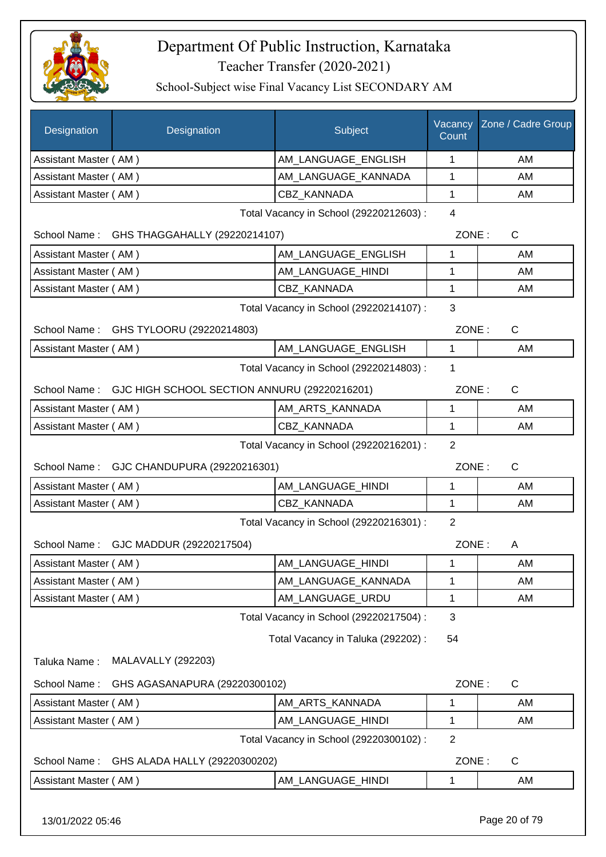

| Designation           | Designation                                               | Subject                                 | Vacancy<br>Count | Zone / Cadre Group |
|-----------------------|-----------------------------------------------------------|-----------------------------------------|------------------|--------------------|
| Assistant Master (AM) |                                                           | AM_LANGUAGE_ENGLISH                     | 1                | AM                 |
| Assistant Master (AM) |                                                           | AM LANGUAGE KANNADA                     | 1                | AM                 |
| Assistant Master (AM) |                                                           | CBZ KANNADA                             | 1                | AM                 |
|                       |                                                           | Total Vacancy in School (29220212603) : | 4                |                    |
|                       | School Name: GHS THAGGAHALLY (29220214107)                |                                         | ZONE:            | C                  |
| Assistant Master (AM) |                                                           | AM LANGUAGE ENGLISH                     | 1                | AM                 |
| Assistant Master (AM) |                                                           | AM_LANGUAGE_HINDI                       | 1                | AM                 |
| Assistant Master (AM) |                                                           | CBZ_KANNADA                             | 1                | AM                 |
|                       |                                                           | Total Vacancy in School (29220214107) : | 3                |                    |
|                       | School Name: GHS TYLOORU (29220214803)                    |                                         | ZONE:            | $\mathsf{C}$       |
| Assistant Master (AM) |                                                           | AM_LANGUAGE_ENGLISH                     | $\mathbf{1}$     | AM                 |
|                       |                                                           | Total Vacancy in School (29220214803) : | 1                |                    |
|                       | School Name: GJC HIGH SCHOOL SECTION ANNURU (29220216201) |                                         | ZONE:            | $\mathsf{C}$       |
| Assistant Master (AM) |                                                           | AM_ARTS_KANNADA                         | 1                | AM                 |
| Assistant Master (AM) |                                                           | CBZ KANNADA                             | 1                | AM                 |
|                       |                                                           | Total Vacancy in School (29220216201) : | $\overline{2}$   |                    |
|                       | School Name: GJC CHANDUPURA (29220216301)                 |                                         | ZONE:            | C                  |
| Assistant Master (AM) |                                                           | AM LANGUAGE_HINDI                       | 1                | AM                 |
| Assistant Master (AM) |                                                           | <b>CBZ KANNADA</b>                      | 1                | AM                 |
|                       |                                                           | Total Vacancy in School (29220216301) : | $\overline{2}$   |                    |
|                       | School Name: GJC MADDUR (29220217504)                     |                                         | ZONE:            | A                  |
| Assistant Master (AM) |                                                           | AM_LANGUAGE_HINDI                       | 1                | AM                 |
| Assistant Master (AM) |                                                           | AM LANGUAGE KANNADA                     | 1                | AM                 |
| Assistant Master (AM) |                                                           | AM_LANGUAGE_URDU                        | 1                | AM                 |
|                       |                                                           | Total Vacancy in School (29220217504) : | 3                |                    |
|                       |                                                           | Total Vacancy in Taluka (292202) :      | 54               |                    |
| Taluka Name:          | <b>MALAVALLY (292203)</b>                                 |                                         |                  |                    |
| School Name:          | GHS AGASANAPURA (29220300102)                             |                                         | ZONE:            | C                  |
| Assistant Master (AM) |                                                           | AM_ARTS_KANNADA                         | 1                | AM                 |
| Assistant Master (AM) |                                                           | AM_LANGUAGE_HINDI                       | 1                | AM                 |
|                       |                                                           | Total Vacancy in School (29220300102) : | $\overline{2}$   |                    |
| School Name:          | GHS ALADA HALLY (29220300202)                             |                                         | ZONE:            | C                  |
| Assistant Master (AM) |                                                           | AM_LANGUAGE_HINDI                       | 1                | AM                 |
| 13/01/2022 05:46      |                                                           |                                         |                  | Page 20 of 79      |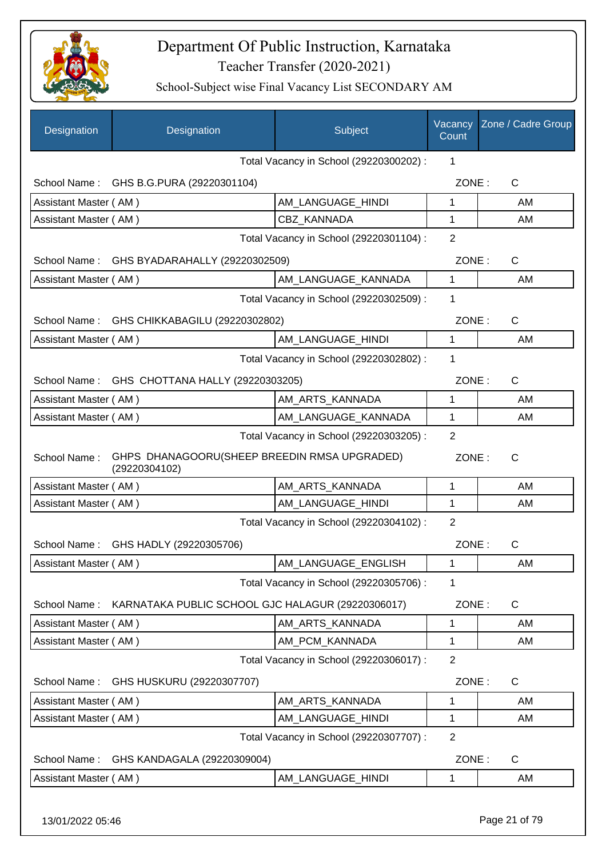

| Designation           | Designation                                                   | Subject                                 | Vacancy<br>Count | Zone / Cadre Group |
|-----------------------|---------------------------------------------------------------|-----------------------------------------|------------------|--------------------|
|                       |                                                               | Total Vacancy in School (29220300202) : | 1                |                    |
|                       | School Name: GHS B.G.PURA (29220301104)                       |                                         | ZONE:            | C                  |
| Assistant Master (AM) |                                                               | AM LANGUAGE HINDI                       | 1                | AM                 |
| Assistant Master (AM) |                                                               | <b>CBZ KANNADA</b>                      | 1                | AM                 |
|                       |                                                               | Total Vacancy in School (29220301104) : | $\overline{2}$   |                    |
|                       | School Name: GHS BYADARAHALLY (29220302509)                   |                                         | ZONE:            | $\mathsf{C}$       |
| Assistant Master (AM) |                                                               | AM_LANGUAGE_KANNADA                     | 1                | AM                 |
|                       |                                                               | Total Vacancy in School (29220302509) : | 1                |                    |
|                       | School Name: GHS CHIKKABAGILU (29220302802)                   |                                         | ZONE:            | C                  |
| Assistant Master (AM) |                                                               | AM_LANGUAGE_HINDI                       | 1                | AM                 |
|                       |                                                               | Total Vacancy in School (29220302802) : | 1                |                    |
|                       | School Name: GHS CHOTTANA HALLY (29220303205)                 |                                         | ZONE:            | C                  |
| Assistant Master (AM) |                                                               | AM_ARTS_KANNADA                         | 1                | AM                 |
| Assistant Master (AM) |                                                               | AM_LANGUAGE_KANNADA                     | $\mathbf{1}$     | AM                 |
|                       |                                                               | Total Vacancy in School (29220303205) : | 2                |                    |
| School Name:          | GHPS DHANAGOORU(SHEEP BREEDIN RMSA UPGRADED)<br>(29220304102) |                                         | ZONE:            | C                  |
| Assistant Master (AM) |                                                               | AM_ARTS_KANNADA                         | 1                | AM                 |
| Assistant Master (AM) |                                                               | AM_LANGUAGE_HINDI                       | 1                | AM                 |
|                       |                                                               | Total Vacancy in School (29220304102) : | 2                |                    |
| School Name:          | GHS HADLY (29220305706)                                       |                                         | ZONE:            | C                  |
| Assistant Master (AM) |                                                               | AM_LANGUAGE_ENGLISH                     | 1                | AM                 |
|                       |                                                               | Total Vacancy in School (29220305706) : | 1                |                    |
| School Name:          | KARNATAKA PUBLIC SCHOOL GJC HALAGUR (29220306017)             |                                         | ZONE:            | C                  |
| Assistant Master (AM) |                                                               | AM_ARTS_KANNADA                         | 1                | AM                 |
| Assistant Master (AM) |                                                               | AM_PCM_KANNADA                          | 1                | AM                 |
|                       |                                                               | Total Vacancy in School (29220306017) : | $\overline{2}$   |                    |
| School Name:          | GHS HUSKURU (29220307707)                                     |                                         | ZONE:            | C                  |
| Assistant Master (AM) |                                                               | AM_ARTS_KANNADA                         | 1                | AM                 |
| Assistant Master (AM) |                                                               | AM_LANGUAGE_HINDI                       | 1                | AM                 |
|                       |                                                               | Total Vacancy in School (29220307707) : | $\overline{2}$   |                    |
| School Name:          | GHS KANDAGALA (29220309004)                                   |                                         | ZONE:            | $\mathsf{C}$       |
| Assistant Master (AM) |                                                               | AM_LANGUAGE_HINDI                       | 1                | AM                 |
| 13/01/2022 05:46      |                                                               |                                         |                  | Page 21 of 79      |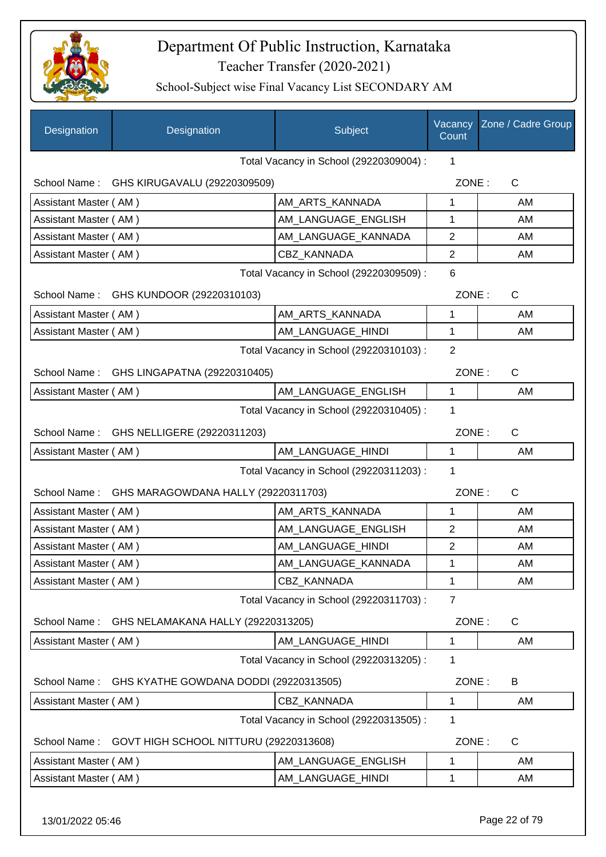

| Designation           | Designation                                      | Subject                                 | Vacancy<br>Count | Zone / Cadre Group |
|-----------------------|--------------------------------------------------|-----------------------------------------|------------------|--------------------|
|                       |                                                  | Total Vacancy in School (29220309004) : | 1                |                    |
|                       | School Name: GHS KIRUGAVALU (29220309509)        |                                         | ZONE:            | $\mathsf{C}$       |
| Assistant Master (AM) |                                                  | AM ARTS KANNADA                         | $\mathbf{1}$     | AM                 |
| Assistant Master (AM) |                                                  | AM LANGUAGE ENGLISH                     | 1                | AM                 |
| Assistant Master (AM) |                                                  | AM_LANGUAGE_KANNADA                     | $\overline{2}$   | AM                 |
| Assistant Master (AM) |                                                  | <b>CBZ KANNADA</b>                      | $\overline{2}$   | AM                 |
|                       |                                                  | Total Vacancy in School (29220309509) : | 6                |                    |
|                       | School Name: GHS KUNDOOR (29220310103)           |                                         | ZONE:            | $\mathsf{C}$       |
| Assistant Master (AM) |                                                  | AM_ARTS_KANNADA                         | 1                | AM                 |
| Assistant Master (AM) |                                                  | AM LANGUAGE HINDI                       | 1                | AM                 |
|                       |                                                  | Total Vacancy in School (29220310103) : | $\overline{2}$   |                    |
|                       | School Name: GHS LINGAPATNA (29220310405)        |                                         | ZONE:            | $\mathsf{C}$       |
| Assistant Master (AM) |                                                  | AM LANGUAGE ENGLISH                     | 1                | AM                 |
|                       |                                                  | Total Vacancy in School (29220310405) : | 1                |                    |
|                       | School Name: GHS NELLIGERE (29220311203)         |                                         | ZONE:            | $\mathsf{C}$       |
| Assistant Master (AM) |                                                  | AM_LANGUAGE_HINDI                       | 1                | AM                 |
|                       |                                                  | Total Vacancy in School (29220311203) : | 1                |                    |
|                       | School Name: GHS MARAGOWDANA HALLY (29220311703) |                                         | ZONE:            | $\mathsf{C}$       |
| Assistant Master (AM) |                                                  | AM_ARTS_KANNADA                         | 1                | AM                 |
| Assistant Master (AM) |                                                  | AM_LANGUAGE_ENGLISH                     | $\overline{2}$   | AM                 |
| Assistant Master (AM) |                                                  | AM_LANGUAGE_HINDI                       | $\overline{2}$   | AM                 |
| Assistant Master (AM) |                                                  | AM_LANGUAGE_KANNADA                     | 1                | AM                 |
| Assistant Master (AM) |                                                  | <b>CBZ KANNADA</b>                      | 1                | AM                 |
|                       |                                                  | Total Vacancy in School (29220311703) : | 7                |                    |
| School Name:          | GHS NELAMAKANA HALLY (29220313205)               |                                         | ZONE:            | C                  |
| Assistant Master (AM) |                                                  | AM LANGUAGE HINDI                       | 1                | AM                 |
|                       |                                                  | Total Vacancy in School (29220313205) : | 1                |                    |
| School Name:          | GHS KYATHE GOWDANA DODDI (29220313505)           |                                         | ZONE:            | B                  |
| Assistant Master (AM) |                                                  | CBZ KANNADA                             | 1                | AM                 |
|                       |                                                  | Total Vacancy in School (29220313505) : | 1                |                    |
| School Name:          | GOVT HIGH SCHOOL NITTURU (29220313608)           |                                         | ZONE:            | C                  |
| Assistant Master (AM) |                                                  | AM_LANGUAGE_ENGLISH                     | 1                | AM                 |
| Assistant Master (AM) |                                                  | AM_LANGUAGE_HINDI                       | 1                | AM                 |
|                       |                                                  |                                         |                  |                    |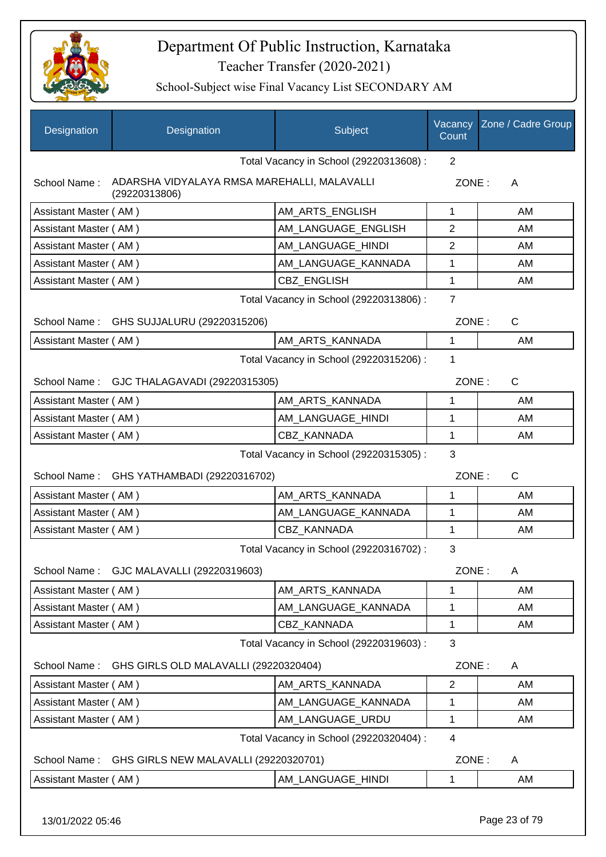

| Designation           | Designation                                                  | Subject                                 | Vacancy<br>Count | Zone / Cadre Group |
|-----------------------|--------------------------------------------------------------|-----------------------------------------|------------------|--------------------|
|                       |                                                              | Total Vacancy in School (29220313608) : | 2                |                    |
| School Name:          | ADARSHA VIDYALAYA RMSA MAREHALLI, MALAVALLI<br>(29220313806) |                                         |                  | ZONE:<br>A         |
| Assistant Master (AM) |                                                              | AM_ARTS_ENGLISH                         | 1                | AM                 |
| Assistant Master (AM) |                                                              | AM_LANGUAGE_ENGLISH                     | $\overline{2}$   | AM                 |
| Assistant Master (AM) |                                                              | AM_LANGUAGE_HINDI                       | 2                | AM                 |
| Assistant Master (AM) |                                                              | AM_LANGUAGE_KANNADA                     | 1                | AM                 |
| Assistant Master (AM) |                                                              | <b>CBZ ENGLISH</b>                      | 1                | AM                 |
|                       |                                                              | Total Vacancy in School (29220313806) : | $\overline{7}$   |                    |
|                       | School Name: GHS SUJJALURU (29220315206)                     |                                         | ZONE:            | C                  |
| Assistant Master (AM) |                                                              | AM ARTS KANNADA                         | 1                | AM                 |
|                       |                                                              | Total Vacancy in School (29220315206) : | 1                |                    |
|                       | School Name: GJC THALAGAVADI (29220315305)                   |                                         | ZONE:            | C                  |
| Assistant Master (AM) |                                                              | AM ARTS KANNADA                         | 1                | AM                 |
| Assistant Master (AM) |                                                              | AM_LANGUAGE_HINDI                       | 1                | AM                 |
| Assistant Master (AM) |                                                              | CBZ_KANNADA                             | 1                | AM                 |
|                       |                                                              | Total Vacancy in School (29220315305) : | 3                |                    |
|                       | School Name: GHS YATHAMBADI (29220316702)                    |                                         | ZONE:            | C                  |
| Assistant Master (AM) |                                                              | AM_ARTS_KANNADA                         | 1                | AM                 |
| Assistant Master (AM) |                                                              | AM_LANGUAGE_KANNADA                     | 1                | AM                 |
| Assistant Master (AM) |                                                              | <b>CBZ KANNADA</b>                      | 1                | AM                 |
|                       |                                                              | Total Vacancy in School (29220316702) : | 3                |                    |
| School Name:          | GJC MALAVALLI (29220319603)                                  |                                         | ZONE:            | A                  |
| Assistant Master (AM) |                                                              | AM ARTS KANNADA                         | 1                | AM                 |
| Assistant Master (AM) |                                                              | AM LANGUAGE KANNADA                     | 1                | AM                 |
| Assistant Master (AM) |                                                              | CBZ_KANNADA                             | 1                | AM                 |
|                       |                                                              | Total Vacancy in School (29220319603) : | 3                |                    |
| School Name:          | GHS GIRLS OLD MALAVALLI (29220320404)                        |                                         | ZONE:            | A                  |
| Assistant Master (AM) |                                                              | AM ARTS KANNADA                         | $\overline{2}$   | AM                 |
| Assistant Master (AM) |                                                              | AM_LANGUAGE_KANNADA                     | 1                | AM                 |
| Assistant Master (AM) |                                                              | AM_LANGUAGE_URDU                        | 1                | AM                 |
|                       |                                                              | Total Vacancy in School (29220320404) : | 4                |                    |
| School Name:          | GHS GIRLS NEW MALAVALLI (29220320701)                        |                                         | ZONE:            | A                  |
| Assistant Master (AM) |                                                              | AM_LANGUAGE_HINDI                       | 1                | AM                 |
| 13/01/2022 05:46      |                                                              |                                         |                  | Page 23 of 79      |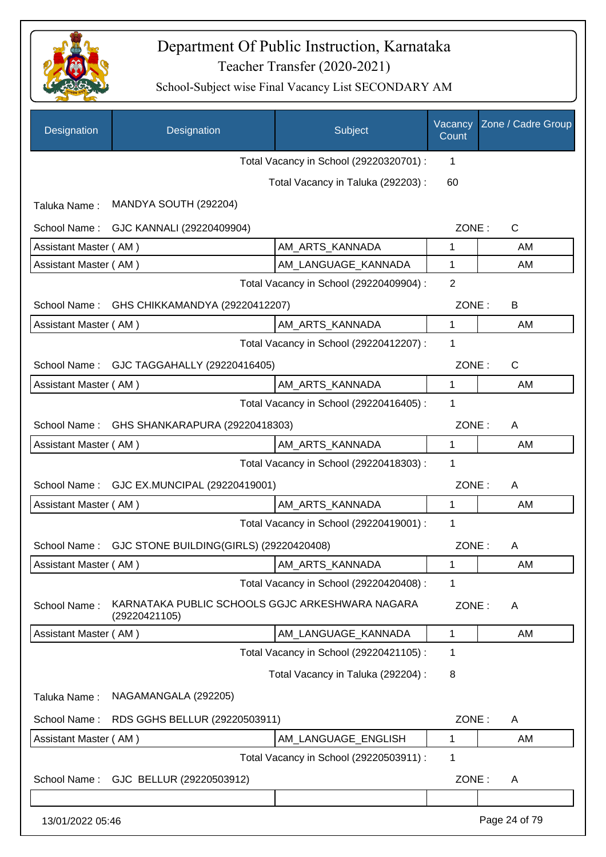

| Designation           | Designation                                                      | Subject                                 | Vacancy<br>Count | Zone / Cadre Group |
|-----------------------|------------------------------------------------------------------|-----------------------------------------|------------------|--------------------|
|                       |                                                                  | Total Vacancy in School (29220320701) : | $\mathbf 1$      |                    |
|                       |                                                                  | Total Vacancy in Taluka (292203) :      | 60               |                    |
| Taluka Name:          | MANDYA SOUTH (292204)                                            |                                         |                  |                    |
| School Name:          | GJC KANNALI (29220409904)                                        |                                         | ZONE:            | $\mathsf{C}$       |
| Assistant Master (AM) |                                                                  | AM_ARTS_KANNADA                         | 1                | AM                 |
| Assistant Master (AM) |                                                                  | AM_LANGUAGE_KANNADA                     | 1                | AM                 |
|                       |                                                                  | Total Vacancy in School (29220409904) : | $\overline{2}$   |                    |
| School Name:          | GHS CHIKKAMANDYA (29220412207)                                   |                                         | ZONE:            | B                  |
| Assistant Master (AM) |                                                                  | AM_ARTS_KANNADA                         | $\mathbf{1}$     | AM                 |
|                       |                                                                  | Total Vacancy in School (29220412207) : | 1                |                    |
|                       | School Name: GJC TAGGAHALLY (29220416405)                        |                                         | ZONE:            | $\mathsf{C}$       |
| Assistant Master (AM) |                                                                  | AM_ARTS_KANNADA                         | 1                | AM                 |
|                       |                                                                  | Total Vacancy in School (29220416405) : | 1                |                    |
| School Name:          | GHS SHANKARAPURA (29220418303)                                   |                                         | ZONE:            | A                  |
| Assistant Master (AM) |                                                                  | AM_ARTS_KANNADA                         | 1                | AM                 |
|                       |                                                                  | Total Vacancy in School (29220418303) : | 1                |                    |
| School Name:          | GJC EX.MUNCIPAL (29220419001)                                    |                                         | ZONE:            | A                  |
| Assistant Master (AM) |                                                                  | AM_ARTS_KANNADA                         | $\mathbf{1}$     | AM                 |
|                       |                                                                  | Total Vacancy in School (29220419001) : | 1                |                    |
|                       | School Name: GJC STONE BUILDING(GIRLS) (29220420408)             |                                         | ZONE:            | A                  |
| Assistant Master (AM) |                                                                  | AM_ARTS_KANNADA                         | 1                | AM                 |
|                       |                                                                  | Total Vacancy in School (29220420408) : | 1                |                    |
| School Name:          | KARNATAKA PUBLIC SCHOOLS GGJC ARKESHWARA NAGARA<br>(29220421105) |                                         | ZONE:            | A                  |
| Assistant Master (AM) |                                                                  | AM LANGUAGE KANNADA                     | 1                | AM                 |
|                       |                                                                  | Total Vacancy in School (29220421105) : | 1                |                    |
|                       |                                                                  | Total Vacancy in Taluka (292204) :      | 8                |                    |
| Taluka Name:          | NAGAMANGALA (292205)                                             |                                         |                  |                    |
| School Name:          | RDS GGHS BELLUR (29220503911)                                    |                                         | ZONE:            | A                  |
| Assistant Master (AM) |                                                                  | AM_LANGUAGE_ENGLISH                     | 1                | AM                 |
|                       |                                                                  | Total Vacancy in School (29220503911) : | 1                |                    |
| School Name:          | GJC BELLUR (29220503912)                                         |                                         | ZONE:            | A                  |
|                       |                                                                  |                                         |                  |                    |
| 13/01/2022 05:46      |                                                                  |                                         |                  | Page 24 of 79      |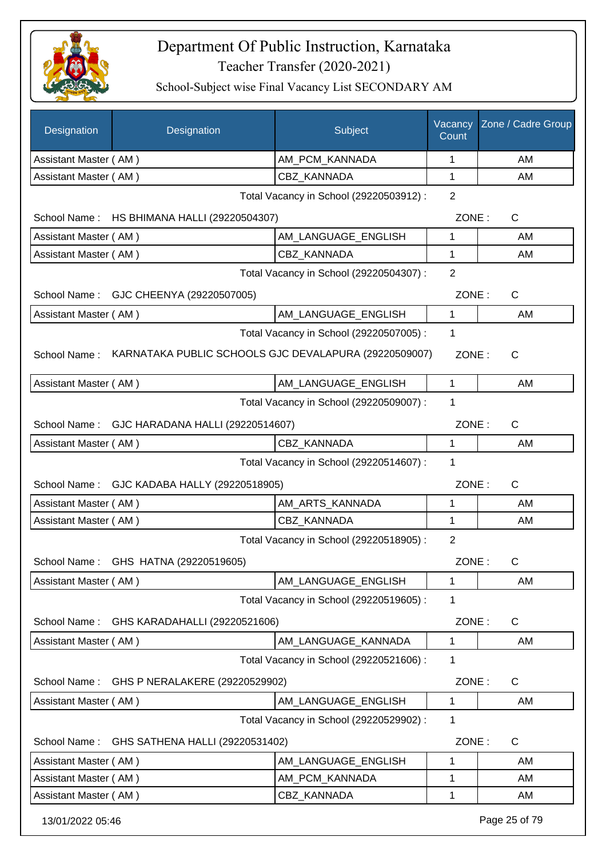

| Designation                                  | Designation                                           | Subject                                 | Vacancy<br>Count | Zone / Cadre Group |
|----------------------------------------------|-------------------------------------------------------|-----------------------------------------|------------------|--------------------|
| Assistant Master (AM)                        |                                                       | AM_PCM_KANNADA                          | 1                | AM                 |
| Assistant Master (AM)                        |                                                       | <b>CBZ KANNADA</b>                      | 1                | AM                 |
|                                              |                                                       | Total Vacancy in School (29220503912) : | $\overline{2}$   |                    |
|                                              | School Name: HS BHIMANA HALLI (29220504307)           |                                         | ZONE:            | $\mathsf C$        |
| Assistant Master (AM)                        |                                                       | AM_LANGUAGE_ENGLISH                     | 1                | AM                 |
| Assistant Master (AM)                        |                                                       | CBZ KANNADA                             | 1                | AM                 |
|                                              | Total Vacancy in School (29220504307) :               |                                         |                  |                    |
|                                              | School Name: GJC CHEENYA (29220507005)                |                                         | ZONE:            | $\mathsf{C}$       |
| Assistant Master (AM)                        |                                                       | AM_LANGUAGE_ENGLISH                     | $\mathbf{1}$     | AM                 |
|                                              |                                                       | Total Vacancy in School (29220507005) : | 1                |                    |
| School Name:                                 | KARNATAKA PUBLIC SCHOOLS GJC DEVALAPURA (29220509007) |                                         | ZONE:            | $\mathsf{C}$       |
| Assistant Master (AM)                        |                                                       | AM LANGUAGE ENGLISH                     | 1                | AM                 |
|                                              |                                                       | Total Vacancy in School (29220509007) : | 1                |                    |
|                                              | School Name: GJC HARADANA HALLI (29220514607)         |                                         | ZONE:            | $\mathsf{C}$       |
| Assistant Master (AM)                        |                                                       | CBZ KANNADA                             | $\mathbf 1$      | AM                 |
| Total Vacancy in School (29220514607) :<br>1 |                                                       |                                         |                  |                    |
|                                              | School Name: GJC KADABA HALLY (29220518905)           |                                         | ZONE:            | $\mathsf{C}$       |
| Assistant Master (AM)                        |                                                       | AM ARTS KANNADA                         | 1                | AM                 |
| Assistant Master (AM)                        |                                                       | CBZ_KANNADA                             | $\mathbf{1}$     | AM                 |
|                                              |                                                       | Total Vacancy in School (29220518905) : | $\overline{2}$   |                    |
|                                              | School Name: GHS HATNA (29220519605)                  |                                         | ZONE:            | C.                 |
| Assistant Master (AM)                        |                                                       | AM LANGUAGE ENGLISH                     | 1                | AM                 |
|                                              |                                                       | Total Vacancy in School (29220519605) : | 1                |                    |
| School Name:                                 | GHS KARADAHALLI (29220521606)                         |                                         | ZONE:            | C                  |
| Assistant Master (AM)                        |                                                       | AM LANGUAGE KANNADA                     | 1                | AM                 |
|                                              |                                                       | Total Vacancy in School (29220521606) : | 1                |                    |
| School Name:                                 | GHS P NERALAKERE (29220529902)                        |                                         | ZONE:            | $\mathsf C$        |
| Assistant Master (AM)                        |                                                       | AM LANGUAGE ENGLISH                     | 1                | AM                 |
|                                              |                                                       | Total Vacancy in School (29220529902) : | 1                |                    |
| School Name:                                 | GHS SATHENA HALLI (29220531402)                       |                                         | ZONE:            | $\mathsf{C}$       |
| Assistant Master (AM)                        |                                                       | AM_LANGUAGE_ENGLISH                     | 1                | AM                 |
| Assistant Master (AM)                        |                                                       | AM_PCM_KANNADA                          | 1                | AM                 |
| Assistant Master (AM)                        |                                                       | CBZ_KANNADA                             | 1                | AM                 |
| 13/01/2022 05:46                             |                                                       |                                         |                  | Page 25 of 79      |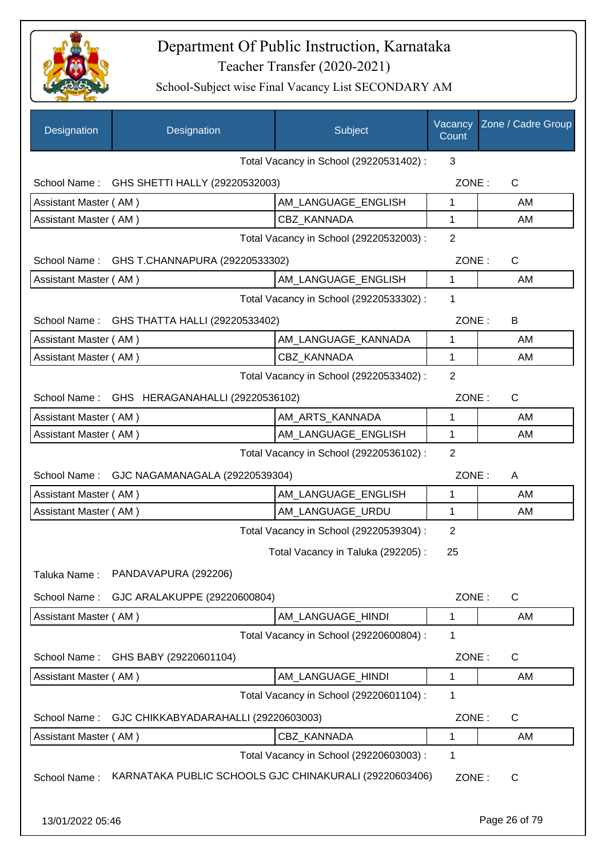

| Designation           | Designation                                  | Subject                                                | Vacancy<br>Count | Zone / Cadre Group |
|-----------------------|----------------------------------------------|--------------------------------------------------------|------------------|--------------------|
|                       |                                              | Total Vacancy in School (29220531402) :                | 3                |                    |
|                       | School Name: GHS SHETTI HALLY (29220532003)  |                                                        | ZONE:            | $\mathsf{C}$       |
| Assistant Master (AM) |                                              | AM_LANGUAGE_ENGLISH                                    | 1                | AM                 |
| Assistant Master (AM) |                                              | <b>CBZ KANNADA</b>                                     | 1                | AM                 |
|                       |                                              | Total Vacancy in School (29220532003) :                | $\overline{2}$   |                    |
|                       | School Name: GHS T.CHANNAPURA (29220533302)  |                                                        | ZONE:            | $\mathsf{C}$       |
| Assistant Master (AM) |                                              | AM_LANGUAGE_ENGLISH                                    | 1                | AM                 |
|                       |                                              | Total Vacancy in School (29220533302) :                | 1                |                    |
|                       | School Name: GHS THATTA HALLI (29220533402)  |                                                        | ZONE:            | B                  |
| Assistant Master (AM) |                                              | AM_LANGUAGE_KANNADA                                    | 1                | AM                 |
| Assistant Master (AM) |                                              | CBZ_KANNADA                                            | $\mathbf 1$      | AM                 |
|                       |                                              | Total Vacancy in School (29220533402) :                | $\overline{2}$   |                    |
|                       | School Name: GHS HERAGANAHALLI (29220536102) |                                                        | ZONE:            | $\mathsf{C}$       |
| Assistant Master (AM) |                                              | AM_ARTS_KANNADA                                        | 1                | AM                 |
| Assistant Master (AM) |                                              | AM LANGUAGE ENGLISH                                    | 1                | AM                 |
|                       |                                              | Total Vacancy in School (29220536102) :                | $\overline{2}$   |                    |
|                       | School Name: GJC NAGAMANAGALA (29220539304)  |                                                        | ZONE:            | A                  |
| Assistant Master (AM) |                                              | AM LANGUAGE ENGLISH                                    | 1                | AM                 |
| Assistant Master (AM) |                                              | AM LANGUAGE_URDU                                       | 1                | AM                 |
|                       |                                              | Total Vacancy in School (29220539304) :                | 2                |                    |
|                       |                                              | Total Vacancy in Taluka (292205):                      | 25               |                    |
| Taluka Name:          | PANDAVAPURA (292206)                         |                                                        |                  |                    |
| School Name:          | GJC ARALAKUPPE (29220600804)                 |                                                        | ZONE:            | $\mathsf{C}$       |
| Assistant Master (AM) |                                              | AM LANGUAGE HINDI                                      | 1                | AM                 |
|                       |                                              | Total Vacancy in School (29220600804) :                | 1                |                    |
| School Name:          | GHS BABY (29220601104)                       |                                                        | ZONE:            | $\mathsf{C}$       |
| Assistant Master (AM) |                                              | AM LANGUAGE HINDI                                      | 1                | AM                 |
|                       |                                              | Total Vacancy in School (29220601104) :                | 1                |                    |
| School Name:          | GJC CHIKKABYADARAHALLI (29220603003)         |                                                        | ZONE:            | $\mathsf{C}$       |
| Assistant Master (AM) |                                              | CBZ_KANNADA                                            | 1                | AM                 |
|                       |                                              | Total Vacancy in School (29220603003) :                | 1                |                    |
| School Name:          |                                              | KARNATAKA PUBLIC SCHOOLS GJC CHINAKURALI (29220603406) | ZONE:            | C                  |
| 13/01/2022 05:46      |                                              |                                                        |                  | Page 26 of 79      |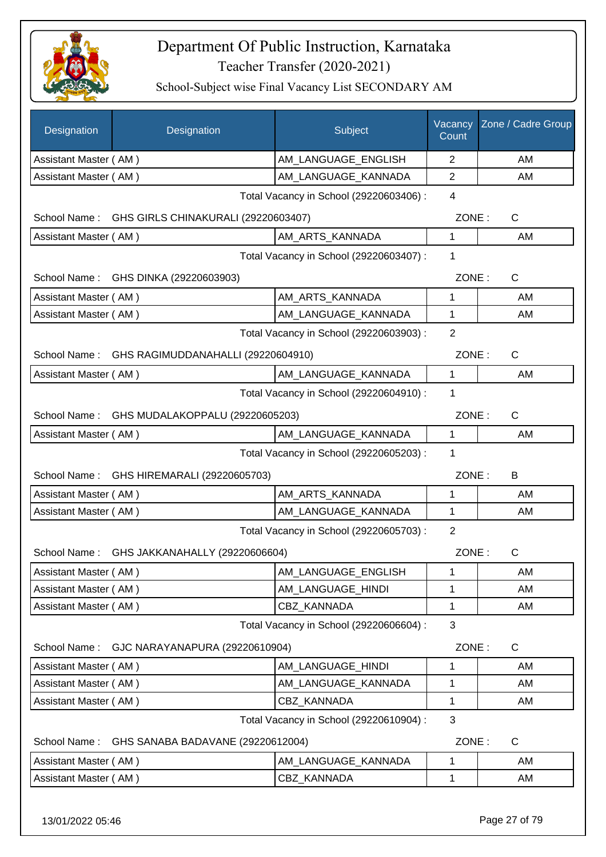

School-Subject wise Final Vacancy List SECONDARY AM

| Designation           | Designation                                     | Subject                                 | Vacancy<br>Count | Zone / Cadre Group |
|-----------------------|-------------------------------------------------|-----------------------------------------|------------------|--------------------|
| Assistant Master (AM) |                                                 | AM LANGUAGE ENGLISH                     | $\overline{2}$   | AM                 |
| Assistant Master (AM) |                                                 | AM_LANGUAGE_KANNADA                     | $\overline{2}$   | AM                 |
|                       |                                                 | Total Vacancy in School (29220603406) : | $\overline{4}$   |                    |
| School Name:          | GHS GIRLS CHINAKURALI (29220603407)             |                                         | ZONE:            | C                  |
| Assistant Master (AM) |                                                 | AM ARTS KANNADA                         | 1                | AM                 |
|                       |                                                 | Total Vacancy in School (29220603407) : | 1                |                    |
|                       | School Name: GHS DINKA (29220603903)            |                                         | ZONE:            | C                  |
| Assistant Master (AM) |                                                 | AM_ARTS_KANNADA                         | 1                | AM                 |
| Assistant Master (AM) |                                                 | AM_LANGUAGE_KANNADA                     | 1                | AM                 |
|                       |                                                 | Total Vacancy in School (29220603903) : | $\overline{2}$   |                    |
|                       | School Name: GHS RAGIMUDDANAHALLI (29220604910) |                                         | ZONE:            | C                  |
| Assistant Master (AM) |                                                 | AM_LANGUAGE_KANNADA                     | $\mathbf{1}$     | AM                 |
|                       |                                                 | Total Vacancy in School (29220604910) : | 1                |                    |
|                       | School Name: GHS MUDALAKOPPALU (29220605203)    |                                         | ZONE:            | C                  |
| Assistant Master (AM) |                                                 | AM_LANGUAGE_KANNADA                     | $\mathbf{1}$     | AM                 |
|                       |                                                 | Total Vacancy in School (29220605203) : | 1                |                    |
| School Name:          | GHS HIREMARALI (29220605703)                    |                                         | ZONE:            | B                  |
| Assistant Master (AM) |                                                 | AM_ARTS_KANNADA                         | 1                | AM                 |
| Assistant Master (AM) |                                                 | AM_LANGUAGE_KANNADA                     | 1                | AM                 |
|                       |                                                 | Total Vacancy in School (29220605703) : | $\overline{2}$   |                    |
| School Name:          | GHS JAKKANAHALLY (29220606604)                  |                                         | ZONE:            | С                  |
| Assistant Master (AM) |                                                 | AM_LANGUAGE_ENGLISH                     | 1                | AM                 |
| Assistant Master (AM) |                                                 | AM_LANGUAGE_HINDI                       | 1                | AM                 |
| Assistant Master (AM) |                                                 | CBZ KANNADA                             | 1                | AM                 |
|                       |                                                 | Total Vacancy in School (29220606604) : | 3                |                    |
| School Name:          | GJC NARAYANAPURA (29220610904)                  |                                         | ZONE:            | C                  |
| Assistant Master (AM) |                                                 | AM_LANGUAGE_HINDI                       | 1                | AM                 |
| Assistant Master (AM) |                                                 | AM_LANGUAGE_KANNADA                     | 1                | AM                 |
| Assistant Master (AM) |                                                 | <b>CBZ KANNADA</b>                      | 1                | AM                 |
|                       |                                                 | Total Vacancy in School (29220610904) : | 3                |                    |
| School Name:          | GHS SANABA BADAVANE (29220612004)               |                                         | ZONE:            | $\mathsf{C}$       |
| Assistant Master (AM) |                                                 | AM_LANGUAGE_KANNADA                     | 1                | AM                 |
| Assistant Master (AM) |                                                 | <b>CBZ KANNADA</b>                      | 1                | AM                 |
|                       |                                                 |                                         |                  |                    |

13/01/2022 05:46 Page 27 of 79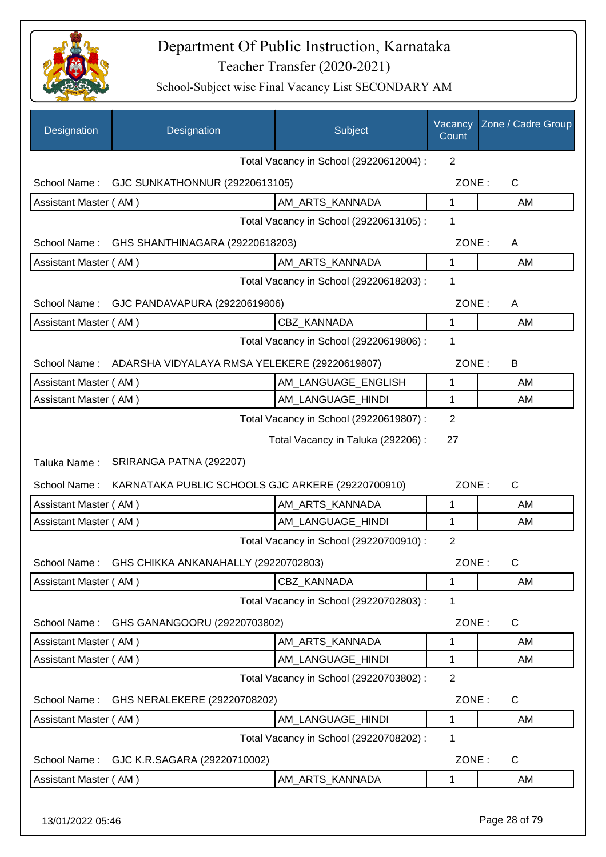

| Designation           | Designation                                                | Subject                                 | Vacancy<br>Count | Zone / Cadre Group |
|-----------------------|------------------------------------------------------------|-----------------------------------------|------------------|--------------------|
|                       |                                                            | Total Vacancy in School (29220612004) : | $\overline{2}$   |                    |
| School Name:          | GJC SUNKATHONNUR (29220613105)                             |                                         | ZONE:            | $\mathsf{C}$       |
| Assistant Master (AM) |                                                            | AM_ARTS_KANNADA                         | 1                | AM                 |
|                       |                                                            | Total Vacancy in School (29220613105) : | 1                |                    |
| School Name:          | GHS SHANTHINAGARA (29220618203)                            |                                         | ZONE:            | A                  |
| Assistant Master (AM) |                                                            | AM_ARTS_KANNADA                         | 1                | AM                 |
|                       |                                                            | Total Vacancy in School (29220618203) : | 1                |                    |
| School Name:          | GJC PANDAVAPURA (29220619806)                              |                                         | ZONE:            | A                  |
| Assistant Master (AM) |                                                            | CBZ KANNADA                             | 1                | AM                 |
|                       |                                                            | Total Vacancy in School (29220619806) : | 1                |                    |
|                       | School Name: ADARSHA VIDYALAYA RMSA YELEKERE (29220619807) |                                         | ZONE:            | B                  |
| Assistant Master (AM) |                                                            | AM_LANGUAGE_ENGLISH                     | 1                | AM                 |
| Assistant Master (AM) |                                                            | AM_LANGUAGE_HINDI                       | 1                | AM                 |
|                       |                                                            | Total Vacancy in School (29220619807) : | $\overline{2}$   |                    |
|                       |                                                            | Total Vacancy in Taluka (292206) :      | 27               |                    |
| Taluka Name:          | SRIRANGA PATNA (292207)                                    |                                         |                  |                    |
| School Name:          | KARNATAKA PUBLIC SCHOOLS GJC ARKERE (29220700910)          |                                         | ZONE:            | $\mathsf{C}$       |
| Assistant Master (AM) |                                                            | AM ARTS KANNADA                         | 1                | AM                 |
| Assistant Master (AM) |                                                            | AM_LANGUAGE_HINDI                       | 1                | AM                 |
|                       |                                                            | Total Vacancy in School (29220700910) : | $\overline{2}$   |                    |
| School Name:          | GHS CHIKKA ANKANAHALLY (29220702803)                       |                                         | ZONE:            | С                  |
| Assistant Master (AM) |                                                            | CBZ_KANNADA                             | 1                | AM                 |
|                       |                                                            | Total Vacancy in School (29220702803) : | 1                |                    |
| School Name:          | GHS GANANGOORU (29220703802)                               |                                         | ZONE:            | C                  |
| Assistant Master (AM) |                                                            | AM_ARTS_KANNADA                         | 1                | AM                 |
| Assistant Master (AM) |                                                            | AM LANGUAGE_HINDI                       | 1                | AM                 |
|                       |                                                            | Total Vacancy in School (29220703802) : | $\overline{2}$   |                    |
| School Name:          | GHS NERALEKERE (29220708202)                               |                                         | ZONE:            | C                  |
| Assistant Master (AM) |                                                            | AM_LANGUAGE_HINDI                       | 1                | AM                 |
|                       |                                                            | Total Vacancy in School (29220708202) : | 1                |                    |
| School Name:          | GJC K.R.SAGARA (29220710002)                               |                                         | ZONE:            | C                  |
| Assistant Master (AM) |                                                            | AM_ARTS_KANNADA                         | 1                | AM                 |
| 13/01/2022 05:46      |                                                            |                                         |                  | Page 28 of 79      |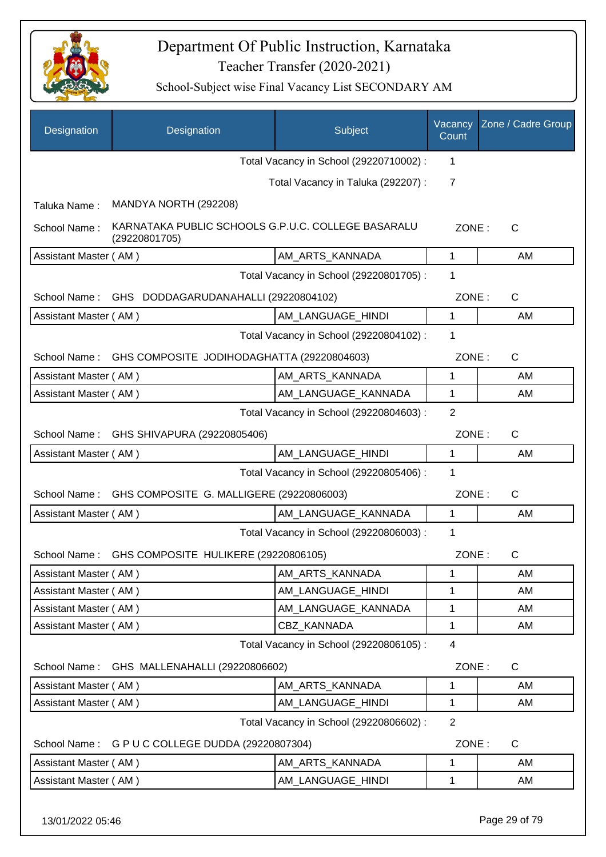

| Designation           | Designation                                                         | Subject                                 | Vacancy<br>Count | Zone / Cadre Group |
|-----------------------|---------------------------------------------------------------------|-----------------------------------------|------------------|--------------------|
|                       |                                                                     | Total Vacancy in School (29220710002) : | 1                |                    |
|                       |                                                                     | Total Vacancy in Taluka (292207) :      | $\overline{7}$   |                    |
| Taluka Name:          | MANDYA NORTH (292208)                                               |                                         |                  |                    |
| School Name:          | KARNATAKA PUBLIC SCHOOLS G.P.U.C. COLLEGE BASARALU<br>(29220801705) |                                         | ZONE:            | C                  |
| Assistant Master (AM) |                                                                     | AM_ARTS_KANNADA                         | $\mathbf{1}$     | AM                 |
|                       |                                                                     | Total Vacancy in School (29220801705) : | 1                |                    |
| School Name:          | GHS DODDAGARUDANAHALLI (29220804102)                                |                                         | ZONE:            | $\mathsf{C}$       |
| Assistant Master (AM) |                                                                     | AM_LANGUAGE_HINDI                       | 1                | AM                 |
|                       |                                                                     | Total Vacancy in School (29220804102) : | 1                |                    |
| School Name:          | GHS COMPOSITE JODIHODAGHATTA (29220804603)                          |                                         | ZONE:            | $\mathsf{C}$       |
| Assistant Master (AM) |                                                                     | AM_ARTS_KANNADA                         | 1                | AM                 |
| Assistant Master (AM) |                                                                     | AM_LANGUAGE_KANNADA                     | 1                | AM                 |
|                       |                                                                     | Total Vacancy in School (29220804603) : | $\overline{2}$   |                    |
|                       | School Name: GHS SHIVAPURA (29220805406)                            |                                         | ZONE:            | C                  |
| Assistant Master (AM) |                                                                     | AM_LANGUAGE_HINDI                       | 1                | AM                 |
|                       |                                                                     | Total Vacancy in School (29220805406) : | 1                |                    |
|                       | School Name: GHS COMPOSITE G. MALLIGERE (29220806003)               |                                         | ZONE:            | $\mathsf{C}$       |
| Assistant Master (AM) |                                                                     | AM LANGUAGE KANNADA                     | $\mathbf 1$      | AM                 |
|                       |                                                                     | Total Vacancy in School (29220806003) : | 1                |                    |
| School Name:          | GHS COMPOSITE HULIKERE (29220806105)                                |                                         | ZONE:            | C                  |
| Assistant Master (AM) |                                                                     | AM_ARTS_KANNADA                         | 1                | AM                 |
| Assistant Master (AM) |                                                                     | AM_LANGUAGE_HINDI                       | 1                | AM                 |
| Assistant Master (AM) |                                                                     | AM_LANGUAGE_KANNADA                     | 1                | AM                 |
| Assistant Master (AM) |                                                                     | CBZ KANNADA                             | 1                | AM                 |
|                       |                                                                     | Total Vacancy in School (29220806105) : | 4                |                    |
| School Name:          | GHS MALLENAHALLI (29220806602)                                      |                                         | ZONE:            | $\mathsf C$        |
| Assistant Master (AM) |                                                                     | AM_ARTS_KANNADA                         | 1                | AM                 |
| Assistant Master (AM) |                                                                     | AM_LANGUAGE_HINDI                       | 1                | AM                 |
|                       |                                                                     | Total Vacancy in School (29220806602) : | $\overline{2}$   |                    |
| School Name:          | G P U C COLLEGE DUDDA (29220807304)                                 |                                         | ZONE:            | C                  |
| Assistant Master (AM) |                                                                     | AM_ARTS_KANNADA                         | 1                | AM                 |
| Assistant Master (AM) |                                                                     | AM_LANGUAGE_HINDI                       | 1                | AM                 |
| 13/01/2022 05:46      |                                                                     |                                         |                  | Page 29 of 79      |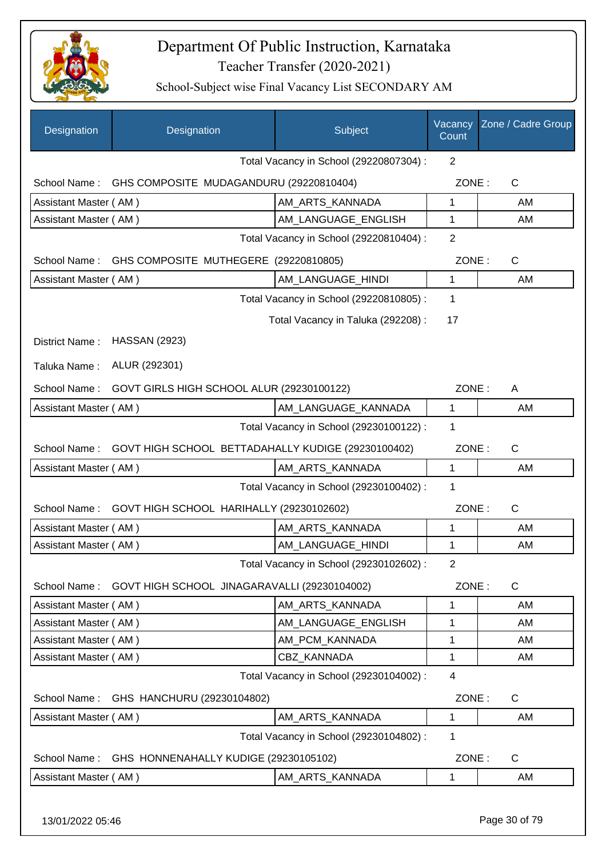

| Designation           | Designation                                                     | Subject                                 | Vacancy<br>Count | Zone / Cadre Group |
|-----------------------|-----------------------------------------------------------------|-----------------------------------------|------------------|--------------------|
|                       |                                                                 | Total Vacancy in School (29220807304) : | $\overline{2}$   |                    |
|                       | School Name: GHS COMPOSITE MUDAGANDURU (29220810404)            |                                         | ZONE:            | C                  |
| Assistant Master (AM) |                                                                 | AM_ARTS_KANNADA                         | 1                | AM                 |
| Assistant Master (AM) |                                                                 | AM_LANGUAGE_ENGLISH                     | 1                | AM                 |
|                       |                                                                 | Total Vacancy in School (29220810404) : | $\overline{2}$   |                    |
|                       | School Name: GHS COMPOSITE MUTHEGERE (29220810805)              |                                         | ZONE:            | $\mathsf{C}$       |
| Assistant Master (AM) |                                                                 | AM_LANGUAGE_HINDI                       | 1                | AM                 |
|                       |                                                                 | Total Vacancy in School (29220810805) : | 1                |                    |
|                       |                                                                 | Total Vacancy in Taluka (292208) :      | 17               |                    |
| District Name:        | <b>HASSAN (2923)</b>                                            |                                         |                  |                    |
|                       | ALUR (292301)                                                   |                                         |                  |                    |
| Taluka Name:          |                                                                 |                                         |                  |                    |
| School Name:          | GOVT GIRLS HIGH SCHOOL ALUR (29230100122)                       |                                         | ZONE:            | A                  |
| Assistant Master (AM) |                                                                 | AM_LANGUAGE_KANNADA                     | $\mathbf{1}$     | AM                 |
|                       |                                                                 | Total Vacancy in School (29230100122) : | 1                |                    |
|                       | School Name: GOVT HIGH SCHOOL BETTADAHALLY KUDIGE (29230100402) |                                         | ZONE:            | $\mathsf{C}$       |
| Assistant Master (AM) |                                                                 | AM_ARTS_KANNADA                         | 1                | AM                 |
|                       |                                                                 | Total Vacancy in School (29230100402) : | 1                |                    |
| School Name:          | GOVT HIGH SCHOOL HARIHALLY (29230102602)                        |                                         | ZONE:            | $\mathsf{C}$       |
| Assistant Master (AM) |                                                                 | AM_ARTS_KANNADA                         | 1                | AM                 |
| Assistant Master (AM) |                                                                 | AM LANGUAGE HINDI                       | 1                | AM                 |
|                       |                                                                 | Total Vacancy in School (29230102602) : | $\overline{2}$   |                    |
| School Name:          | GOVT HIGH SCHOOL JINAGARAVALLI (29230104002)                    |                                         | ZONE:            | C                  |
| Assistant Master (AM) |                                                                 | AM_ARTS_KANNADA                         | 1                | AM                 |
| Assistant Master (AM) |                                                                 | AM_LANGUAGE_ENGLISH                     | 1                | AM                 |
| Assistant Master (AM) |                                                                 | AM_PCM_KANNADA                          | 1                | AM                 |
| Assistant Master (AM) |                                                                 | CBZ_KANNADA                             | 1                | AM                 |
|                       |                                                                 | Total Vacancy in School (29230104002) : | 4                |                    |
| School Name:          | GHS HANCHURU (29230104802)                                      |                                         | ZONE:            | C                  |
| Assistant Master (AM) |                                                                 | AM_ARTS_KANNADA                         | 1                | AM                 |
|                       |                                                                 | Total Vacancy in School (29230104802) : | 1                |                    |
| School Name:          | GHS HONNENAHALLY KUDIGE (29230105102)                           |                                         | ZONE:            | C                  |
| Assistant Master (AM) |                                                                 | AM_ARTS_KANNADA                         | 1                | AM                 |
| 13/01/2022 05:46      |                                                                 |                                         |                  | Page 30 of 79      |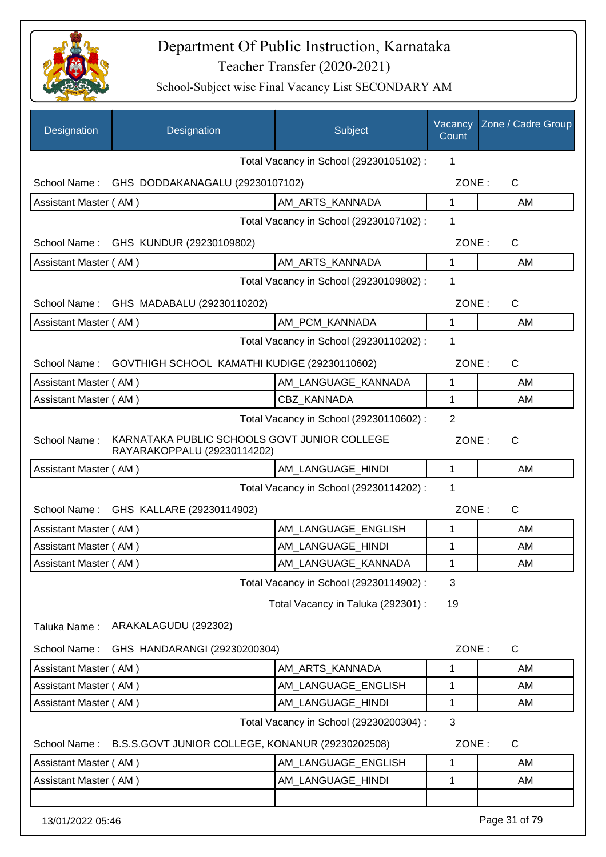

| Designation           | Designation                                                                 | Subject                                 | Vacancy<br>Count | Zone / Cadre Group |
|-----------------------|-----------------------------------------------------------------------------|-----------------------------------------|------------------|--------------------|
|                       |                                                                             | Total Vacancy in School (29230105102) : | 1                |                    |
|                       | School Name: GHS DODDAKANAGALU (29230107102)                                |                                         | ZONE:            | C                  |
| Assistant Master (AM) |                                                                             | AM_ARTS_KANNADA                         | 1                | AM                 |
|                       |                                                                             | Total Vacancy in School (29230107102) : | 1                |                    |
|                       | School Name: GHS KUNDUR (29230109802)                                       |                                         | ZONE:            | C                  |
| Assistant Master (AM) |                                                                             | AM_ARTS_KANNADA                         | 1                | AM                 |
|                       |                                                                             | Total Vacancy in School (29230109802) : | 1                |                    |
|                       | School Name: GHS MADABALU (29230110202)                                     |                                         | ZONE:            | C                  |
| Assistant Master (AM) |                                                                             | AM PCM KANNADA                          | 1                | AM                 |
|                       |                                                                             | Total Vacancy in School (29230110202) : | 1                |                    |
|                       | School Name: GOVTHIGH SCHOOL KAMATHI KUDIGE (29230110602)                   |                                         | ZONE:            | C                  |
| Assistant Master (AM) |                                                                             | AM LANGUAGE KANNADA                     | $\mathbf{1}$     | AM                 |
| Assistant Master (AM) |                                                                             | <b>CBZ KANNADA</b>                      | 1                | AM                 |
|                       |                                                                             | Total Vacancy in School (29230110602) : | $\overline{2}$   |                    |
| School Name:          | KARNATAKA PUBLIC SCHOOLS GOVT JUNIOR COLLEGE<br>RAYARAKOPPALU (29230114202) |                                         | ZONE:            | C                  |
| Assistant Master (AM) |                                                                             | AM_LANGUAGE_HINDI                       | $\mathbf{1}$     | AM                 |
|                       |                                                                             | Total Vacancy in School (29230114202) : | 1                |                    |
|                       | School Name: GHS KALLARE (29230114902)                                      |                                         | ZONE:            | C                  |
| Assistant Master (AM) |                                                                             | AM_LANGUAGE_ENGLISH                     | 1                | AM                 |
| Assistant Master (AM) |                                                                             | AM_LANGUAGE_HINDI                       | 1                | AM                 |
| Assistant Master (AM) |                                                                             | AM LANGUAGE KANNADA                     | 1                | AM                 |
|                       |                                                                             | Total Vacancy in School (29230114902) : | 3                |                    |
|                       |                                                                             | Total Vacancy in Taluka (292301) :      | 19               |                    |
| Taluka Name:          | ARAKALAGUDU (292302)                                                        |                                         |                  |                    |
| School Name:          | GHS HANDARANGI (29230200304)                                                |                                         | ZONE:            | $\mathsf{C}$       |
| Assistant Master (AM) |                                                                             | AM_ARTS_KANNADA                         | 1                | AM                 |
| Assistant Master (AM) |                                                                             | AM_LANGUAGE_ENGLISH                     | 1                | AM                 |
| Assistant Master (AM) |                                                                             | AM_LANGUAGE_HINDI                       | 1                | AM                 |
|                       |                                                                             | Total Vacancy in School (29230200304) : | 3                |                    |
| School Name:          | B.S.S.GOVT JUNIOR COLLEGE, KONANUR (29230202508)                            |                                         | ZONE:            | $\mathsf{C}$       |
| Assistant Master (AM) |                                                                             | AM_LANGUAGE_ENGLISH                     | 1                | AM                 |
| Assistant Master (AM) |                                                                             | AM_LANGUAGE_HINDI                       | 1                | AM                 |
|                       |                                                                             |                                         |                  |                    |
| 13/01/2022 05:46      |                                                                             |                                         |                  | Page 31 of 79      |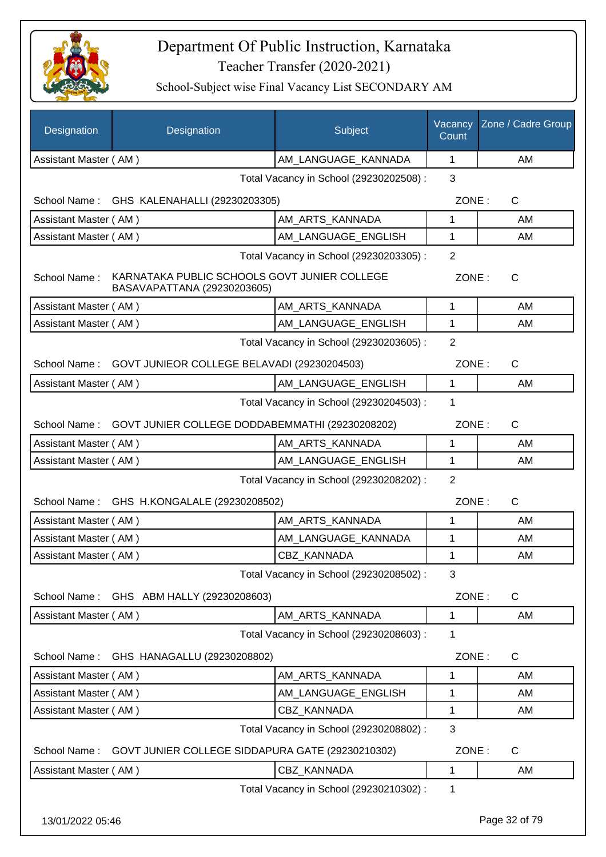

| Designation                             | Designation                                                                 | Subject                                 | Vacancy<br>Count | Zone / Cadre Group |
|-----------------------------------------|-----------------------------------------------------------------------------|-----------------------------------------|------------------|--------------------|
| Assistant Master (AM)                   |                                                                             | AM_LANGUAGE_KANNADA                     | 1                | AM                 |
|                                         |                                                                             | Total Vacancy in School (29230202508) : | 3                |                    |
|                                         | School Name: GHS KALENAHALLI (29230203305)                                  |                                         | ZONE:            | C                  |
| Assistant Master (AM)                   |                                                                             | AM_ARTS_KANNADA                         | 1                | AM                 |
| Assistant Master (AM)                   |                                                                             | AM_LANGUAGE_ENGLISH                     | 1                | AM                 |
| Total Vacancy in School (29230203305) : |                                                                             |                                         |                  |                    |
| School Name:                            | KARNATAKA PUBLIC SCHOOLS GOVT JUNIER COLLEGE<br>BASAVAPATTANA (29230203605) |                                         |                  | ZONE:<br>C         |
| Assistant Master (AM)                   |                                                                             | AM_ARTS_KANNADA                         | 1                | AM                 |
| Assistant Master (AM)                   |                                                                             | AM_LANGUAGE_ENGLISH                     | 1                | AM                 |
|                                         |                                                                             | Total Vacancy in School (29230203605) : | $\overline{2}$   |                    |
| School Name:                            | GOVT JUNIEOR COLLEGE BELAVADI (29230204503)                                 |                                         | ZONE:            | $\mathsf{C}$       |
| Assistant Master (AM)                   |                                                                             | AM_LANGUAGE_ENGLISH                     | 1                | AM                 |
|                                         |                                                                             | Total Vacancy in School (29230204503) : | 1                |                    |
| School Name:                            | GOVT JUNIER COLLEGE DODDABEMMATHI (29230208202)                             |                                         | ZONE:            | $\mathsf{C}$       |
| Assistant Master (AM)                   |                                                                             | AM_ARTS_KANNADA                         | 1                | AM                 |
| Assistant Master (AM)                   |                                                                             | AM_LANGUAGE_ENGLISH                     | 1                | AM                 |
|                                         | Total Vacancy in School (29230208202) :                                     |                                         |                  |                    |
|                                         | School Name: GHS H.KONGALALE (29230208502)                                  |                                         | ZONE:            | $\mathsf{C}$       |
| Assistant Master (AM)                   |                                                                             | AM_ARTS_KANNADA                         | 1                | AM                 |
| Assistant Master (AM)                   |                                                                             | AM_LANGUAGE_KANNADA                     | 1                | AM                 |
| Assistant Master (AM)                   |                                                                             | CBZ_KANNADA                             | 1                | AM                 |
|                                         |                                                                             | Total Vacancy in School (29230208502) : | 3                |                    |
| School Name:                            | GHS ABM HALLY (29230208603)                                                 |                                         | ZONE:            | C                  |
| Assistant Master (AM)                   |                                                                             | AM_ARTS_KANNADA                         | 1                | AM                 |
|                                         |                                                                             | Total Vacancy in School (29230208603) : | 1                |                    |
| School Name:                            | GHS HANAGALLU (29230208802)                                                 |                                         | ZONE:            | C                  |
| Assistant Master (AM)                   |                                                                             | AM_ARTS_KANNADA                         | 1                | AM                 |
| Assistant Master (AM)                   |                                                                             | AM LANGUAGE ENGLISH                     | 1                | AM                 |
| Assistant Master (AM)                   |                                                                             | CBZ_KANNADA                             | 1                | AM                 |
|                                         |                                                                             | Total Vacancy in School (29230208802) : | 3                |                    |
| School Name:                            | GOVT JUNIER COLLEGE SIDDAPURA GATE (29230210302)                            |                                         | ZONE:            | $\mathsf{C}$       |
| Assistant Master (AM)                   |                                                                             | CBZ_KANNADA                             | 1                | AM                 |
|                                         |                                                                             | Total Vacancy in School (29230210302) : | 1                |                    |
| 13/01/2022 05:46                        |                                                                             |                                         |                  | Page 32 of 79      |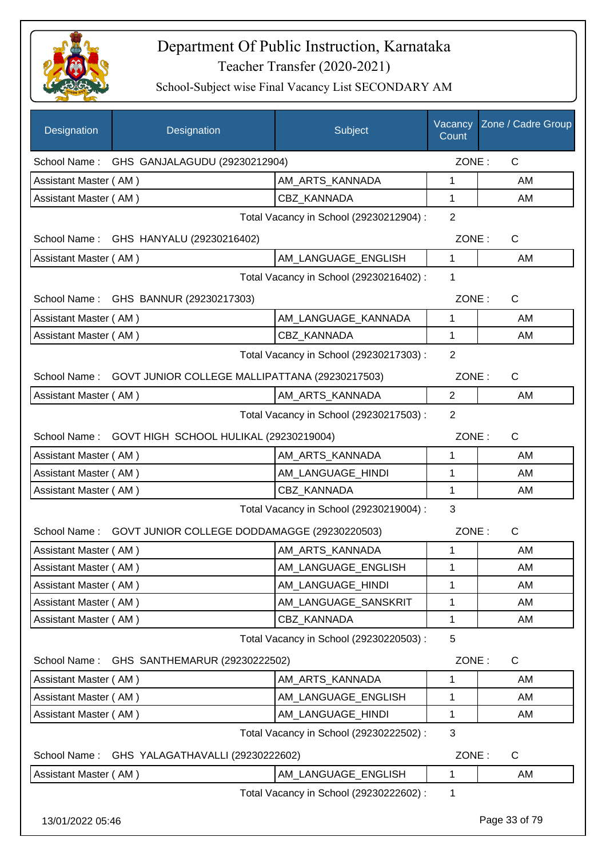

| Designation           | Designation                                                 | Subject                                 | Count          | Vacancy Zone / Cadre Group |
|-----------------------|-------------------------------------------------------------|-----------------------------------------|----------------|----------------------------|
|                       | School Name: GHS GANJALAGUDU (29230212904)                  |                                         | ZONE:          | C                          |
| Assistant Master (AM) |                                                             | AM_ARTS_KANNADA                         | 1              | AM                         |
| Assistant Master (AM) |                                                             | <b>CBZ KANNADA</b>                      | 1              | AM                         |
|                       |                                                             | Total Vacancy in School (29230212904) : | $\overline{2}$ |                            |
|                       | School Name: GHS HANYALU (29230216402)                      |                                         | ZONE:          | $\mathsf{C}$               |
| Assistant Master (AM) |                                                             | AM_LANGUAGE_ENGLISH                     | $\mathbf{1}$   | AM                         |
|                       |                                                             | Total Vacancy in School (29230216402) : | 1              |                            |
|                       | School Name: GHS BANNUR (29230217303)                       |                                         | ZONE:          | $\mathsf{C}$               |
| Assistant Master (AM) |                                                             | AM_LANGUAGE_KANNADA                     | $\mathbf{1}$   | AM                         |
| Assistant Master (AM) |                                                             | CBZ_KANNADA                             | $\mathbf{1}$   | AM                         |
|                       |                                                             | Total Vacancy in School (29230217303) : | $\overline{2}$ |                            |
|                       | School Name: GOVT JUNIOR COLLEGE MALLIPATTANA (29230217503) |                                         | ZONE:          | $\mathsf{C}$               |
| Assistant Master (AM) |                                                             | AM ARTS KANNADA                         | $\overline{2}$ | AM                         |
|                       |                                                             | Total Vacancy in School (29230217503) : | 2              |                            |
| School Name:          | GOVT HIGH SCHOOL HULIKAL (29230219004)                      |                                         | ZONE:          | $\mathsf{C}$               |
| Assistant Master (AM) |                                                             | AM_ARTS_KANNADA                         | 1              | AM                         |
| Assistant Master (AM) |                                                             | AM_LANGUAGE_HINDI                       | 1              | AM                         |
| Assistant Master (AM) |                                                             | <b>CBZ KANNADA</b>                      | $\mathbf{1}$   | AM                         |
|                       |                                                             | Total Vacancy in School (29230219004) : | 3              |                            |
|                       | School Name: GOVT JUNIOR COLLEGE DODDAMAGGE (29230220503)   |                                         | ZONE:          | $\mathsf{C}$               |
| Assistant Master (AM) |                                                             | AM_ARTS_KANNADA                         | 1              | AM                         |
| Assistant Master (AM) |                                                             | AM_LANGUAGE_ENGLISH                     | 1              | AM                         |
| Assistant Master (AM) |                                                             | AM_LANGUAGE_HINDI                       | 1              | AM                         |
| Assistant Master (AM) |                                                             | AM_LANGUAGE_SANSKRIT                    | 1              | AM                         |
| Assistant Master (AM) |                                                             | CBZ KANNADA                             | 1              | AM                         |
|                       |                                                             | Total Vacancy in School (29230220503) : | 5              |                            |
| School Name:          | GHS SANTHEMARUR (29230222502)                               |                                         | ZONE:          | C                          |
| Assistant Master (AM) |                                                             | AM_ARTS_KANNADA                         | 1              | AM                         |
| Assistant Master (AM) |                                                             | AM_LANGUAGE_ENGLISH                     | 1              | AM                         |
| Assistant Master (AM) |                                                             | AM_LANGUAGE_HINDI                       | 1              | AM                         |
|                       |                                                             | Total Vacancy in School (29230222502) : | 3              |                            |
| School Name:          | GHS YALAGATHAVALLI (29230222602)                            |                                         | ZONE:          | C                          |
| Assistant Master (AM) |                                                             | AM_LANGUAGE_ENGLISH                     | 1              | AM                         |
|                       |                                                             | Total Vacancy in School (29230222602) : | 1              |                            |
| 13/01/2022 05:46      |                                                             |                                         |                | Page 33 of 79              |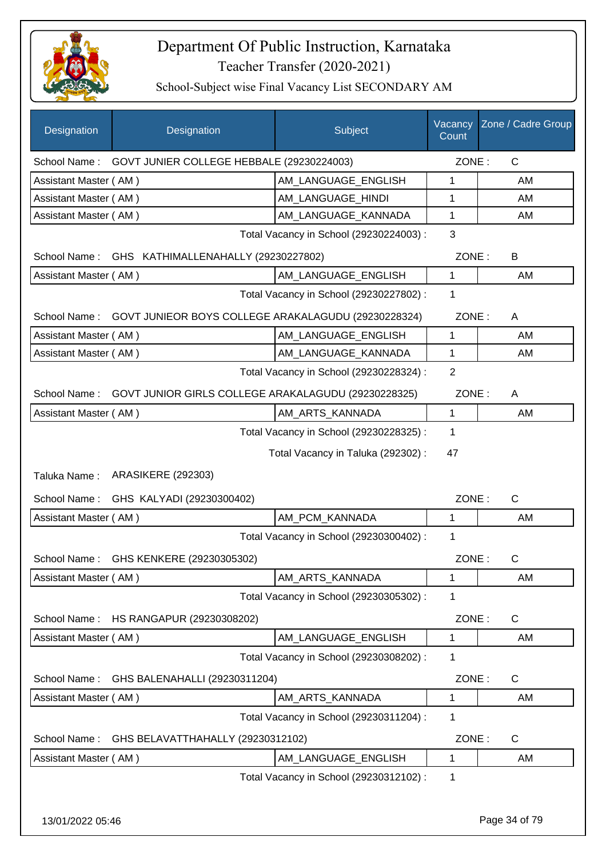

| Designation           | Designation                                         | Subject                                 | Vacancy<br>Count | Zone / Cadre Group |
|-----------------------|-----------------------------------------------------|-----------------------------------------|------------------|--------------------|
| School Name:          | GOVT JUNIER COLLEGE HEBBALE (29230224003)           |                                         | ZONE:            | $\mathsf{C}$       |
| Assistant Master (AM) |                                                     | AM LANGUAGE ENGLISH                     | 1                | AM                 |
| Assistant Master (AM) |                                                     | AM_LANGUAGE_HINDI                       | 1                | AM                 |
| Assistant Master (AM) |                                                     | AM_LANGUAGE_KANNADA                     | 1                | AM                 |
|                       |                                                     | Total Vacancy in School (29230224003) : | 3                |                    |
| School Name:          | GHS KATHIMALLENAHALLY (29230227802)                 |                                         | ZONE:            | B                  |
| Assistant Master (AM) |                                                     | AM LANGUAGE_ENGLISH                     | $\mathbf{1}$     | AM                 |
|                       |                                                     | Total Vacancy in School (29230227802) : | 1                |                    |
| School Name:          | GOVT JUNIEOR BOYS COLLEGE ARAKALAGUDU (29230228324) |                                         | ZONE:            | A                  |
| Assistant Master (AM) |                                                     | AM LANGUAGE ENGLISH                     | 1                | AM                 |
| Assistant Master (AM) |                                                     | AM_LANGUAGE_KANNADA                     | $\mathbf{1}$     | AM                 |
|                       |                                                     | Total Vacancy in School (29230228324) : | $\overline{2}$   |                    |
| School Name:          | GOVT JUNIOR GIRLS COLLEGE ARAKALAGUDU (29230228325) |                                         | ZONE:            | A                  |
| Assistant Master (AM) |                                                     | AM_ARTS_KANNADA                         | 1                | AM                 |
|                       |                                                     | Total Vacancy in School (29230228325) : | $\mathbf 1$      |                    |
|                       |                                                     | Total Vacancy in Taluka (292302) :      | 47               |                    |
| Taluka Name:          | <b>ARASIKERE (292303)</b>                           |                                         |                  |                    |
| School Name:          | GHS KALYADI (29230300402)                           |                                         | ZONE:            | $\mathsf{C}$       |
| Assistant Master (AM) |                                                     | AM_PCM_KANNADA                          | $\mathbf{1}$     | AM                 |
|                       |                                                     | Total Vacancy in School (29230300402) : | $\mathbf 1$      |                    |
|                       | School Name: GHS KENKERE (29230305302)              |                                         | ZONE:            | C.                 |
| Assistant Master (AM) |                                                     | AM_ARTS_KANNADA                         | 1                | AM                 |
|                       |                                                     | Total Vacancy in School (29230305302) : | $\mathbf 1$      |                    |
| School Name:          | HS RANGAPUR (29230308202)                           |                                         | ZONE:            | C                  |
| Assistant Master (AM) |                                                     | AM LANGUAGE ENGLISH                     | 1                | AM                 |
|                       |                                                     | Total Vacancy in School (29230308202) : | 1                |                    |
| School Name:          | GHS BALENAHALLI (29230311204)                       |                                         | ZONE:            | C                  |
| Assistant Master (AM) |                                                     | AM_ARTS_KANNADA                         | $\mathbf{1}$     | AM                 |
|                       |                                                     | Total Vacancy in School (29230311204) : | 1                |                    |
| School Name:          | GHS BELAVATTHAHALLY (29230312102)                   |                                         | ZONE:            | C                  |
| Assistant Master (AM) |                                                     | AM_LANGUAGE_ENGLISH                     | 1                | AM                 |
|                       |                                                     | Total Vacancy in School (29230312102) : | 1                |                    |
|                       |                                                     |                                         |                  |                    |
| 13/01/2022 05:46      |                                                     |                                         |                  | Page 34 of 79      |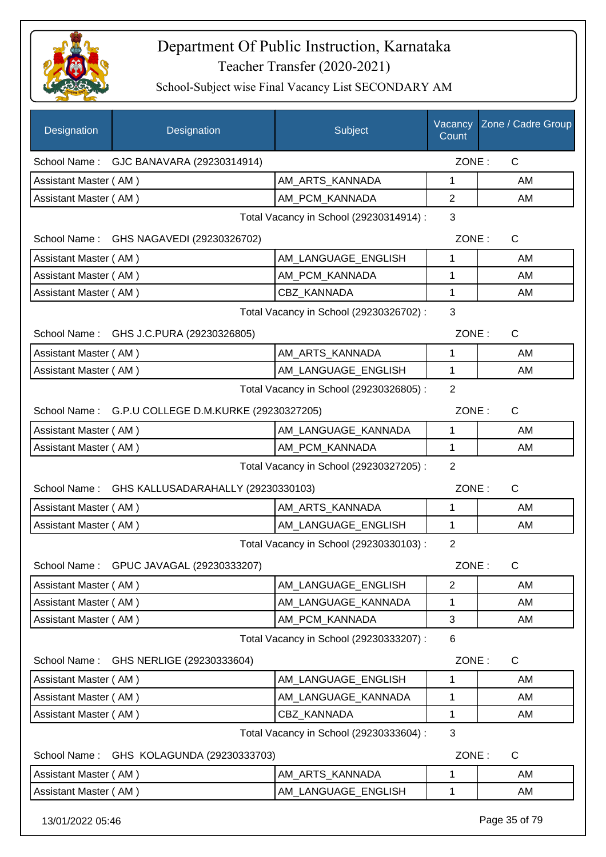

| Designation                                  | Designation                                        | Subject                                 | Vacancy<br>Count | Zone / Cadre Group |
|----------------------------------------------|----------------------------------------------------|-----------------------------------------|------------------|--------------------|
| School Name:                                 | GJC BANAVARA (29230314914)                         |                                         | ZONE:            | $\mathsf{C}$       |
| Assistant Master (AM)                        |                                                    | AM_ARTS_KANNADA                         | 1                | AM                 |
| Assistant Master (AM)                        |                                                    | AM_PCM_KANNADA                          | $\overline{2}$   | AM                 |
|                                              |                                                    | Total Vacancy in School (29230314914) : | 3                |                    |
|                                              | School Name: GHS NAGAVEDI (29230326702)            |                                         | ZONE:            | C                  |
| Assistant Master (AM)                        |                                                    | AM_LANGUAGE_ENGLISH                     | 1                | AM                 |
| Assistant Master (AM)                        |                                                    | AM_PCM_KANNADA                          | 1                | AM                 |
| Assistant Master (AM)                        |                                                    | <b>CBZ KANNADA</b>                      | 1                | AM                 |
|                                              |                                                    | Total Vacancy in School (29230326702) : | 3                |                    |
|                                              | School Name: GHS J.C.PURA (29230326805)            |                                         | ZONE:            | C                  |
| Assistant Master (AM)                        |                                                    | AM_ARTS_KANNADA                         | 1                | AM                 |
| Assistant Master (AM)                        |                                                    | AM LANGUAGE ENGLISH                     | 1                | AM                 |
|                                              |                                                    | Total Vacancy in School (29230326805) : | $\overline{2}$   |                    |
|                                              | School Name: G.P.U COLLEGE D.M.KURKE (29230327205) |                                         | ZONE:            | C                  |
| Assistant Master (AM)                        |                                                    | AM LANGUAGE_KANNADA                     | 1                | AM                 |
| Assistant Master (AM)                        |                                                    | AM_PCM_KANNADA                          | $\mathbf{1}$     | AM                 |
|                                              |                                                    | Total Vacancy in School (29230327205) : | $\overline{2}$   |                    |
|                                              | School Name: GHS KALLUSADARAHALLY (29230330103)    |                                         | ZONE:            | $\mathsf{C}$       |
| Assistant Master (AM)                        |                                                    | AM_ARTS_KANNADA                         | 1                | AM                 |
| Assistant Master (AM)                        |                                                    | AM_LANGUAGE_ENGLISH                     | 1                | AM                 |
|                                              |                                                    | Total Vacancy in School (29230330103) : | $\overline{2}$   |                    |
|                                              | School Name: GPUC JAVAGAL (29230333207)            |                                         | ZONE:            | C                  |
| Assistant Master (AM)                        |                                                    | AM_LANGUAGE_ENGLISH                     | $\overline{2}$   | AM                 |
| Assistant Master (AM)                        |                                                    | AM_LANGUAGE_KANNADA                     | 1                | AM                 |
| Assistant Master (AM)                        |                                                    | AM_PCM_KANNADA                          | 3                | AM                 |
|                                              |                                                    | Total Vacancy in School (29230333207) : | 6                |                    |
| School Name:                                 | GHS NERLIGE (29230333604)                          |                                         | ZONE:            | C                  |
| Assistant Master (AM)                        |                                                    | AM_LANGUAGE_ENGLISH                     | 1                | AM                 |
| Assistant Master (AM)                        |                                                    | AM_LANGUAGE_KANNADA                     | 1                | AM                 |
| Assistant Master (AM)                        |                                                    | CBZ KANNADA                             | 1                | AM                 |
| 3<br>Total Vacancy in School (29230333604) : |                                                    |                                         |                  |                    |
| School Name:                                 | GHS KOLAGUNDA (29230333703)                        |                                         | ZONE:            | C                  |
| Assistant Master (AM)                        |                                                    | AM_ARTS_KANNADA                         | 1                | AM                 |
| Assistant Master (AM)                        |                                                    | AM_LANGUAGE_ENGLISH                     | 1                | AM                 |
| 13/01/2022 05:46                             |                                                    |                                         |                  | Page 35 of 79      |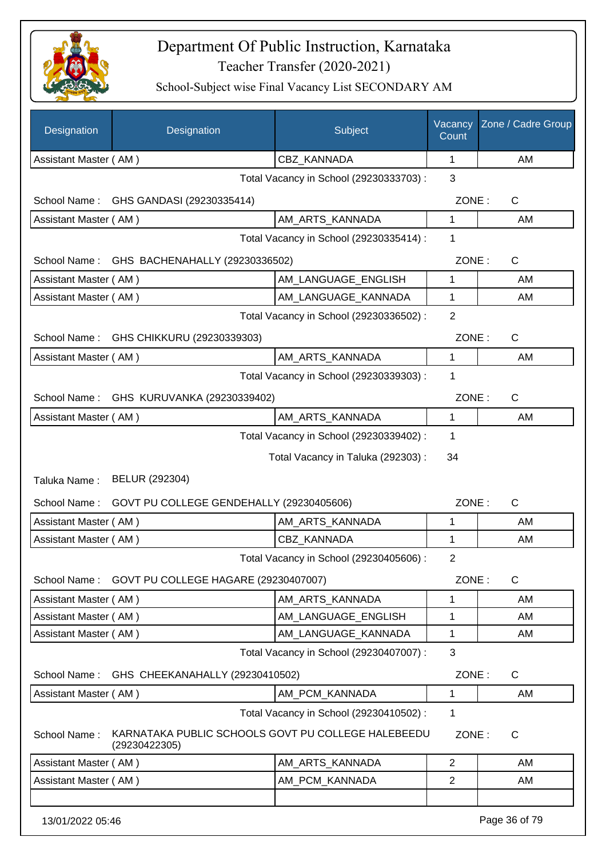

| Designation           | Designation                                                         | Subject                                 | Vacancy<br>Count | Zone / Cadre Group |
|-----------------------|---------------------------------------------------------------------|-----------------------------------------|------------------|--------------------|
| Assistant Master (AM) |                                                                     | CBZ_KANNADA                             | 1                | AM                 |
|                       |                                                                     | Total Vacancy in School (29230333703) : | 3                |                    |
| School Name:          | GHS GANDASI (29230335414)                                           |                                         | ZONE:            | C                  |
| Assistant Master (AM) |                                                                     | AM_ARTS_KANNADA                         | 1                | AM                 |
|                       |                                                                     | Total Vacancy in School (29230335414) : | 1                |                    |
|                       | School Name: GHS BACHENAHALLY (29230336502)                         |                                         | ZONE:            | C                  |
| Assistant Master (AM) |                                                                     | AM_LANGUAGE_ENGLISH                     | 1                | AM                 |
| Assistant Master (AM) |                                                                     | AM_LANGUAGE_KANNADA                     | 1                | AM                 |
|                       |                                                                     | Total Vacancy in School (29230336502) : | $\overline{2}$   |                    |
| School Name:          | GHS CHIKKURU (29230339303)                                          |                                         | ZONE:            | $\mathsf{C}$       |
| Assistant Master (AM) |                                                                     | AM ARTS KANNADA                         | 1                | AM                 |
|                       |                                                                     | Total Vacancy in School (29230339303) : | 1                |                    |
|                       | School Name: GHS KURUVANKA (29230339402)                            |                                         | ZONE:            | C                  |
| Assistant Master (AM) |                                                                     | AM_ARTS_KANNADA                         | 1                | AM                 |
|                       |                                                                     | Total Vacancy in School (29230339402) : | 1                |                    |
|                       |                                                                     | Total Vacancy in Taluka (292303):       | 34               |                    |
| Taluka Name:          | BELUR (292304)                                                      |                                         |                  |                    |
| School Name:          | GOVT PU COLLEGE GENDEHALLY (29230405606)                            |                                         | ZONE:            | $\mathsf{C}$       |
| Assistant Master (AM) |                                                                     | AM_ARTS_KANNADA                         | 1                | AM                 |
| Assistant Master (AM) |                                                                     | CBZ_KANNADA                             | 1                | AM                 |
|                       |                                                                     | Total Vacancy in School (29230405606) : | $\overline{2}$   |                    |
|                       | School Name: GOVT PU COLLEGE HAGARE (29230407007)                   |                                         | ZONE:            | $\mathsf{C}$       |
| Assistant Master (AM) |                                                                     | AM ARTS KANNADA                         | 1                | AM                 |
| Assistant Master (AM) |                                                                     | AM_LANGUAGE_ENGLISH                     | 1                | AM                 |
| Assistant Master (AM) |                                                                     | AM_LANGUAGE_KANNADA                     | 1                | AM                 |
|                       |                                                                     | Total Vacancy in School (29230407007) : | 3                |                    |
|                       | School Name: GHS CHEEKANAHALLY (29230410502)                        |                                         | ZONE:            | $\mathsf{C}$       |
| Assistant Master (AM) |                                                                     | AM_PCM_KANNADA                          | 1                | AM                 |
|                       |                                                                     | Total Vacancy in School (29230410502) : | 1                |                    |
| School Name:          | KARNATAKA PUBLIC SCHOOLS GOVT PU COLLEGE HALEBEEDU<br>(29230422305) |                                         | ZONE:            | $\mathsf{C}$       |
| Assistant Master (AM) |                                                                     | AM_ARTS_KANNADA                         | 2                | AM                 |
| Assistant Master (AM) |                                                                     | AM_PCM_KANNADA                          | $\overline{2}$   | AM                 |
| 13/01/2022 05:46      |                                                                     |                                         |                  | Page 36 of 79      |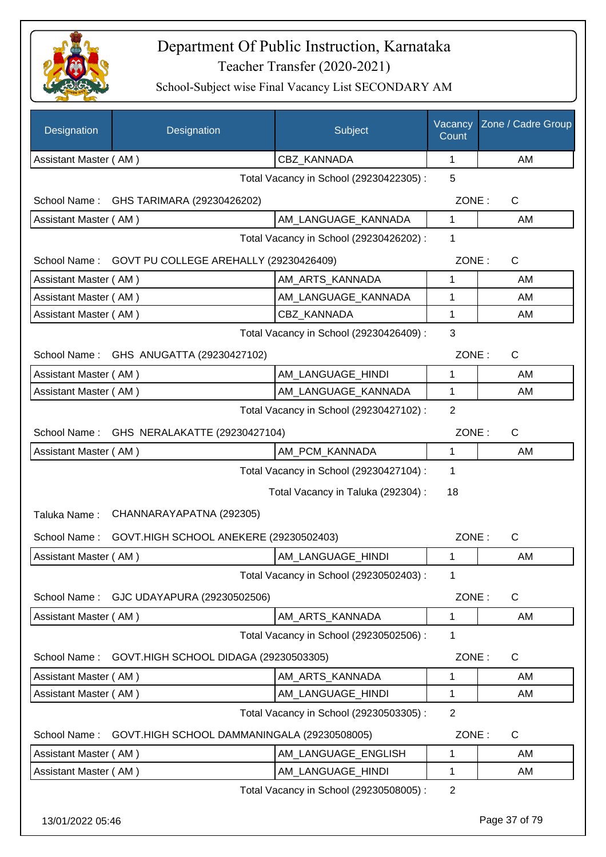

| Designation                             | Designation                                 | Subject                                 | Vacancy<br>Count | Zone / Cadre Group |
|-----------------------------------------|---------------------------------------------|-----------------------------------------|------------------|--------------------|
| Assistant Master (AM)                   |                                             | CBZ_KANNADA                             | $\mathbf 1$      | AM                 |
|                                         |                                             | Total Vacancy in School (29230422305) : | 5                |                    |
| School Name:                            | GHS TARIMARA (29230426202)                  |                                         | ZONE:            | $\mathsf{C}$       |
| Assistant Master (AM)                   |                                             | AM LANGUAGE KANNADA                     | 1                | AM                 |
|                                         |                                             | Total Vacancy in School (29230426202) : | 1                |                    |
| School Name:                            | GOVT PU COLLEGE AREHALLY (29230426409)      |                                         | ZONE:            | C                  |
| Assistant Master (AM)                   |                                             | AM_ARTS_KANNADA                         | 1                | AM                 |
| Assistant Master (AM)                   |                                             | AM_LANGUAGE_KANNADA                     | 1                | AM                 |
| Assistant Master (AM)                   |                                             | CBZ KANNADA                             | 1                | AM                 |
| Total Vacancy in School (29230426409) : |                                             |                                         |                  |                    |
|                                         | School Name: GHS ANUGATTA (29230427102)     |                                         | ZONE:            | $\mathsf{C}$       |
| Assistant Master (AM)                   |                                             | AM LANGUAGE HINDI                       | 1                | AM                 |
| Assistant Master (AM)                   |                                             | AM LANGUAGE KANNADA                     | 1                | AM                 |
|                                         |                                             | Total Vacancy in School (29230427102) : | $\overline{2}$   |                    |
| School Name:                            | GHS NERALAKATTE (29230427104)               |                                         | ZONE:            | $\mathsf{C}$       |
| Assistant Master (AM)                   |                                             | AM_PCM_KANNADA                          | 1                | AM                 |
|                                         |                                             | Total Vacancy in School (29230427104) : | 1                |                    |
|                                         |                                             | Total Vacancy in Taluka (292304) :      | 18               |                    |
| Taluka Name:                            | CHANNARAYAPATNA (292305)                    |                                         |                  |                    |
| School Name:                            | GOVT.HIGH SCHOOL ANEKERE (29230502403)      |                                         | ZONE:            | $\mathsf{C}$       |
| Assistant Master (AM)                   |                                             | AM LANGUAGE HINDI                       | 1                | AM                 |
|                                         |                                             | Total Vacancy in School (29230502403) : | 1                |                    |
| School Name:                            | GJC UDAYAPURA (29230502506)                 |                                         | ZONE:            | $\mathsf{C}$       |
| Assistant Master (AM)                   |                                             | AM ARTS KANNADA                         | 1                | AM                 |
|                                         |                                             | Total Vacancy in School (29230502506) : | 1                |                    |
| School Name:                            | GOVT.HIGH SCHOOL DIDAGA (29230503305)       |                                         | ZONE:            | C                  |
| Assistant Master (AM)                   |                                             | AM_ARTS_KANNADA                         | 1                | AM                 |
| Assistant Master (AM)                   |                                             | AM_LANGUAGE_HINDI                       | 1                | AM                 |
|                                         |                                             | Total Vacancy in School (29230503305) : | $\overline{2}$   |                    |
| School Name:                            | GOVT.HIGH SCHOOL DAMMANINGALA (29230508005) |                                         | ZONE:            | $\mathsf C$        |
| Assistant Master (AM)                   |                                             | AM_LANGUAGE_ENGLISH                     | 1                | AM                 |
| Assistant Master (AM)                   |                                             | AM_LANGUAGE_HINDI                       | 1                | AM                 |
|                                         |                                             | Total Vacancy in School (29230508005) : | $\overline{2}$   |                    |
| 13/01/2022 05:46                        |                                             |                                         |                  | Page 37 of 79      |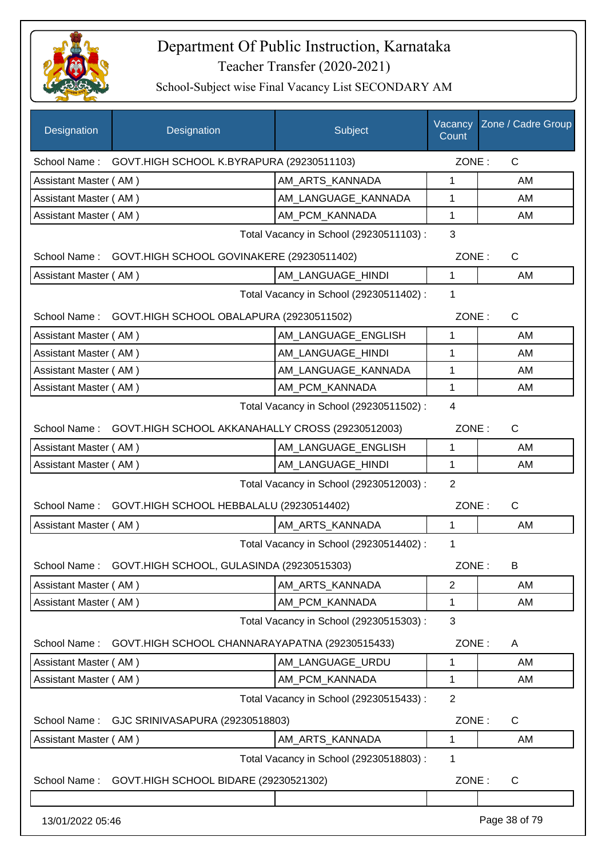

| Designation           | Designation                                                   | Subject                                 | Count          | Vacancy Zone / Cadre Group |
|-----------------------|---------------------------------------------------------------|-----------------------------------------|----------------|----------------------------|
|                       | School Name: GOVT.HIGH SCHOOL K.BYRAPURA (29230511103)        |                                         | ZONE:          | C                          |
| Assistant Master (AM) |                                                               | AM_ARTS_KANNADA                         | 1              | AM                         |
| Assistant Master (AM) |                                                               | AM_LANGUAGE_KANNADA                     | 1              | AM                         |
| Assistant Master (AM) |                                                               | AM PCM KANNADA                          | 1              | AM                         |
|                       |                                                               | Total Vacancy in School (29230511103) : | 3              |                            |
|                       | School Name: GOVT.HIGH SCHOOL GOVINAKERE (29230511402)        |                                         | ZONE:          | $\mathsf{C}$               |
| Assistant Master (AM) |                                                               | AM_LANGUAGE_HINDI                       | $\mathbf{1}$   | AM                         |
|                       |                                                               | Total Vacancy in School (29230511402) : | 1              |                            |
|                       | School Name: GOVT.HIGH SCHOOL OBALAPURA (29230511502)         |                                         | ZONE:          | $\mathsf{C}$               |
| Assistant Master (AM) |                                                               | AM LANGUAGE ENGLISH                     | 1              | AM                         |
| Assistant Master (AM) |                                                               | AM_LANGUAGE_HINDI                       | 1              | AM                         |
| Assistant Master (AM) |                                                               | AM_LANGUAGE_KANNADA                     | 1              | AM                         |
| Assistant Master (AM) |                                                               | AM PCM KANNADA                          | 1              | AM                         |
|                       |                                                               | Total Vacancy in School (29230511502) : | 4              |                            |
|                       | School Name: GOVT.HIGH SCHOOL AKKANAHALLY CROSS (29230512003) |                                         | ZONE:          | $\mathsf{C}$               |
| Assistant Master (AM) |                                                               | AM_LANGUAGE_ENGLISH                     | $\mathbf{1}$   | AM                         |
| Assistant Master (AM) |                                                               | AM_LANGUAGE_HINDI                       | 1              | AM                         |
|                       |                                                               | Total Vacancy in School (29230512003) : | $\overline{2}$ |                            |
| School Name:          | GOVT.HIGH SCHOOL HEBBALALU (29230514402)                      |                                         | ZONE:          | C                          |
| Assistant Master (AM) |                                                               | AM_ARTS_KANNADA                         | $\mathbf{1}$   | AM                         |
|                       |                                                               | Total Vacancy in School (29230514402) : | 1              |                            |
| School Name:          | GOVT.HIGH SCHOOL, GULASINDA (29230515303)                     |                                         | ZONE:          | B                          |
| Assistant Master (AM) |                                                               | AM_ARTS_KANNADA                         | $\overline{2}$ | AM                         |
| Assistant Master (AM) |                                                               | AM_PCM_KANNADA                          | 1              | AM                         |
|                       |                                                               | Total Vacancy in School (29230515303) : | 3              |                            |
| School Name:          | GOVT.HIGH SCHOOL CHANNARAYAPATNA (29230515433)                |                                         | ZONE:          | A                          |
| Assistant Master (AM) |                                                               | AM LANGUAGE URDU                        | 1              | AM                         |
| Assistant Master (AM) |                                                               | AM_PCM_KANNADA                          | 1              | AM                         |
|                       |                                                               | Total Vacancy in School (29230515433) : | $\overline{2}$ |                            |
| School Name:          | GJC SRINIVASAPURA (29230518803)                               |                                         | ZONE:          | C                          |
| Assistant Master (AM) |                                                               | AM_ARTS_KANNADA                         | 1              | AM                         |
|                       |                                                               | Total Vacancy in School (29230518803) : | 1              |                            |
| School Name:          | GOVT.HIGH SCHOOL BIDARE (29230521302)                         |                                         | ZONE:          | C                          |
|                       |                                                               |                                         |                |                            |
| 13/01/2022 05:46      |                                                               |                                         |                | Page 38 of 79              |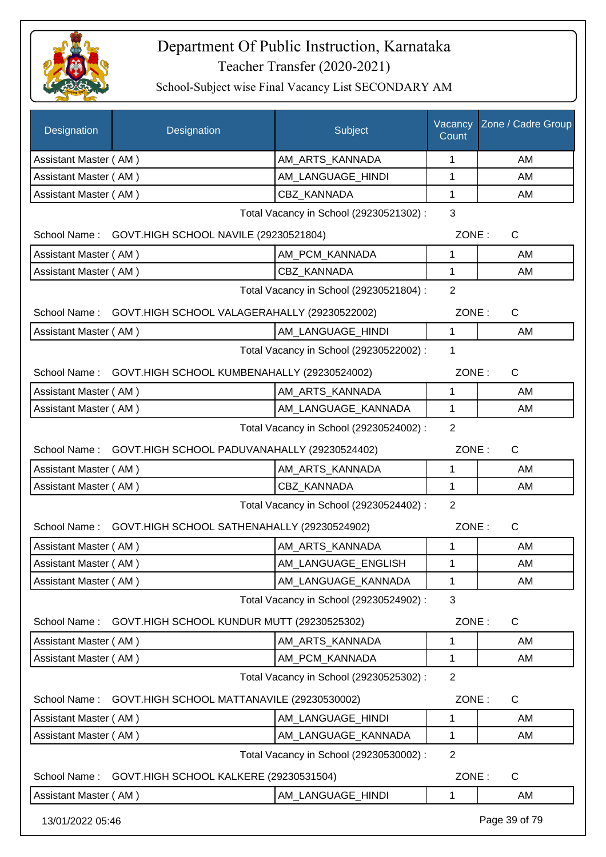

| Designation           | Designation                                        | Subject                                 | Vacancy<br>Count | Zone / Cadre Group |
|-----------------------|----------------------------------------------------|-----------------------------------------|------------------|--------------------|
| Assistant Master (AM) |                                                    | AM_ARTS_KANNADA                         | 1                | AM                 |
| Assistant Master (AM) |                                                    | AM_LANGUAGE_HINDI                       | 1                | AM                 |
| Assistant Master (AM) |                                                    | <b>CBZ KANNADA</b>                      | $\mathbf{1}$     | AM                 |
|                       |                                                    | Total Vacancy in School (29230521302) : | 3                |                    |
|                       | School Name: GOVT.HIGH SCHOOL NAVILE (29230521804) |                                         | ZONE:            | $\mathsf{C}$       |
| Assistant Master (AM) |                                                    | AM_PCM_KANNADA                          | 1                | AM                 |
| Assistant Master (AM) |                                                    | CBZ_KANNADA                             | $\mathbf{1}$     | AM                 |
|                       |                                                    | Total Vacancy in School (29230521804) : | $\overline{2}$   |                    |
| School Name:          | GOVT.HIGH SCHOOL VALAGERAHALLY (29230522002)       |                                         | ZONE:            | C                  |
| Assistant Master (AM) |                                                    | AM_LANGUAGE_HINDI                       | $\mathbf{1}$     | AM                 |
|                       |                                                    | Total Vacancy in School (29230522002) : | $\mathbf 1$      |                    |
| School Name:          | GOVT.HIGH SCHOOL KUMBENAHALLY (29230524002)        |                                         | ZONE:            | C                  |
| Assistant Master (AM) |                                                    | AM_ARTS_KANNADA                         | 1                | AM                 |
| Assistant Master (AM) |                                                    | AM_LANGUAGE_KANNADA                     | 1                | AM                 |
|                       |                                                    | Total Vacancy in School (29230524002) : | $\overline{2}$   |                    |
| School Name:          | GOVT.HIGH SCHOOL PADUVANAHALLY (29230524402)       |                                         | ZONE:            | $\mathsf{C}$       |
| Assistant Master (AM) |                                                    | AM_ARTS_KANNADA                         | 1                | AM                 |
| Assistant Master (AM) |                                                    | CBZ_KANNADA                             | $\mathbf{1}$     | AM                 |
|                       |                                                    | Total Vacancy in School (29230524402) : | $\overline{2}$   |                    |
| School Name:          | GOVT.HIGH SCHOOL SATHENAHALLY (29230524902)        |                                         | ZONE:            | $\mathsf C$        |
| Assistant Master (AM) |                                                    | AM ARTS KANNADA                         | 1                | AM                 |
| Assistant Master (AM) |                                                    | AM_LANGUAGE_ENGLISH                     | $\mathbf{1}$     | AM                 |
| Assistant Master (AM) |                                                    | AM LANGUAGE_KANNADA                     | 1                | AM                 |
|                       |                                                    | Total Vacancy in School (29230524902) : | 3                |                    |
| School Name:          | GOVT.HIGH SCHOOL KUNDUR MUTT (29230525302)         |                                         | ZONE:            | $\mathsf{C}$       |
| Assistant Master (AM) |                                                    | AM_ARTS_KANNADA                         | 1                | AM                 |
| Assistant Master (AM) |                                                    | AM PCM KANNADA                          | 1                | AM                 |
|                       |                                                    | Total Vacancy in School (29230525302) : | $\overline{2}$   |                    |
| School Name:          | GOVT.HIGH SCHOOL MATTANAVILE (29230530002)         |                                         | ZONE:            | $\mathsf{C}$       |
| Assistant Master (AM) |                                                    | AM_LANGUAGE_HINDI                       | 1                | AM                 |
| Assistant Master (AM) |                                                    | AM_LANGUAGE_KANNADA                     | 1                | AM                 |
|                       |                                                    | Total Vacancy in School (29230530002) : | 2                |                    |
| School Name:          | GOVT.HIGH SCHOOL KALKERE (29230531504)             |                                         | ZONE:            | $\mathsf C$        |
| Assistant Master (AM) |                                                    | AM_LANGUAGE_HINDI                       | 1                | AM                 |
| 13/01/2022 05:46      |                                                    |                                         |                  | Page 39 of 79      |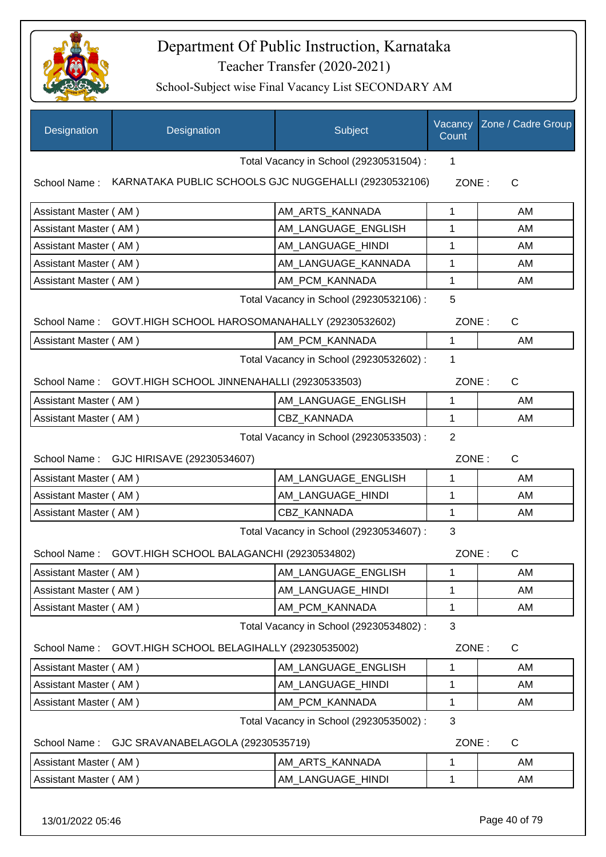

| Designation           | Designation                                                 | Subject                                 | Vacancy<br>Count | Zone / Cadre Group |
|-----------------------|-------------------------------------------------------------|-----------------------------------------|------------------|--------------------|
|                       |                                                             | Total Vacancy in School (29230531504) : | 1                |                    |
| School Name:          | KARNATAKA PUBLIC SCHOOLS GJC NUGGEHALLI (29230532106)       |                                         | ZONE:            | $\mathsf{C}$       |
| Assistant Master (AM) |                                                             | AM_ARTS_KANNADA                         | 1                | AM                 |
| Assistant Master (AM) |                                                             | AM LANGUAGE ENGLISH                     | 1                | AM                 |
| Assistant Master (AM) |                                                             | AM_LANGUAGE_HINDI                       | 1                | AM                 |
| Assistant Master (AM) |                                                             | AM_LANGUAGE_KANNADA                     | 1                | AM                 |
| Assistant Master (AM) |                                                             | AM_PCM_KANNADA                          | 1                | AM                 |
|                       |                                                             | Total Vacancy in School (29230532106) : | 5                |                    |
|                       | School Name: GOVT.HIGH SCHOOL HAROSOMANAHALLY (29230532602) |                                         | ZONE:            | $\mathsf{C}$       |
| Assistant Master (AM) |                                                             | AM_PCM_KANNADA                          | 1                | AM                 |
|                       |                                                             | Total Vacancy in School (29230532602) : | 1                |                    |
|                       | School Name: GOVT.HIGH SCHOOL JINNENAHALLI (29230533503)    |                                         | ZONE:            | $\mathsf{C}$       |
| Assistant Master (AM) |                                                             | AM_LANGUAGE_ENGLISH                     | 1                | AM                 |
| Assistant Master (AM) |                                                             | CBZ_KANNADA                             | 1                | AM                 |
|                       |                                                             | Total Vacancy in School (29230533503) : | $\overline{2}$   |                    |
| School Name:          | GJC HIRISAVE (29230534607)                                  |                                         | ZONE:            | $\mathsf{C}$       |
| Assistant Master (AM) |                                                             | AM_LANGUAGE_ENGLISH                     | 1                | AM                 |
| Assistant Master (AM) |                                                             | AM_LANGUAGE_HINDI                       | 1                | AM                 |
| Assistant Master (AM) |                                                             | CBZ_KANNADA                             | 1                | AM                 |
|                       |                                                             | Total Vacancy in School (29230534607) : | 3                |                    |
| School Name:          | GOVT.HIGH SCHOOL BALAGANCHI (29230534802)                   |                                         | ZONE:            | $\mathsf{C}$       |
| Assistant Master (AM) |                                                             | AM_LANGUAGE_ENGLISH                     | 1                | AM                 |
| Assistant Master (AM) |                                                             | AM_LANGUAGE_HINDI                       | 1                | AM                 |
| Assistant Master (AM) |                                                             | AM_PCM_KANNADA                          | 1                | AM                 |
|                       |                                                             | Total Vacancy in School (29230534802) : | 3                |                    |
| School Name:          | GOVT.HIGH SCHOOL BELAGIHALLY (29230535002)                  |                                         | ZONE:            | C                  |
| Assistant Master (AM) |                                                             | AM_LANGUAGE_ENGLISH                     | 1                | AM                 |
| Assistant Master (AM) |                                                             | AM LANGUAGE HINDI                       | 1                | AM                 |
| Assistant Master (AM) |                                                             | AM_PCM_KANNADA                          | 1                | AM                 |
|                       |                                                             | Total Vacancy in School (29230535002) : | 3                |                    |
| School Name:          | GJC SRAVANABELAGOLA (29230535719)                           |                                         | ZONE:            | $\mathsf{C}$       |
| Assistant Master (AM) |                                                             | AM_ARTS_KANNADA                         | 1                | AM                 |
| Assistant Master (AM) |                                                             | AM_LANGUAGE_HINDI                       | 1                | AM                 |
|                       |                                                             |                                         |                  |                    |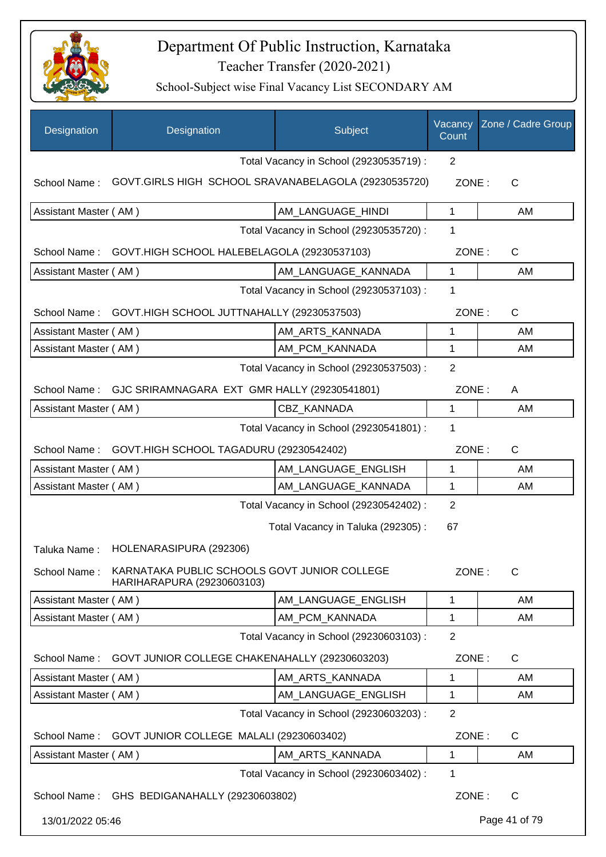

| Designation           | Designation                                                                | Subject                                 | Vacancy<br>Count | Zone / Cadre Group |
|-----------------------|----------------------------------------------------------------------------|-----------------------------------------|------------------|--------------------|
|                       |                                                                            | Total Vacancy in School (29230535719) : | 2                |                    |
| School Name:          | GOVT.GIRLS HIGH SCHOOL SRAVANABELAGOLA (29230535720)                       |                                         | ZONE:            | C                  |
| Assistant Master (AM) |                                                                            | AM_LANGUAGE_HINDI                       | $\mathbf{1}$     | AM                 |
|                       |                                                                            | Total Vacancy in School (29230535720) : | 1                |                    |
| School Name:          | GOVT.HIGH SCHOOL HALEBELAGOLA (29230537103)                                |                                         | ZONE:            | $\mathsf{C}$       |
| Assistant Master (AM) |                                                                            | AM_LANGUAGE_KANNADA                     | 1                | AM                 |
|                       |                                                                            | Total Vacancy in School (29230537103) : | 1                |                    |
| School Name:          | GOVT.HIGH SCHOOL JUTTNAHALLY (29230537503)                                 |                                         | ZONE:            | $\mathsf{C}$       |
| Assistant Master (AM) |                                                                            | AM_ARTS_KANNADA                         | 1                | AM                 |
| Assistant Master (AM) |                                                                            | AM_PCM_KANNADA                          | 1                | AM                 |
|                       |                                                                            | Total Vacancy in School (29230537503) : | $\overline{2}$   |                    |
| School Name:          | GJC SRIRAMNAGARA EXT GMR HALLY (29230541801)                               |                                         | ZONE:            | A                  |
| Assistant Master (AM) |                                                                            | CBZ KANNADA                             | 1                | AM                 |
|                       |                                                                            | Total Vacancy in School (29230541801) : | 1                |                    |
|                       | School Name: GOVT.HIGH SCHOOL TAGADURU (29230542402)                       |                                         | ZONE:            | $\mathsf{C}$       |
| Assistant Master (AM) |                                                                            | AM LANGUAGE_ENGLISH                     | $\mathbf{1}$     | AM                 |
| Assistant Master (AM) |                                                                            | AM_LANGUAGE_KANNADA                     | 1                | AM                 |
|                       |                                                                            | Total Vacancy in School (29230542402) : | $\overline{2}$   |                    |
|                       |                                                                            | Total Vacancy in Taluka (292305):       | 67               |                    |
| Taluka Name:          | HOLENARASIPURA (292306)                                                    |                                         |                  |                    |
| School Name:          | KARNATAKA PUBLIC SCHOOLS GOVT JUNIOR COLLEGE<br>HARIHARAPURA (29230603103) |                                         | ZONE:            | C                  |
| Assistant Master (AM) |                                                                            | AM LANGUAGE ENGLISH                     | 1                | AM                 |
| Assistant Master (AM) |                                                                            | AM_PCM_KANNADA                          | 1                | AM                 |
|                       |                                                                            | Total Vacancy in School (29230603103) : | $\overline{2}$   |                    |
| School Name:          | GOVT JUNIOR COLLEGE CHAKENAHALLY (29230603203)                             |                                         | ZONE:            | $\mathsf{C}$       |
| Assistant Master (AM) |                                                                            | AM ARTS KANNADA                         | 1                | AM                 |
| Assistant Master (AM) |                                                                            | AM_LANGUAGE_ENGLISH                     | 1                | AM                 |
|                       |                                                                            | Total Vacancy in School (29230603203) : | $\overline{2}$   |                    |
| School Name:          | GOVT JUNIOR COLLEGE MALALI (29230603402)                                   |                                         | ZONE:            | C                  |
| Assistant Master (AM) |                                                                            | AM_ARTS_KANNADA                         | $\mathbf{1}$     | AM                 |
|                       |                                                                            | Total Vacancy in School (29230603402) : | 1                |                    |
|                       | School Name: GHS BEDIGANAHALLY (29230603802)                               |                                         | ZONE:            | $\mathsf{C}$       |
| 13/01/2022 05:46      |                                                                            |                                         |                  | Page 41 of 79      |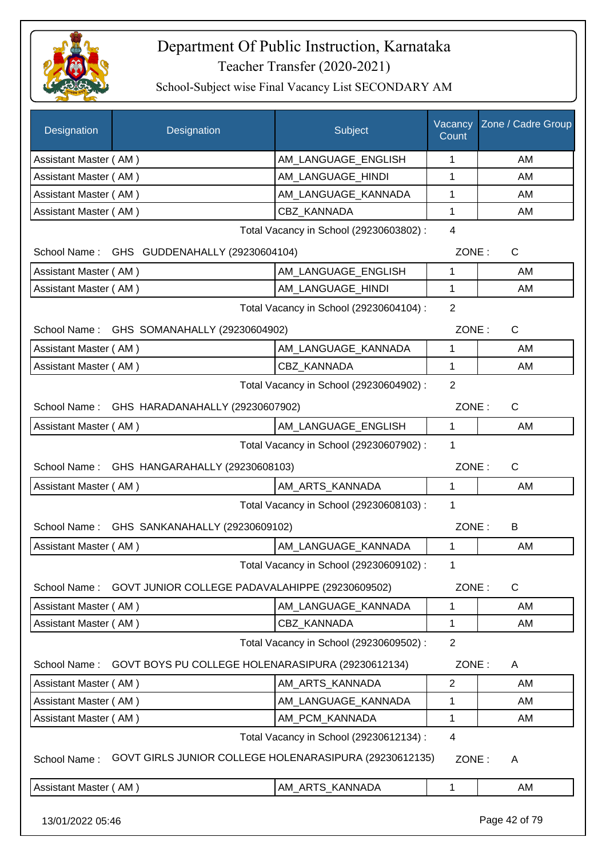

| <b>Designation</b>    | Designation                                            | Subject                                 | Vacancy<br>Count | Zone / Cadre Group |  |
|-----------------------|--------------------------------------------------------|-----------------------------------------|------------------|--------------------|--|
| Assistant Master (AM) |                                                        | AM_LANGUAGE_ENGLISH                     | 1                | AM                 |  |
| Assistant Master (AM) |                                                        | AM_LANGUAGE_HINDI                       | 1                | AM                 |  |
| Assistant Master (AM) |                                                        | AM_LANGUAGE_KANNADA                     | 1                | AM                 |  |
| Assistant Master (AM) |                                                        | <b>CBZ KANNADA</b>                      | 1                | AM                 |  |
|                       |                                                        | Total Vacancy in School (29230603802) : | $\overline{4}$   |                    |  |
|                       | School Name: GHS GUDDENAHALLY (29230604104)            |                                         | ZONE:            | C                  |  |
| Assistant Master (AM) |                                                        | AM_LANGUAGE_ENGLISH                     | $\mathbf 1$      | AM                 |  |
| Assistant Master (AM) |                                                        | AM_LANGUAGE_HINDI                       | $\mathbf{1}$     | AM                 |  |
|                       |                                                        | Total Vacancy in School (29230604104) : | $\overline{2}$   |                    |  |
| School Name:          | GHS SOMANAHALLY (29230604902)                          |                                         | ZONE:            | C                  |  |
| Assistant Master (AM) |                                                        | AM_LANGUAGE_KANNADA                     | 1                | AM                 |  |
| Assistant Master (AM) |                                                        | CBZ KANNADA                             | 1                | AM                 |  |
|                       |                                                        | Total Vacancy in School (29230604902) : | $\overline{2}$   |                    |  |
| School Name:          | GHS HARADANAHALLY (29230607902)                        |                                         | ZONE:            | $\mathsf C$        |  |
| Assistant Master (AM) |                                                        | AM_LANGUAGE_ENGLISH                     | $\mathbf{1}$     | AM                 |  |
|                       |                                                        | Total Vacancy in School (29230607902) : | 1                |                    |  |
|                       | School Name: GHS HANGARAHALLY (29230608103)            |                                         | ZONE:            | $\mathsf C$        |  |
| Assistant Master (AM) |                                                        | AM_ARTS_KANNADA                         | $\mathbf{1}$     | AM                 |  |
|                       |                                                        | Total Vacancy in School (29230608103) : | 1                |                    |  |
|                       | School Name: GHS SANKANAHALLY (29230609102)            |                                         | ZONE:            | B                  |  |
| Assistant Master (AM) |                                                        | AM_LANGUAGE_KANNADA                     | $\mathbf{1}$     | AM                 |  |
|                       |                                                        | Total Vacancy in School (29230609102) : | 1                |                    |  |
| School Name:          | GOVT JUNIOR COLLEGE PADAVALAHIPPE (29230609502)        |                                         | ZONE:            | C                  |  |
| Assistant Master (AM) |                                                        | AM_LANGUAGE_KANNADA                     | 1                | AM                 |  |
| Assistant Master (AM) |                                                        | CBZ_KANNADA                             | 1                | AM                 |  |
|                       |                                                        | Total Vacancy in School (29230609502) : | $\overline{2}$   |                    |  |
| School Name:          | GOVT BOYS PU COLLEGE HOLENARASIPURA (29230612134)      |                                         | ZONE:            | A                  |  |
| Assistant Master (AM) |                                                        | AM_ARTS_KANNADA                         | $\overline{2}$   | AM                 |  |
| Assistant Master (AM) |                                                        | AM LANGUAGE KANNADA                     | 1                | AM                 |  |
| Assistant Master (AM) |                                                        | AM_PCM_KANNADA                          | 1                | AM                 |  |
|                       | Total Vacancy in School (29230612134) :<br>4           |                                         |                  |                    |  |
| School Name:          | GOVT GIRLS JUNIOR COLLEGE HOLENARASIPURA (29230612135) |                                         | ZONE:            | A                  |  |
| Assistant Master (AM) |                                                        | AM_ARTS_KANNADA                         | $\mathbf{1}$     | AM                 |  |
| 13/01/2022 05:46      |                                                        |                                         |                  | Page 42 of 79      |  |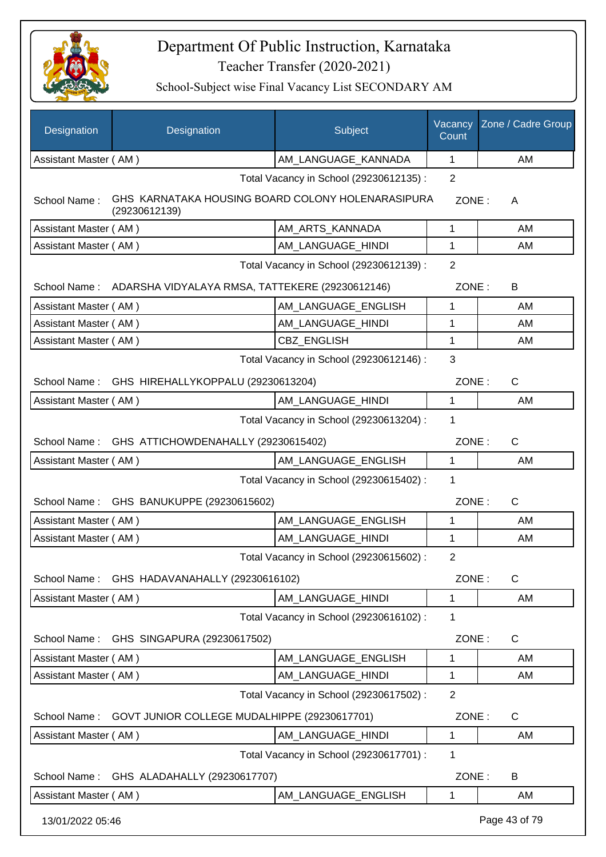

| Designation                                            | Designation                                                        | Subject                                 | Vacancy<br>Count | Zone / Cadre Group |
|--------------------------------------------------------|--------------------------------------------------------------------|-----------------------------------------|------------------|--------------------|
| Assistant Master (AM)                                  |                                                                    | AM_LANGUAGE_KANNADA                     | 1                | AM                 |
|                                                        |                                                                    | Total Vacancy in School (29230612135) : | $\overline{2}$   |                    |
| School Name:                                           | GHS KARNATAKA HOUSING BOARD COLONY HOLENARASIPURA<br>(29230612139) |                                         | ZONE:            | A                  |
| Assistant Master (AM)                                  |                                                                    | AM_ARTS_KANNADA                         | 1                | AM                 |
| Assistant Master (AM)                                  |                                                                    | AM LANGUAGE HINDI                       | 1                | AM                 |
|                                                        |                                                                    | Total Vacancy in School (29230612139) : | $\overline{2}$   |                    |
|                                                        | School Name: ADARSHA VIDYALAYA RMSA, TATTEKERE (29230612146)       |                                         | ZONE:            | B                  |
| Assistant Master (AM)                                  |                                                                    | AM_LANGUAGE_ENGLISH                     | 1                | AM                 |
| Assistant Master (AM)                                  |                                                                    | AM_LANGUAGE_HINDI                       | 1                | AM                 |
| Assistant Master (AM)                                  |                                                                    | CBZ_ENGLISH                             | 1                | AM                 |
|                                                        |                                                                    | Total Vacancy in School (29230612146) : | 3                |                    |
| School Name:                                           | GHS HIREHALLYKOPPALU (29230613204)                                 |                                         | ZONE:            | C                  |
| Assistant Master (AM)                                  |                                                                    | AM LANGUAGE HINDI                       | 1                | AM                 |
| Total Vacancy in School (29230613204) :<br>1           |                                                                    |                                         |                  |                    |
|                                                        | School Name: GHS ATTICHOWDENAHALLY (29230615402)                   |                                         | ZONE:            | $\mathsf{C}$       |
| Assistant Master (AM)                                  |                                                                    | AM_LANGUAGE_ENGLISH                     | $\mathbf{1}$     | AM                 |
| $\mathbf 1$<br>Total Vacancy in School (29230615402) : |                                                                    |                                         |                  |                    |
|                                                        | School Name: GHS BANUKUPPE (29230615602)                           |                                         | ZONE:            | $\mathsf{C}$       |
| Assistant Master (AM)                                  |                                                                    | AM_LANGUAGE_ENGLISH                     | 1                | AM                 |
| Assistant Master (AM)                                  |                                                                    | AM_LANGUAGE_HINDI                       | 1                | AM                 |
|                                                        |                                                                    | Total Vacancy in School (29230615602) : | 2                |                    |
| School Name:                                           | GHS HADAVANAHALLY (29230616102)                                    |                                         | ZONE:            | C                  |
| Assistant Master (AM)                                  |                                                                    | AM_LANGUAGE_HINDI                       | 1                | AM                 |
|                                                        |                                                                    | Total Vacancy in School (29230616102) : | 1                |                    |
| School Name:                                           | GHS SINGAPURA (29230617502)                                        |                                         | ZONE:            | C                  |
| Assistant Master (AM)                                  |                                                                    | AM LANGUAGE ENGLISH                     | 1                | AM                 |
| Assistant Master (AM)                                  |                                                                    | AM LANGUAGE HINDI                       | 1                | AM                 |
|                                                        |                                                                    | Total Vacancy in School (29230617502) : | $\overline{2}$   |                    |
| School Name:                                           | GOVT JUNIOR COLLEGE MUDALHIPPE (29230617701)                       |                                         | ZONE:            | $\mathsf{C}$       |
| Assistant Master (AM)                                  |                                                                    | AM LANGUAGE HINDI                       | 1                | AM                 |
|                                                        |                                                                    | Total Vacancy in School (29230617701) : | 1                |                    |
| School Name:                                           | GHS ALADAHALLY (29230617707)                                       |                                         | ZONE:            | B                  |
| Assistant Master (AM)                                  |                                                                    | AM_LANGUAGE_ENGLISH                     | 1                | AM                 |
| 13/01/2022 05:46                                       |                                                                    |                                         |                  | Page 43 of 79      |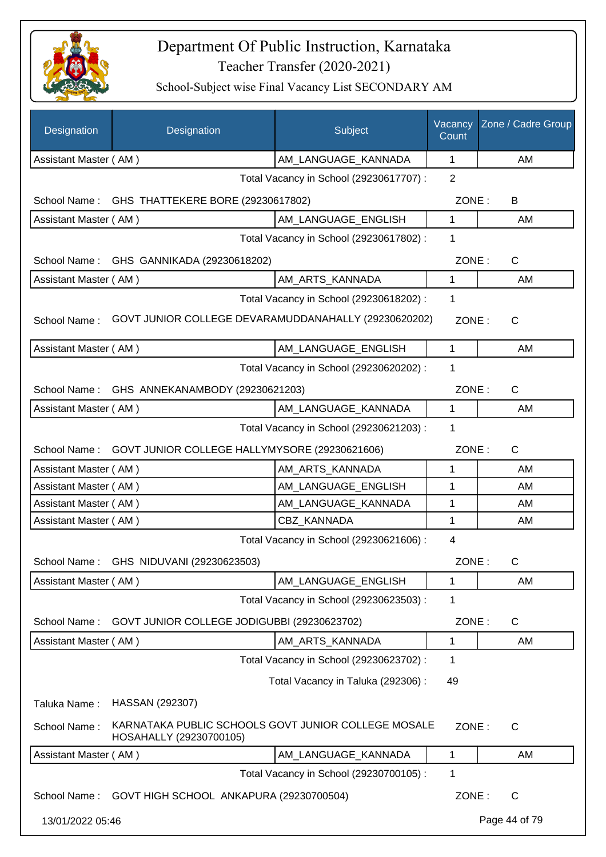

| Designation           | Designation                                                                    | Subject                                 | Vacancy<br>Count | Zone / Cadre Group |
|-----------------------|--------------------------------------------------------------------------------|-----------------------------------------|------------------|--------------------|
| Assistant Master (AM) |                                                                                | AM_LANGUAGE_KANNADA                     | 1                | AM                 |
|                       |                                                                                | Total Vacancy in School (29230617707) : | $\overline{2}$   |                    |
| School Name:          | GHS THATTEKERE BORE (29230617802)                                              |                                         | ZONE:            | B                  |
| Assistant Master (AM) |                                                                                | AM LANGUAGE ENGLISH                     | 1                | AM                 |
|                       |                                                                                | Total Vacancy in School (29230617802) : | 1                |                    |
| School Name:          | GHS GANNIKADA (29230618202)                                                    |                                         | ZONE:            | $\mathsf{C}$       |
| Assistant Master (AM) |                                                                                | AM_ARTS_KANNADA                         | 1                | AM                 |
|                       |                                                                                | Total Vacancy in School (29230618202) : | 1                |                    |
| School Name:          | GOVT JUNIOR COLLEGE DEVARAMUDDANAHALLY (29230620202)                           |                                         | ZONE:            | $\mathsf{C}$       |
| Assistant Master (AM) |                                                                                | AM_LANGUAGE_ENGLISH                     | $\mathbf{1}$     | AM                 |
|                       |                                                                                | Total Vacancy in School (29230620202) : | 1                |                    |
| School Name:          | GHS ANNEKANAMBODY (29230621203)                                                |                                         | ZONE:            | $\mathsf{C}$       |
| Assistant Master (AM) |                                                                                | AM_LANGUAGE_KANNADA                     | 1                | AM                 |
|                       |                                                                                | Total Vacancy in School (29230621203) : | 1                |                    |
| School Name:          | GOVT JUNIOR COLLEGE HALLYMYSORE (29230621606)                                  |                                         | ZONE:            | $\mathsf{C}$       |
| Assistant Master (AM) |                                                                                | AM_ARTS_KANNADA                         | 1                | AM                 |
| Assistant Master (AM) |                                                                                | AM_LANGUAGE_ENGLISH                     | 1                | AM                 |
| Assistant Master (AM) |                                                                                | AM_LANGUAGE_KANNADA                     | 1                | AM                 |
| Assistant Master (AM) |                                                                                | CBZ_KANNADA                             | 1                | AM                 |
|                       |                                                                                | Total Vacancy in School (29230621606) : | $\overline{4}$   |                    |
|                       | School Name: GHS NIDUVANI (29230623503)                                        |                                         | ZONE:            | C                  |
| Assistant Master (AM) |                                                                                | AM_LANGUAGE_ENGLISH                     | 1                | AM                 |
|                       |                                                                                | Total Vacancy in School (29230623503) : | 1                |                    |
| School Name:          | GOVT JUNIOR COLLEGE JODIGUBBI (29230623702)                                    |                                         | ZONE:            | C                  |
| Assistant Master (AM) |                                                                                | AM_ARTS_KANNADA                         | 1                | AM                 |
|                       |                                                                                | Total Vacancy in School (29230623702) : | 1                |                    |
|                       |                                                                                | Total Vacancy in Taluka (292306) :      | 49               |                    |
| Taluka Name:          | HASSAN (292307)                                                                |                                         |                  |                    |
| School Name:          | KARNATAKA PUBLIC SCHOOLS GOVT JUNIOR COLLEGE MOSALE<br>HOSAHALLY (29230700105) |                                         | ZONE:            | C                  |
| Assistant Master (AM) |                                                                                | AM_LANGUAGE_KANNADA                     | 1                | AM                 |
|                       |                                                                                | Total Vacancy in School (29230700105) : | 1                |                    |
|                       | School Name: GOVT HIGH SCHOOL ANKAPURA (29230700504)                           |                                         | ZONE:            | $\mathsf{C}$       |
| 13/01/2022 05:46      |                                                                                |                                         |                  | Page 44 of 79      |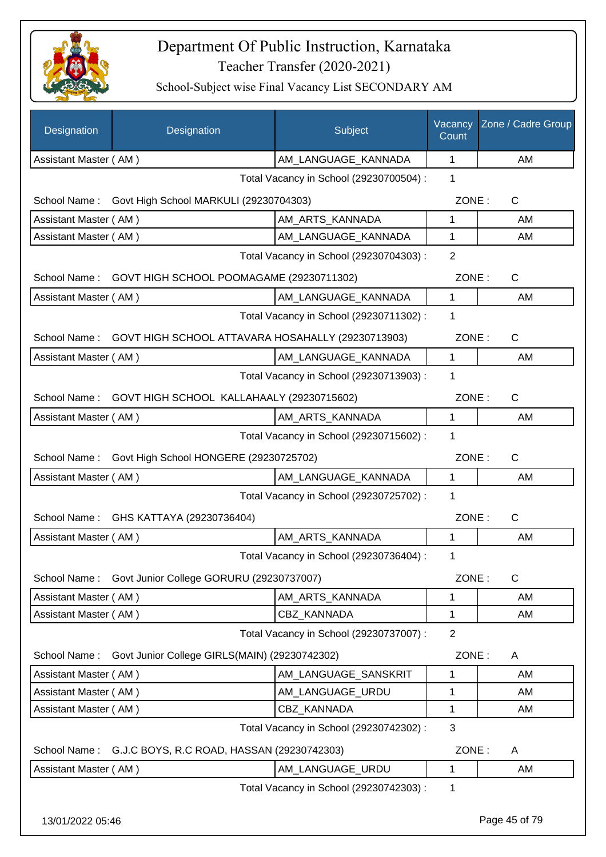

| Designation           | Designation                                                    | Subject                                 | Vacancy<br>Count | Zone / Cadre Group |
|-----------------------|----------------------------------------------------------------|-----------------------------------------|------------------|--------------------|
| Assistant Master (AM) |                                                                | AM LANGUAGE KANNADA                     | $\mathbf 1$      | AM                 |
|                       |                                                                | Total Vacancy in School (29230700504) : | 1                |                    |
| School Name:          | Govt High School MARKULI (29230704303)                         |                                         | ZONE:            | $\mathsf{C}$       |
| Assistant Master (AM) |                                                                | AM_ARTS_KANNADA                         | 1                | AM                 |
| Assistant Master (AM) |                                                                | AM_LANGUAGE_KANNADA                     | 1                | AM                 |
|                       |                                                                | Total Vacancy in School (29230704303) : | $\overline{2}$   |                    |
| School Name:          | GOVT HIGH SCHOOL POOMAGAME (29230711302)                       |                                         | ZONE:            | $\mathsf{C}$       |
| Assistant Master (AM) |                                                                | AM LANGUAGE_KANNADA                     | $\mathbf 1$      | AM                 |
|                       |                                                                | Total Vacancy in School (29230711302) : | 1                |                    |
|                       | School Name: GOVT HIGH SCHOOL ATTAVARA HOSAHALLY (29230713903) |                                         | ZONE:            | $\mathsf{C}$       |
| Assistant Master (AM) |                                                                | AM_LANGUAGE_KANNADA                     | 1                | AM                 |
|                       |                                                                | Total Vacancy in School (29230713903) : | 1                |                    |
| School Name:          | GOVT HIGH SCHOOL KALLAHAALY (29230715602)                      |                                         | ZONE:            | C                  |
| Assistant Master (AM) |                                                                | AM_ARTS_KANNADA                         | 1                | AM                 |
|                       |                                                                | Total Vacancy in School (29230715602) : | 1                |                    |
| School Name:          | Govt High School HONGERE (29230725702)                         |                                         | ZONE:            | $\mathsf{C}$       |
| Assistant Master (AM) |                                                                | AM_LANGUAGE_KANNADA                     | $\mathbf{1}$     | AM                 |
|                       |                                                                | Total Vacancy in School (29230725702) : | 1                |                    |
|                       | School Name: GHS KATTAYA (29230736404)                         |                                         | ZONE:            | $\mathsf{C}$       |
| Assistant Master (AM) |                                                                | AM_ARTS_KANNADA                         | 1                | AM                 |
|                       |                                                                | Total Vacancy in School (29230736404) : | 1                |                    |
| School Name:          | Govt Junior College GORURU (29230737007)                       |                                         | ZONE:            | $\mathsf{C}$       |
| Assistant Master (AM) |                                                                | AM_ARTS_KANNADA                         | 1                | AM                 |
| Assistant Master (AM) |                                                                | <b>CBZ KANNADA</b>                      | 1                | AM                 |
|                       |                                                                | Total Vacancy in School (29230737007) : | $\overline{2}$   |                    |
| School Name:          | Govt Junior College GIRLS(MAIN) (29230742302)                  |                                         | ZONE:            | A                  |
| Assistant Master (AM) |                                                                | AM LANGUAGE SANSKRIT                    | 1                | AM                 |
| Assistant Master (AM) |                                                                | AM_LANGUAGE_URDU                        | 1                | AM                 |
| Assistant Master (AM) |                                                                | CBZ_KANNADA                             | 1                | AM                 |
|                       |                                                                | Total Vacancy in School (29230742302) : | 3                |                    |
|                       | School Name: G.J.C BOYS, R.C ROAD, HASSAN (29230742303)        |                                         | ZONE:            | A                  |
| Assistant Master (AM) |                                                                | AM_LANGUAGE_URDU                        | 1                | AM                 |
|                       |                                                                | Total Vacancy in School (29230742303) : | 1                |                    |
| 13/01/2022 05:46      |                                                                |                                         |                  | Page 45 of 79      |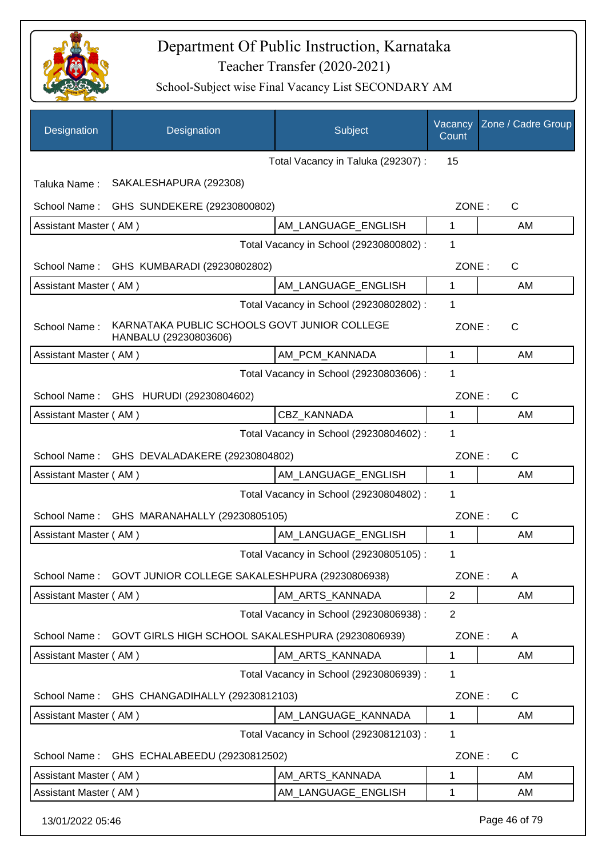

| Designation           | Designation                                                           | Subject                                 | Vacancy<br>Count | Zone / Cadre Group |
|-----------------------|-----------------------------------------------------------------------|-----------------------------------------|------------------|--------------------|
|                       |                                                                       | Total Vacancy in Taluka (292307):       | 15               |                    |
| Taluka Name:          | SAKALESHAPURA (292308)                                                |                                         |                  |                    |
| School Name:          | GHS SUNDEKERE (29230800802)                                           |                                         | ZONE:            | C                  |
| Assistant Master (AM) |                                                                       | AM_LANGUAGE_ENGLISH                     | 1                | AM                 |
|                       |                                                                       | Total Vacancy in School (29230800802) : | 1                |                    |
| School Name:          | GHS KUMBARADI (29230802802)                                           |                                         | ZONE:            | C                  |
| Assistant Master (AM) |                                                                       | AM_LANGUAGE_ENGLISH                     | 1                | AM                 |
|                       |                                                                       | Total Vacancy in School (29230802802) : | 1                |                    |
| School Name:          | KARNATAKA PUBLIC SCHOOLS GOVT JUNIOR COLLEGE<br>HANBALU (29230803606) |                                         | ZONE:            | C                  |
| Assistant Master (AM) |                                                                       | AM PCM KANNADA                          | 1                | AM                 |
|                       |                                                                       | Total Vacancy in School (29230803606) : | 1                |                    |
|                       | School Name: GHS HURUDI (29230804602)                                 |                                         | ZONE:            | C                  |
| Assistant Master (AM) |                                                                       | CBZ_KANNADA                             | 1                | AM                 |
|                       |                                                                       | Total Vacancy in School (29230804602) : | 1                |                    |
| School Name:          | GHS DEVALADAKERE (29230804802)                                        |                                         | ZONE:            | C                  |
| Assistant Master (AM) |                                                                       | AM_LANGUAGE_ENGLISH                     | 1                | AM                 |
|                       |                                                                       | Total Vacancy in School (29230804802) : | 1                |                    |
| School Name:          | GHS MARANAHALLY (29230805105)                                         |                                         | ZONE:            | C                  |
| Assistant Master (AM) |                                                                       | AM_LANGUAGE_ENGLISH                     | 1                | AM                 |
|                       |                                                                       | Total Vacancy in School (29230805105) : | 1                |                    |
| School Name:          | GOVT JUNIOR COLLEGE SAKALESHPURA (29230806938)                        |                                         | ZONE:            | A                  |
| Assistant Master (AM) |                                                                       | AM_ARTS_KANNADA                         | $\overline{2}$   | AM                 |
|                       |                                                                       | Total Vacancy in School (29230806938) : | $\overline{2}$   |                    |
| School Name:          | GOVT GIRLS HIGH SCHOOL SAKALESHPURA (29230806939)                     |                                         | ZONE:            | A                  |
| Assistant Master (AM) |                                                                       | AM_ARTS_KANNADA                         | 1                | AM                 |
|                       |                                                                       | Total Vacancy in School (29230806939) : | 1                |                    |
| School Name:          | GHS CHANGADIHALLY (29230812103)                                       |                                         | ZONE:            | $\mathsf{C}$       |
| Assistant Master (AM) |                                                                       | AM_LANGUAGE_KANNADA                     | 1                | AM                 |
|                       |                                                                       | Total Vacancy in School (29230812103) : | 1                |                    |
| School Name:          | GHS ECHALABEEDU (29230812502)                                         |                                         | ZONE:            | $\mathsf{C}$       |
| Assistant Master (AM) |                                                                       | AM_ARTS_KANNADA                         | 1                | AM                 |
| Assistant Master (AM) |                                                                       | AM_LANGUAGE_ENGLISH                     | 1                | AM                 |
| 13/01/2022 05:46      |                                                                       |                                         |                  | Page 46 of 79      |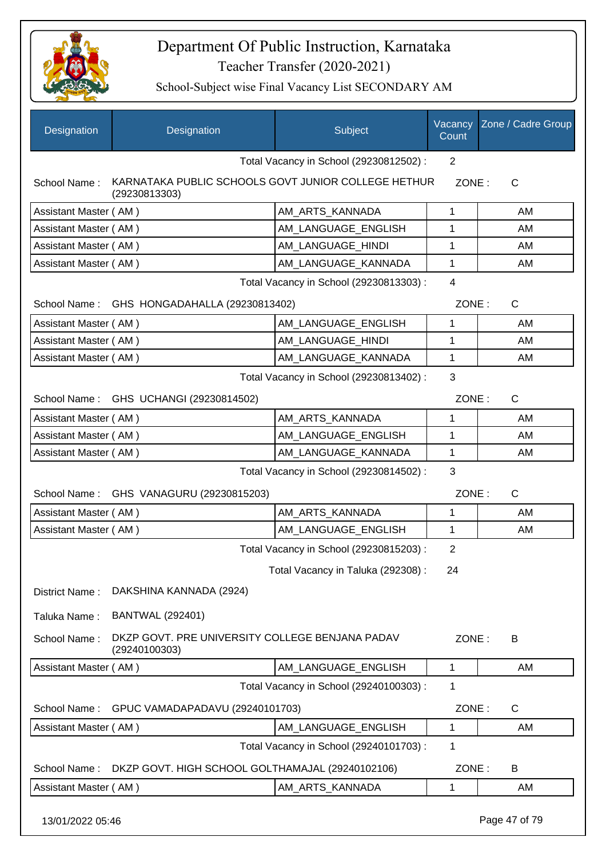

School-Subject wise Final Vacancy List SECONDARY AM

| Designation           | Designation                                                          | Subject                                 | Vacancy<br>Count | Zone / Cadre Group |
|-----------------------|----------------------------------------------------------------------|-----------------------------------------|------------------|--------------------|
|                       |                                                                      | Total Vacancy in School (29230812502) : | $\overline{2}$   |                    |
| School Name:          | KARNATAKA PUBLIC SCHOOLS GOVT JUNIOR COLLEGE HETHUR<br>(29230813303) |                                         | ZONE:            | $\mathsf{C}$       |
| Assistant Master (AM) |                                                                      | AM_ARTS_KANNADA                         | 1                | AM                 |
| Assistant Master (AM) |                                                                      | AM LANGUAGE ENGLISH                     | 1                | AM                 |
| Assistant Master (AM) |                                                                      | AM LANGUAGE HINDI                       | 1                | AM                 |
| Assistant Master (AM) |                                                                      | AM_LANGUAGE_KANNADA                     | 1                | AM                 |
|                       |                                                                      | Total Vacancy in School (29230813303) : | $\overline{4}$   |                    |
|                       | School Name: GHS HONGADAHALLA (29230813402)                          |                                         | ZONE:            | C                  |
| Assistant Master (AM) |                                                                      | AM_LANGUAGE_ENGLISH                     | 1                | AM                 |
| Assistant Master (AM) |                                                                      | AM LANGUAGE HINDI                       | $\mathbf 1$      | AM                 |
| Assistant Master (AM) |                                                                      | AM_LANGUAGE_KANNADA                     | 1                | AM                 |
|                       |                                                                      | Total Vacancy in School (29230813402) : | 3                |                    |
|                       | School Name: GHS UCHANGI (29230814502)                               |                                         | ZONE:            | $\mathsf{C}$       |
| Assistant Master (AM) |                                                                      | AM_ARTS_KANNADA                         | 1                | AM                 |
| Assistant Master (AM) |                                                                      | AM_LANGUAGE_ENGLISH                     | $\mathbf{1}$     | AM                 |
| Assistant Master (AM) |                                                                      | AM_LANGUAGE_KANNADA                     | 1                | AM                 |
|                       |                                                                      | Total Vacancy in School (29230814502) : | 3                |                    |
| School Name:          | GHS VANAGURU (29230815203)                                           |                                         | ZONE:            | C                  |
| Assistant Master (AM) |                                                                      | AM_ARTS_KANNADA                         | 1                | AM                 |
| Assistant Master (AM) |                                                                      | AM_LANGUAGE_ENGLISH                     | $\mathbf{1}$     | AM                 |
|                       |                                                                      | Total Vacancy in School (29230815203) : | 2                |                    |
|                       |                                                                      | Total Vacancy in Taluka (292308):       | 24               |                    |
| District Name:        | DAKSHINA KANNADA (2924)                                              |                                         |                  |                    |
| Taluka Name:          | <b>BANTWAL (292401)</b>                                              |                                         |                  |                    |
| School Name:          | DKZP GOVT. PRE UNIVERSITY COLLEGE BENJANA PADAV<br>(29240100303)     |                                         | ZONE:            | B                  |
| Assistant Master (AM) |                                                                      | AM LANGUAGE ENGLISH                     | $\mathbf 1$      | AM                 |
|                       |                                                                      | Total Vacancy in School (29240100303) : | 1                |                    |
| School Name:          | GPUC VAMADAPADAVU (29240101703)                                      |                                         | ZONE:            | C                  |
| Assistant Master (AM) |                                                                      | AM_LANGUAGE_ENGLISH                     | 1                | AM                 |
|                       |                                                                      | Total Vacancy in School (29240101703) : | 1                |                    |
| School Name:          | DKZP GOVT. HIGH SCHOOL GOLTHAMAJAL (29240102106)                     |                                         | ZONE:            | B                  |
| Assistant Master (AM) |                                                                      | AM_ARTS_KANNADA                         | 1                | AM                 |

13/01/2022 05:46 Page 47 of 79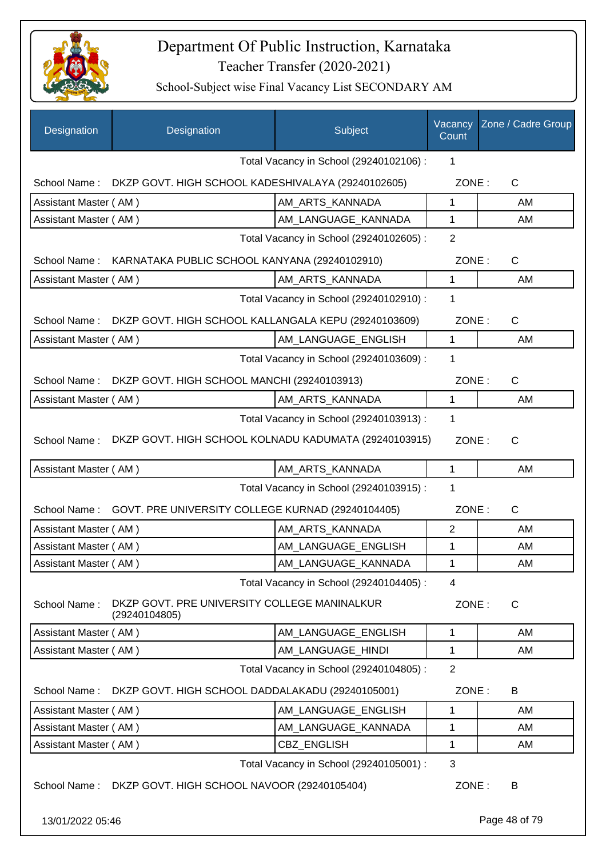

| Designation           | Designation                                                   | Subject                                 | Vacancy<br>Count | Zone / Cadre Group |
|-----------------------|---------------------------------------------------------------|-----------------------------------------|------------------|--------------------|
|                       |                                                               | Total Vacancy in School (29240102106) : | 1                |                    |
| School Name:          | DKZP GOVT. HIGH SCHOOL KADESHIVALAYA (29240102605)            |                                         | ZONE:            | $\mathsf{C}$       |
| Assistant Master (AM) |                                                               | AM ARTS KANNADA                         | 1                | AM                 |
| Assistant Master (AM) |                                                               | AM LANGUAGE KANNADA                     | $\mathbf{1}$     | AM                 |
|                       |                                                               | Total Vacancy in School (29240102605) : | $\overline{2}$   |                    |
|                       | School Name: KARNATAKA PUBLIC SCHOOL KANYANA (29240102910)    |                                         | ZONE:            | C                  |
| Assistant Master (AM) |                                                               | AM_ARTS_KANNADA                         | 1                | AM                 |
|                       |                                                               | Total Vacancy in School (29240102910) : | 1                |                    |
| School Name:          | DKZP GOVT. HIGH SCHOOL KALLANGALA KEPU (29240103609)          |                                         | ZONE:            | $\mathsf{C}$       |
| Assistant Master (AM) |                                                               | AM_LANGUAGE_ENGLISH                     | 1                | AM                 |
|                       |                                                               | Total Vacancy in School (29240103609) : | 1                |                    |
| School Name:          | DKZP GOVT. HIGH SCHOOL MANCHI (29240103913)                   |                                         | ZONE:            | $\mathsf{C}$       |
| Assistant Master (AM) |                                                               | AM_ARTS_KANNADA                         | 1                | AM                 |
|                       |                                                               | Total Vacancy in School (29240103913) : | 1                |                    |
| School Name:          | DKZP GOVT. HIGH SCHOOL KOLNADU KADUMATA (29240103915)         |                                         | ZONE:            | C                  |
| Assistant Master (AM) |                                                               | AM_ARTS_KANNADA                         | $\mathbf{1}$     | AM                 |
|                       |                                                               | Total Vacancy in School (29240103915) : | 1                |                    |
| School Name:          | GOVT. PRE UNIVERSITY COLLEGE KURNAD (29240104405)             |                                         | ZONE:            | $\mathsf{C}$       |
| Assistant Master (AM) |                                                               | AM_ARTS_KANNADA                         | $\overline{2}$   | AM                 |
| Assistant Master (AM) |                                                               | AM_LANGUAGE_ENGLISH                     | 1                | AM                 |
| Assistant Master (AM) |                                                               | AM_LANGUAGE_KANNADA                     | 1                | AM                 |
|                       |                                                               | Total Vacancy in School (29240104405) : | 4                |                    |
| School Name:          | DKZP GOVT. PRE UNIVERSITY COLLEGE MANINALKUR<br>(29240104805) |                                         | ZONE:            | C                  |
| Assistant Master (AM) |                                                               | AM_LANGUAGE_ENGLISH                     | 1                | AM                 |
| Assistant Master (AM) |                                                               | AM LANGUAGE HINDI                       | 1                | AM                 |
|                       |                                                               | Total Vacancy in School (29240104805) : | $\overline{2}$   |                    |
| School Name:          | DKZP GOVT. HIGH SCHOOL DADDALAKADU (29240105001)              |                                         | ZONE:            | B                  |
| Assistant Master (AM) |                                                               | AM LANGUAGE ENGLISH                     | 1                | AM                 |
| Assistant Master (AM) |                                                               | AM_LANGUAGE_KANNADA                     | 1                | AM                 |
| Assistant Master (AM) |                                                               | CBZ_ENGLISH                             | 1                | AM                 |
|                       |                                                               | Total Vacancy in School (29240105001) : | 3                |                    |
|                       | School Name: DKZP GOVT. HIGH SCHOOL NAVOOR (29240105404)      |                                         | ZONE:            | B                  |
| 13/01/2022 05:46      |                                                               |                                         |                  | Page 48 of 79      |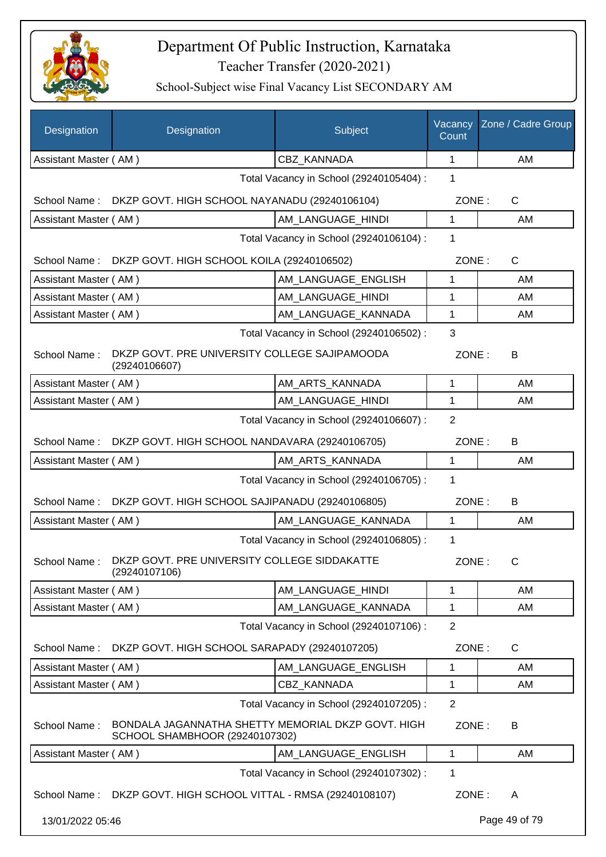

| Designation                             | Designation                                                                          | Subject                                 | Vacancy<br>Count | Zone / Cadre Group |  |
|-----------------------------------------|--------------------------------------------------------------------------------------|-----------------------------------------|------------------|--------------------|--|
| Assistant Master (AM)                   |                                                                                      | <b>CBZ KANNADA</b>                      | 1                | AM                 |  |
|                                         |                                                                                      | Total Vacancy in School (29240105404) : | 1                |                    |  |
| School Name:                            | DKZP GOVT. HIGH SCHOOL NAYANADU (29240106104)                                        |                                         | ZONE:            | C                  |  |
| Assistant Master (AM)                   |                                                                                      | AM LANGUAGE HINDI                       | $\mathbf 1$      | AM                 |  |
|                                         |                                                                                      | Total Vacancy in School (29240106104) : | 1                |                    |  |
| School Name:                            | DKZP GOVT. HIGH SCHOOL KOILA (29240106502)                                           |                                         | ZONE:            | C                  |  |
| Assistant Master (AM)                   |                                                                                      | AM LANGUAGE ENGLISH                     | 1                | AM                 |  |
| Assistant Master (AM)                   |                                                                                      | AM LANGUAGE_HINDI                       | 1                | AM                 |  |
| Assistant Master (AM)                   |                                                                                      | AM_LANGUAGE_KANNADA                     | 1                | AM                 |  |
|                                         |                                                                                      | Total Vacancy in School (29240106502) : | 3                |                    |  |
| School Name:                            | DKZP GOVT. PRE UNIVERSITY COLLEGE SAJIPAMOODA<br>(29240106607)                       |                                         | ZONE:            | В                  |  |
| Assistant Master (AM)                   |                                                                                      | AM_ARTS_KANNADA                         | 1                | AM                 |  |
| Assistant Master (AM)                   |                                                                                      | AM_LANGUAGE_HINDI                       | 1                | AM                 |  |
|                                         | Total Vacancy in School (29240106607) :                                              |                                         |                  |                    |  |
| School Name:                            | DKZP GOVT. HIGH SCHOOL NANDAVARA (29240106705)                                       |                                         | ZONE:            | B                  |  |
| Assistant Master (AM)                   |                                                                                      | AM_ARTS_KANNADA                         | $\mathbf 1$      | AM                 |  |
| Total Vacancy in School (29240106705) : |                                                                                      |                                         |                  |                    |  |
| School Name:                            | DKZP GOVT. HIGH SCHOOL SAJIPANADU (29240106805)                                      |                                         | ZONE:            | B                  |  |
| Assistant Master (AM)                   |                                                                                      | AM LANGUAGE KANNADA                     | $\mathbf{1}$     | AM                 |  |
|                                         |                                                                                      | Total Vacancy in School (29240106805) : | 1                |                    |  |
|                                         | School Name: DKZP GOVT. PRE UNIVERSITY COLLEGE SIDDAKATTE<br>(29240107106)           |                                         |                  | ZONE:<br>C         |  |
| Assistant Master (AM)                   |                                                                                      | AM LANGUAGE HINDI                       | 1                | AM                 |  |
| Assistant Master (AM)                   |                                                                                      | AM_LANGUAGE_KANNADA                     | 1                | AM                 |  |
|                                         |                                                                                      | Total Vacancy in School (29240107106) : | $\overline{2}$   |                    |  |
| School Name:                            | DKZP GOVT. HIGH SCHOOL SARAPADY (29240107205)                                        |                                         | ZONE:            | $\mathsf{C}$       |  |
| Assistant Master (AM)                   |                                                                                      | AM_LANGUAGE_ENGLISH                     | 1                | AM                 |  |
| Assistant Master (AM)                   |                                                                                      | <b>CBZ KANNADA</b>                      | 1                | AM                 |  |
|                                         |                                                                                      | Total Vacancy in School (29240107205) : | $\overline{2}$   |                    |  |
| School Name:                            | BONDALA JAGANNATHA SHETTY MEMORIAL DKZP GOVT. HIGH<br>SCHOOL SHAMBHOOR (29240107302) |                                         | ZONE:            | B                  |  |
| Assistant Master (AM)                   |                                                                                      | AM_LANGUAGE_ENGLISH                     | $\mathbf{1}$     | AM                 |  |
|                                         |                                                                                      | Total Vacancy in School (29240107302) : | 1                |                    |  |
|                                         | School Name: DKZP GOVT. HIGH SCHOOL VITTAL - RMSA (29240108107)                      |                                         | ZONE:            | A                  |  |
| 13/01/2022 05:46                        |                                                                                      |                                         |                  | Page 49 of 79      |  |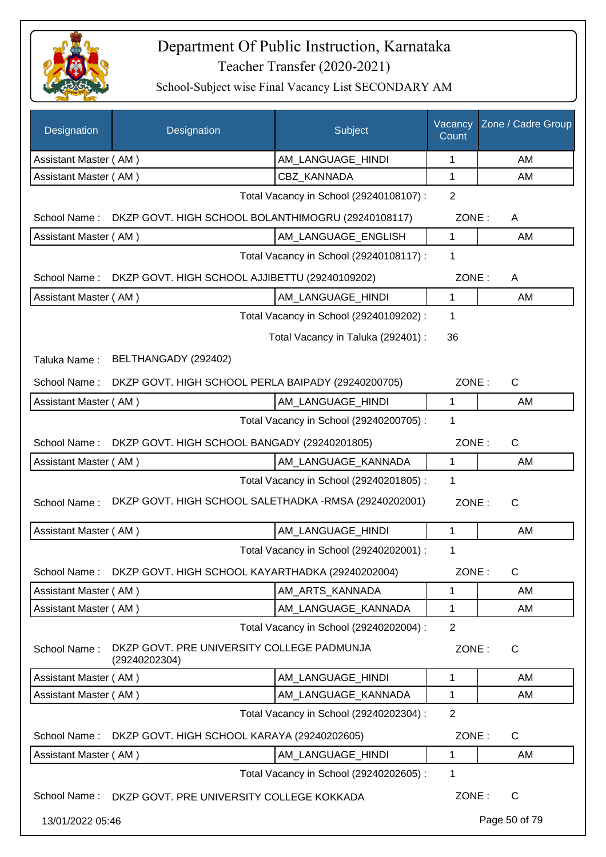

| Designation                             | Designation                                                 | Subject                                 | Vacancy<br>Count | Zone / Cadre Group |
|-----------------------------------------|-------------------------------------------------------------|-----------------------------------------|------------------|--------------------|
| Assistant Master (AM)                   |                                                             | AM_LANGUAGE_HINDI                       | 1                | AM                 |
| Assistant Master (AM)                   |                                                             | CBZ_KANNADA                             | 1                | AM                 |
|                                         |                                                             | Total Vacancy in School (29240108107) : | $\overline{2}$   |                    |
| School Name:                            | DKZP GOVT. HIGH SCHOOL BOLANTHIMOGRU (29240108117)          |                                         | ZONE:            | A                  |
| Assistant Master (AM)                   |                                                             | AM LANGUAGE ENGLISH                     | 1                | AM                 |
| Total Vacancy in School (29240108117) : |                                                             |                                         | 1                |                    |
| School Name:                            | DKZP GOVT. HIGH SCHOOL AJJIBETTU (29240109202)              |                                         | ZONE:            | A                  |
| Assistant Master (AM)                   |                                                             | AM_LANGUAGE_HINDI                       | 1                | AM                 |
|                                         |                                                             | Total Vacancy in School (29240109202) : | 1                |                    |
|                                         |                                                             | Total Vacancy in Taluka (292401) :      | 36               |                    |
| Taluka Name:                            | BELTHANGADY (292402)                                        |                                         |                  |                    |
| School Name:                            | DKZP GOVT. HIGH SCHOOL PERLA BAIPADY (29240200705)          |                                         | ZONE:            | $\mathsf{C}$       |
| Assistant Master (AM)                   |                                                             | AM_LANGUAGE_HINDI                       | 1                | AM                 |
|                                         |                                                             | Total Vacancy in School (29240200705) : | 1                |                    |
| School Name:                            | DKZP GOVT. HIGH SCHOOL BANGADY (29240201805)                |                                         | ZONE:            | $\mathsf{C}$       |
| Assistant Master (AM)                   |                                                             | AM_LANGUAGE_KANNADA                     | 1                | AM                 |
|                                         |                                                             | Total Vacancy in School (29240201805) : | 1                |                    |
| School Name:                            | DKZP GOVT. HIGH SCHOOL SALETHADKA -RMSA (29240202001)       |                                         | ZONE:            | $\mathsf{C}$       |
| Assistant Master (AM)                   |                                                             | AM LANGUAGE HINDI                       | 1                | AM                 |
|                                         |                                                             | Total Vacancy in School (29240202001) : | 1                |                    |
| School Name:                            | DKZP GOVT. HIGH SCHOOL KAYARTHADKA (29240202004)            |                                         | ZONE:            | $\mathsf C$        |
| Assistant Master (AM)                   |                                                             | AM_ARTS_KANNADA                         | 1                | AM                 |
| Assistant Master (AM)                   |                                                             | AM LANGUAGE KANNADA                     | 1                | AM                 |
|                                         |                                                             | Total Vacancy in School (29240202004) : | $\overline{2}$   |                    |
| School Name:                            | DKZP GOVT. PRE UNIVERSITY COLLEGE PADMUNJA<br>(29240202304) |                                         | ZONE:            | C                  |
| Assistant Master (AM)                   |                                                             | AM LANGUAGE HINDI                       | 1                | AM                 |
| Assistant Master (AM)                   |                                                             | AM_LANGUAGE_KANNADA                     | 1                | AM                 |
|                                         |                                                             | Total Vacancy in School (29240202304) : | $\overline{2}$   |                    |
| School Name:                            | DKZP GOVT. HIGH SCHOOL KARAYA (29240202605)                 |                                         | ZONE:            | $\mathsf{C}$       |
| Assistant Master (AM)                   |                                                             | AM_LANGUAGE_HINDI                       | 1                | AM                 |
|                                         |                                                             | Total Vacancy in School (29240202605) : | $\mathbf 1$      |                    |
| School Name:                            | DKZP GOVT. PRE UNIVERSITY COLLEGE KOKKADA                   |                                         | ZONE:            | $\mathsf{C}$       |
| 13/01/2022 05:46                        |                                                             |                                         |                  | Page 50 of 79      |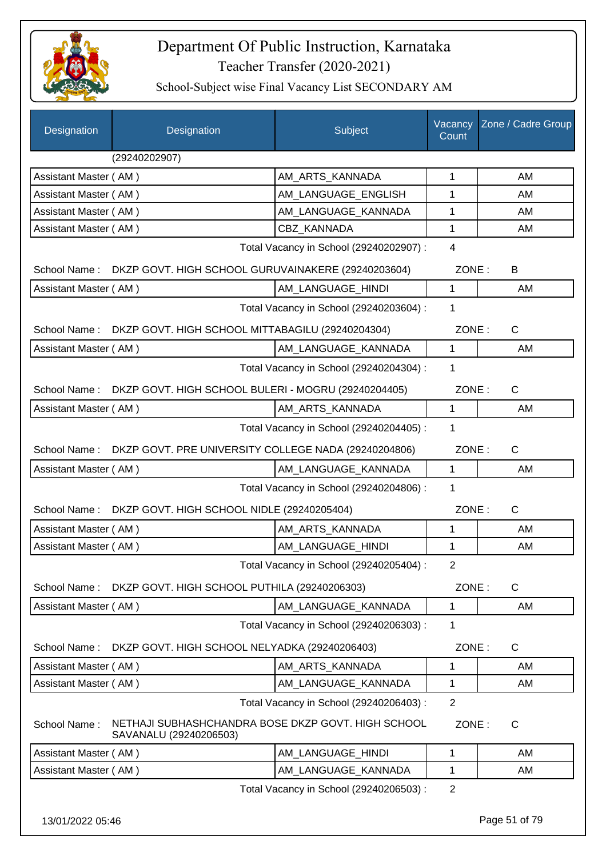

| Designation           | Designation                                                                  | Subject                                 | Vacancy<br>Count | Zone / Cadre Group |
|-----------------------|------------------------------------------------------------------------------|-----------------------------------------|------------------|--------------------|
|                       | (29240202907)                                                                |                                         |                  |                    |
| Assistant Master (AM) |                                                                              | AM_ARTS_KANNADA                         | 1                | AM                 |
| Assistant Master (AM) |                                                                              | AM LANGUAGE ENGLISH                     | 1                | AM                 |
| Assistant Master (AM) |                                                                              | AM_LANGUAGE_KANNADA                     | 1                | AM                 |
| Assistant Master (AM) |                                                                              | CBZ_KANNADA                             | 1                | AM                 |
|                       |                                                                              | Total Vacancy in School (29240202907) : | 4                |                    |
| School Name:          | DKZP GOVT. HIGH SCHOOL GURUVAINAKERE (29240203604)                           |                                         | ZONE:            | B                  |
| Assistant Master (AM) |                                                                              | AM_LANGUAGE_HINDI                       | $\mathbf{1}$     | AM                 |
|                       |                                                                              | Total Vacancy in School (29240203604) : | 1                |                    |
| School Name:          | DKZP GOVT. HIGH SCHOOL MITTABAGILU (29240204304)                             |                                         | ZONE:            | $\mathsf{C}$       |
| Assistant Master (AM) |                                                                              | AM_LANGUAGE_KANNADA                     | $\mathbf{1}$     | AM                 |
|                       |                                                                              | Total Vacancy in School (29240204304) : | 1                |                    |
| School Name:          | DKZP GOVT. HIGH SCHOOL BULERI - MOGRU (29240204405)                          |                                         | ZONE:            | $\mathsf{C}$       |
| Assistant Master (AM) |                                                                              | AM_ARTS_KANNADA                         | 1                | AM                 |
|                       |                                                                              | Total Vacancy in School (29240204405) : | 1                |                    |
| School Name:          | DKZP GOVT. PRE UNIVERSITY COLLEGE NADA (29240204806)                         |                                         | ZONE:            | C                  |
| Assistant Master (AM) |                                                                              | AM_LANGUAGE_KANNADA                     | $\mathbf{1}$     | AM                 |
|                       |                                                                              | Total Vacancy in School (29240204806) : | 1                |                    |
| School Name:          | DKZP GOVT. HIGH SCHOOL NIDLE (29240205404)                                   |                                         | ZONE:            | $\mathsf{C}$       |
| Assistant Master (AM) |                                                                              | AM_ARTS_KANNADA                         | 1                | AM                 |
| Assistant Master (AM) |                                                                              | AM_LANGUAGE_HINDI                       | 1                | AM                 |
|                       |                                                                              | Total Vacancy in School (29240205404) : | 2                |                    |
| School Name:          | DKZP GOVT. HIGH SCHOOL PUTHILA (29240206303)                                 |                                         | ZONE:            | C                  |
| Assistant Master (AM) |                                                                              | AM_LANGUAGE_KANNADA                     | 1                | AM                 |
|                       |                                                                              | Total Vacancy in School (29240206303) : | 1                |                    |
| School Name:          | DKZP GOVT. HIGH SCHOOL NELYADKA (29240206403)                                |                                         | ZONE:            | C                  |
| Assistant Master (AM) |                                                                              | AM ARTS KANNADA                         | 1                | AM                 |
| Assistant Master (AM) |                                                                              | AM LANGUAGE KANNADA                     | 1                | AM                 |
|                       |                                                                              | Total Vacancy in School (29240206403) : | $\overline{2}$   |                    |
| School Name:          | NETHAJI SUBHASHCHANDRA BOSE DKZP GOVT. HIGH SCHOOL<br>SAVANALU (29240206503) |                                         | ZONE:            | C                  |
| Assistant Master (AM) |                                                                              | AM_LANGUAGE_HINDI                       | $\mathbf 1$      | AM                 |
| Assistant Master (AM) |                                                                              | AM_LANGUAGE_KANNADA                     | 1                | AM                 |
|                       |                                                                              | Total Vacancy in School (29240206503) : | $\overline{2}$   |                    |
| 13/01/2022 05:46      |                                                                              |                                         |                  | Page 51 of 79      |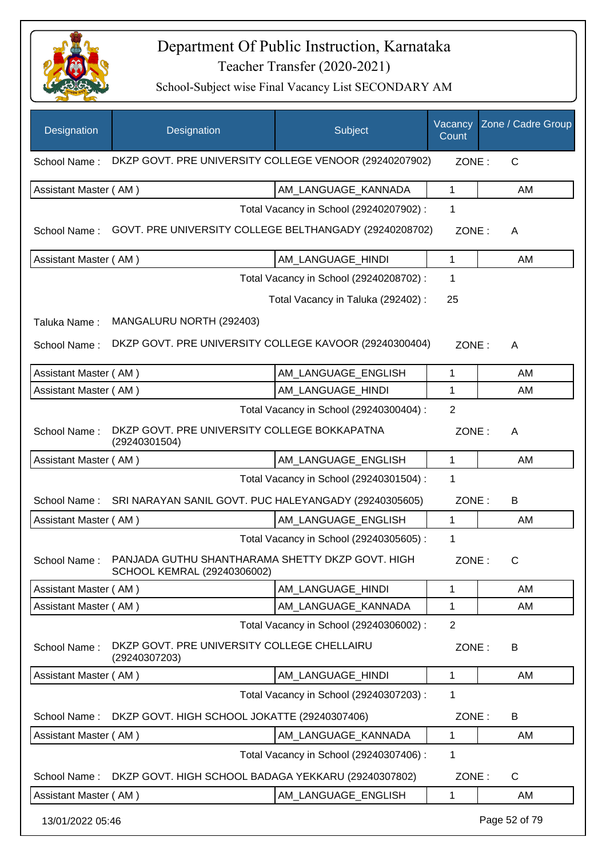

| Designation           | Designation                                                                                  | Subject                                 | Vacancy<br>Count | Zone / Cadre Group |
|-----------------------|----------------------------------------------------------------------------------------------|-----------------------------------------|------------------|--------------------|
| School Name:          | DKZP GOVT. PRE UNIVERSITY COLLEGE VENOOR (29240207902)                                       |                                         | ZONE:            | $\mathsf{C}$       |
| Assistant Master (AM) |                                                                                              | AM_LANGUAGE_KANNADA                     | 1                | AM                 |
|                       |                                                                                              | Total Vacancy in School (29240207902) : | 1                |                    |
| School Name:          | GOVT. PRE UNIVERSITY COLLEGE BELTHANGADY (29240208702)                                       |                                         | ZONE:            | A                  |
| Assistant Master (AM) |                                                                                              | AM_LANGUAGE_HINDI                       | 1                | AM                 |
|                       |                                                                                              | Total Vacancy in School (29240208702) : | 1                |                    |
|                       |                                                                                              | Total Vacancy in Taluka (292402) :      | 25               |                    |
| Taluka Name:          | MANGALURU NORTH (292403)                                                                     |                                         |                  |                    |
| School Name:          | DKZP GOVT. PRE UNIVERSITY COLLEGE KAVOOR (29240300404)                                       |                                         | ZONE:            | A                  |
| Assistant Master (AM) |                                                                                              | AM_LANGUAGE_ENGLISH                     | $\mathbf{1}$     | AM                 |
| Assistant Master (AM) |                                                                                              | AM_LANGUAGE_HINDI                       | 1                | AM                 |
|                       |                                                                                              | Total Vacancy in School (29240300404) : | $\overline{2}$   |                    |
| School Name:          | DKZP GOVT. PRE UNIVERSITY COLLEGE BOKKAPATNA<br>(29240301504)                                |                                         | ZONE:            | A                  |
| Assistant Master (AM) |                                                                                              | AM LANGUAGE ENGLISH                     | 1                | AM                 |
|                       |                                                                                              | Total Vacancy in School (29240301504) : | 1                |                    |
| School Name:          | SRI NARAYAN SANIL GOVT. PUC HALEYANGADY (29240305605)                                        |                                         | ZONE:            | B                  |
| Assistant Master (AM) |                                                                                              | AM_LANGUAGE_ENGLISH                     | $\mathbf{1}$     | AM                 |
|                       |                                                                                              | Total Vacancy in School (29240305605) : | 1                |                    |
|                       | School Name: PANJADA GUTHU SHANTHARAMA SHETTY DKZP GOVT. HIGH<br>SCHOOL KEMRAL (29240306002) |                                         | ZONE:            | C                  |
| Assistant Master (AM) |                                                                                              | AM LANGUAGE HINDI                       | 1                | AM                 |
| Assistant Master (AM) |                                                                                              | AM LANGUAGE KANNADA                     | 1                | AM                 |
|                       |                                                                                              | Total Vacancy in School (29240306002) : | $\overline{2}$   |                    |
| School Name:          | DKZP GOVT. PRE UNIVERSITY COLLEGE CHELLAIRU<br>(29240307203)                                 |                                         | ZONE:            | B                  |
| Assistant Master (AM) |                                                                                              | AM_LANGUAGE_HINDI                       | 1                | AM                 |
|                       |                                                                                              | Total Vacancy in School (29240307203) : | 1                |                    |
| School Name:          | DKZP GOVT. HIGH SCHOOL JOKATTE (29240307406)                                                 |                                         | ZONE:            | В                  |
| Assistant Master (AM) |                                                                                              | AM_LANGUAGE_KANNADA                     | 1                | AM                 |
|                       |                                                                                              | Total Vacancy in School (29240307406) : | 1                |                    |
| School Name:          | DKZP GOVT. HIGH SCHOOL BADAGA YEKKARU (29240307802)                                          |                                         | ZONE:            | C                  |
| Assistant Master (AM) |                                                                                              | AM_LANGUAGE_ENGLISH                     | 1                | AM                 |
| 13/01/2022 05:46      |                                                                                              |                                         |                  | Page 52 of 79      |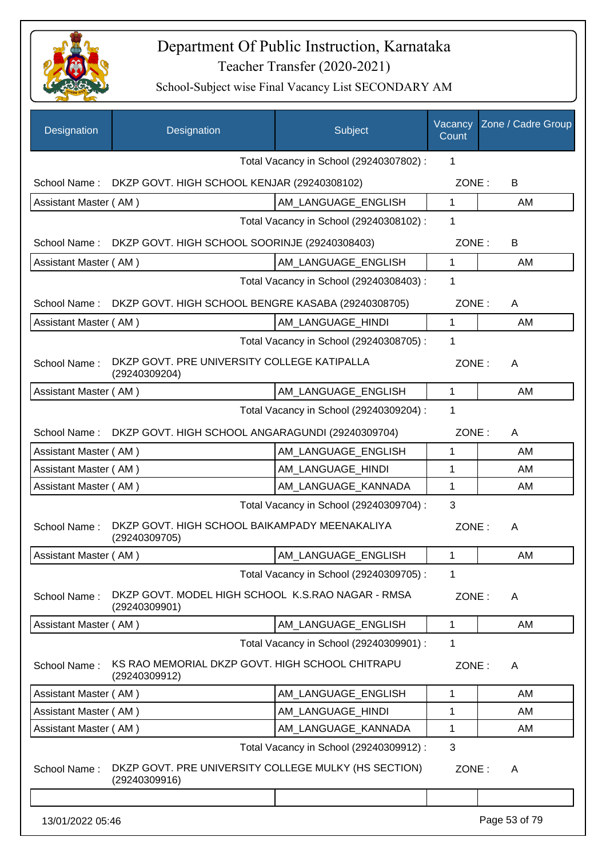

| Designation           | Designation                                                           | Subject                                 | Vacancy<br>Count | Zone / Cadre Group |
|-----------------------|-----------------------------------------------------------------------|-----------------------------------------|------------------|--------------------|
|                       |                                                                       | Total Vacancy in School (29240307802) : | 1                |                    |
| School Name:          | DKZP GOVT. HIGH SCHOOL KENJAR (29240308102)                           |                                         | ZONE:            | B                  |
| Assistant Master (AM) |                                                                       | AM_LANGUAGE_ENGLISH                     | $\mathbf{1}$     | AM                 |
|                       |                                                                       | Total Vacancy in School (29240308102) : | 1                |                    |
| School Name:          | DKZP GOVT. HIGH SCHOOL SOORINJE (29240308403)                         |                                         | ZONE:            | B                  |
| Assistant Master (AM) |                                                                       | AM LANGUAGE_ENGLISH                     | $\mathbf{1}$     | AM                 |
|                       |                                                                       | Total Vacancy in School (29240308403) : | 1                |                    |
| School Name:          | DKZP GOVT. HIGH SCHOOL BENGRE KASABA (29240308705)                    |                                         | ZONE:            | A                  |
| Assistant Master (AM) |                                                                       | AM_LANGUAGE_HINDI                       | 1                | AM                 |
|                       |                                                                       | Total Vacancy in School (29240308705) : | 1                |                    |
| School Name:          | DKZP GOVT. PRE UNIVERSITY COLLEGE KATIPALLA<br>(29240309204)          |                                         | ZONE:            | A                  |
| Assistant Master (AM) |                                                                       | AM_LANGUAGE_ENGLISH                     | $\mathbf{1}$     | AM                 |
|                       |                                                                       | Total Vacancy in School (29240309204) : | 1                |                    |
| School Name:          | DKZP GOVT. HIGH SCHOOL ANGARAGUNDI (29240309704)                      |                                         | ZONE:            | A                  |
| Assistant Master (AM) |                                                                       | AM LANGUAGE ENGLISH                     | 1                | AM                 |
| Assistant Master (AM) |                                                                       | AM_LANGUAGE_HINDI                       | 1                | AM                 |
| Assistant Master (AM) |                                                                       | AM_LANGUAGE_KANNADA                     | 1                | AM                 |
|                       |                                                                       | Total Vacancy in School (29240309704) : | 3                |                    |
| School Name:          | DKZP GOVT. HIGH SCHOOL BAIKAMPADY MEENAKALIYA<br>(29240309705)        |                                         | ZONE:            | A                  |
| Assistant Master (AM) |                                                                       | AM LANGUAGE ENGLISH                     | $\mathbf{1}$     | AM                 |
|                       |                                                                       | Total Vacancy in School (29240309705) : | 1                |                    |
| School Name:          | DKZP GOVT. MODEL HIGH SCHOOL K.S.RAO NAGAR - RMSA<br>(29240309901)    |                                         | ZONE:            | A                  |
| Assistant Master (AM) |                                                                       | AM LANGUAGE ENGLISH                     | 1                | AM                 |
|                       |                                                                       | Total Vacancy in School (29240309901) : | 1                |                    |
| School Name:          | KS RAO MEMORIAL DKZP GOVT. HIGH SCHOOL CHITRAPU<br>(29240309912)      |                                         | ZONE:            | A                  |
| Assistant Master (AM) |                                                                       | AM LANGUAGE ENGLISH                     | 1                | AM                 |
| Assistant Master (AM) |                                                                       | AM LANGUAGE HINDI                       | 1                | AM                 |
| Assistant Master (AM) |                                                                       | AM_LANGUAGE_KANNADA                     | 1                | AM                 |
|                       |                                                                       | Total Vacancy in School (29240309912) : | 3                |                    |
| School Name:          | DKZP GOVT. PRE UNIVERSITY COLLEGE MULKY (HS SECTION)<br>(29240309916) |                                         | ZONE:            | A                  |
|                       |                                                                       |                                         |                  |                    |
| 13/01/2022 05:46      |                                                                       |                                         |                  | Page 53 of 79      |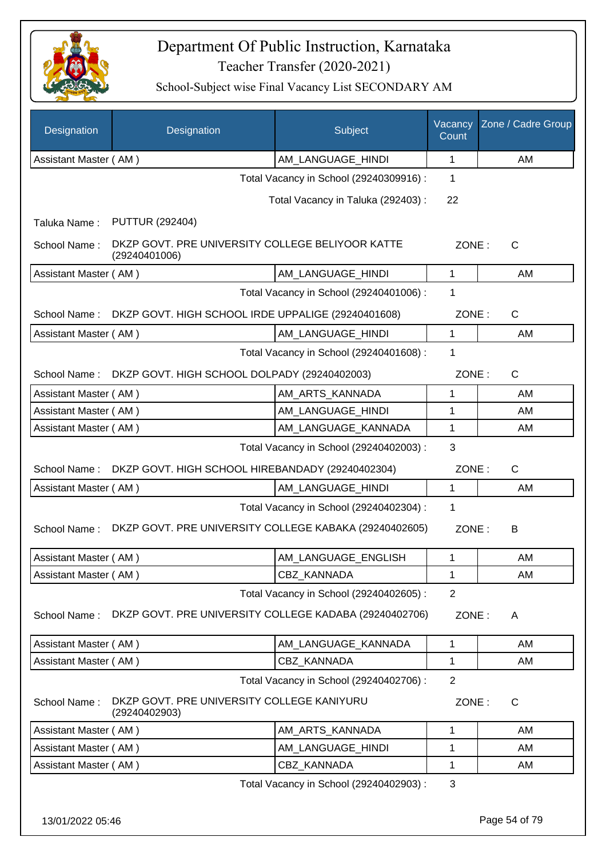

| Designation                                             | Designation                                                       | Subject                                 | Vacancy<br>Count | Zone / Cadre Group |
|---------------------------------------------------------|-------------------------------------------------------------------|-----------------------------------------|------------------|--------------------|
| Assistant Master (AM)                                   |                                                                   | AM_LANGUAGE_HINDI                       | 1                | AM                 |
|                                                         |                                                                   | Total Vacancy in School (29240309916) : | 1                |                    |
|                                                         |                                                                   | Total Vacancy in Taluka (292403) :      | 22               |                    |
| Taluka Name:                                            | <b>PUTTUR (292404)</b>                                            |                                         |                  |                    |
| School Name:                                            | DKZP GOVT. PRE UNIVERSITY COLLEGE BELIYOOR KATTE<br>(29240401006) |                                         | ZONE:            | $\mathsf{C}$       |
| Assistant Master (AM)                                   |                                                                   | AM_LANGUAGE_HINDI                       | $\mathbf{1}$     | AM                 |
|                                                         |                                                                   | Total Vacancy in School (29240401006) : | 1                |                    |
| School Name:                                            | DKZP GOVT. HIGH SCHOOL IRDE UPPALIGE (29240401608)                |                                         | ZONE:            | C                  |
| Assistant Master (AM)                                   |                                                                   | AM_LANGUAGE_HINDI                       | 1                | AM                 |
|                                                         |                                                                   | Total Vacancy in School (29240401608) : | 1                |                    |
| School Name:                                            | DKZP GOVT. HIGH SCHOOL DOLPADY (29240402003)                      |                                         | ZONE:            | $\mathsf{C}$       |
| Assistant Master (AM)                                   |                                                                   | AM ARTS KANNADA                         | 1                | AM                 |
| Assistant Master (AM)                                   |                                                                   | AM_LANGUAGE_HINDI                       | 1                | AM                 |
| Assistant Master (AM)                                   |                                                                   | AM_LANGUAGE_KANNADA                     | 1                | AM                 |
| Total Vacancy in School (29240402003) :                 |                                                                   |                                         |                  |                    |
| School Name:                                            | DKZP GOVT. HIGH SCHOOL HIREBANDADY (29240402304)                  |                                         | ZONE:            | $\mathsf{C}$       |
| Assistant Master (AM)                                   |                                                                   | AM_LANGUAGE_HINDI                       | 1                | AM                 |
|                                                         |                                                                   | Total Vacancy in School (29240402304) : | 1                |                    |
| School Name:                                            | DKZP GOVT. PRE UNIVERSITY COLLEGE KABAKA (29240402605)            |                                         | ZONE:            | B                  |
| Assistant Master (AM)                                   |                                                                   | AM LANGUAGE ENGLISH                     | 1                | AM                 |
| Assistant Master (AM)                                   |                                                                   | CBZ_KANNADA                             | 1                | AM                 |
|                                                         |                                                                   | Total Vacancy in School (29240402605) : | $\overline{2}$   |                    |
| School Name:                                            | DKZP GOVT. PRE UNIVERSITY COLLEGE KADABA (29240402706)            |                                         | ZONE:            | A                  |
| Assistant Master (AM)                                   |                                                                   | AM_LANGUAGE_KANNADA                     | 1                | AM                 |
| Assistant Master (AM)                                   |                                                                   | <b>CBZ KANNADA</b>                      | 1                | AM                 |
|                                                         |                                                                   | Total Vacancy in School (29240402706) : | $\overline{2}$   |                    |
| School Name:                                            | DKZP GOVT. PRE UNIVERSITY COLLEGE KANIYURU<br>(29240402903)       |                                         | ZONE:            | C                  |
| Assistant Master (AM)                                   |                                                                   | AM_ARTS_KANNADA                         | 1                | AM                 |
| Assistant Master (AM)                                   |                                                                   | AM_LANGUAGE_HINDI                       | 1                | AM                 |
| Assistant Master (AM)                                   |                                                                   | CBZ_KANNADA                             | 1                | AM                 |
| $\mathbf{3}$<br>Total Vacancy in School (29240402903) : |                                                                   |                                         |                  |                    |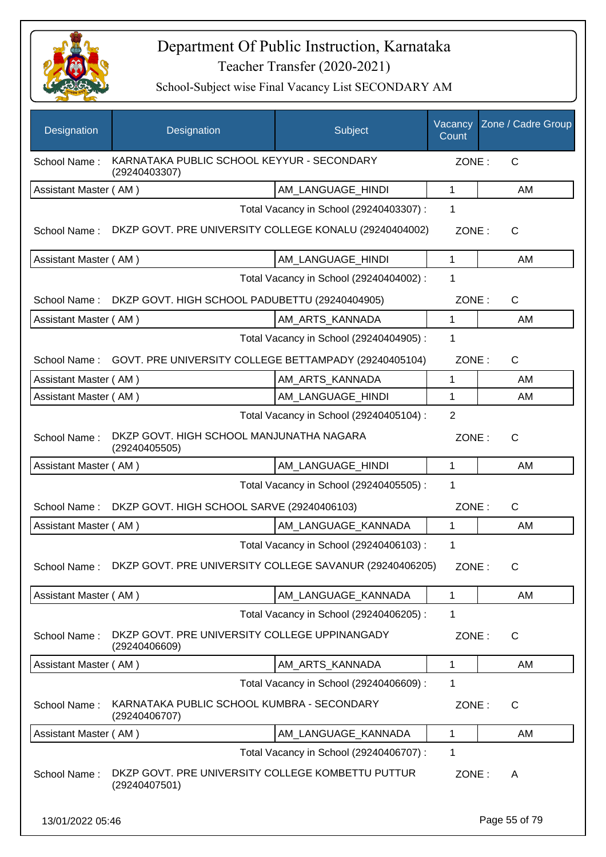

| Designation           | Designation                                                        | Subject                                 | Vacancy<br>Count | Zone / Cadre Group |
|-----------------------|--------------------------------------------------------------------|-----------------------------------------|------------------|--------------------|
| School Name:          | KARNATAKA PUBLIC SCHOOL KEYYUR - SECONDARY<br>(29240403307)        |                                         | ZONE:            | C                  |
| Assistant Master (AM) |                                                                    | AM_LANGUAGE_HINDI                       | $\mathbf{1}$     | AM                 |
|                       |                                                                    | Total Vacancy in School (29240403307) : | 1                |                    |
| School Name:          | DKZP GOVT. PRE UNIVERSITY COLLEGE KONALU (29240404002)             |                                         | ZONE:            | C                  |
| Assistant Master (AM) |                                                                    | AM LANGUAGE HINDI                       | $\mathbf{1}$     | AM                 |
|                       |                                                                    | Total Vacancy in School (29240404002) : | 1                |                    |
| School Name:          | DKZP GOVT. HIGH SCHOOL PADUBETTU (29240404905)                     |                                         | ZONE:            | $\mathsf{C}$       |
| Assistant Master (AM) |                                                                    | AM_ARTS_KANNADA                         | $\mathbf{1}$     | AM                 |
|                       |                                                                    | Total Vacancy in School (29240404905) : | 1                |                    |
|                       | School Name: GOVT. PRE UNIVERSITY COLLEGE BETTAMPADY (29240405104) |                                         | ZONE:            | $\mathsf{C}$       |
| Assistant Master (AM) |                                                                    | AM_ARTS_KANNADA                         | 1                | AM                 |
| Assistant Master (AM) |                                                                    | AM_LANGUAGE_HINDI                       | 1                | AM                 |
|                       |                                                                    | Total Vacancy in School (29240405104) : | $\overline{2}$   |                    |
| School Name:          | DKZP GOVT. HIGH SCHOOL MANJUNATHA NAGARA<br>(29240405505)          |                                         | ZONE:            | $\mathsf{C}$       |
| Assistant Master (AM) |                                                                    | AM_LANGUAGE_HINDI                       | $\mathbf{1}$     | AM                 |
|                       |                                                                    | Total Vacancy in School (29240405505) : | 1                |                    |
| School Name:          | DKZP GOVT. HIGH SCHOOL SARVE (29240406103)                         |                                         | ZONE:            | $\mathsf{C}$       |
| Assistant Master (AM) |                                                                    | AM_LANGUAGE_KANNADA                     | $\mathbf{1}$     | AM                 |
|                       |                                                                    | Total Vacancy in School (29240406103) : | 1                |                    |
| School Name:          | DKZP GOVT. PRE UNIVERSITY COLLEGE SAVANUR (29240406205)            |                                         | ZONE:            | $\mathsf{C}$       |
| Assistant Master (AM) |                                                                    | AM_LANGUAGE_KANNADA                     | 1                | AM                 |
|                       |                                                                    | Total Vacancy in School (29240406205) : | 1                |                    |
| School Name:          | DKZP GOVT. PRE UNIVERSITY COLLEGE UPPINANGADY<br>(29240406609)     |                                         | ZONE:            | C                  |
| Assistant Master (AM) |                                                                    | AM ARTS KANNADA                         | 1                | AM                 |
|                       |                                                                    | Total Vacancy in School (29240406609) : | 1                |                    |
| School Name:          | KARNATAKA PUBLIC SCHOOL KUMBRA - SECONDARY<br>(29240406707)        |                                         | ZONE:            | C                  |
| Assistant Master (AM) |                                                                    | AM_LANGUAGE_KANNADA                     | 1                | AM                 |
|                       |                                                                    | Total Vacancy in School (29240406707) : | 1                |                    |
| School Name:          | DKZP GOVT. PRE UNIVERSITY COLLEGE KOMBETTU PUTTUR<br>(29240407501) |                                         | ZONE:            | A                  |
| 13/01/2022 05:46      |                                                                    |                                         |                  | Page 55 of 79      |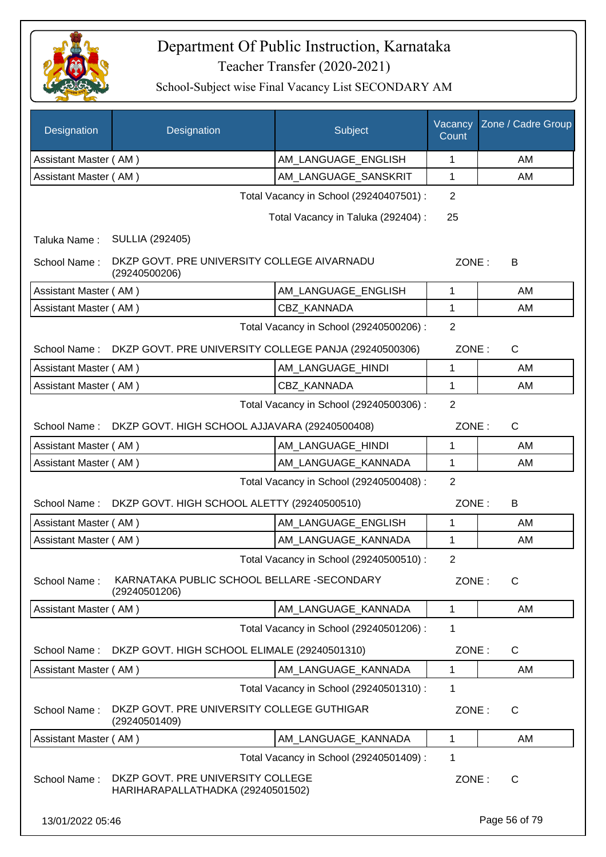

| Designation                                  | Designation                                                            | Subject                                 | Vacancy<br>Count | Zone / Cadre Group |
|----------------------------------------------|------------------------------------------------------------------------|-----------------------------------------|------------------|--------------------|
| Assistant Master (AM)                        |                                                                        | AM_LANGUAGE_ENGLISH                     | 1                | AM                 |
| Assistant Master (AM)                        |                                                                        | AM_LANGUAGE_SANSKRIT                    | 1                | AM                 |
|                                              |                                                                        | Total Vacancy in School (29240407501) : | $\overline{2}$   |                    |
|                                              |                                                                        | Total Vacancy in Taluka (292404) :      | 25               |                    |
| Taluka Name:                                 | <b>SULLIA (292405)</b>                                                 |                                         |                  |                    |
| School Name:                                 | DKZP GOVT. PRE UNIVERSITY COLLEGE AIVARNADU<br>(29240500206)           |                                         | ZONE:            | B                  |
| Assistant Master (AM)                        |                                                                        | AM_LANGUAGE_ENGLISH                     | 1                | AM                 |
| Assistant Master (AM)                        |                                                                        | CBZ KANNADA                             | 1                | AM                 |
|                                              |                                                                        | Total Vacancy in School (29240500206) : | $\overline{2}$   |                    |
| School Name:                                 | DKZP GOVT. PRE UNIVERSITY COLLEGE PANJA (29240500306)                  |                                         | ZONE:            | C                  |
| Assistant Master (AM)                        |                                                                        | AM_LANGUAGE_HINDI                       | 1                | AM                 |
| Assistant Master (AM)                        |                                                                        | <b>CBZ KANNADA</b>                      | 1                | AM                 |
| 2<br>Total Vacancy in School (29240500306) : |                                                                        |                                         |                  |                    |
| School Name:                                 | DKZP GOVT. HIGH SCHOOL AJJAVARA (29240500408)                          |                                         | ZONE:            | $\mathsf{C}$       |
| Assistant Master (AM)                        |                                                                        | AM LANGUAGE_HINDI                       | 1                | AM                 |
| Assistant Master (AM)                        |                                                                        | AM_LANGUAGE_KANNADA                     | 1                | AM                 |
|                                              |                                                                        | Total Vacancy in School (29240500408) : | $\overline{2}$   |                    |
| School Name:                                 | DKZP GOVT. HIGH SCHOOL ALETTY (29240500510)                            |                                         | ZONE:            | B                  |
| Assistant Master (AM)                        |                                                                        | AM_LANGUAGE_ENGLISH                     | 1                | AM                 |
| Assistant Master (AM)                        |                                                                        | AM_LANGUAGE_KANNADA                     | 1                | AM                 |
|                                              |                                                                        | Total Vacancy in School (29240500510) : | 2                |                    |
| School Name:                                 | KARNATAKA PUBLIC SCHOOL BELLARE -SECONDARY<br>(29240501206)            |                                         | ZONE:            | C                  |
| Assistant Master (AM)                        |                                                                        | AM LANGUAGE KANNADA                     | 1                | AM                 |
|                                              |                                                                        | Total Vacancy in School (29240501206) : | 1                |                    |
| School Name:                                 | DKZP GOVT. HIGH SCHOOL ELIMALE (29240501310)                           |                                         | ZONE:            | $\mathsf{C}$       |
| Assistant Master (AM)                        |                                                                        | AM_LANGUAGE_KANNADA                     | 1                | AM                 |
|                                              |                                                                        | Total Vacancy in School (29240501310) : | 1                |                    |
| School Name:                                 | DKZP GOVT. PRE UNIVERSITY COLLEGE GUTHIGAR<br>(29240501409)            |                                         | ZONE:            | $\mathsf{C}$       |
| Assistant Master (AM)                        |                                                                        | AM LANGUAGE KANNADA                     | 1                | AM                 |
|                                              |                                                                        | Total Vacancy in School (29240501409) : | 1                |                    |
| School Name:                                 | DKZP GOVT. PRE UNIVERSITY COLLEGE<br>HARIHARAPALLATHADKA (29240501502) |                                         | ZONE:            | C                  |
| 13/01/2022 05:46                             |                                                                        |                                         |                  | Page 56 of 79      |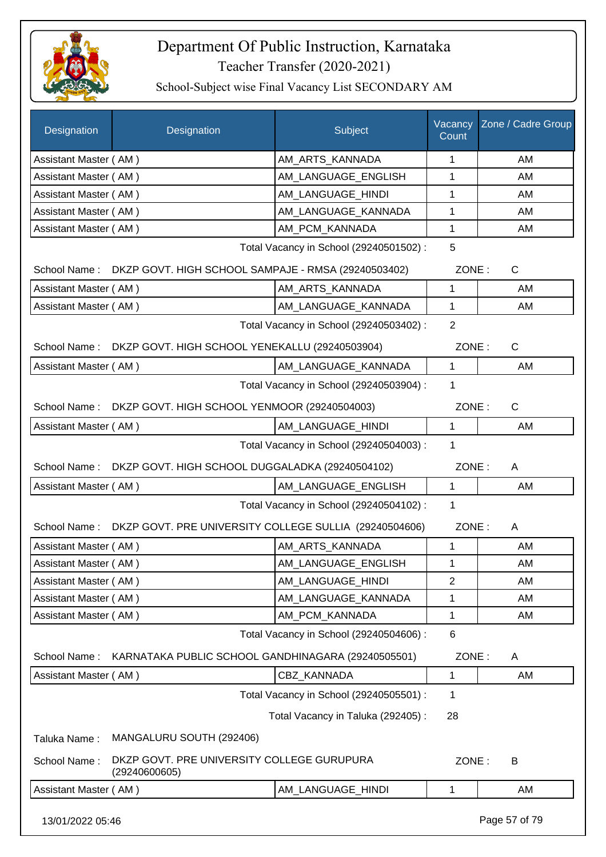

| <b>Designation</b>    | Designation                                                 | Subject                                 | Vacancy<br>Count | Zone / Cadre Group |
|-----------------------|-------------------------------------------------------------|-----------------------------------------|------------------|--------------------|
| Assistant Master (AM) |                                                             | AM_ARTS_KANNADA                         | 1                | AM                 |
| Assistant Master (AM) |                                                             | AM_LANGUAGE_ENGLISH                     | 1                | AM                 |
| Assistant Master (AM) |                                                             | AM_LANGUAGE_HINDI                       | 1                | AM                 |
| Assistant Master (AM) |                                                             | AM_LANGUAGE_KANNADA                     | $\mathbf 1$      | AM                 |
| Assistant Master (AM) |                                                             | AM PCM KANNADA                          | 1                | AM                 |
|                       |                                                             | Total Vacancy in School (29240501502) : | 5                |                    |
| School Name:          | DKZP GOVT. HIGH SCHOOL SAMPAJE - RMSA (29240503402)         |                                         | ZONE:            | $\mathsf{C}$       |
| Assistant Master (AM) |                                                             | AM_ARTS_KANNADA                         | 1                | AM                 |
| Assistant Master (AM) |                                                             | AM_LANGUAGE_KANNADA                     | 1                | AM                 |
|                       |                                                             | Total Vacancy in School (29240503402) : | $\overline{2}$   |                    |
| School Name:          | DKZP GOVT. HIGH SCHOOL YENEKALLU (29240503904)              |                                         | ZONE:            | C                  |
| Assistant Master (AM) |                                                             | AM LANGUAGE KANNADA                     | $\mathbf{1}$     | AM                 |
|                       |                                                             | Total Vacancy in School (29240503904) : | 1                |                    |
| School Name:          | DKZP GOVT. HIGH SCHOOL YENMOOR (29240504003)                |                                         | ZONE:            | $\mathsf{C}$       |
| Assistant Master (AM) |                                                             | AM LANGUAGE HINDI                       | $\mathbf{1}$     | AM                 |
|                       |                                                             | Total Vacancy in School (29240504003) : | 1                |                    |
| School Name:          | DKZP GOVT. HIGH SCHOOL DUGGALADKA (29240504102)             |                                         | ZONE:            | A                  |
| Assistant Master (AM) |                                                             | AM_LANGUAGE_ENGLISH                     | $\mathbf{1}$     | AM                 |
|                       |                                                             | Total Vacancy in School (29240504102) : | 1                |                    |
| School Name:          | DKZP GOVT. PRE UNIVERSITY COLLEGE SULLIA (29240504606)      |                                         | ZONE:            | A                  |
| Assistant Master (AM) |                                                             | AM_ARTS_KANNADA                         | $\mathbf 1$      | AM                 |
| Assistant Master (AM) |                                                             | AM_LANGUAGE_ENGLISH                     | $\mathbf{1}$     | AM                 |
| Assistant Master (AM) |                                                             | AM LANGUAGE HINDI                       | 2                | AM                 |
| Assistant Master (AM) |                                                             | AM LANGUAGE KANNADA                     | 1                | AM                 |
| Assistant Master (AM) |                                                             | AM_PCM_KANNADA                          | 1                | AM                 |
|                       |                                                             | Total Vacancy in School (29240504606) : | 6                |                    |
| School Name:          | KARNATAKA PUBLIC SCHOOL GANDHINAGARA (29240505501)          |                                         | ZONE:            | A                  |
| Assistant Master (AM) |                                                             | CBZ_KANNADA                             | 1                | AM                 |
|                       |                                                             | Total Vacancy in School (29240505501) : | 1                |                    |
|                       |                                                             | Total Vacancy in Taluka (292405):       | 28               |                    |
| Taluka Name:          | MANGALURU SOUTH (292406)                                    |                                         |                  |                    |
| School Name:          | DKZP GOVT. PRE UNIVERSITY COLLEGE GURUPURA<br>(29240600605) |                                         | ZONE:            | B                  |
| Assistant Master (AM) |                                                             | AM_LANGUAGE_HINDI                       | 1                | AM                 |
| 13/01/2022 05:46      |                                                             |                                         |                  | Page 57 of 79      |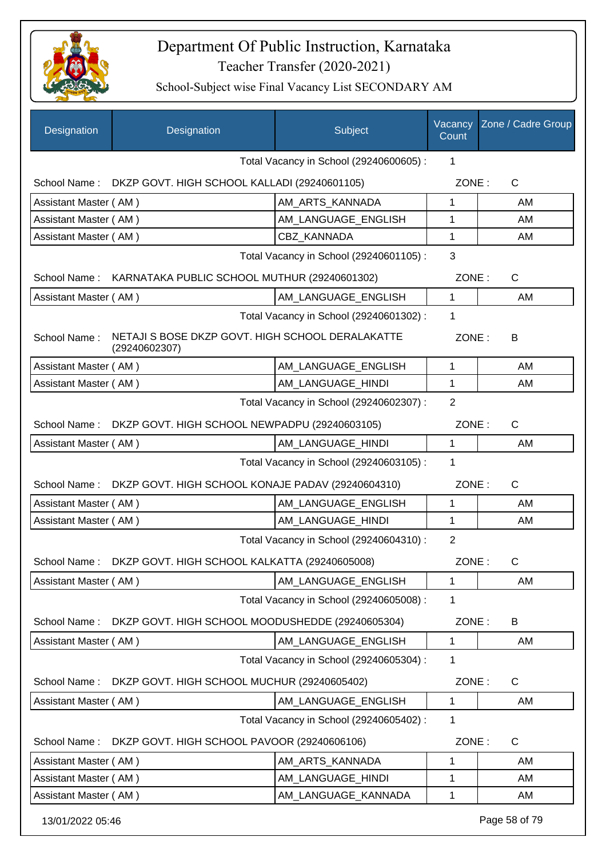

| Designation                             | Designation                                                       | Subject                                 | Vacancy<br>Count | Zone / Cadre Group |
|-----------------------------------------|-------------------------------------------------------------------|-----------------------------------------|------------------|--------------------|
|                                         |                                                                   | Total Vacancy in School (29240600605) : | 1                |                    |
| School Name:                            | DKZP GOVT. HIGH SCHOOL KALLADI (29240601105)                      |                                         | ZONE:            | C                  |
| Assistant Master (AM)                   |                                                                   | AM ARTS KANNADA                         | 1                | AM                 |
| Assistant Master (AM)                   |                                                                   | AM LANGUAGE ENGLISH                     | 1                | AM                 |
| Assistant Master (AM)                   |                                                                   | <b>CBZ KANNADA</b>                      | 1                | AM                 |
| Total Vacancy in School (29240601105) : |                                                                   |                                         | 3                |                    |
| School Name:                            | KARNATAKA PUBLIC SCHOOL MUTHUR (29240601302)                      |                                         | ZONE:            | $\mathsf{C}$       |
| Assistant Master (AM)                   |                                                                   | AM_LANGUAGE_ENGLISH                     | 1                | AM                 |
|                                         |                                                                   | Total Vacancy in School (29240601302) : | 1                |                    |
| School Name:                            | NETAJI S BOSE DKZP GOVT. HIGH SCHOOL DERALAKATTE<br>(29240602307) |                                         | ZONE:            | B                  |
| Assistant Master (AM)                   |                                                                   | AM LANGUAGE ENGLISH                     | 1                | AM                 |
| Assistant Master (AM)                   |                                                                   | AM_LANGUAGE_HINDI                       | 1                | AM                 |
|                                         |                                                                   | Total Vacancy in School (29240602307) : | $\overline{2}$   |                    |
| School Name:                            | DKZP GOVT. HIGH SCHOOL NEWPADPU (29240603105)                     |                                         | ZONE:            | $\mathsf{C}$       |
| Assistant Master (AM)                   |                                                                   | AM_LANGUAGE_HINDI                       | 1                | AM                 |
|                                         |                                                                   | Total Vacancy in School (29240603105) : | 1                |                    |
| School Name:                            | DKZP GOVT. HIGH SCHOOL KONAJE PADAV (29240604310)                 |                                         | ZONE:            | $\mathsf{C}$       |
| Assistant Master (AM)                   |                                                                   | AM_LANGUAGE_ENGLISH                     | 1                | AM                 |
| Assistant Master (AM)                   |                                                                   | AM_LANGUAGE_HINDI                       | 1                | AM                 |
|                                         |                                                                   | Total Vacancy in School (29240604310) : | $\overline{2}$   |                    |
|                                         | School Name: DKZP GOVT. HIGH SCHOOL KALKATTA (29240605008)        |                                         | ZONE:            | С                  |
| Assistant Master (AM)                   |                                                                   | AM_LANGUAGE_ENGLISH                     | 1                | AM                 |
|                                         |                                                                   | Total Vacancy in School (29240605008) : | 1                |                    |
| School Name:                            | DKZP GOVT. HIGH SCHOOL MOODUSHEDDE (29240605304)                  |                                         | ZONE:            | B                  |
| Assistant Master (AM)                   |                                                                   | AM_LANGUAGE_ENGLISH                     | 1                | AM                 |
|                                         |                                                                   | Total Vacancy in School (29240605304) : | 1                |                    |
| School Name:                            | DKZP GOVT. HIGH SCHOOL MUCHUR (29240605402)                       |                                         | ZONE:            | $\mathsf{C}$       |
| Assistant Master (AM)                   |                                                                   | AM_LANGUAGE_ENGLISH                     | 1                | AM                 |
|                                         |                                                                   | Total Vacancy in School (29240605402) : | 1                |                    |
| School Name:                            | DKZP GOVT. HIGH SCHOOL PAVOOR (29240606106)                       |                                         | ZONE:            | $\mathsf{C}$       |
| Assistant Master (AM)                   |                                                                   | AM_ARTS_KANNADA                         | 1                | AM                 |
| Assistant Master (AM)                   |                                                                   | AM_LANGUAGE_HINDI                       | 1                | AM                 |
| Assistant Master (AM)                   |                                                                   | AM_LANGUAGE_KANNADA                     | 1                | AM                 |
| 13/01/2022 05:46                        |                                                                   |                                         |                  | Page 58 of 79      |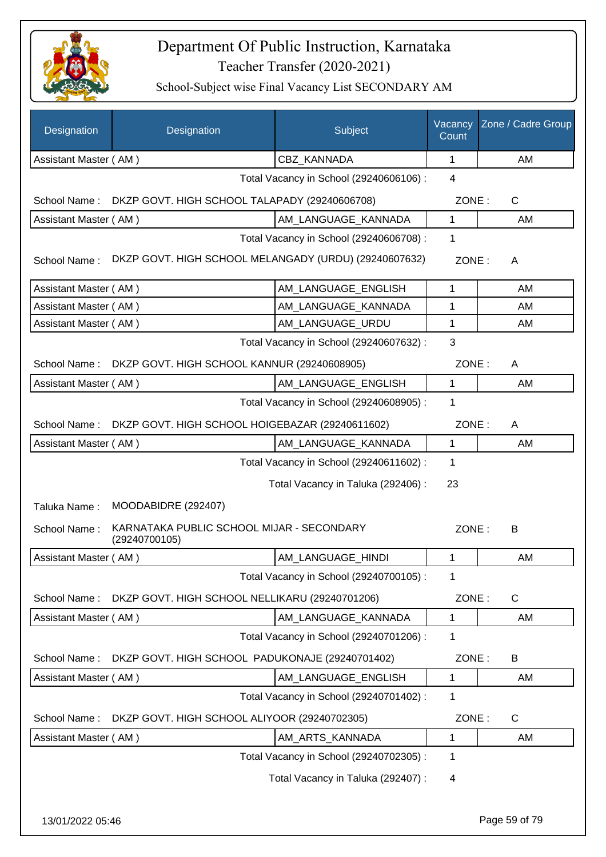

| Designation           | Designation                                                | Subject                                 | Vacancy<br>Count | Zone / Cadre Group |
|-----------------------|------------------------------------------------------------|-----------------------------------------|------------------|--------------------|
| Assistant Master (AM) |                                                            | CBZ_KANNADA                             | 1                | AM                 |
|                       |                                                            | Total Vacancy in School (29240606106) : | 4                |                    |
| School Name:          | DKZP GOVT. HIGH SCHOOL TALAPADY (29240606708)              |                                         | ZONE:            | $\mathsf{C}$       |
| Assistant Master (AM) |                                                            | AM_LANGUAGE_KANNADA                     | 1                | AM                 |
|                       |                                                            | Total Vacancy in School (29240606708) : | 1                |                    |
| School Name:          | DKZP GOVT. HIGH SCHOOL MELANGADY (URDU) (29240607632)      |                                         | ZONE:            | A                  |
| Assistant Master (AM) |                                                            | AM_LANGUAGE_ENGLISH                     | $\mathbf{1}$     | AM                 |
| Assistant Master (AM) |                                                            | AM LANGUAGE KANNADA                     | 1                | AM                 |
| Assistant Master (AM) |                                                            | AM_LANGUAGE_URDU                        | 1                | AM                 |
|                       |                                                            | Total Vacancy in School (29240607632) : | 3                |                    |
| School Name:          | DKZP GOVT. HIGH SCHOOL KANNUR (29240608905)                |                                         | ZONE:            | A                  |
| Assistant Master (AM) |                                                            | AM_LANGUAGE_ENGLISH                     | 1                | AM                 |
|                       |                                                            | Total Vacancy in School (29240608905) : | $\mathbf 1$      |                    |
| School Name:          | DKZP GOVT. HIGH SCHOOL HOIGEBAZAR (29240611602)            |                                         | ZONE:            | A                  |
| Assistant Master (AM) |                                                            | AM LANGUAGE_KANNADA                     | 1                | AM                 |
|                       |                                                            | Total Vacancy in School (29240611602) : | 1                |                    |
|                       |                                                            | Total Vacancy in Taluka (292406) :      | 23               |                    |
| Taluka Name:          | MOODABIDRE (292407)                                        |                                         |                  |                    |
| School Name:          | KARNATAKA PUBLIC SCHOOL MIJAR - SECONDARY<br>(29240700105) |                                         | ZONE:            | B                  |
| Assistant Master (AM) |                                                            | AM LANGUAGE HINDI                       | $\mathbf{1}$     | AM                 |
|                       |                                                            | Total Vacancy in School (29240700105) : | 1                |                    |
| School Name:          | DKZP GOVT. HIGH SCHOOL NELLIKARU (29240701206)             |                                         | ZONE:            | C                  |
| Assistant Master (AM) |                                                            | AM_LANGUAGE_KANNADA                     | 1                | AM                 |
|                       |                                                            | Total Vacancy in School (29240701206) : | 1                |                    |
| School Name:          | DKZP GOVT. HIGH SCHOOL PADUKONAJE (29240701402)            |                                         | ZONE:            | B                  |
| Assistant Master (AM) |                                                            | AM_LANGUAGE_ENGLISH                     | 1                | AM                 |
|                       |                                                            | Total Vacancy in School (29240701402) : | 1                |                    |
| School Name:          | DKZP GOVT. HIGH SCHOOL ALIYOOR (29240702305)               |                                         | ZONE:            | $\mathsf{C}$       |
| Assistant Master (AM) |                                                            | AM_ARTS_KANNADA                         | 1                | AM                 |
|                       |                                                            | Total Vacancy in School (29240702305) : | 1                |                    |
|                       |                                                            | Total Vacancy in Taluka (292407) :      | 4                |                    |
|                       |                                                            |                                         |                  |                    |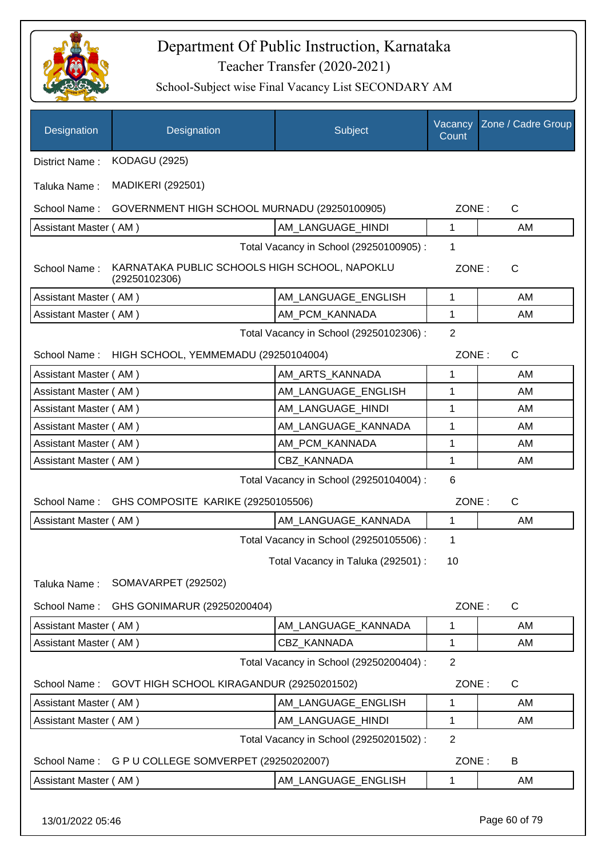

| Designation           | Designation                                                    | Subject                                 | Vacancy<br>Count | Zone / Cadre Group |
|-----------------------|----------------------------------------------------------------|-----------------------------------------|------------------|--------------------|
| District Name:        | <b>KODAGU (2925)</b>                                           |                                         |                  |                    |
| Taluka Name:          | <b>MADIKERI (292501)</b>                                       |                                         |                  |                    |
| School Name:          | GOVERNMENT HIGH SCHOOL MURNADU (29250100905)                   |                                         | ZONE:            | $\mathsf{C}$       |
| Assistant Master (AM) |                                                                | AM_LANGUAGE_HINDI                       | 1                | AM                 |
|                       |                                                                | Total Vacancy in School (29250100905) : | 1                |                    |
| School Name:          | KARNATAKA PUBLIC SCHOOLS HIGH SCHOOL, NAPOKLU<br>(29250102306) |                                         | ZONE:            | $\mathsf{C}$       |
| Assistant Master (AM) |                                                                | AM_LANGUAGE_ENGLISH                     | 1                | AM                 |
| Assistant Master (AM) |                                                                | AM_PCM_KANNADA                          | 1                | AM                 |
|                       |                                                                | Total Vacancy in School (29250102306) : | $\overline{2}$   |                    |
| School Name:          | HIGH SCHOOL, YEMMEMADU (29250104004)                           |                                         | ZONE:            | C                  |
| Assistant Master (AM) |                                                                | AM_ARTS_KANNADA                         | 1                | AM                 |
| Assistant Master (AM) |                                                                | AM_LANGUAGE_ENGLISH                     | 1                | AM                 |
| Assistant Master (AM) |                                                                | AM_LANGUAGE_HINDI                       | 1                | AM                 |
| Assistant Master (AM) |                                                                | AM_LANGUAGE_KANNADA                     | 1                | AM                 |
| Assistant Master (AM) |                                                                | AM_PCM_KANNADA                          | 1                | AM                 |
| Assistant Master (AM) |                                                                | CBZ_KANNADA                             | 1                | AM                 |
|                       |                                                                | Total Vacancy in School (29250104004) : | 6                |                    |
| School Name:          | GHS COMPOSITE KARIKE (29250105506)                             |                                         | ZONE:            | C                  |
| Assistant Master (AM) |                                                                | AM_LANGUAGE_KANNADA                     | 1                | AM                 |
|                       |                                                                | Total Vacancy in School (29250105506) : | 1                |                    |
|                       |                                                                | Total Vacancy in Taluka (292501) :      | 10               |                    |
| Taluka Name:          | SOMAVARPET (292502)                                            |                                         |                  |                    |
| School Name:          | GHS GONIMARUR (29250200404)                                    |                                         | ZONE:            | $\mathsf{C}$       |
| Assistant Master (AM) |                                                                | AM LANGUAGE KANNADA                     | 1                | AM                 |
| Assistant Master (AM) |                                                                | CBZ KANNADA                             | 1                | AM                 |
|                       |                                                                | Total Vacancy in School (29250200404) : | $\overline{2}$   |                    |
| School Name:          | GOVT HIGH SCHOOL KIRAGANDUR (29250201502)                      |                                         | ZONE:            | $\mathsf{C}$       |
| Assistant Master (AM) |                                                                | AM_LANGUAGE_ENGLISH                     | 1                | AM                 |
| Assistant Master (AM) |                                                                | AM_LANGUAGE_HINDI                       | 1                | AM                 |
|                       |                                                                | Total Vacancy in School (29250201502) : | $\overline{2}$   |                    |
| School Name:          | G P U COLLEGE SOMVERPET (29250202007)                          |                                         | ZONE:            | B                  |
| Assistant Master (AM) |                                                                | AM_LANGUAGE_ENGLISH                     | 1                | AM                 |
| 13/01/2022 05:46      |                                                                |                                         |                  | Page 60 of 79      |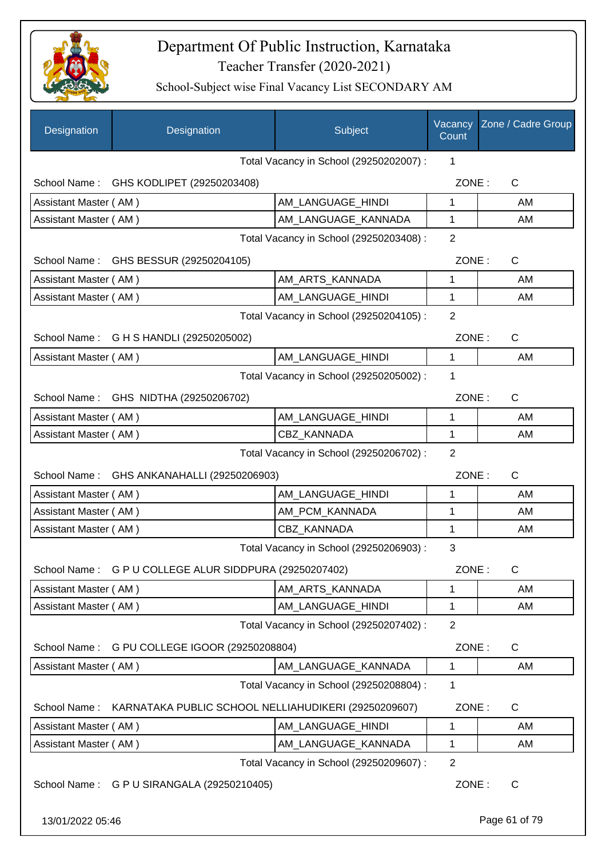

School-Subject wise Final Vacancy List SECONDARY AM

| Designation           | Designation                                            | Subject                                 | Vacancy<br>Count | Zone / Cadre Group |
|-----------------------|--------------------------------------------------------|-----------------------------------------|------------------|--------------------|
|                       |                                                        | Total Vacancy in School (29250202007) : | $\mathbf 1$      |                    |
|                       | School Name: GHS KODLIPET (29250203408)                |                                         | ZONE:            | C                  |
| Assistant Master (AM) |                                                        | AM_LANGUAGE_HINDI                       | $\mathbf{1}$     | AM                 |
| Assistant Master (AM) |                                                        | AM_LANGUAGE_KANNADA                     | 1                | AM                 |
|                       |                                                        | Total Vacancy in School (29250203408) : | $\overline{2}$   |                    |
|                       | School Name: GHS BESSUR (29250204105)                  |                                         | ZONE:            | C                  |
| Assistant Master (AM) |                                                        | AM_ARTS_KANNADA                         | 1                | AM                 |
| Assistant Master (AM) |                                                        | AM_LANGUAGE_HINDI                       | $\mathbf{1}$     | AM                 |
|                       |                                                        | Total Vacancy in School (29250204105) : | $\overline{2}$   |                    |
|                       | School Name: G H S HANDLI (29250205002)                |                                         | ZONE:            | C                  |
| Assistant Master (AM) |                                                        | AM_LANGUAGE_HINDI                       | $\mathbf{1}$     | AM                 |
|                       |                                                        | Total Vacancy in School (29250205002) : | 1                |                    |
|                       | School Name: GHS NIDTHA (29250206702)                  |                                         | ZONE:            | C                  |
| Assistant Master (AM) |                                                        | AM_LANGUAGE_HINDI                       | 1                | AM                 |
| Assistant Master (AM) |                                                        | <b>CBZ KANNADA</b>                      | $\mathbf{1}$     | AM                 |
|                       |                                                        | Total Vacancy in School (29250206702) : | $\overline{2}$   |                    |
|                       | School Name: GHS ANKANAHALLI (29250206903)             |                                         | ZONE:            | C                  |
| Assistant Master (AM) |                                                        | AM_LANGUAGE_HINDI                       | 1                | AM                 |
| Assistant Master (AM) |                                                        | AM_PCM_KANNADA                          | 1                | AM                 |
| Assistant Master (AM) |                                                        | <b>CBZ KANNADA</b>                      | $\mathbf{1}$     | AM                 |
|                       |                                                        | Total Vacancy in School (29250206903) : | 3                |                    |
|                       | School Name: G P U COLLEGE ALUR SIDDPURA (29250207402) |                                         | ZONE:            | $\mathsf C$        |
| Assistant Master (AM) |                                                        | AM ARTS KANNADA                         | 1                | AM                 |
| Assistant Master (AM) |                                                        | AM_LANGUAGE_HINDI                       | 1                | AM                 |
|                       |                                                        | Total Vacancy in School (29250207402) : | $\overline{2}$   |                    |
| School Name:          | G PU COLLEGE IGOOR (29250208804)                       |                                         | ZONE:            | C                  |
| Assistant Master (AM) |                                                        | AM LANGUAGE KANNADA                     | 1                | AM                 |
|                       |                                                        | Total Vacancy in School (29250208804) : | 1                |                    |
| School Name:          | KARNATAKA PUBLIC SCHOOL NELLIAHUDIKERI (29250209607)   |                                         | ZONE:            | $\mathsf C$        |
| Assistant Master (AM) |                                                        | AM_LANGUAGE_HINDI                       | 1                | AM                 |
| Assistant Master (AM) |                                                        | AM_LANGUAGE_KANNADA                     | 1                | AM                 |
|                       |                                                        | Total Vacancy in School (29250209607) : | $\overline{2}$   |                    |
|                       | School Name: G P U SIRANGALA (29250210405)             |                                         | ZONE:            | C                  |

13/01/2022 05:46 Page 61 of 79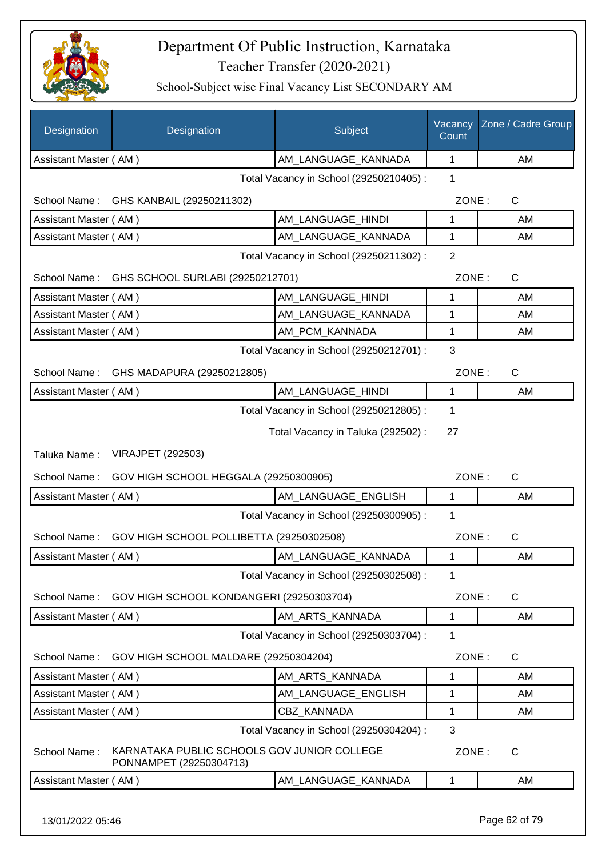

| Designation           | Designation                                                            | Subject                                 | Vacancy<br>Count | Zone / Cadre Group |
|-----------------------|------------------------------------------------------------------------|-----------------------------------------|------------------|--------------------|
| Assistant Master (AM) |                                                                        | AM_LANGUAGE_KANNADA                     | 1                | AM                 |
|                       |                                                                        | Total Vacancy in School (29250210405) : | 1                |                    |
|                       | School Name: GHS KANBAIL (29250211302)                                 |                                         | ZONE:            | C                  |
| Assistant Master (AM) |                                                                        | AM_LANGUAGE_HINDI                       | 1                | AM                 |
| Assistant Master (AM) |                                                                        | AM_LANGUAGE_KANNADA                     | 1                | AM                 |
|                       |                                                                        | Total Vacancy in School (29250211302) : | $\overline{2}$   |                    |
| School Name:          | GHS SCHOOL SURLABI (29250212701)                                       |                                         | ZONE:            | $\mathsf C$        |
| Assistant Master (AM) |                                                                        | AM_LANGUAGE_HINDI                       | 1                | AM                 |
| Assistant Master (AM) |                                                                        | AM_LANGUAGE_KANNADA                     | 1                | AM                 |
| Assistant Master (AM) |                                                                        | AM_PCM_KANNADA                          | 1                | AM                 |
|                       |                                                                        | Total Vacancy in School (29250212701) : | 3                |                    |
| School Name:          | GHS MADAPURA (29250212805)                                             |                                         | ZONE:            | $\mathsf C$        |
| Assistant Master (AM) |                                                                        | AM_LANGUAGE_HINDI                       | 1                | AM                 |
|                       |                                                                        | Total Vacancy in School (29250212805) : | 1                |                    |
|                       |                                                                        | Total Vacancy in Taluka (292502) :      | 27               |                    |
| Taluka Name:          | <b>VIRAJPET (292503)</b>                                               |                                         |                  |                    |
| School Name:          | GOV HIGH SCHOOL HEGGALA (29250300905)                                  |                                         | ZONE:            | $\mathsf{C}$       |
| Assistant Master (AM) |                                                                        | AM_LANGUAGE_ENGLISH                     | $\mathbf{1}$     | AM                 |
|                       |                                                                        | Total Vacancy in School (29250300905) : | 1                |                    |
| School Name:          | GOV HIGH SCHOOL POLLIBETTA (29250302508)                               |                                         | ZONE:            | $\mathsf C$        |
| Assistant Master (AM) |                                                                        | AM_LANGUAGE_KANNADA                     | 1                | AM                 |
|                       |                                                                        | Total Vacancy in School (29250302508) : | $\mathbf 1$      |                    |
| School Name:          | GOV HIGH SCHOOL KONDANGERI (29250303704)                               |                                         | ZONE:            | $\mathsf{C}$       |
| Assistant Master (AM) |                                                                        | AM ARTS KANNADA                         | $\mathbf 1$      | AM                 |
|                       |                                                                        | Total Vacancy in School (29250303704) : | 1                |                    |
| School Name:          | GOV HIGH SCHOOL MALDARE (29250304204)                                  |                                         | ZONE:            | $\mathsf C$        |
| Assistant Master (AM) |                                                                        | AM_ARTS_KANNADA                         | 1                | AM                 |
| Assistant Master (AM) |                                                                        | AM LANGUAGE ENGLISH                     | 1                | AM                 |
| Assistant Master (AM) |                                                                        | <b>CBZ KANNADA</b>                      | 1                | AM                 |
|                       |                                                                        | Total Vacancy in School (29250304204) : | 3                |                    |
| School Name:          | KARNATAKA PUBLIC SCHOOLS GOV JUNIOR COLLEGE<br>PONNAMPET (29250304713) |                                         | ZONE:            | C                  |
| Assistant Master (AM) |                                                                        | AM_LANGUAGE_KANNADA                     | $\mathbf{1}$     | AM                 |
| 13/01/2022 05:46      |                                                                        |                                         |                  | Page 62 of 79      |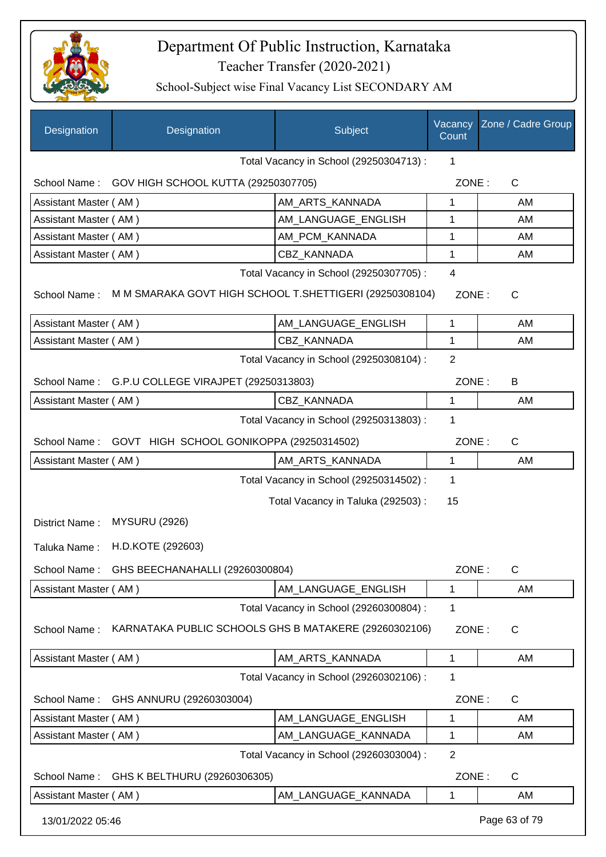

| Designation           | Designation                                              | Subject                                 | Vacancy<br>Count        | Zone / Cadre Group |
|-----------------------|----------------------------------------------------------|-----------------------------------------|-------------------------|--------------------|
|                       |                                                          | Total Vacancy in School (29250304713) : | 1                       |                    |
|                       | School Name: GOV HIGH SCHOOL KUTTA (29250307705)         |                                         | ZONE:                   | $\mathsf{C}$       |
| Assistant Master (AM) |                                                          | AM_ARTS_KANNADA                         | 1                       | AM                 |
| Assistant Master (AM) |                                                          | AM_LANGUAGE_ENGLISH                     | 1                       | AM                 |
| Assistant Master (AM) |                                                          | AM_PCM_KANNADA                          | 1                       | AM                 |
| Assistant Master (AM) |                                                          | CBZ KANNADA                             | 1                       | AM                 |
| School Name:          | M M SMARAKA GOVT HIGH SCHOOL T. SHETTIGERI (29250308104) | Total Vacancy in School (29250307705) : | $\overline{4}$<br>ZONE: | C                  |
| Assistant Master (AM) |                                                          | AM_LANGUAGE_ENGLISH                     | 1                       | AM                 |
| Assistant Master (AM) |                                                          | CBZ KANNADA                             | 1                       | AM                 |
|                       |                                                          | Total Vacancy in School (29250308104) : | $\overline{2}$          |                    |
|                       | School Name: G.P.U COLLEGE VIRAJPET (29250313803)        |                                         | ZONE:                   | B                  |
| Assistant Master (AM) |                                                          | CBZ KANNADA                             | 1                       | AM                 |
|                       |                                                          | Total Vacancy in School (29250313803) : | 1                       |                    |
| School Name:          | GOVT HIGH SCHOOL GONIKOPPA (29250314502)                 |                                         | ZONE:                   | $\mathsf{C}$       |
| Assistant Master (AM) |                                                          | AM_ARTS_KANNADA                         | 1                       | AM                 |
|                       |                                                          | Total Vacancy in School (29250314502) : | $\mathbf{1}$            |                    |
|                       |                                                          | Total Vacancy in Taluka (292503) :      | 15                      |                    |
| District Name:        | <b>MYSURU (2926)</b>                                     |                                         |                         |                    |
| Taluka Name:          | H.D.KOTE (292603)                                        |                                         |                         |                    |
| School Name:          | GHS BEECHANAHALLI (29260300804)                          |                                         | ZONE:                   | $\mathsf C$        |
| Assistant Master (AM) |                                                          | AM_LANGUAGE_ENGLISH                     | 1                       | AM                 |
|                       |                                                          | Total Vacancy in School (29260300804) : | 1                       |                    |
| School Name:          | KARNATAKA PUBLIC SCHOOLS GHS B MATAKERE (29260302106)    |                                         | ZONE:                   | C                  |
| Assistant Master (AM) |                                                          | AM_ARTS_KANNADA                         | 1                       | AM                 |
|                       |                                                          | Total Vacancy in School (29260302106) : | 1                       |                    |
| School Name:          | GHS ANNURU (29260303004)                                 |                                         | ZONE:                   | C                  |
| Assistant Master (AM) |                                                          | AM_LANGUAGE_ENGLISH                     | 1                       | AM                 |
| Assistant Master (AM) |                                                          | AM_LANGUAGE_KANNADA                     | 1                       | AM                 |
|                       |                                                          | Total Vacancy in School (29260303004) : | $\overline{2}$          |                    |
| School Name:          | GHS K BELTHURU (29260306305)                             |                                         | ZONE:                   | $\mathsf{C}$       |
| Assistant Master (AM) |                                                          | AM_LANGUAGE_KANNADA                     | 1                       | AM                 |
| 13/01/2022 05:46      |                                                          |                                         |                         | Page 63 of 79      |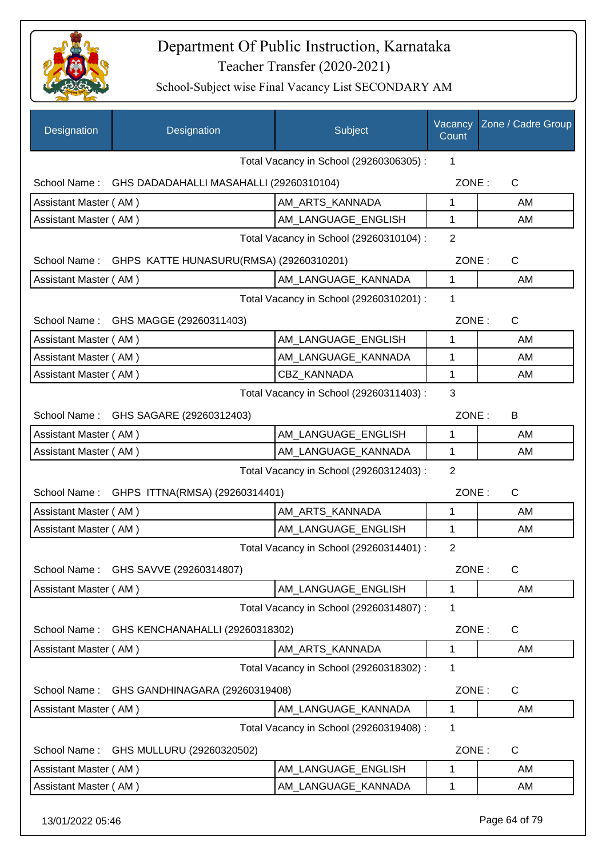

| <b>Designation</b>                      | Designation                                          | Subject                                 | Vacancy<br>Count | Zone / Cadre Group |
|-----------------------------------------|------------------------------------------------------|-----------------------------------------|------------------|--------------------|
|                                         |                                                      | Total Vacancy in School (29260306305) : | 1                |                    |
|                                         | School Name: GHS DADADAHALLI MASAHALLI (29260310104) |                                         | ZONE:            | $\mathsf{C}$       |
| Assistant Master (AM)                   |                                                      | AM_ARTS_KANNADA                         | 1                | AM                 |
| Assistant Master (AM)                   |                                                      | AM_LANGUAGE_ENGLISH                     | 1                | AM                 |
|                                         | Total Vacancy in School (29260310104) :              |                                         |                  |                    |
|                                         | School Name: GHPS KATTE HUNASURU(RMSA) (29260310201) |                                         | ZONE:            | $\mathsf{C}$       |
| Assistant Master (AM)                   |                                                      | AM_LANGUAGE_KANNADA                     | 1                | AM                 |
|                                         |                                                      | Total Vacancy in School (29260310201) : | 1                |                    |
|                                         | School Name: GHS MAGGE (29260311403)                 |                                         | ZONE:            | $\mathsf{C}$       |
| Assistant Master (AM)                   |                                                      | AM_LANGUAGE_ENGLISH                     | 1                | AM                 |
| Assistant Master (AM)                   |                                                      | AM_LANGUAGE_KANNADA                     | 1                | AM                 |
| Assistant Master (AM)                   |                                                      | <b>CBZ KANNADA</b>                      | 1                | AM                 |
| Total Vacancy in School (29260311403) : |                                                      |                                         |                  |                    |
|                                         | School Name: GHS SAGARE (29260312403)                |                                         | ZONE:            | B                  |
| Assistant Master (AM)                   |                                                      | AM LANGUAGE_ENGLISH                     | 1                | AM                 |
| Assistant Master (AM)                   |                                                      | AM_LANGUAGE_KANNADA                     | $\mathbf{1}$     | AM                 |
|                                         |                                                      | Total Vacancy in School (29260312403) : | $\overline{2}$   |                    |
|                                         | School Name: GHPS ITTNA(RMSA) (29260314401)          |                                         | ZONE:            | $\mathsf{C}$       |
| Assistant Master (AM)                   |                                                      | AM_ARTS_KANNADA                         | 1                | AM                 |
| Assistant Master (AM)                   |                                                      | AM_LANGUAGE_ENGLISH                     | 1                | AM                 |
|                                         |                                                      | Total Vacancy in School (29260314401) : | $\overline{2}$   |                    |
| School Name:                            | GHS SAVVE (29260314807)                              |                                         | ZONE:            | C                  |
| Assistant Master (AM)                   |                                                      | AM LANGUAGE ENGLISH                     | 1                | AM                 |
|                                         |                                                      | Total Vacancy in School (29260314807) : | 1                |                    |
| School Name:                            | GHS KENCHANAHALLI (29260318302)                      |                                         | ZONE:            | C                  |
| Assistant Master (AM)                   |                                                      | AM_ARTS_KANNADA                         | 1                | AM                 |
|                                         |                                                      | Total Vacancy in School (29260318302) : | 1                |                    |
| School Name:                            | GHS GANDHINAGARA (29260319408)                       |                                         | ZONE:            | C                  |
| Assistant Master (AM)                   |                                                      | AM LANGUAGE KANNADA                     | 1                | AM.                |
|                                         |                                                      | Total Vacancy in School (29260319408) : | 1                |                    |
| School Name:                            | GHS MULLURU (29260320502)                            |                                         | ZONE:            | C                  |
| Assistant Master (AM)                   |                                                      | AM LANGUAGE ENGLISH                     | 1                | AM                 |
| Assistant Master (AM)                   |                                                      | AM_LANGUAGE_KANNADA                     | 1                | AM                 |
|                                         |                                                      |                                         |                  |                    |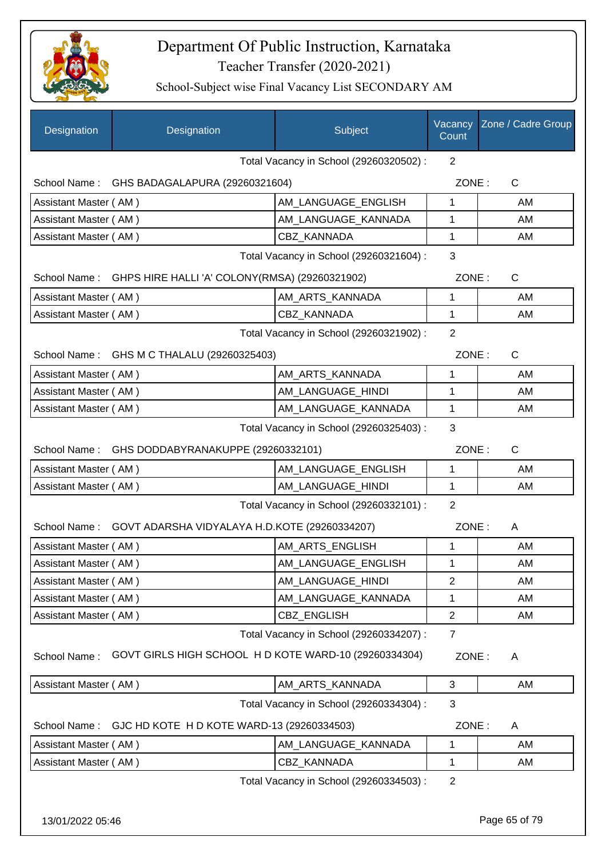

School-Subject wise Final Vacancy List SECONDARY AM

| Designation                             | Designation                                                 | Subject                                 | Vacancy<br>Count | Zone / Cadre Group |
|-----------------------------------------|-------------------------------------------------------------|-----------------------------------------|------------------|--------------------|
|                                         |                                                             | Total Vacancy in School (29260320502) : | 2                |                    |
|                                         | School Name: GHS BADAGALAPURA (29260321604)                 |                                         | ZONE:            | C                  |
| Assistant Master (AM)                   |                                                             | AM LANGUAGE ENGLISH                     | 1                | AM                 |
| Assistant Master (AM)                   |                                                             | AM_LANGUAGE_KANNADA                     | 1                | AM                 |
| Assistant Master (AM)                   |                                                             | CBZ_KANNADA                             | 1                | AM                 |
|                                         |                                                             | Total Vacancy in School (29260321604) : | 3                |                    |
|                                         | School Name: GHPS HIRE HALLI 'A' COLONY(RMSA) (29260321902) |                                         | ZONE:            | C                  |
| Assistant Master (AM)                   |                                                             | AM_ARTS_KANNADA                         | $\mathbf 1$      | AM                 |
| Assistant Master (AM)                   |                                                             | <b>CBZ KANNADA</b>                      | $\mathbf{1}$     | AM                 |
|                                         |                                                             | Total Vacancy in School (29260321902) : | $\overline{2}$   |                    |
|                                         | School Name: GHS M C THALALU (29260325403)                  |                                         | ZONE:            | $\mathsf{C}$       |
| Assistant Master (AM)                   |                                                             | AM_ARTS_KANNADA                         | 1                | AM                 |
| Assistant Master (AM)                   |                                                             | AM LANGUAGE HINDI                       | 1                | AM                 |
| Assistant Master (AM)                   |                                                             | AM LANGUAGE KANNADA                     | 1                | AM                 |
| Total Vacancy in School (29260325403) : |                                                             |                                         |                  |                    |
|                                         | School Name: GHS DODDABYRANAKUPPE (29260332101)             |                                         | ZONE:            | $\mathsf{C}$       |
| Assistant Master (AM)                   |                                                             | AM LANGUAGE ENGLISH                     | 1                | AM                 |
| Assistant Master (AM)                   |                                                             | AM_LANGUAGE_HINDI                       | $\mathbf 1$      | AM                 |
|                                         |                                                             | Total Vacancy in School (29260332101) : | $\overline{2}$   |                    |
|                                         | School Name: GOVT ADARSHA VIDYALAYA H.D.KOTE (29260334207)  |                                         | ZONE:            | A                  |
| Assistant Master (AM)                   |                                                             | AM_ARTS_ENGLISH                         | 1                | AM                 |
| Assistant Master (AM)                   |                                                             | AM LANGUAGE ENGLISH                     | 1                | AM                 |
| Assistant Master (AM)                   |                                                             | AM_LANGUAGE_HINDI                       | $\overline{2}$   | AM                 |
| Assistant Master (AM)                   |                                                             | AM_LANGUAGE_KANNADA                     | 1                | AM                 |
| Assistant Master (AM)                   |                                                             | CBZ_ENGLISH                             | $\overline{c}$   | AM                 |
|                                         |                                                             | Total Vacancy in School (29260334207) : | $\overline{7}$   |                    |
| School Name:                            | GOVT GIRLS HIGH SCHOOL HD KOTE WARD-10 (29260334304)        |                                         | ZONE:            | A                  |
| Assistant Master (AM)                   |                                                             | AM_ARTS_KANNADA                         | 3                | AM                 |
|                                         |                                                             | Total Vacancy in School (29260334304) : | 3                |                    |
| School Name:                            | GJC HD KOTE H D KOTE WARD-13 (29260334503)                  |                                         | ZONE:            | A                  |
| Assistant Master (AM)                   |                                                             | AM LANGUAGE KANNADA                     | 1                | AM                 |
| Assistant Master (AM)                   |                                                             | CBZ_KANNADA                             | $\mathbf 1$      | AM                 |
|                                         |                                                             | Total Vacancy in School (29260334503) : | $\overline{2}$   |                    |

13/01/2022 05:46 Page 65 of 79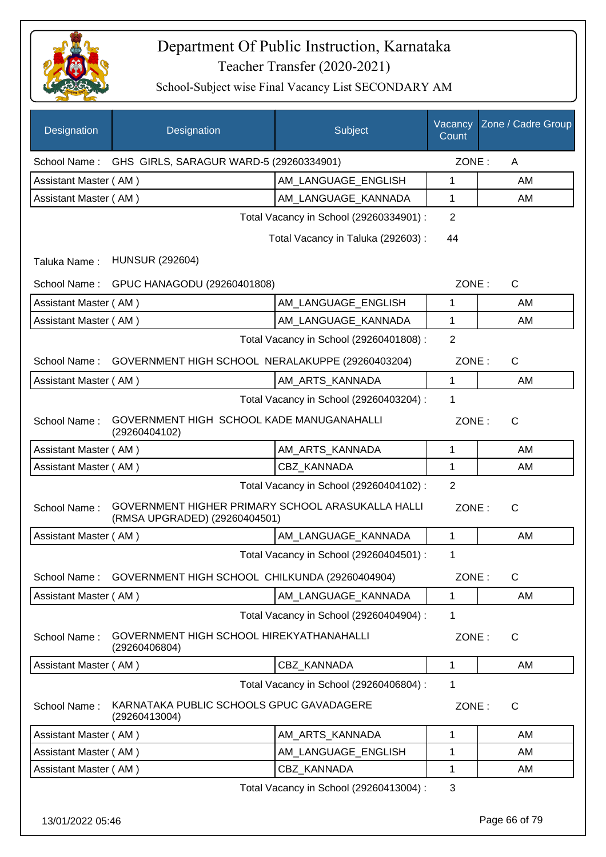

| Designation           | Designation                                                                        | Subject                                 | Vacancy<br>Count | Zone / Cadre Group |
|-----------------------|------------------------------------------------------------------------------------|-----------------------------------------|------------------|--------------------|
| School Name:          | GHS GIRLS, SARAGUR WARD-5 (29260334901)                                            |                                         | ZONE:            | A                  |
| Assistant Master (AM) |                                                                                    | AM LANGUAGE ENGLISH                     | 1                | AM                 |
| Assistant Master (AM) |                                                                                    | AM_LANGUAGE_KANNADA                     | 1                | AM                 |
|                       |                                                                                    | Total Vacancy in School (29260334901) : | $\overline{2}$   |                    |
|                       |                                                                                    | Total Vacancy in Taluka (292603) :      | 44               |                    |
| Taluka Name:          | <b>HUNSUR (292604)</b>                                                             |                                         |                  |                    |
| School Name:          | GPUC HANAGODU (29260401808)                                                        |                                         | ZONE:            | $\mathsf{C}$       |
| Assistant Master (AM) |                                                                                    | AM LANGUAGE ENGLISH                     | 1                | AM                 |
| Assistant Master (AM) |                                                                                    | AM_LANGUAGE_KANNADA                     | 1                | AM                 |
|                       |                                                                                    | Total Vacancy in School (29260401808) : | $\overline{2}$   |                    |
| School Name:          | GOVERNMENT HIGH SCHOOL NERALAKUPPE (29260403204)                                   |                                         | ZONE:            | $\mathsf{C}$       |
| Assistant Master (AM) |                                                                                    | AM_ARTS_KANNADA                         | 1                | AM                 |
|                       |                                                                                    | Total Vacancy in School (29260403204) : | 1                |                    |
| School Name:          | GOVERNMENT HIGH SCHOOL KADE MANUGANAHALLI<br>(29260404102)                         |                                         | ZONE:            | C                  |
| Assistant Master (AM) |                                                                                    | AM_ARTS_KANNADA                         | 1                | AM                 |
| Assistant Master (AM) |                                                                                    | <b>CBZ KANNADA</b>                      | 1                | AM                 |
|                       |                                                                                    | Total Vacancy in School (29260404102) : | $\overline{2}$   |                    |
| School Name:          | GOVERNMENT HIGHER PRIMARY SCHOOL ARASUKALLA HALLI<br>(RMSA UPGRADED) (29260404501) |                                         | ZONE:            | $\mathsf{C}$       |
| Assistant Master (AM) |                                                                                    | AM_LANGUAGE_KANNADA                     | 1                | AM                 |
|                       |                                                                                    | Total Vacancy in School (29260404501) : | 1                |                    |
| School Name:          | GOVERNMENT HIGH SCHOOL CHILKUNDA (29260404904)                                     |                                         | ZONE:            | C                  |
| Assistant Master (AM) |                                                                                    | AM_LANGUAGE_KANNADA                     | 1                | AM                 |
|                       |                                                                                    | Total Vacancy in School (29260404904) : | 1                |                    |
| School Name:          | GOVERNMENT HIGH SCHOOL HIREKYATHANAHALLI<br>(29260406804)                          |                                         | ZONE:            | $\mathsf{C}$       |
| Assistant Master (AM) |                                                                                    | CBZ_KANNADA                             | 1                | AM                 |
|                       |                                                                                    | Total Vacancy in School (29260406804) : | 1                |                    |
| School Name:          | KARNATAKA PUBLIC SCHOOLS GPUC GAVADAGERE<br>(29260413004)                          |                                         | ZONE:            | $\mathsf{C}$       |
| Assistant Master (AM) |                                                                                    | AM ARTS KANNADA                         | 1                | AM                 |
| Assistant Master (AM) |                                                                                    | AM_LANGUAGE_ENGLISH                     | 1                | AM                 |
| Assistant Master (AM) |                                                                                    | CBZ_KANNADA                             | 1                | AM                 |
|                       |                                                                                    | Total Vacancy in School (29260413004) : | 3                |                    |
| 13/01/2022 05:46      |                                                                                    |                                         |                  | Page 66 of 79      |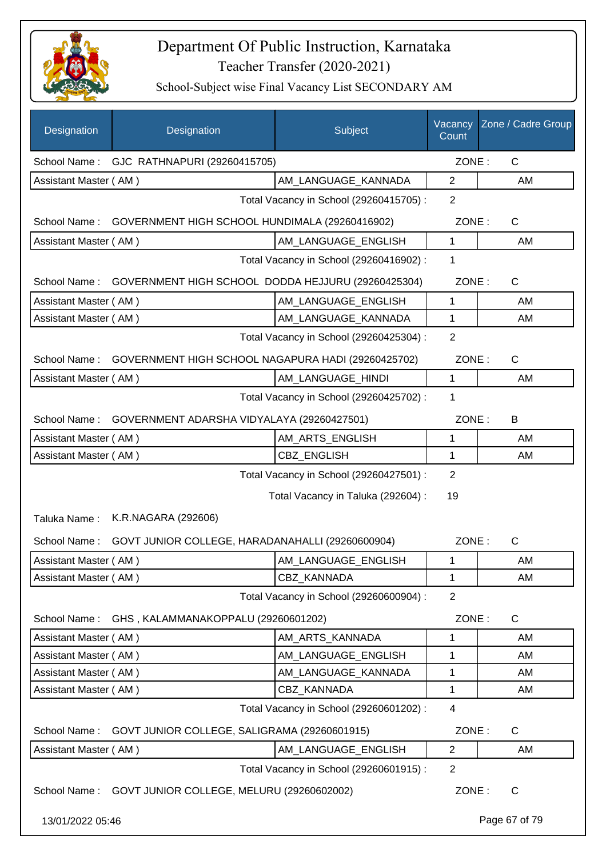

| Designation           | Designation                                            | Subject                                 | Vacancy<br>Count | Zone / Cadre Group |
|-----------------------|--------------------------------------------------------|-----------------------------------------|------------------|--------------------|
| School Name:          | GJC RATHNAPURI (29260415705)                           |                                         | ZONE:            | $\mathsf{C}$       |
| Assistant Master (AM) |                                                        | AM_LANGUAGE_KANNADA                     | $\overline{2}$   | AM                 |
|                       |                                                        | Total Vacancy in School (29260415705) : | $\overline{2}$   |                    |
| School Name:          | GOVERNMENT HIGH SCHOOL HUNDIMALA (29260416902)         |                                         | ZONE:            | $\mathsf C$        |
| Assistant Master (AM) |                                                        | AM LANGUAGE ENGLISH                     | 1                | AM                 |
|                       |                                                        | Total Vacancy in School (29260416902) : | 1                |                    |
| School Name:          | GOVERNMENT HIGH SCHOOL DODDA HEJJURU (29260425304)     |                                         | ZONE:            | $\mathsf{C}$       |
| Assistant Master (AM) |                                                        | AM_LANGUAGE_ENGLISH                     | $\mathbf{1}$     | AM                 |
| Assistant Master (AM) |                                                        | AM LANGUAGE KANNADA                     | 1                | AM                 |
|                       |                                                        | Total Vacancy in School (29260425304) : | $\overline{2}$   |                    |
| School Name:          | GOVERNMENT HIGH SCHOOL NAGAPURA HADI (29260425702)     |                                         | ZONE:            | $\mathsf C$        |
| Assistant Master (AM) |                                                        | AM_LANGUAGE_HINDI                       | 1                | AM                 |
|                       |                                                        | Total Vacancy in School (29260425702) : | 1                |                    |
| School Name:          | GOVERNMENT ADARSHA VIDYALAYA (29260427501)             |                                         | ZONE:            | B                  |
| Assistant Master (AM) |                                                        | AM_ARTS_ENGLISH                         | 1                | AM                 |
| Assistant Master (AM) |                                                        | CBZ_ENGLISH                             | 1                | AM                 |
|                       |                                                        | Total Vacancy in School (29260427501) : | $\overline{2}$   |                    |
|                       |                                                        | Total Vacancy in Taluka (292604) :      | 19               |                    |
| Taluka Name:          | K.R.NAGARA (292606)                                    |                                         |                  |                    |
| School Name:          | GOVT JUNIOR COLLEGE, HARADANAHALLI (29260600904)       |                                         | ZONE:            | C                  |
| Assistant Master (AM) |                                                        | AM_LANGUAGE_ENGLISH                     | 1                | AM                 |
| Assistant Master (AM) |                                                        | <b>CBZ KANNADA</b>                      | 1                | AM                 |
|                       |                                                        | Total Vacancy in School (29260600904) : | $\overline{2}$   |                    |
| School Name:          | GHS, KALAMMANAKOPPALU (29260601202)                    |                                         | ZONE:            | $\mathsf{C}$       |
| Assistant Master (AM) |                                                        | AM_ARTS_KANNADA                         | 1                | AM                 |
| Assistant Master (AM) |                                                        | AM_LANGUAGE_ENGLISH                     | 1                | AM                 |
| Assistant Master (AM) |                                                        | AM_LANGUAGE_KANNADA                     | 1                | AM                 |
| Assistant Master (AM) |                                                        | <b>CBZ KANNADA</b>                      | 1                | AM                 |
|                       |                                                        | Total Vacancy in School (29260601202) : | 4                |                    |
| School Name:          | GOVT JUNIOR COLLEGE, SALIGRAMA (29260601915)           |                                         | ZONE:            | $\mathsf C$        |
| Assistant Master (AM) |                                                        | AM_LANGUAGE_ENGLISH                     | $\overline{2}$   | AM                 |
|                       |                                                        | Total Vacancy in School (29260601915) : | $\overline{2}$   |                    |
|                       | School Name: GOVT JUNIOR COLLEGE, MELURU (29260602002) |                                         | ZONE:            | C                  |
| 13/01/2022 05:46      |                                                        |                                         |                  | Page 67 of 79      |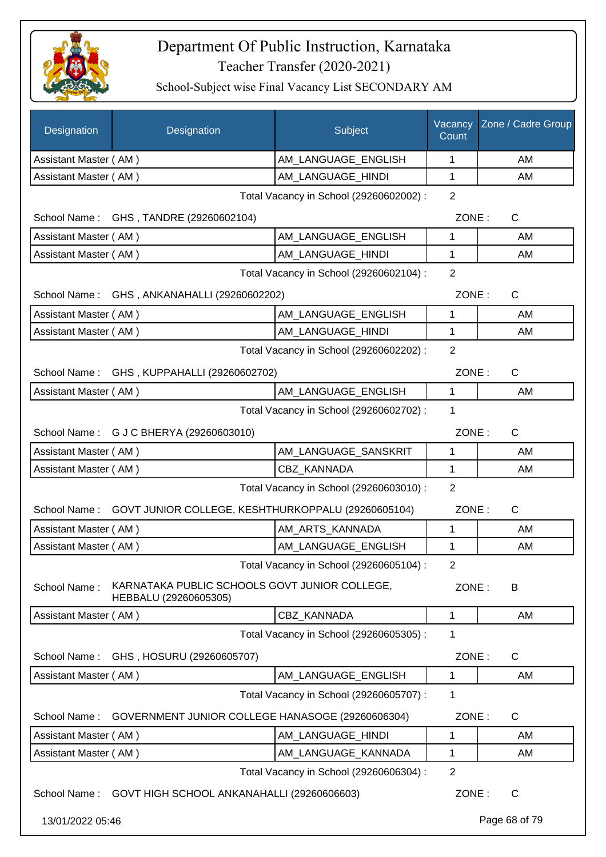

| Designation           | Designation                                                            | Subject                                 | Vacancy<br>Count | Zone / Cadre Group |
|-----------------------|------------------------------------------------------------------------|-----------------------------------------|------------------|--------------------|
| Assistant Master (AM) |                                                                        | AM_LANGUAGE_ENGLISH                     | 1                | AM                 |
| Assistant Master (AM) |                                                                        | AM_LANGUAGE_HINDI                       | 1                | AM                 |
|                       |                                                                        | Total Vacancy in School (29260602002) : | $\overline{2}$   |                    |
|                       | School Name: GHS, TANDRE (29260602104)                                 |                                         | ZONE:            | $\mathsf{C}$       |
| Assistant Master (AM) |                                                                        | AM_LANGUAGE_ENGLISH                     | 1                | AM                 |
| Assistant Master (AM) |                                                                        | AM_LANGUAGE_HINDI                       | 1                | AM                 |
|                       | Total Vacancy in School (29260602104) :                                |                                         |                  |                    |
|                       | School Name: GHS, ANKANAHALLI (29260602202)                            |                                         | ZONE:            | $\mathsf{C}$       |
| Assistant Master (AM) |                                                                        | AM_LANGUAGE_ENGLISH                     | 1                | AM                 |
| Assistant Master (AM) |                                                                        | AM LANGUAGE HINDI                       | 1                | AM                 |
|                       |                                                                        | Total Vacancy in School (29260602202) : | $\overline{2}$   |                    |
|                       | School Name: GHS, KUPPAHALLI (29260602702)                             |                                         | ZONE:            | $\mathsf{C}$       |
| Assistant Master (AM) |                                                                        | AM_LANGUAGE_ENGLISH                     | 1                | AM                 |
|                       |                                                                        | Total Vacancy in School (29260602702) : | 1                |                    |
|                       | School Name: G J C BHERYA (29260603010)                                |                                         | ZONE:            | $\mathsf{C}$       |
| Assistant Master (AM) |                                                                        | AM_LANGUAGE_SANSKRIT                    | 1                | AM                 |
| Assistant Master (AM) |                                                                        | CBZ KANNADA                             | 1                | AM                 |
|                       |                                                                        | Total Vacancy in School (29260603010) : | $\overline{2}$   |                    |
| School Name:          | GOVT JUNIOR COLLEGE, KESHTHURKOPPALU (29260605104)                     |                                         | ZONE:            | $\mathsf{C}$       |
| Assistant Master (AM) |                                                                        | AM_ARTS_KANNADA                         | 1                | AM                 |
| Assistant Master (AM) |                                                                        | AM LANGUAGE ENGLISH                     | 1                | AM                 |
|                       |                                                                        | Total Vacancy in School (29260605104) : | 2                |                    |
| School Name:          | KARNATAKA PUBLIC SCHOOLS GOVT JUNIOR COLLEGE,<br>HEBBALU (29260605305) |                                         | ZONE:            | B                  |
| Assistant Master (AM) |                                                                        | CBZ_KANNADA                             | 1                | AM                 |
|                       |                                                                        | Total Vacancy in School (29260605305) : | 1                |                    |
| School Name:          | GHS, HOSURU (29260605707)                                              |                                         | ZONE:            | C                  |
| Assistant Master (AM) |                                                                        | AM LANGUAGE ENGLISH                     | 1                | AM                 |
|                       |                                                                        | Total Vacancy in School (29260605707) : | 1                |                    |
| School Name:          | GOVERNMENT JUNIOR COLLEGE HANASOGE (29260606304)                       |                                         | ZONE:            | C                  |
| Assistant Master (AM) |                                                                        | AM_LANGUAGE_HINDI                       | 1                | AM                 |
| Assistant Master (AM) |                                                                        | AM_LANGUAGE_KANNADA                     | 1                | AM                 |
|                       |                                                                        | Total Vacancy in School (29260606304) : | $\overline{2}$   |                    |
|                       | School Name: GOVT HIGH SCHOOL ANKANAHALLI (29260606603)                |                                         | ZONE:            | $\mathsf{C}$       |
| 13/01/2022 05:46      |                                                                        |                                         |                  | Page 68 of 79      |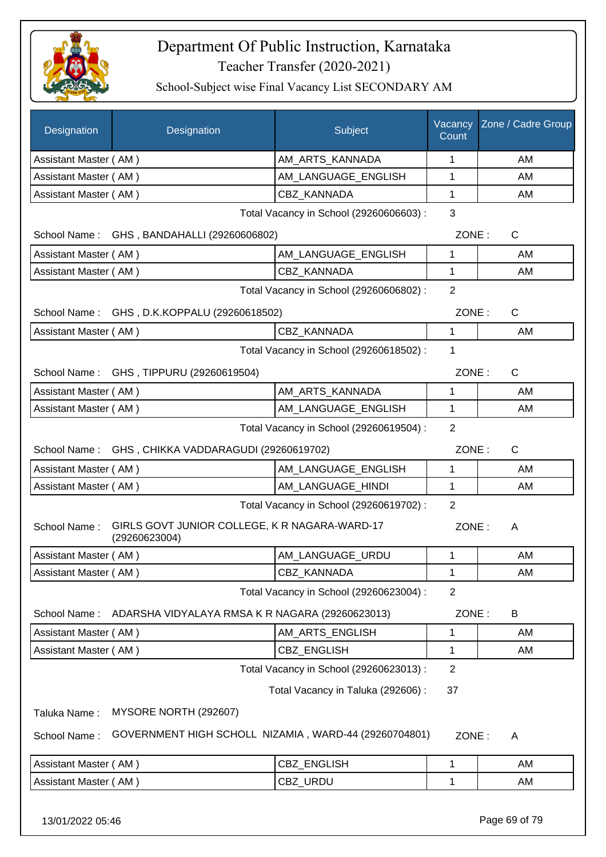

School-Subject wise Final Vacancy List SECONDARY AM

| <b>Designation</b>                                        | Designation                                                    | Subject                                 | Vacancy<br>Count | Zone / Cadre Group    |
|-----------------------------------------------------------|----------------------------------------------------------------|-----------------------------------------|------------------|-----------------------|
| Assistant Master (AM)                                     |                                                                | AM_ARTS_KANNADA                         | 1                | AM                    |
| Assistant Master (AM)                                     |                                                                | AM LANGUAGE ENGLISH                     | 1                | AM                    |
| Assistant Master (AM)                                     |                                                                | CBZ KANNADA                             | 1                | AM                    |
|                                                           | Total Vacancy in School (29260606603) :                        |                                         |                  |                       |
|                                                           | School Name: GHS, BANDAHALLI (29260606802)                     |                                         |                  | ZONE:<br>$\mathsf{C}$ |
| Assistant Master (AM)                                     |                                                                | AM_LANGUAGE_ENGLISH                     | 1                | AM                    |
| Assistant Master (AM)                                     |                                                                | <b>CBZ KANNADA</b>                      | 1                | AM                    |
|                                                           |                                                                | Total Vacancy in School (29260606802) : | $\overline{2}$   |                       |
|                                                           | School Name: GHS, D.K.KOPPALU (29260618502)                    |                                         | ZONE:            | C                     |
| Assistant Master (AM)                                     |                                                                | CBZ_KANNADA                             | 1                | AM                    |
|                                                           |                                                                | Total Vacancy in School (29260618502) : | 1                |                       |
|                                                           | School Name: GHS, TIPPURU (29260619504)                        |                                         | ZONE:            | $\mathsf{C}$          |
| Assistant Master (AM)                                     |                                                                | AM_ARTS_KANNADA                         | 1                | AM                    |
| Assistant Master (AM)                                     |                                                                | AM_LANGUAGE_ENGLISH                     | $\mathbf{1}$     | AM                    |
| $\overline{2}$<br>Total Vacancy in School (29260619504) : |                                                                |                                         |                  |                       |
|                                                           | School Name: GHS, CHIKKA VADDARAGUDI (29260619702)             |                                         | ZONE:            | $\mathsf{C}$          |
| Assistant Master (AM)                                     |                                                                | AM_LANGUAGE_ENGLISH                     | 1                | AM                    |
| Assistant Master (AM)                                     |                                                                | AM_LANGUAGE_HINDI                       | 1                | AM                    |
|                                                           |                                                                | Total Vacancy in School (29260619702) : | $\overline{2}$   |                       |
| School Name:                                              | GIRLS GOVT JUNIOR COLLEGE, K R NAGARA-WARD-17<br>(29260623004) |                                         | ZONE:            | A                     |
| Assistant Master (AM)                                     |                                                                | AM LANGUAGE URDU                        | 1                | AM                    |
| Assistant Master (AM)                                     |                                                                | CBZ_KANNADA                             | 1                | AM                    |
|                                                           |                                                                | Total Vacancy in School (29260623004) : | $\overline{2}$   |                       |
| School Name:                                              | ADARSHA VIDYALAYA RMSA K R NAGARA (29260623013)                |                                         | ZONE:            | B                     |
| Assistant Master (AM)                                     |                                                                | AM_ARTS_ENGLISH                         | 1                | AM                    |
| Assistant Master (AM)                                     |                                                                | CBZ_ENGLISH                             | 1                | AM                    |
|                                                           |                                                                | Total Vacancy in School (29260623013) : | $\overline{2}$   |                       |
|                                                           |                                                                | Total Vacancy in Taluka (292606) :      | 37               |                       |
| Taluka Name:                                              | MYSORE NORTH (292607)                                          |                                         |                  |                       |
| School Name:                                              | GOVERNMENT HIGH SCHOLL NIZAMIA, WARD-44 (29260704801)          |                                         | ZONE:            | A                     |
| Assistant Master (AM)                                     |                                                                | CBZ_ENGLISH                             | 1                | AM                    |
| Assistant Master (AM)                                     |                                                                | CBZ_URDU                                | 1                | AM                    |
|                                                           |                                                                |                                         |                  |                       |

13/01/2022 05:46 Page 69 of 79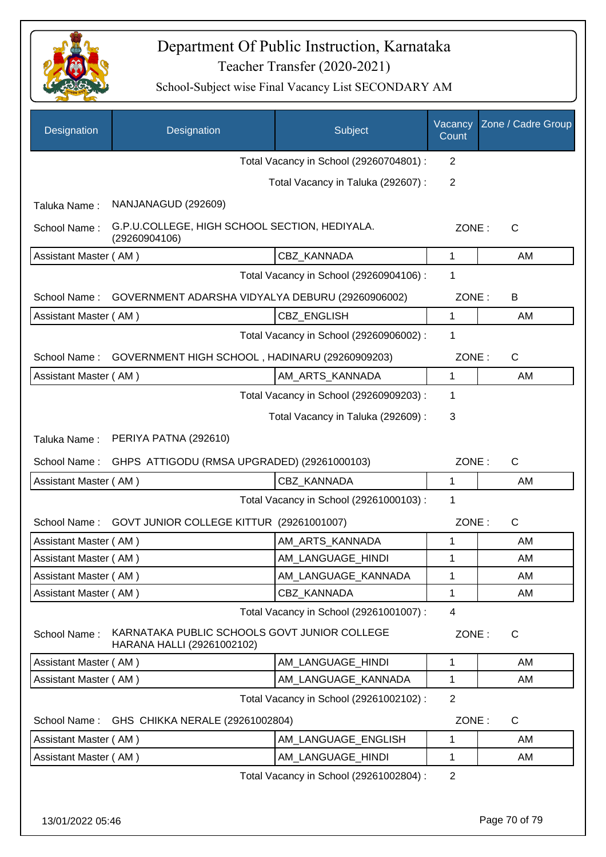

| Designation           | Designation                                                                | Subject                                 | Vacancy<br>Count | Zone / Cadre Group |
|-----------------------|----------------------------------------------------------------------------|-----------------------------------------|------------------|--------------------|
|                       |                                                                            | Total Vacancy in School (29260704801) : | 2                |                    |
|                       |                                                                            | Total Vacancy in Taluka (292607) :      | 2                |                    |
| Taluka Name:          | NANJANAGUD (292609)                                                        |                                         |                  |                    |
| School Name:          | G.P.U.COLLEGE, HIGH SCHOOL SECTION, HEDIYALA.<br>(29260904106)             |                                         | ZONE:            | C                  |
| Assistant Master (AM) |                                                                            | CBZ_KANNADA                             | $\mathbf{1}$     | AM                 |
|                       |                                                                            | Total Vacancy in School (29260904106) : | 1                |                    |
| School Name:          | GOVERNMENT ADARSHA VIDYALYA DEBURU (29260906002)                           |                                         | ZONE:            | B                  |
| Assistant Master (AM) |                                                                            | <b>CBZ ENGLISH</b>                      | 1                | AM                 |
|                       |                                                                            | Total Vacancy in School (29260906002) : | 1                |                    |
| School Name:          | GOVERNMENT HIGH SCHOOL, HADINARU (29260909203)                             |                                         | ZONE:            | $\mathsf{C}$       |
| Assistant Master (AM) |                                                                            | AM_ARTS_KANNADA                         | 1                | AM                 |
|                       |                                                                            | Total Vacancy in School (29260909203) : | 1                |                    |
|                       |                                                                            |                                         | 3                |                    |
|                       |                                                                            | Total Vacancy in Taluka (292609) :      |                  |                    |
| Taluka Name:          | PERIYA PATNA (292610)                                                      |                                         |                  |                    |
| School Name:          | GHPS ATTIGODU (RMSA UPGRADED) (29261000103)                                |                                         | ZONE:            | $\mathsf{C}$       |
| Assistant Master (AM) |                                                                            | CBZ KANNADA                             | 1                | AM                 |
|                       |                                                                            | Total Vacancy in School (29261000103) : | 1                |                    |
| School Name:          | GOVT JUNIOR COLLEGE KITTUR (29261001007)                                   |                                         | ZONE:            | $\mathsf{C}$       |
| Assistant Master (AM) |                                                                            | AM_ARTS_KANNADA                         | 1                | AM                 |
| Assistant Master (AM) |                                                                            | AM LANGUAGE HINDI                       | 1                | AM                 |
| Assistant Master (AM) |                                                                            | AM_LANGUAGE_KANNADA                     | 1                | AM                 |
| Assistant Master (AM) |                                                                            | CBZ KANNADA                             | 1                | AM                 |
|                       |                                                                            | Total Vacancy in School (29261001007) : | $\overline{4}$   |                    |
| School Name:          | KARNATAKA PUBLIC SCHOOLS GOVT JUNIOR COLLEGE<br>HARANA HALLI (29261002102) |                                         | ZONE:            | C                  |
| Assistant Master (AM) |                                                                            | AM_LANGUAGE_HINDI                       | 1                | AM                 |
| Assistant Master (AM) |                                                                            | AM_LANGUAGE_KANNADA                     | 1                | AM                 |
|                       |                                                                            | Total Vacancy in School (29261002102) : | $\overline{2}$   |                    |
| School Name:          | GHS CHIKKA NERALE (29261002804)                                            |                                         | ZONE:            | C                  |
| Assistant Master (AM) |                                                                            | AM_LANGUAGE_ENGLISH                     | 1                | AM                 |
| Assistant Master (AM) |                                                                            | AM_LANGUAGE_HINDI                       | 1                | AM                 |
|                       |                                                                            | Total Vacancy in School (29261002804) : | $\overline{2}$   |                    |
|                       |                                                                            |                                         |                  |                    |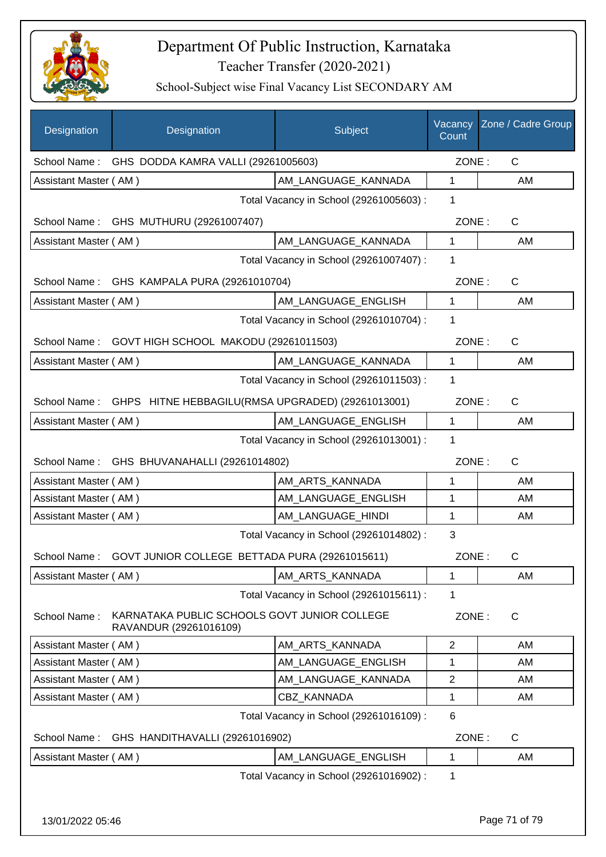

| Designation           | Designation                                                            | Subject                                 | Vacancy<br>Count | Zone / Cadre Group |
|-----------------------|------------------------------------------------------------------------|-----------------------------------------|------------------|--------------------|
|                       | School Name: GHS DODDA KAMRA VALLI (29261005603)                       |                                         | ZONE:            | C                  |
| Assistant Master (AM) |                                                                        | AM LANGUAGE_KANNADA                     | $\mathbf{1}$     | AM                 |
|                       |                                                                        | Total Vacancy in School (29261005603) : | 1                |                    |
|                       | School Name: GHS MUTHURU (29261007407)                                 |                                         | ZONE:            | C                  |
| Assistant Master (AM) |                                                                        | AM LANGUAGE KANNADA                     | $\mathbf{1}$     | AM                 |
|                       |                                                                        | Total Vacancy in School (29261007407) : | 1                |                    |
|                       | School Name: GHS KAMPALA PURA (29261010704)                            |                                         | ZONE:            | C                  |
| Assistant Master (AM) |                                                                        | AM_LANGUAGE_ENGLISH                     | $\mathbf{1}$     | AM                 |
|                       |                                                                        | Total Vacancy in School (29261010704) : | 1                |                    |
|                       | School Name: GOVT HIGH SCHOOL MAKODU (29261011503)                     |                                         | ZONE:            | $\mathsf C$        |
| Assistant Master (AM) |                                                                        | AM_LANGUAGE_KANNADA                     | $\mathbf{1}$     | AM                 |
|                       |                                                                        | Total Vacancy in School (29261011503) : | 1                |                    |
| School Name:          | GHPS HITNE HEBBAGILU(RMSA UPGRADED) (29261013001)                      |                                         | ZONE:            | C                  |
| Assistant Master (AM) |                                                                        | AM_LANGUAGE_ENGLISH                     | $\mathbf{1}$     | AM                 |
|                       |                                                                        | Total Vacancy in School (29261013001) : | 1                |                    |
| School Name:          | GHS BHUVANAHALLI (29261014802)                                         |                                         | ZONE:            | $\mathsf{C}$       |
| Assistant Master (AM) |                                                                        | AM_ARTS_KANNADA                         | 1                | AM                 |
| Assistant Master (AM) |                                                                        | AM LANGUAGE ENGLISH                     | 1                | AM                 |
| Assistant Master (AM) |                                                                        | AM LANGUAGE HINDI                       | 1                | AM                 |
|                       |                                                                        | Total Vacancy in School (29261014802) : | 3                |                    |
|                       | School Name: GOVT JUNIOR COLLEGE BETTADA PURA (29261015611)            |                                         | ZONE:            | C                  |
| Assistant Master (AM) |                                                                        | AM ARTS KANNADA                         | $\mathbf{1}$     | AM                 |
|                       |                                                                        | Total Vacancy in School (29261015611) : | 1                |                    |
| School Name:          | KARNATAKA PUBLIC SCHOOLS GOVT JUNIOR COLLEGE<br>RAVANDUR (29261016109) |                                         | ZONE:            | $\mathsf C$        |
| Assistant Master (AM) |                                                                        | AM_ARTS_KANNADA                         | $\overline{2}$   | AM                 |
| Assistant Master (AM) |                                                                        | AM LANGUAGE ENGLISH                     | 1                | AM                 |
| Assistant Master (AM) |                                                                        | AM_LANGUAGE_KANNADA                     | $\overline{2}$   | AM                 |
| Assistant Master (AM) |                                                                        | CBZ_KANNADA                             | 1                | AM                 |
|                       |                                                                        | Total Vacancy in School (29261016109) : | 6                |                    |
| School Name:          | GHS HANDITHAVALLI (29261016902)                                        |                                         | ZONE:            | $\mathsf C$        |
| Assistant Master (AM) |                                                                        | AM_LANGUAGE_ENGLISH                     | $\mathbf{1}$     | AM                 |
|                       |                                                                        | Total Vacancy in School (29261016902) : | 1                |                    |
| 13/01/2022 05:46      |                                                                        |                                         |                  | Page 71 of 79      |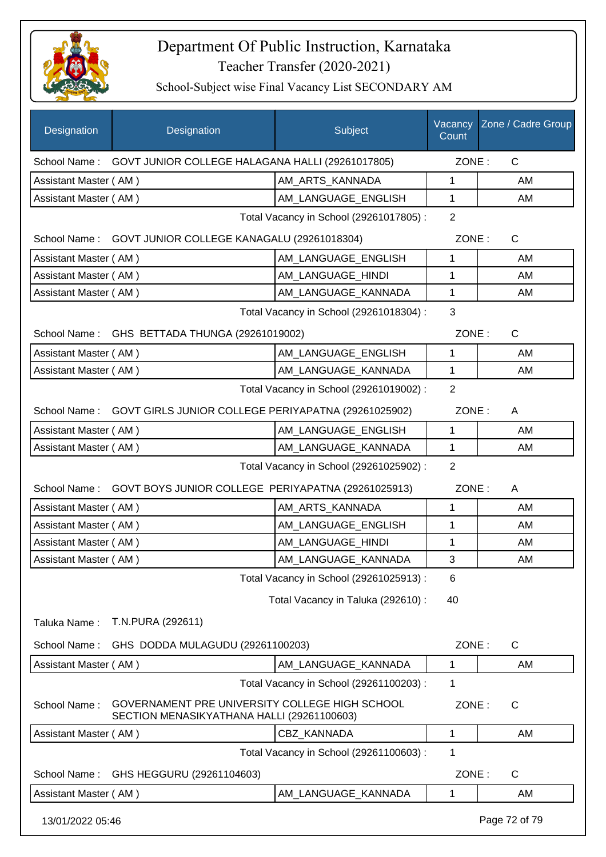

| Designation           | Designation                                                                                  | Subject                                 | Count          | Vacancy Zone / Cadre Group |  |
|-----------------------|----------------------------------------------------------------------------------------------|-----------------------------------------|----------------|----------------------------|--|
| School Name:          | GOVT JUNIOR COLLEGE HALAGANA HALLI (29261017805)                                             |                                         | ZONE:          | $\mathsf{C}$               |  |
| Assistant Master (AM) |                                                                                              | AM_ARTS_KANNADA                         | 1              | AM                         |  |
| Assistant Master (AM) |                                                                                              | AM_LANGUAGE_ENGLISH                     | 1              | AM                         |  |
|                       |                                                                                              | Total Vacancy in School (29261017805) : | $\overline{2}$ |                            |  |
|                       | School Name: GOVT JUNIOR COLLEGE KANAGALU (29261018304)                                      |                                         | ZONE:          | C                          |  |
| Assistant Master (AM) |                                                                                              | AM LANGUAGE ENGLISH                     | 1              | AM                         |  |
| Assistant Master (AM) |                                                                                              | AM_LANGUAGE_HINDI                       | 1              | AM                         |  |
| Assistant Master (AM) |                                                                                              | AM_LANGUAGE_KANNADA                     | $\mathbf{1}$   | AM                         |  |
|                       |                                                                                              | Total Vacancy in School (29261018304) : | 3              |                            |  |
| School Name:          | GHS BETTADA THUNGA (29261019002)                                                             |                                         | ZONE:          | $\mathsf{C}$               |  |
| Assistant Master (AM) |                                                                                              | AM LANGUAGE ENGLISH                     | 1              | AM                         |  |
| Assistant Master (AM) |                                                                                              | AM_LANGUAGE_KANNADA                     | 1              | AM                         |  |
|                       |                                                                                              | Total Vacancy in School (29261019002) : | $\overline{2}$ |                            |  |
|                       | School Name: GOVT GIRLS JUNIOR COLLEGE PERIYAPATNA (29261025902)                             |                                         | ZONE:          | A                          |  |
| Assistant Master (AM) |                                                                                              | AM_LANGUAGE_ENGLISH                     | 1              | AM                         |  |
| Assistant Master (AM) |                                                                                              | AM_LANGUAGE_KANNADA                     | $\mathbf{1}$   | AM                         |  |
|                       | Total Vacancy in School (29261025902) :<br>2                                                 |                                         |                |                            |  |
| School Name:          | GOVT BOYS JUNIOR COLLEGE PERIYAPATNA (29261025913)                                           |                                         | ZONE:          | A                          |  |
| Assistant Master (AM) |                                                                                              | AM_ARTS_KANNADA                         | $\mathbf{1}$   | AM                         |  |
| Assistant Master (AM) |                                                                                              | AM_LANGUAGE_ENGLISH                     | 1              | AM                         |  |
| Assistant Master (AM) |                                                                                              | AM_LANGUAGE_HINDI                       | 1              | AM                         |  |
| Assistant Master (AM) |                                                                                              | AM_LANGUAGE_KANNADA                     | 3              | AM                         |  |
|                       |                                                                                              | Total Vacancy in School (29261025913) : | 6              |                            |  |
|                       |                                                                                              | Total Vacancy in Taluka (292610) :      | 40             |                            |  |
| Taluka Name:          | T.N.PURA (292611)                                                                            |                                         |                |                            |  |
| School Name:          | GHS DODDA MULAGUDU (29261100203)                                                             |                                         | ZONE:          | C                          |  |
| Assistant Master (AM) |                                                                                              | AM_LANGUAGE_KANNADA                     | 1              | AM                         |  |
|                       |                                                                                              | Total Vacancy in School (29261100203) : | 1              |                            |  |
| School Name:          | GOVERNAMENT PRE UNIVERSITY COLLEGE HIGH SCHOOL<br>SECTION MENASIKYATHANA HALLI (29261100603) |                                         | ZONE:          | C                          |  |
| Assistant Master (AM) |                                                                                              | CBZ_KANNADA                             | $\mathbf{1}$   | AM                         |  |
|                       |                                                                                              | Total Vacancy in School (29261100603) : | 1              |                            |  |
| School Name:          | GHS HEGGURU (29261104603)                                                                    |                                         | ZONE:          | C                          |  |
| Assistant Master (AM) |                                                                                              | AM_LANGUAGE_KANNADA                     | 1              | AM                         |  |
| 13/01/2022 05:46      |                                                                                              |                                         |                | Page 72 of 79              |  |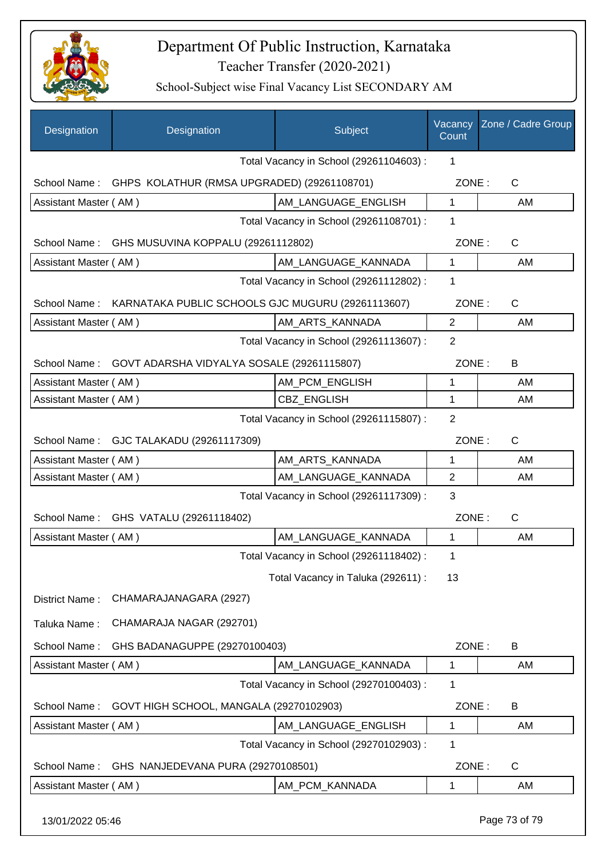

| Designation                                 | Designation                                              | Subject                                 | Vacancy<br>Count | Zone / Cadre Group |
|---------------------------------------------|----------------------------------------------------------|-----------------------------------------|------------------|--------------------|
|                                             |                                                          | Total Vacancy in School (29261104603) : | 1                |                    |
|                                             | School Name: GHPS KOLATHUR (RMSA UPGRADED) (29261108701) |                                         | ZONE:            | $\mathsf{C}$       |
| Assistant Master (AM)                       |                                                          | AM LANGUAGE ENGLISH                     | $\mathbf{1}$     | AM                 |
|                                             |                                                          | Total Vacancy in School (29261108701) : | 1                |                    |
| School Name:                                | GHS MUSUVINA KOPPALU (29261112802)                       |                                         | ZONE:            | C                  |
| Assistant Master (AM)                       |                                                          | AM_LANGUAGE_KANNADA                     | $\mathbf{1}$     | AM                 |
|                                             |                                                          | Total Vacancy in School (29261112802) : | 1                |                    |
| School Name:                                | KARNATAKA PUBLIC SCHOOLS GJC MUGURU (29261113607)        |                                         | ZONE:            | C                  |
| Assistant Master (AM)                       |                                                          | AM_ARTS_KANNADA                         | $\overline{2}$   | AM                 |
|                                             |                                                          | Total Vacancy in School (29261113607) : | $\overline{2}$   |                    |
| School Name:                                | GOVT ADARSHA VIDYALYA SOSALE (29261115807)               |                                         | ZONE:            | B                  |
| Assistant Master (AM)                       |                                                          | AM_PCM_ENGLISH                          | 1                | AM                 |
| Assistant Master (AM)                       |                                                          | <b>CBZ ENGLISH</b>                      | 1                | AM                 |
|                                             |                                                          | Total Vacancy in School (29261115807) : | $\overline{2}$   |                    |
|                                             | School Name: GJC TALAKADU (29261117309)                  |                                         | ZONE:            | $\mathsf{C}$       |
| Assistant Master (AM)                       |                                                          | AM ARTS KANNADA                         | 1                | AM                 |
| Assistant Master (AM)                       |                                                          | AM_LANGUAGE_KANNADA                     | $\overline{2}$   | AM                 |
|                                             |                                                          | Total Vacancy in School (29261117309) : | 3                |                    |
|                                             | School Name: GHS VATALU (29261118402)                    |                                         | ZONE:            | C                  |
| Assistant Master (AM)                       |                                                          | AM LANGUAGE KANNADA                     | 1                | AM                 |
|                                             |                                                          | Total Vacancy in School (29261118402) : | 1                |                    |
|                                             |                                                          | Total Vacancy in Taluka (292611) :      | 13               |                    |
| District Name:                              | CHAMARAJANAGARA (2927)                                   |                                         |                  |                    |
|                                             | CHAMARAJA NAGAR (292701)                                 |                                         |                  |                    |
| Taluka Name:                                |                                                          |                                         |                  |                    |
| School Name:                                | GHS BADANAGUPPE (29270100403)                            |                                         | ZONE:            | B                  |
| Assistant Master (AM)                       |                                                          | AM_LANGUAGE_KANNADA                     | 1                | AM                 |
|                                             |                                                          | Total Vacancy in School (29270100403) : | 1                |                    |
| School Name:                                | GOVT HIGH SCHOOL, MANGALA (29270102903)                  |                                         | ZONE:            | B                  |
| Assistant Master (AM)                       |                                                          | AM_LANGUAGE_ENGLISH                     | 1                | AM                 |
| Total Vacancy in School (29270102903):<br>1 |                                                          |                                         |                  |                    |
| School Name:                                | GHS NANJEDEVANA PURA (29270108501)                       |                                         | ZONE:            | C                  |
| Assistant Master (AM)                       |                                                          | AM_PCM_KANNADA                          | 1                | AM                 |
| 13/01/2022 05:46                            |                                                          |                                         |                  | Page 73 of 79      |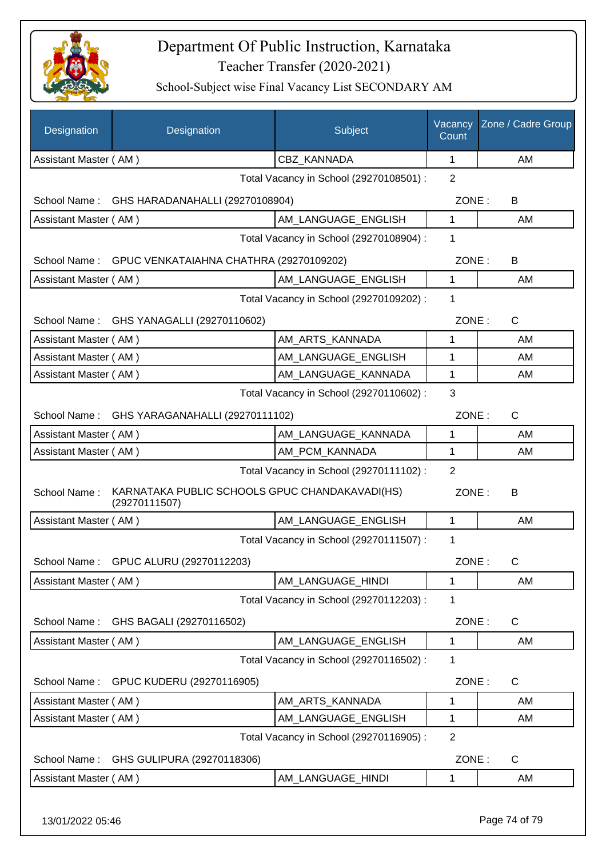

| Designation           | Designation                                                     | Subject                                 | Vacancy<br>Count | Zone / Cadre Group |
|-----------------------|-----------------------------------------------------------------|-----------------------------------------|------------------|--------------------|
| Assistant Master (AM) |                                                                 | CBZ_KANNADA                             | 1                | AM                 |
|                       |                                                                 | Total Vacancy in School (29270108501) : | 2                |                    |
|                       | School Name: GHS HARADANAHALLI (29270108904)                    |                                         | ZONE:            | B                  |
| Assistant Master (AM) |                                                                 | AM_LANGUAGE_ENGLISH                     | $\mathbf{1}$     | AM                 |
|                       |                                                                 | Total Vacancy in School (29270108904) : | 1                |                    |
| School Name:          | GPUC VENKATAIAHNA CHATHRA (29270109202)                         |                                         | ZONE:            | B                  |
| Assistant Master (AM) |                                                                 | AM LANGUAGE_ENGLISH                     | 1                | AM                 |
|                       |                                                                 | Total Vacancy in School (29270109202) : | 1                |                    |
| School Name:          | GHS YANAGALLI (29270110602)                                     |                                         | ZONE:            | C                  |
| Assistant Master (AM) |                                                                 | AM_ARTS_KANNADA                         | 1                | AM                 |
| Assistant Master (AM) |                                                                 | AM_LANGUAGE_ENGLISH                     | 1                | AM                 |
| Assistant Master (AM) |                                                                 | AM_LANGUAGE_KANNADA                     | 1                | AM                 |
|                       |                                                                 | Total Vacancy in School (29270110602) : | 3                |                    |
|                       | School Name: GHS YARAGANAHALLI (29270111102)                    |                                         | ZONE:            | C                  |
| Assistant Master (AM) |                                                                 | AM_LANGUAGE_KANNADA                     | $\mathbf{1}$     | AM                 |
| Assistant Master (AM) |                                                                 | AM_PCM_KANNADA                          | 1                | AM                 |
|                       |                                                                 | Total Vacancy in School (29270111102) : | $\overline{2}$   |                    |
| School Name:          | KARNATAKA PUBLIC SCHOOLS GPUC CHANDAKAVADI(HS)<br>(29270111507) |                                         | ZONE:            | B                  |
| Assistant Master (AM) |                                                                 | AM_LANGUAGE_ENGLISH                     | 1                | AM                 |
|                       |                                                                 | Total Vacancy in School (29270111507) : | 1                |                    |
|                       | School Name: GPUC ALURU (29270112203)                           |                                         |                  | ZONE:<br>C         |
| Assistant Master (AM) |                                                                 | AM LANGUAGE HINDI                       | 1                | AM                 |
|                       |                                                                 | Total Vacancy in School (29270112203) : | 1                |                    |
| School Name:          | GHS BAGALI (29270116502)                                        |                                         | ZONE:            | C                  |
| Assistant Master (AM) |                                                                 | AM_LANGUAGE_ENGLISH                     | 1                | AM                 |
|                       |                                                                 | Total Vacancy in School (29270116502) : | 1                |                    |
| School Name:          | GPUC KUDERU (29270116905)                                       |                                         | ZONE:            | C                  |
| Assistant Master (AM) |                                                                 | AM_ARTS_KANNADA                         | 1                | AM                 |
| Assistant Master (AM) |                                                                 | AM_LANGUAGE_ENGLISH                     | 1                | AM                 |
|                       |                                                                 | Total Vacancy in School (29270116905) : | 2                |                    |
| School Name:          | GHS GULIPURA (29270118306)                                      |                                         | ZONE:            | C                  |
| Assistant Master (AM) |                                                                 | AM_LANGUAGE_HINDI                       | 1                | AM                 |
| 13/01/2022 05:46      |                                                                 |                                         |                  | Page 74 of 79      |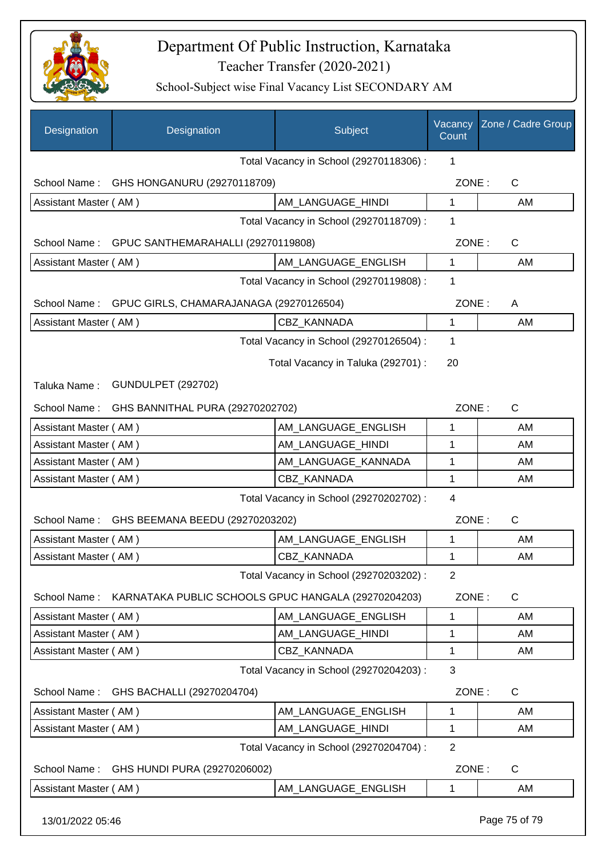

| Designation           | Designation                                         | Subject                                 | Vacancy<br>Count | Zone / Cadre Group |
|-----------------------|-----------------------------------------------------|-----------------------------------------|------------------|--------------------|
|                       |                                                     | Total Vacancy in School (29270118306) : | 1                |                    |
| School Name:          | GHS HONGANURU (29270118709)                         |                                         | ZONE:            | C                  |
| Assistant Master (AM) |                                                     | AM_LANGUAGE_HINDI                       | 1                | AM                 |
|                       |                                                     | Total Vacancy in School (29270118709) : | 1                |                    |
| School Name:          | GPUC SANTHEMARAHALLI (29270119808)                  |                                         | ZONE:            | $\mathsf{C}$       |
| Assistant Master (AM) |                                                     | AM LANGUAGE_ENGLISH                     | 1                | AM                 |
|                       |                                                     | Total Vacancy in School (29270119808) : | 1                |                    |
| School Name:          | GPUC GIRLS, CHAMARAJANAGA (29270126504)             |                                         | ZONE:            | A                  |
| Assistant Master (AM) |                                                     | <b>CBZ KANNADA</b>                      | 1                | AM                 |
|                       |                                                     | Total Vacancy in School (29270126504) : | 1                |                    |
|                       |                                                     | Total Vacancy in Taluka (292701) :      | 20               |                    |
|                       |                                                     |                                         |                  |                    |
| Taluka Name:          | <b>GUNDULPET (292702)</b>                           |                                         |                  |                    |
| School Name:          | GHS BANNITHAL PURA (29270202702)                    |                                         | ZONE:            | $\mathsf{C}$       |
| Assistant Master (AM) |                                                     | AM_LANGUAGE_ENGLISH                     | 1                | AM                 |
| Assistant Master (AM) |                                                     | AM_LANGUAGE_HINDI                       | 1                | AM                 |
| Assistant Master (AM) |                                                     | AM_LANGUAGE_KANNADA                     | 1                | AM                 |
| Assistant Master (AM) |                                                     | CBZ_KANNADA                             | 1                | AM                 |
|                       |                                                     | Total Vacancy in School (29270202702) : | 4                |                    |
| School Name:          | GHS BEEMANA BEEDU (29270203202)                     |                                         | ZONE:            | C                  |
| Assistant Master (AM) |                                                     | AM_LANGUAGE_ENGLISH                     | 1                | AM                 |
| Assistant Master (AM) |                                                     | CBZ_KANNADA                             | 1                | AM                 |
|                       |                                                     | Total Vacancy in School (29270203202) : | $\overline{2}$   |                    |
| School Name:          | KARNATAKA PUBLIC SCHOOLS GPUC HANGALA (29270204203) |                                         | ZONE:            | C                  |
| Assistant Master (AM) |                                                     | AM_LANGUAGE_ENGLISH                     | 1                | AM                 |
| Assistant Master (AM) |                                                     | AM_LANGUAGE_HINDI                       | 1                | AM                 |
| Assistant Master (AM) |                                                     | CBZ_KANNADA                             | 1                | AM                 |
|                       |                                                     | Total Vacancy in School (29270204203) : | 3                |                    |
| School Name:          | GHS BACHALLI (29270204704)                          |                                         | ZONE:            | $\mathsf{C}$       |
| Assistant Master (AM) |                                                     | AM_LANGUAGE_ENGLISH                     | 1                | AM                 |
| Assistant Master (AM) |                                                     | AM_LANGUAGE_HINDI                       | 1                | AM                 |
|                       |                                                     | Total Vacancy in School (29270204704) : | $\overline{2}$   |                    |
| School Name:          | GHS HUNDI PURA (29270206002)                        |                                         | ZONE:            | C                  |
| Assistant Master (AM) |                                                     | AM_LANGUAGE_ENGLISH                     | 1                | AM                 |
|                       |                                                     |                                         |                  |                    |
| 13/01/2022 05:46      |                                                     |                                         |                  | Page 75 of 79      |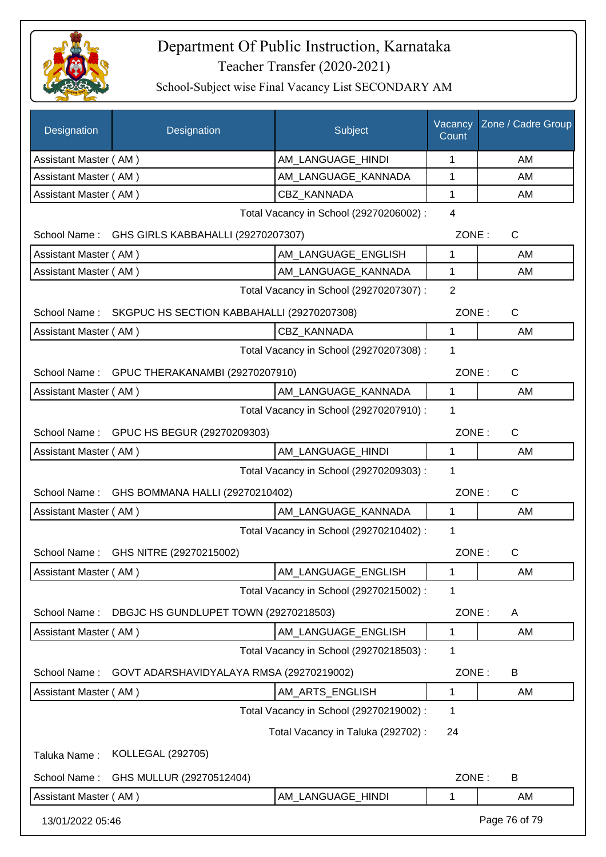

| Designation                                     | Designation                                     | Subject                                 | Vacancy<br>Count | Zone / Cadre Group |
|-------------------------------------------------|-------------------------------------------------|-----------------------------------------|------------------|--------------------|
| Assistant Master (AM)                           |                                                 | AM_LANGUAGE_HINDI                       | 1                | AM                 |
| Assistant Master (AM)                           |                                                 | AM_LANGUAGE_KANNADA                     | 1                | AM                 |
| Assistant Master (AM)                           |                                                 | CBZ KANNADA                             | 1                | AM                 |
|                                                 |                                                 | Total Vacancy in School (29270206002) : | $\overline{4}$   |                    |
|                                                 | School Name: GHS GIRLS KABBAHALLI (29270207307) |                                         | ZONE:            | $\mathsf{C}$       |
| Assistant Master (AM)                           |                                                 | AM LANGUAGE ENGLISH                     | 1                | AM                 |
| Assistant Master (AM)                           |                                                 | AM_LANGUAGE_KANNADA                     | 1                | AM                 |
|                                                 |                                                 | Total Vacancy in School (29270207307) : | $\overline{2}$   |                    |
| School Name:                                    | SKGPUC HS SECTION KABBAHALLI (29270207308)      |                                         | ZONE:            | $\mathsf{C}$       |
| Assistant Master (AM)                           |                                                 | CBZ_KANNADA                             | 1                | AM                 |
|                                                 |                                                 | Total Vacancy in School (29270207308) : | 1                |                    |
|                                                 | School Name: GPUC THERAKANAMBI (29270207910)    |                                         | ZONE:            | $\mathsf{C}$       |
| Assistant Master (AM)                           |                                                 | AM_LANGUAGE_KANNADA                     | 1                | AM                 |
|                                                 |                                                 | Total Vacancy in School (29270207910) : | 1                |                    |
|                                                 | School Name: GPUC HS BEGUR (29270209303)        |                                         | ZONE:            | $\mathsf{C}$       |
| Assistant Master (AM)                           |                                                 | AM_LANGUAGE_HINDI                       | 1                | AM                 |
|                                                 |                                                 | Total Vacancy in School (29270209303) : | 1                |                    |
| School Name:<br>GHS BOMMANA HALLI (29270210402) |                                                 | ZONE:                                   | $\mathsf{C}$     |                    |
| Assistant Master (AM)                           |                                                 | AM_LANGUAGE_KANNADA                     | 1                | AM                 |
|                                                 |                                                 | Total Vacancy in School (29270210402) : | 1                |                    |
| School Name:                                    | GHS NITRE (29270215002)                         |                                         | ZONE:            | C                  |
| Assistant Master (AM)                           |                                                 | AM_LANGUAGE_ENGLISH                     | 1                | AM                 |
|                                                 |                                                 | Total Vacancy in School (29270215002) : | 1                |                    |
| School Name:                                    | DBGJC HS GUNDLUPET TOWN (29270218503)           |                                         | ZONE:            | A                  |
| Assistant Master (AM)                           |                                                 | AM_LANGUAGE_ENGLISH                     | 1                | AM                 |
|                                                 |                                                 | Total Vacancy in School (29270218503) : | 1                |                    |
| School Name:                                    | GOVT ADARSHAVIDYALAYA RMSA (29270219002)        |                                         | ZONE:            | B                  |
| Assistant Master (AM)                           |                                                 | AM_ARTS_ENGLISH                         | 1                | AM                 |
|                                                 |                                                 | Total Vacancy in School (29270219002) : | 1                |                    |
|                                                 |                                                 | Total Vacancy in Taluka (292702) :      | 24               |                    |
| Taluka Name:                                    | KOLLEGAL (292705)                               |                                         |                  |                    |
| School Name:                                    | GHS MULLUR (29270512404)                        |                                         | ZONE:            | B                  |
| Assistant Master (AM)                           |                                                 | AM_LANGUAGE_HINDI                       | 1                | AM                 |
| 13/01/2022 05:46                                |                                                 |                                         |                  | Page 76 of 79      |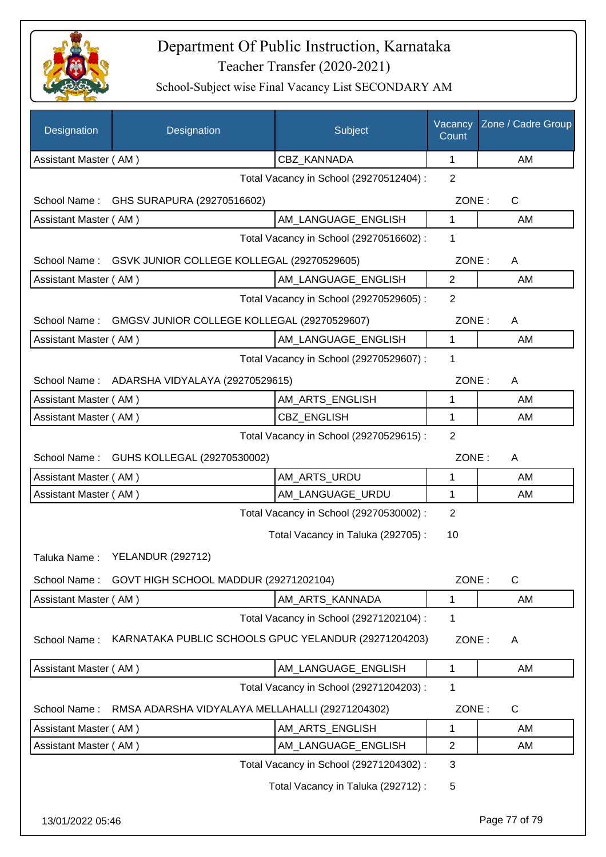

| Designation           | Designation                                          | Subject                                 | Vacancy<br>Count | Zone / Cadre Group |
|-----------------------|------------------------------------------------------|-----------------------------------------|------------------|--------------------|
| Assistant Master (AM) |                                                      | CBZ_KANNADA                             | 1                | AM                 |
|                       |                                                      | Total Vacancy in School (29270512404) : | 2                |                    |
|                       | School Name: GHS SURAPURA (29270516602)              |                                         | ZONE:            | C                  |
| Assistant Master (AM) |                                                      | AM_LANGUAGE_ENGLISH                     | $\mathbf{1}$     | AM                 |
|                       |                                                      | Total Vacancy in School (29270516602) : | 1                |                    |
| School Name:          | GSVK JUNIOR COLLEGE KOLLEGAL (29270529605)           |                                         | ZONE:            | A                  |
| Assistant Master (AM) |                                                      | AM LANGUAGE ENGLISH                     | $\overline{2}$   | AM                 |
|                       |                                                      | Total Vacancy in School (29270529605) : | 2                |                    |
| School Name:          | GMGSV JUNIOR COLLEGE KOLLEGAL (29270529607)          |                                         | ZONE:            | A                  |
| Assistant Master (AM) |                                                      | AM_LANGUAGE_ENGLISH                     | $\mathbf{1}$     | AM                 |
|                       |                                                      | Total Vacancy in School (29270529607) : | 1                |                    |
|                       | School Name: ADARSHA VIDYALAYA (29270529615)         |                                         | ZONE:            | A                  |
| Assistant Master (AM) |                                                      | AM_ARTS_ENGLISH                         | 1                | AM                 |
| Assistant Master (AM) |                                                      | <b>CBZ ENGLISH</b>                      | 1                | AM                 |
|                       |                                                      | Total Vacancy in School (29270529615) : | $\overline{2}$   |                    |
|                       | School Name: GUHS KOLLEGAL (29270530002)             |                                         | ZONE:            | Α                  |
| Assistant Master (AM) |                                                      | AM_ARTS_URDU                            | 1                | AM                 |
| Assistant Master (AM) |                                                      | AM_LANGUAGE_URDU                        | 1                | AM                 |
|                       |                                                      | Total Vacancy in School (29270530002) : | $\overline{2}$   |                    |
|                       |                                                      | Total Vacancy in Taluka (292705) :      | 10               |                    |
| Taluka Name:          | <b>YELANDUR (292712)</b>                             |                                         |                  |                    |
| School Name:          | GOVT HIGH SCHOOL MADDUR (29271202104)                |                                         | ZONE:            | $\mathsf{C}$       |
| Assistant Master (AM) |                                                      | AM_ARTS_KANNADA                         | $\mathbf{1}$     | AM                 |
|                       |                                                      | Total Vacancy in School (29271202104) : | 1                |                    |
| School Name:          | KARNATAKA PUBLIC SCHOOLS GPUC YELANDUR (29271204203) |                                         | ZONE:            | A                  |
| Assistant Master (AM) |                                                      | AM_LANGUAGE_ENGLISH                     | 1                | AM                 |
|                       |                                                      | Total Vacancy in School (29271204203) : | 1                |                    |
| School Name:          | RMSA ADARSHA VIDYALAYA MELLAHALLI (29271204302)      |                                         | ZONE:            | $\mathsf{C}$       |
| Assistant Master (AM) |                                                      | AM_ARTS_ENGLISH                         | 1                | AM                 |
| Assistant Master (AM) |                                                      | AM_LANGUAGE_ENGLISH                     | $\overline{2}$   | AM                 |
|                       |                                                      | Total Vacancy in School (29271204302) : | 3                |                    |
|                       |                                                      | Total Vacancy in Taluka (292712) :      | 5                |                    |
| 13/01/2022 05:46      |                                                      |                                         |                  | Page 77 of 79      |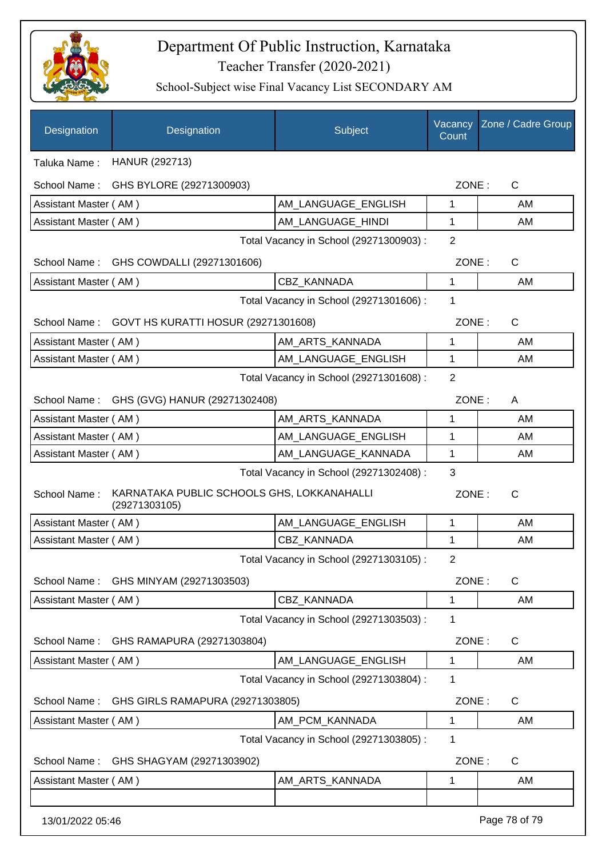

| Designation           | Designation                                                 | Subject                                 | Vacancy<br>Count | Zone / Cadre Group |
|-----------------------|-------------------------------------------------------------|-----------------------------------------|------------------|--------------------|
| Taluka Name:          | HANUR (292713)                                              |                                         |                  |                    |
| School Name:          | GHS BYLORE (29271300903)                                    |                                         | ZONE:            | $\mathsf{C}$       |
| Assistant Master (AM) |                                                             | AM_LANGUAGE_ENGLISH                     | 1                | AM                 |
| Assistant Master (AM) |                                                             | AM LANGUAGE HINDI                       | 1                | AM                 |
|                       |                                                             | Total Vacancy in School (29271300903) : | $\overline{2}$   |                    |
|                       | School Name: GHS COWDALLI (29271301606)                     |                                         | ZONE:            | $\mathsf{C}$       |
| Assistant Master (AM) |                                                             | <b>CBZ KANNADA</b>                      | 1                | AM                 |
|                       |                                                             | Total Vacancy in School (29271301606) : | 1                |                    |
|                       | School Name: GOVT HS KURATTI HOSUR (29271301608)            |                                         | ZONE:            | $\mathsf{C}$       |
| Assistant Master (AM) |                                                             | AM_ARTS_KANNADA                         | 1                | AM                 |
| Assistant Master (AM) |                                                             | AM_LANGUAGE_ENGLISH                     | 1                | AM                 |
|                       |                                                             | Total Vacancy in School (29271301608) : | $\overline{2}$   |                    |
|                       | School Name: GHS (GVG) HANUR (29271302408)                  |                                         | ZONE:            | A                  |
| Assistant Master (AM) |                                                             | AM_ARTS_KANNADA                         | 1                | AM                 |
| Assistant Master (AM) |                                                             | AM_LANGUAGE_ENGLISH                     | 1                | AM                 |
| Assistant Master (AM) |                                                             | AM_LANGUAGE_KANNADA                     | 1                | AM                 |
|                       |                                                             | Total Vacancy in School (29271302408) : | 3                |                    |
| School Name:          | KARNATAKA PUBLIC SCHOOLS GHS, LOKKANAHALLI<br>(29271303105) |                                         | ZONE:            | $\mathsf{C}$       |
| Assistant Master (AM) |                                                             | AM LANGUAGE ENGLISH                     | 1                | AM                 |
| Assistant Master (AM) |                                                             | CBZ KANNADA                             | 1                | AM                 |
|                       |                                                             | Total Vacancy in School (29271303105) : | $\mathcal{P}$    |                    |
| School Name:          | GHS MINYAM (29271303503)                                    |                                         | ZONE:            | $\mathsf C$        |
| Assistant Master (AM) |                                                             | <b>CBZ KANNADA</b>                      | 1                | AM                 |
|                       |                                                             | Total Vacancy in School (29271303503) : | 1                |                    |
| School Name:          | GHS RAMAPURA (29271303804)                                  |                                         | ZONE:            | $\mathsf C$        |
| Assistant Master (AM) |                                                             | AM LANGUAGE ENGLISH                     | 1                | AM                 |
|                       |                                                             | Total Vacancy in School (29271303804) : | 1                |                    |
| School Name:          | GHS GIRLS RAMAPURA (29271303805)                            |                                         | ZONE:            | C                  |
| Assistant Master (AM) |                                                             | AM_PCM_KANNADA                          | 1                | AM                 |
|                       |                                                             | Total Vacancy in School (29271303805) : | 1                |                    |
| School Name:          | GHS SHAGYAM (29271303902)                                   |                                         | ZONE:            | $\mathsf{C}$       |
| Assistant Master (AM) |                                                             | AM_ARTS_KANNADA                         | 1                | AM                 |
|                       |                                                             |                                         |                  |                    |
| 13/01/2022 05:46      |                                                             |                                         |                  | Page 78 of 79      |